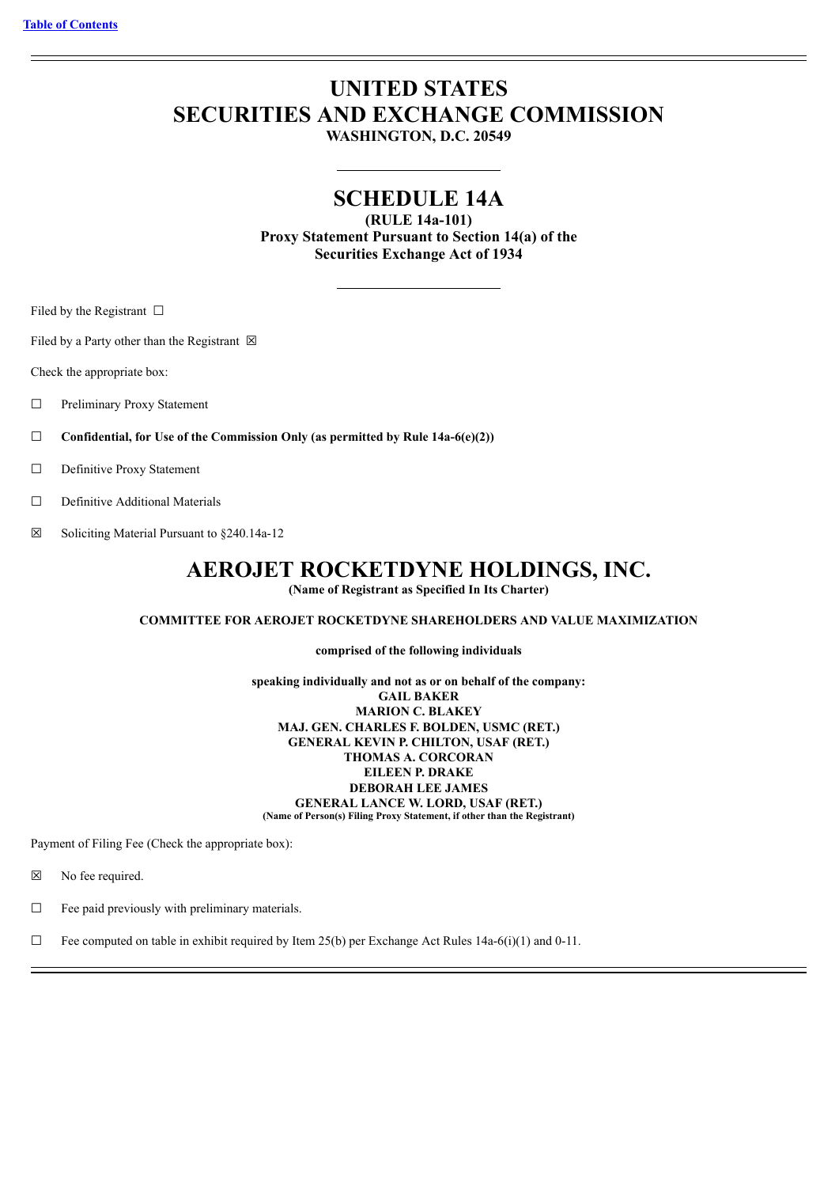# **UNITED STATES SECURITIES AND EXCHANGE COMMISSION**

**WASHINGTON, D.C. 20549**

## **SCHEDULE 14A**

**(RULE 14a-101) Proxy Statement Pursuant to Section 14(a) of the Securities Exchange Act of 1934**

Filed by the Registrant  $\Box$ 

Filed by a Party other than the Registrant  $\boxtimes$ 

Check the appropriate box:

- ☐ Preliminary Proxy Statement
- ☐ **Confidential, for Use of the Commission Only (as permitted by Rule 14a-6(e)(2))**
- ☐ Definitive Proxy Statement
- ☐ Definitive Additional Materials
- $\boxtimes$  Soliciting Material Pursuant to §240.14a-12

## **AEROJET ROCKETDYNE HOLDINGS, INC.**

**(Name of Registrant as Specified In Its Charter)**

#### **COMMITTEE FOR AEROJET ROCKETDYNE SHAREHOLDERS AND VALUE MAXIMIZATION**

**comprised of the following individuals**

**speaking individually and not as or on behalf of the company: GAIL BAKER MARION C. BLAKEY MAJ. GEN. CHARLES F. BOLDEN, USMC (RET.) GENERAL KEVIN P. CHILTON, USAF (RET.) THOMAS A. CORCORAN EILEEN P. DRAKE DEBORAH LEE JAMES GENERAL LANCE W. LORD, USAF (RET.) (Name of Person(s) Filing Proxy Statement, if other than the Registrant)**

Payment of Filing Fee (Check the appropriate box):

☒ No fee required.

 $\Box$  Fee paid previously with preliminary materials.

 $\Box$  Fee computed on table in exhibit required by Item 25(b) per Exchange Act Rules 14a-6(i)(1) and 0-11.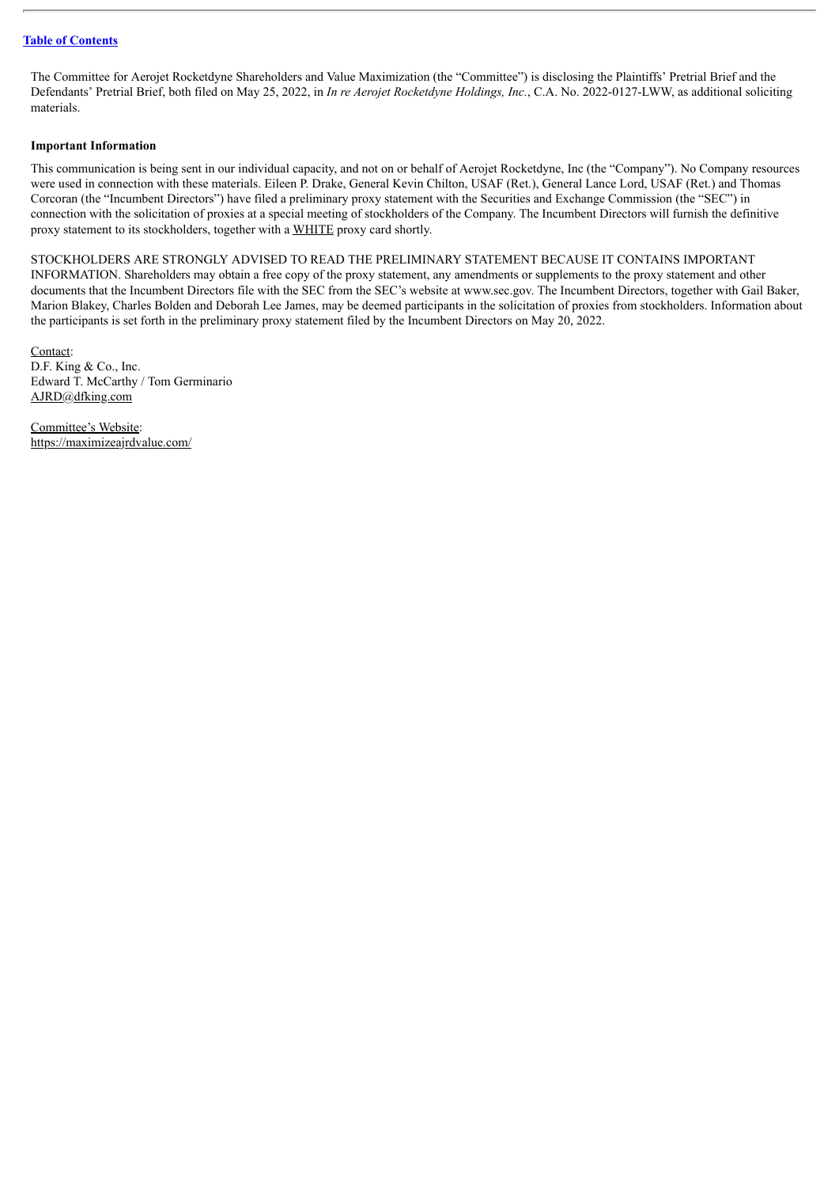The Committee for Aerojet Rocketdyne Shareholders and Value Maximization (the "Committee") is disclosing the Plaintiffs' Pretrial Brief and the Defendants' Pretrial Brief, both filed on May 25, 2022, in *In re Aerojet Rocketdyne Holdings, Inc.*, C.A. No. 2022-0127-LWW, as additional soliciting materials.

#### **Important Information**

This communication is being sent in our individual capacity, and not on or behalf of Aerojet Rocketdyne, Inc (the "Company"). No Company resources were used in connection with these materials. Eileen P. Drake, General Kevin Chilton, USAF (Ret.), General Lance Lord, USAF (Ret.) and Thomas Corcoran (the "Incumbent Directors") have filed a preliminary proxy statement with the Securities and Exchange Commission (the "SEC") in connection with the solicitation of proxies at a special meeting of stockholders of the Company. The Incumbent Directors will furnish the definitive proxy statement to its stockholders, together with a WHITE proxy card shortly.

STOCKHOLDERS ARE STRONGLY ADVISED TO READ THE PRELIMINARY STATEMENT BECAUSE IT CONTAINS IMPORTANT INFORMATION. Shareholders may obtain a free copy of the proxy statement, any amendments or supplements to the proxy statement and other documents that the Incumbent Directors file with the SEC from the SEC's website at www.sec.gov. The Incumbent Directors, together with Gail Baker, Marion Blakey, Charles Bolden and Deborah Lee James, may be deemed participants in the solicitation of proxies from stockholders. Information about the participants is set forth in the preliminary proxy statement filed by the Incumbent Directors on May 20, 2022.

Contact: D.F. King & Co., Inc. Edward T. McCarthy / Tom Germinario AJRD@dfking.com

Committee's Website: https://maximizeajrdvalue.com/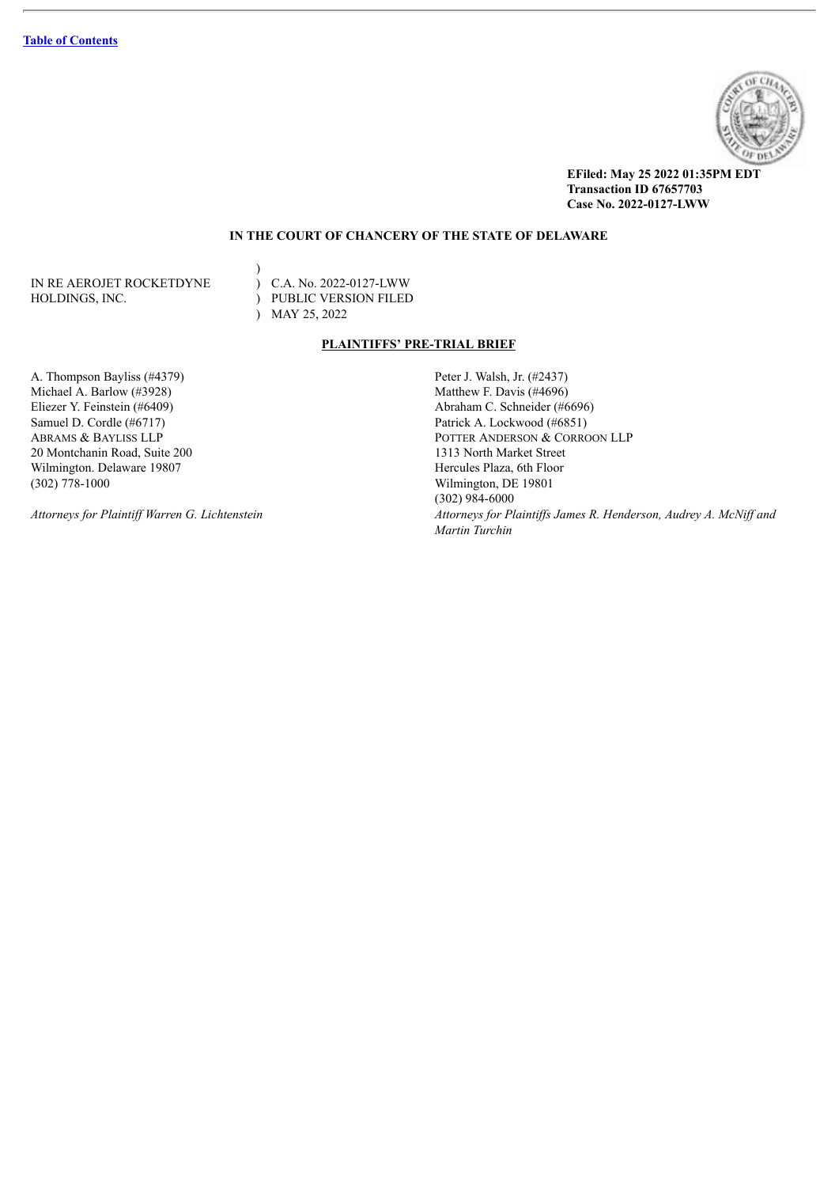

**EFiled: May 25 2022 01:35PM EDT Transaction ID 67657703 Case No. 2022-0127-LWW**

## **IN THE COURT OF CHANCERY OF THE STATE OF DELAWARE**

IN RE AEROJET ROCKETDYNE HOLDINGS, INC.  $\qquad \qquad$  PUBLIC VERSION FILED

)<br>
) C.A. No. 2022-0127-LWW ) MAY 25, 2022

#### **PLAINTIFFS' PRE-TRIAL BRIEF**

A. Thompson Bayliss (#4379) Peter J. Walsh, Jr. (#2437) Michael A. Barlow (#3928) Matthew F. Davis (#4696) Eliezer Y. Feinstein (#6409) Abraham C. Schneider (#6696) Samuel D. Cordle (#6717) Patrick A. Lockwood (#6851)<br>ABRAMS & BAYLISS LLP POTTER ANDERSON & CORRO 20 Montchanin Road, Suite 200 1313 North Market Street Wilmington. Delaware 19807 **Hercules Plaza, 6th Floor** (302) 778-1000 Wilmington, DE 19801

POTTER ANDERSON & CORROON LLP (302) 984-6000 Attorneys for Plaintiff Warren G. Lichtenstein Mattorneys for Plaintiffs James R. Henderson, Audrey A. McNiff and *Martin Turchin*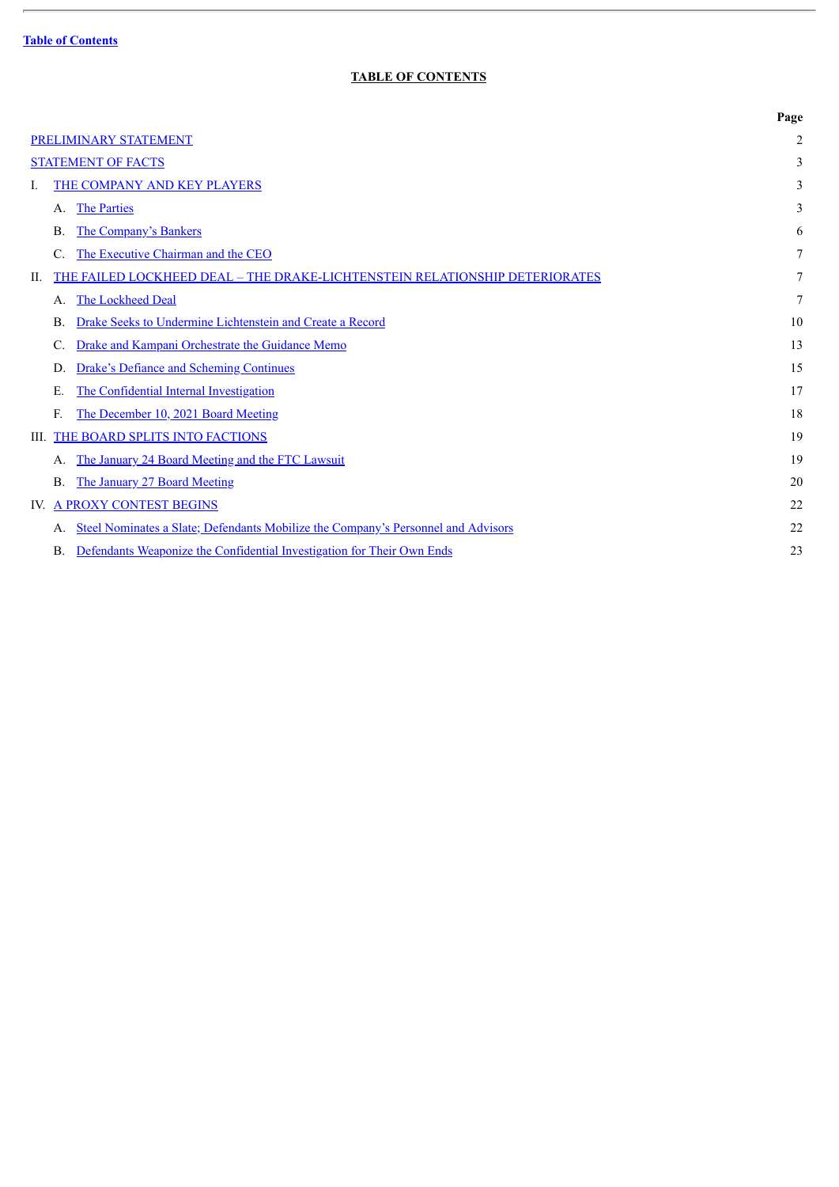$\overline{a}$ 

## **TABLE OF CONTENTS**

<span id="page-3-0"></span>

|                                                                                     | Page           |
|-------------------------------------------------------------------------------------|----------------|
| PRELIMINARY STATEMENT                                                               | $\overline{2}$ |
| <b>STATEMENT OF FACTS</b>                                                           | 3              |
| THE COMPANY AND KEY PLAYERS<br>L                                                    | 3              |
| The Parties<br>Α.                                                                   | 3              |
| The Company's Bankers<br>Β.                                                         | 6              |
| The Executive Chairman and the CEO<br>C.                                            |                |
| THE FAILED LOCKHEED DEAL - THE DRAKE-LICHTENSTEIN RELATIONSHIP DETERIORATES<br>П.   | 7              |
| The Lockheed Deal<br>A.                                                             | 7              |
| Drake Seeks to Undermine Lichtenstein and Create a Record<br>Β.                     | 10             |
| Drake and Kampani Orchestrate the Guidance Memo<br>C.                               | 13             |
| <b>Drake's Defiance and Scheming Continues</b><br>D.                                | 15             |
| The Confidential Internal Investigation<br>Е.                                       | 17             |
| The December 10, 2021 Board Meeting<br>F.                                           | 18             |
| <b>III. THE BOARD SPLITS INTO FACTIONS</b>                                          | 19             |
| The January 24 Board Meeting and the FTC Lawsuit<br>А.                              | 19             |
| The January 27 Board Meeting<br><b>B.</b>                                           | 20             |
| IV. A PROXY CONTEST BEGINS                                                          | 22             |
| Steel Nominates a Slate; Defendants Mobilize the Company's Personnel and Advisors   | 22             |
| Defendants Weaponize the Confidential Investigation for Their Own Ends<br><b>B.</b> | 23             |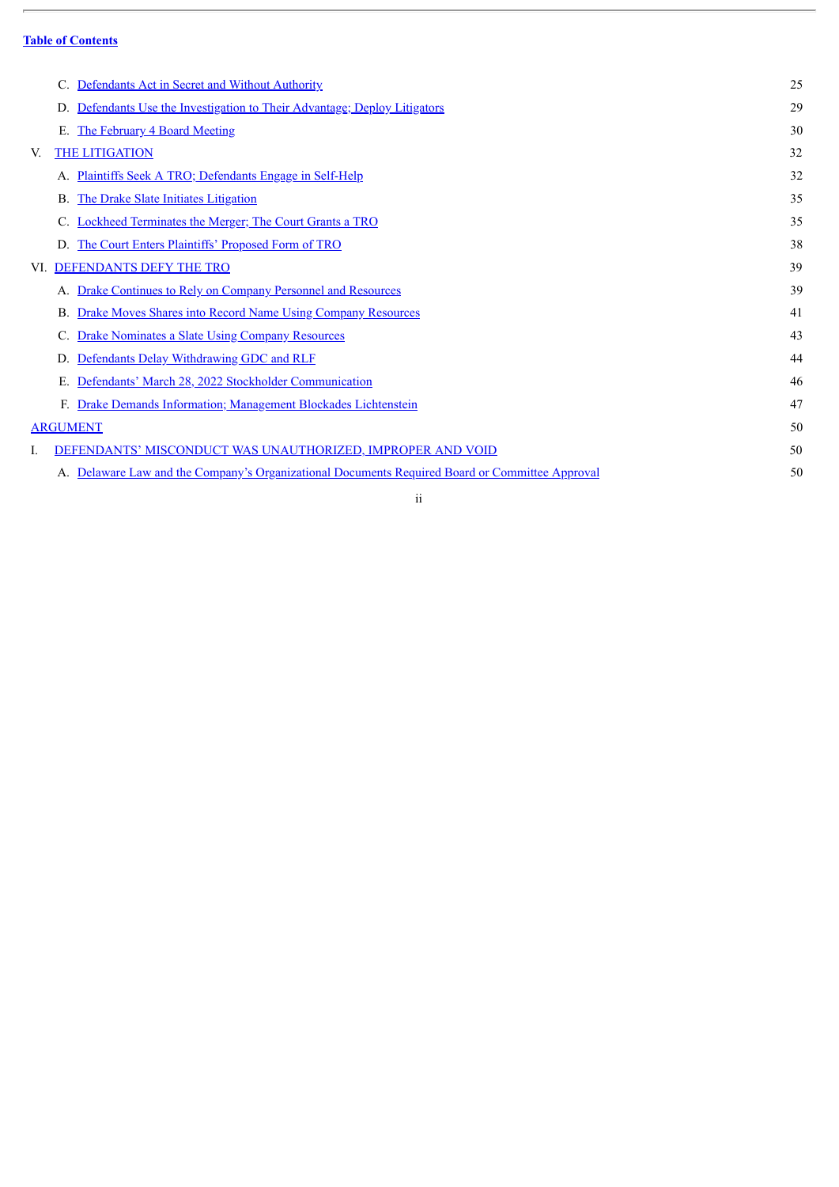$\overline{a}$ 

|    | Defendants Act in Secret and Without Authority                                                  | 25 |
|----|-------------------------------------------------------------------------------------------------|----|
|    | Defendants Use the Investigation to Their Advantage; Deploy Litigators<br>D.                    | 29 |
|    | The February 4 Board Meeting<br>Е.                                                              | 30 |
| V. | <b>THE LITIGATION</b>                                                                           | 32 |
|    | Plaintiffs Seek A TRO; Defendants Engage in Self-Help                                           | 32 |
|    | The Drake Slate Initiates Litigation<br>В.                                                      | 35 |
|    | Lockheed Terminates the Merger; The Court Grants a TRO                                          | 35 |
|    | The Court Enters Plaintiffs' Proposed Form of TRO                                               | 38 |
|    | VI. DEFENDANTS DEFY THE TRO                                                                     | 39 |
|    | Drake Continues to Rely on Company Personnel and Resources                                      | 39 |
|    | <b>Drake Moves Shares into Record Name Using Company Resources</b><br>В.                        | 41 |
|    | <b>Drake Nominates a Slate Using Company Resources</b>                                          | 43 |
|    | Defendants Delay Withdrawing GDC and RLF<br>D.                                                  | 44 |
|    | Defendants' March 28, 2022 Stockholder Communication<br>Е.                                      | 46 |
|    | Drake Demands Information; Management Blockades Lichtenstein<br>$F_{\cdot}$                     | 47 |
|    | ARGUMENT                                                                                        | 50 |
|    | DEFENDANTS' MISCONDUCT WAS UNAUTHORIZED, IMPROPER AND VOID                                      | 50 |
|    | A. Delaware Law and the Company's Organizational Documents Required Board or Committee Approval | 50 |
|    |                                                                                                 |    |

ii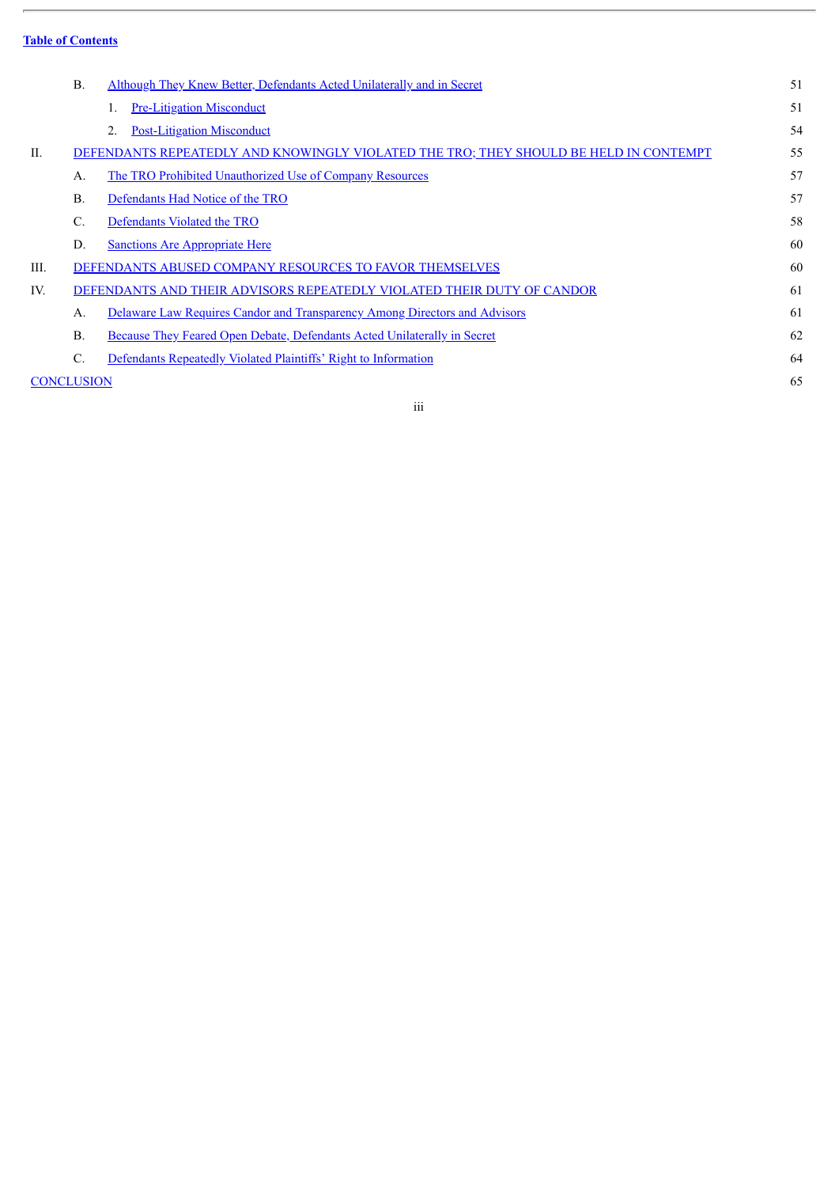L.

|                   | <b>B</b> .     | Although They Knew Better, Defendants Acted Unilaterally and in Secret                | 51  |
|-------------------|----------------|---------------------------------------------------------------------------------------|-----|
|                   |                | <b>Pre-Litigation Misconduct</b>                                                      | 51  |
|                   |                | <b>Post-Litigation Misconduct</b><br>2.                                               | 54  |
| Η.                |                | DEFENDANTS REPEATEDLY AND KNOWINGLY VIOLATED THE TRO; THEY SHOULD BE HELD IN CONTEMPT | 55  |
|                   | $\mathbf{A}$   | The TRO Prohibited Unauthorized Use of Company Resources                              | 57  |
|                   | $B$ .          | Defendants Had Notice of the TRO                                                      | 57  |
|                   | C.             | Defendants Violated the TRO                                                           | 58  |
|                   | D.             | <b>Sanctions Are Appropriate Here</b>                                                 | 60  |
| III.              |                | DEFENDANTS ABUSED COMPANY RESOURCES TO FAVOR THEMSELVES                               | 60  |
| IV.               |                | DEFENDANTS AND THEIR ADVISORS REPEATEDLY VIOLATED THEIR DUTY OF CANDOR                | -61 |
|                   | A.             | Delaware Law Requires Candor and Transparency Among Directors and Advisors            | 61  |
|                   | <b>B.</b>      | <b>Because They Feared Open Debate, Defendants Acted Unilaterally in Secret</b>       | 62  |
|                   | $\mathbf{C}$ . | Defendants Repeatedly Violated Plaintiffs' Right to Information                       | 64  |
| <b>CONCLUSION</b> |                |                                                                                       | 65  |

iii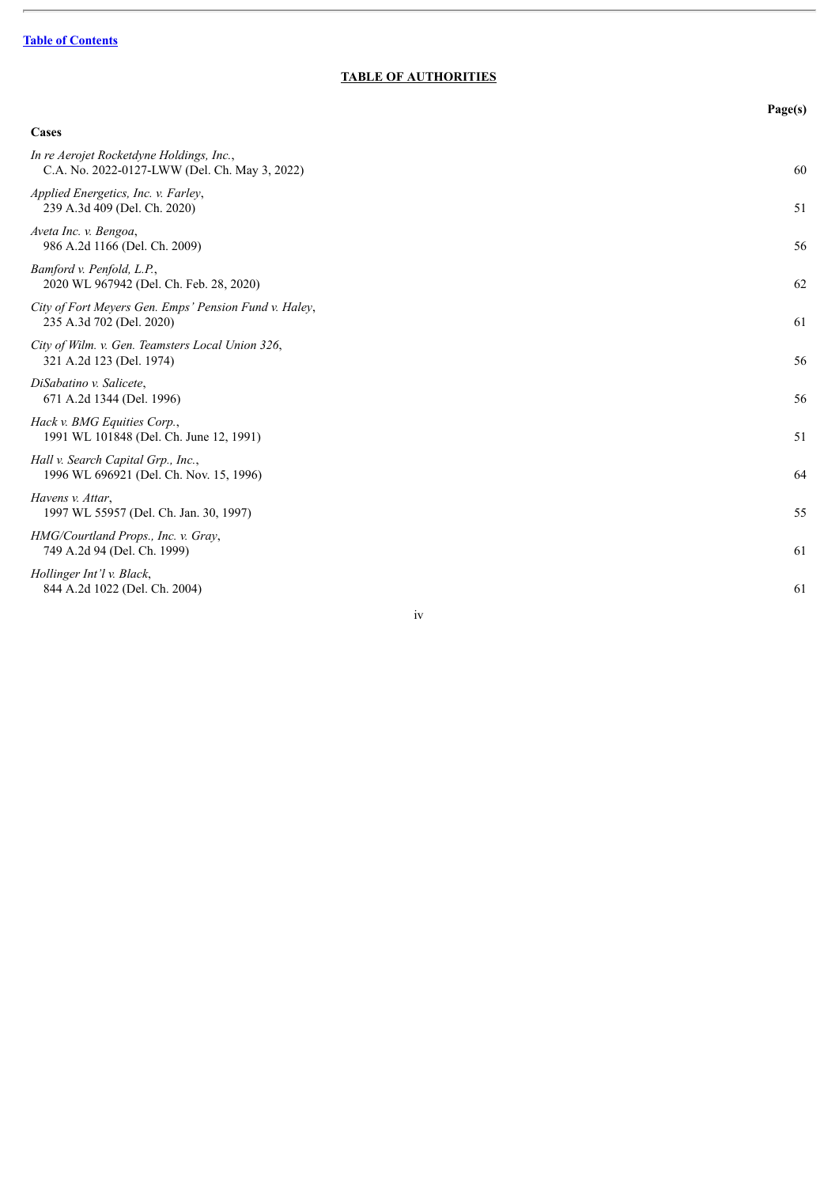$\overline{a}$ 

## **TABLE OF AUTHORITIES**

|                                                                                           | Page(s) |
|-------------------------------------------------------------------------------------------|---------|
| Cases                                                                                     |         |
| In re Aerojet Rocketdyne Holdings, Inc.,<br>C.A. No. 2022-0127-LWW (Del. Ch. May 3, 2022) | 60      |
| Applied Energetics, Inc. v. Farley,<br>239 A.3d 409 (Del. Ch. 2020)                       | 51      |
| Aveta Inc. v. Bengoa,<br>986 A.2d 1166 (Del. Ch. 2009)                                    | 56      |
| Bamford v. Penfold, L.P.,<br>2020 WL 967942 (Del. Ch. Feb. 28, 2020)                      | 62      |
| City of Fort Meyers Gen. Emps' Pension Fund v. Haley,<br>235 A.3d 702 (Del. 2020)         | 61      |
| City of Wilm. v. Gen. Teamsters Local Union 326,<br>321 A.2d 123 (Del. 1974)              | 56      |
| DiSabatino v. Salicete,<br>671 A.2d 1344 (Del. 1996)                                      | 56      |
| Hack v. BMG Equities Corp.,<br>1991 WL 101848 (Del. Ch. June 12, 1991)                    | 51      |
| Hall v. Search Capital Grp., Inc.,<br>1996 WL 696921 (Del. Ch. Nov. 15, 1996)             | 64      |
| Havens v. Attar,<br>1997 WL 55957 (Del. Ch. Jan. 30, 1997)                                | 55      |
| HMG/Courtland Props., Inc. v. Gray,<br>749 A.2d 94 (Del. Ch. 1999)                        | 61      |
| Hollinger Int'l v. Black,<br>844 A.2d 1022 (Del. Ch. 2004)                                | 61      |

iv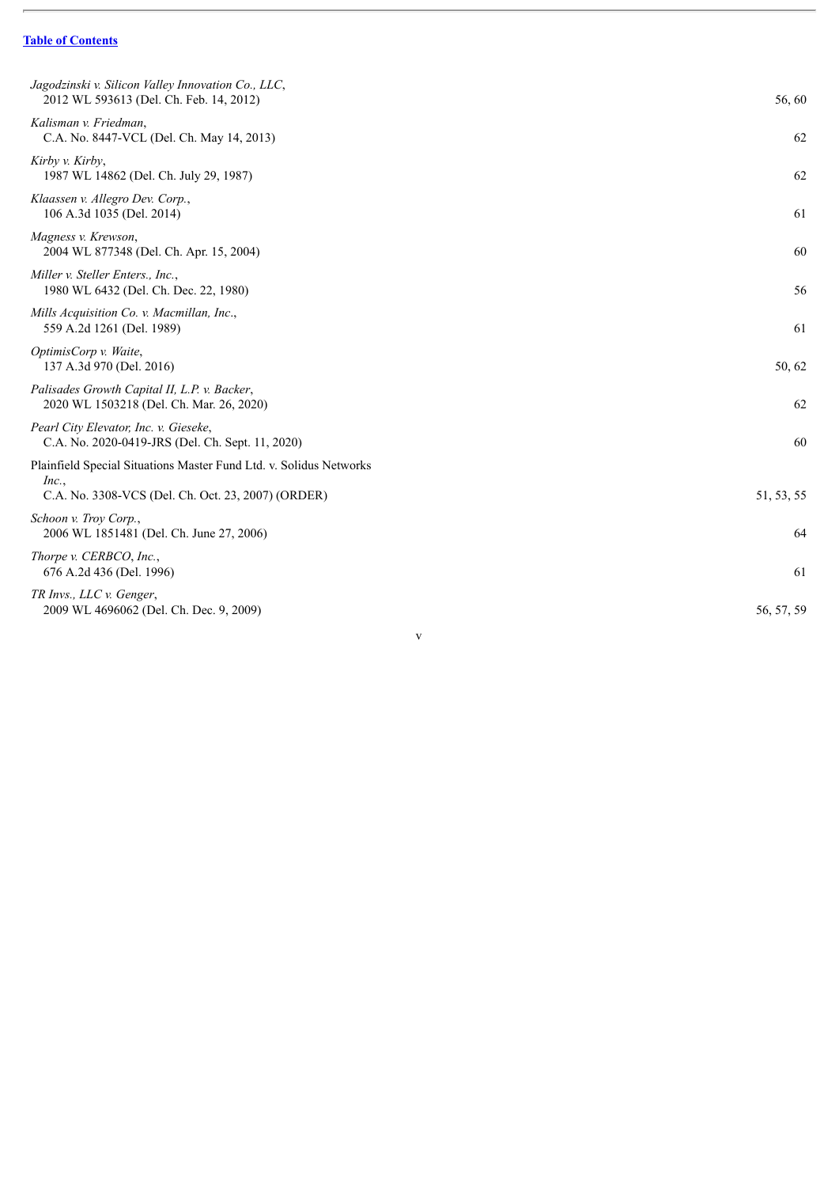$\overline{a}$ 

| Jagodzinski v. Silicon Valley Innovation Co., LLC,<br>2012 WL 593613 (Del. Ch. Feb. 14, 2012)                                     | 56,60      |
|-----------------------------------------------------------------------------------------------------------------------------------|------------|
| Kalisman v. Friedman,<br>C.A. No. 8447-VCL (Del. Ch. May 14, 2013)                                                                | 62         |
| Kirby v. Kirby,<br>1987 WL 14862 (Del. Ch. July 29, 1987)                                                                         | 62         |
| Klaassen v. Allegro Dev. Corp.,<br>106 A.3d 1035 (Del. 2014)                                                                      | 61         |
| Magness v. Krewson,<br>2004 WL 877348 (Del. Ch. Apr. 15, 2004)                                                                    | 60         |
| Miller v. Steller Enters., Inc.,<br>1980 WL 6432 (Del. Ch. Dec. 22, 1980)                                                         | 56         |
| Mills Acquisition Co. v. Macmillan, Inc.,<br>559 A.2d 1261 (Del. 1989)                                                            | 61         |
| OptimisCorp v. Waite,<br>137 A.3d 970 (Del. 2016)                                                                                 | 50, 62     |
| Palisades Growth Capital II, L.P. v. Backer,<br>2020 WL 1503218 (Del. Ch. Mar. 26, 2020)                                          | 62         |
| Pearl City Elevator, Inc. v. Gieseke,<br>C.A. No. 2020-0419-JRS (Del. Ch. Sept. 11, 2020)                                         | 60         |
| Plainfield Special Situations Master Fund Ltd. v. Solidus Networks<br>Inc.,<br>C.A. No. 3308-VCS (Del. Ch. Oct. 23, 2007) (ORDER) | 51, 53, 55 |
| Schoon v. Troy Corp.,<br>2006 WL 1851481 (Del. Ch. June 27, 2006)                                                                 | 64         |
| Thorpe v. CERBCO, Inc.,<br>676 A.2d 436 (Del. 1996)                                                                               | 61         |
| TR Invs., LLC v. Genger,<br>2009 WL 4696062 (Del. Ch. Dec. 9, 2009)                                                               | 56, 57, 59 |
|                                                                                                                                   |            |

v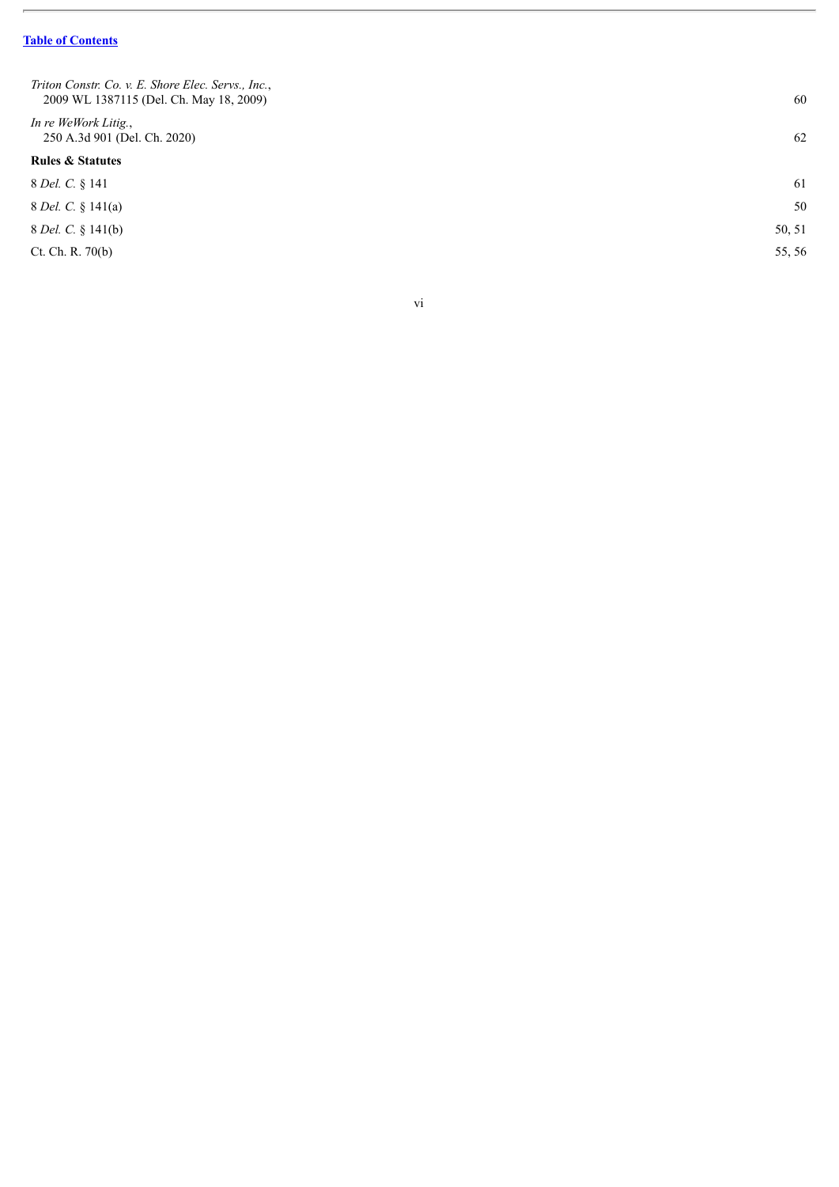$\overline{a}$ 

| Triton Constr. Co. v. E. Shore Elec. Servs., Inc.,<br>2009 WL 1387115 (Del. Ch. May 18, 2009) | 60     |
|-----------------------------------------------------------------------------------------------|--------|
| In re WeWork Litig.,<br>250 A.3d 901 (Del. Ch. 2020)                                          | 62     |
| <b>Rules &amp; Statutes</b>                                                                   |        |
| 8 Del. C. § 141                                                                               | 61     |
| 8 <i>Del. C.</i> § 141(a)                                                                     | 50     |
| 8 <i>Del. C.</i> § 141(b)                                                                     | 50, 51 |
| Ct. Ch. R. 70(b)                                                                              | 55, 56 |
|                                                                                               |        |

v i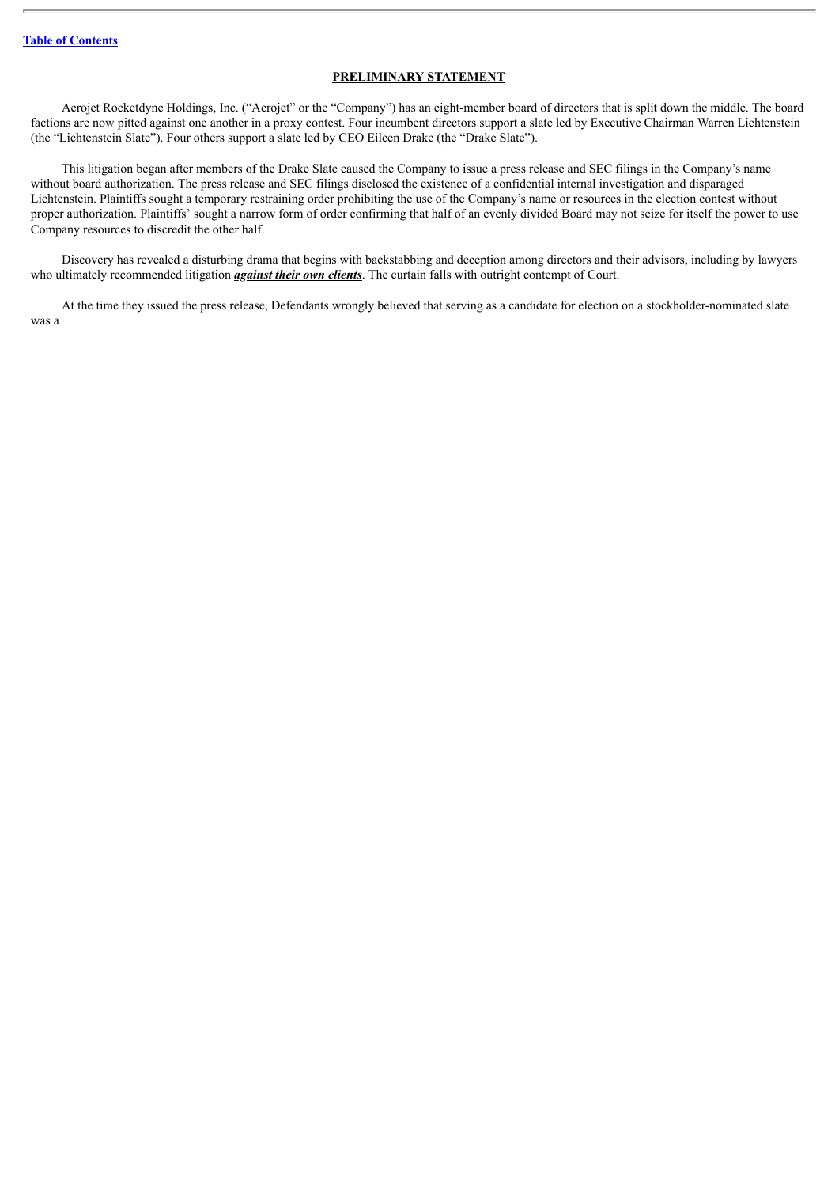#### **PRELIMINARY STATEMENT**

<span id="page-9-0"></span>Aerojet Rocketdyne Holdings, Inc. ("Aerojet" or the "Company") has an eight-member board of directors that is split down the middle. The board factions are now pitted against one another in a proxy contest. Four incumbent directors support a slate led by Executive Chairman Warren Lichtenstein (the "Lichtenstein Slate"). Four others support a slate led by CEO Eileen Drake (the "Drake Slate").

This litigation began after members of the Drake Slate caused the Company to issue a press release and SEC filings in the Company's name without board authorization. The press release and SEC filings disclosed the existence of a confidential internal investigation and disparaged Lichtenstein. Plaintiffs sought a temporary restraining order prohibiting the use of the Company's name or resources in the election contest without proper authorization. Plaintiffs' sought a narrow form of order confirming that half of an evenly divided Board may not seize for itself the power to use Company resources to discredit the other half.

Discovery has revealed a disturbing drama that begins with backstabbing and deception among directors and their advisors, including by lawyers who ultimately recommended litigation *against their own clients*. The curtain falls with outright contempt of Court.

At the time they issued the press release, Defendants wrongly believed that serving as a candidate for election on a stockholder-nominated slate was a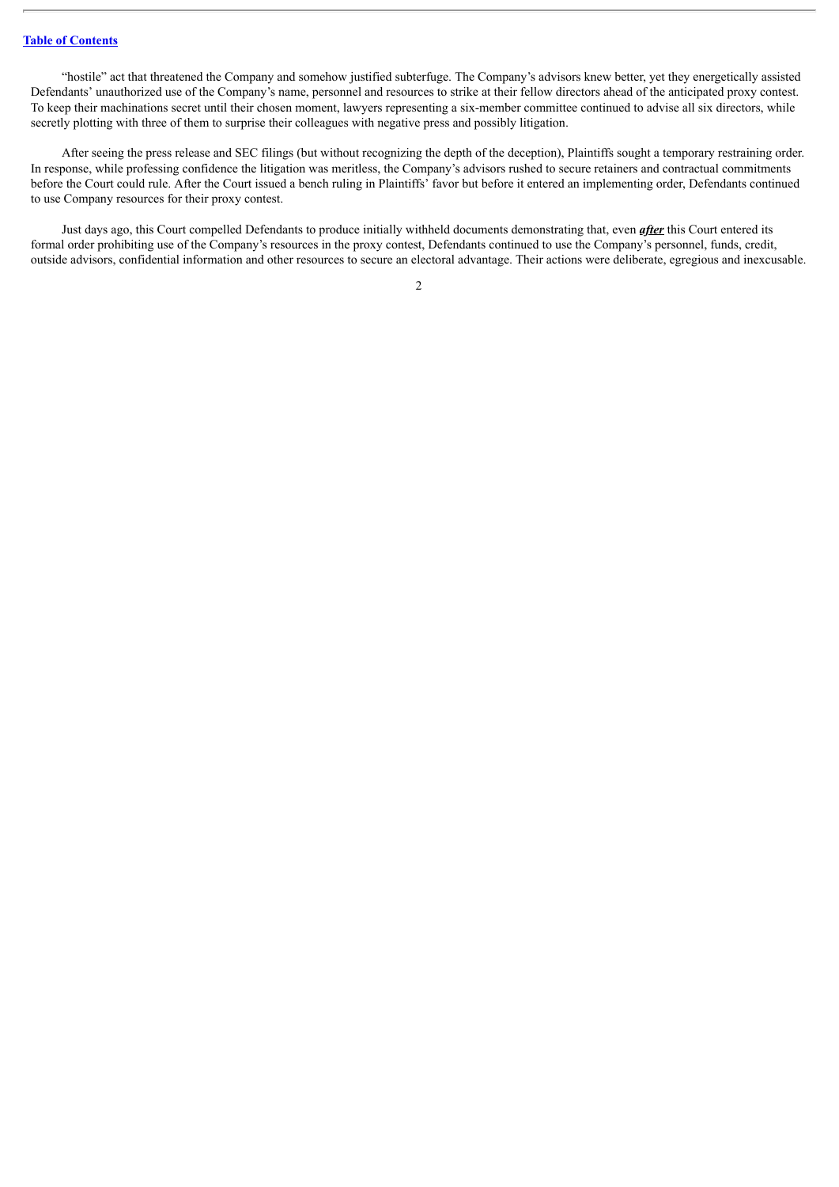"hostile" act that threatened the Company and somehow justified subterfuge. The Company's advisors knew better, yet they energetically assisted Defendants' unauthorized use of the Company's name, personnel and resources to strike at their fellow directors ahead of the anticipated proxy contest. To keep their machinations secret until their chosen moment, lawyers representing a six-member committee continued to advise all six directors, while secretly plotting with three of them to surprise their colleagues with negative press and possibly litigation.

After seeing the press release and SEC filings (but without recognizing the depth of the deception), Plaintiffs sought a temporary restraining order. In response, while professing confidence the litigation was meritless, the Company's advisors rushed to secure retainers and contractual commitments before the Court could rule. After the Court issued a bench ruling in Plaintiffs' favor but before it entered an implementing order, Defendants continued to use Company resources for their proxy contest.

Just days ago, this Court compelled Defendants to produce initially withheld documents demonstrating that, even *after* this Court entered its formal order prohibiting use of the Company's resources in the proxy contest, Defendants continued to use the Company's personnel, funds, credit, outside advisors, confidential information and other resources to secure an electoral advantage. Their actions were deliberate, egregious and inexcusable.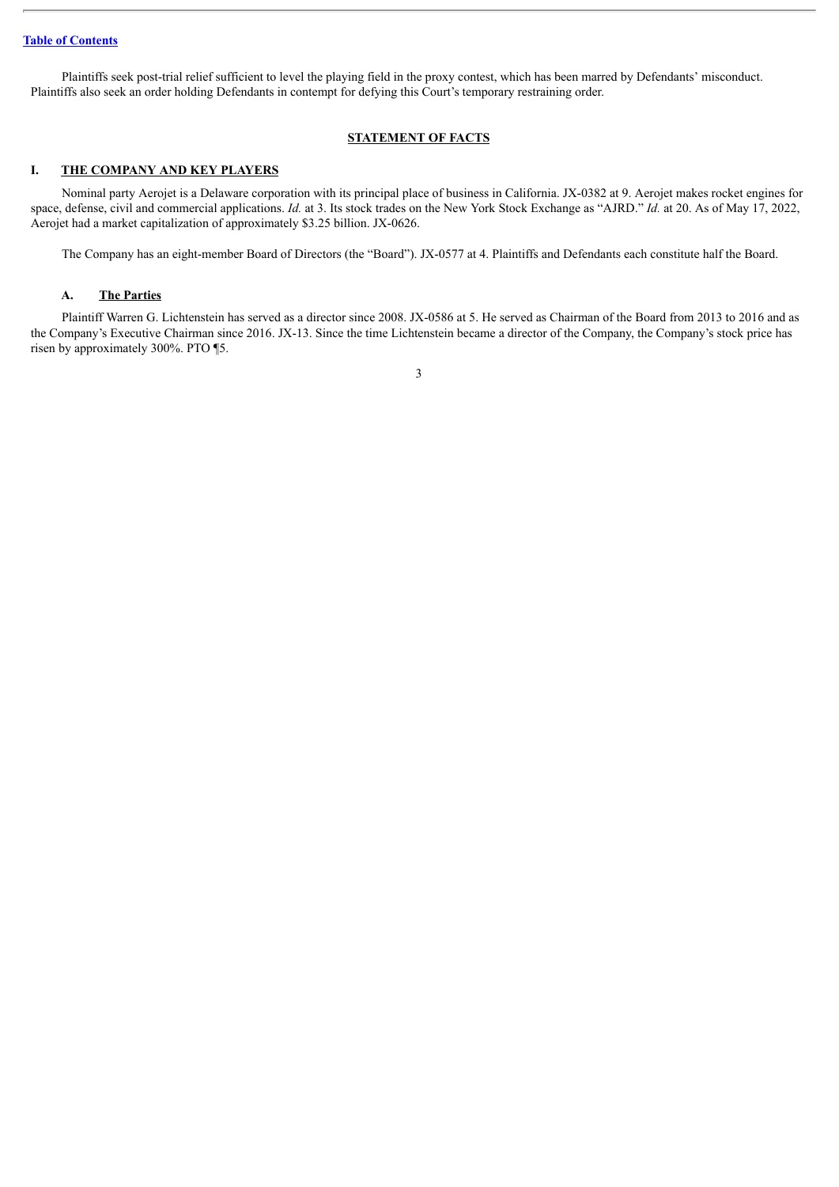Plaintiffs seek post-trial relief sufficient to level the playing field in the proxy contest, which has been marred by Defendants' misconduct. Plaintiffs also seek an order holding Defendants in contempt for defying this Court's temporary restraining order.

#### **STATEMENT OF FACTS**

#### <span id="page-11-1"></span><span id="page-11-0"></span>**I. THE COMPANY AND KEY PLAYERS**

Nominal party Aerojet is a Delaware corporation with its principal place of business in California. JX-0382 at 9. Aerojet makes rocket engines for space, defense, civil and commercial applications. *Id.* at 3. Its stock trades on the New York Stock Exchange as "AJRD." *Id.* at 20. As of May 17, 2022, Aerojet had a market capitalization of approximately \$3.25 billion. JX-0626.

The Company has an eight-member Board of Directors (the "Board"). JX-0577 at 4. Plaintiffs and Defendants each constitute half the Board.

#### <span id="page-11-2"></span>**A. The Parties**

Plaintiff Warren G. Lichtenstein has served as a director since 2008. JX-0586 at 5. He served as Chairman of the Board from 2013 to 2016 and as the Company's Executive Chairman since 2016. JX-13. Since the time Lichtenstein became a director of the Company, the Company's stock price has risen by approximately 300%. PTO ¶5.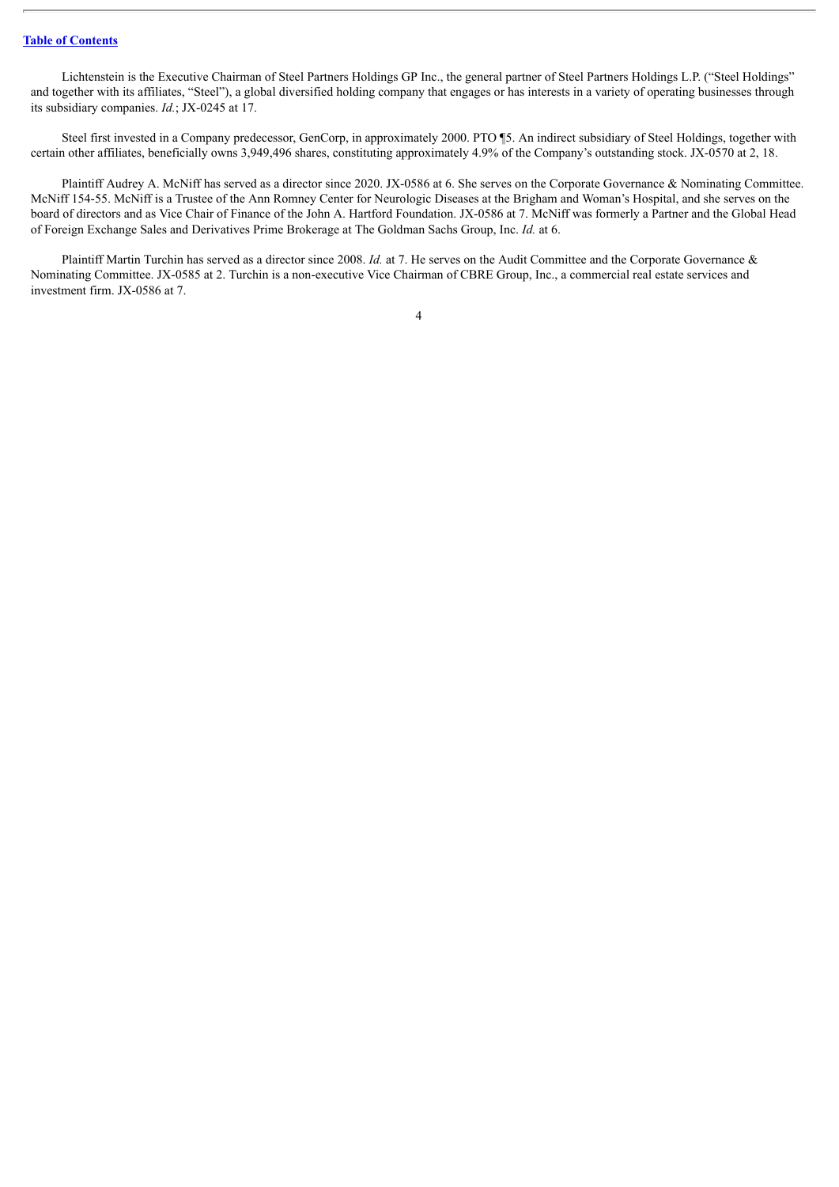Lichtenstein is the Executive Chairman of Steel Partners Holdings GP Inc., the general partner of Steel Partners Holdings L.P. ("Steel Holdings" and together with its affiliates, "Steel"), a global diversified holding company that engages or has interests in a variety of operating businesses through its subsidiary companies. *Id.*; JX-0245 at 17.

Steel first invested in a Company predecessor, GenCorp, in approximately 2000. PTO ¶5. An indirect subsidiary of Steel Holdings, together with certain other affiliates, beneficially owns 3,949,496 shares, constituting approximately 4.9% of the Company's outstanding stock. JX-0570 at 2, 18.

Plaintiff Audrey A. McNiff has served as a director since 2020. JX-0586 at 6. She serves on the Corporate Governance & Nominating Committee. McNiff 154-55. McNiff is a Trustee of the Ann Romney Center for Neurologic Diseases at the Brigham and Woman's Hospital, and she serves on the board of directors and as Vice Chair of Finance of the John A. Hartford Foundation. JX-0586 at 7. McNiff was formerly a Partner and the Global Head of Foreign Exchange Sales and Derivatives Prime Brokerage at The Goldman Sachs Group, Inc. *Id.* at 6.

Plaintiff Martin Turchin has served as a director since 2008. *Id.* at 7. He serves on the Audit Committee and the Corporate Governance & Nominating Committee. JX-0585 at 2. Turchin is a non-executive Vice Chairman of CBRE Group, Inc., a commercial real estate services and investment firm. JX-0586 at 7.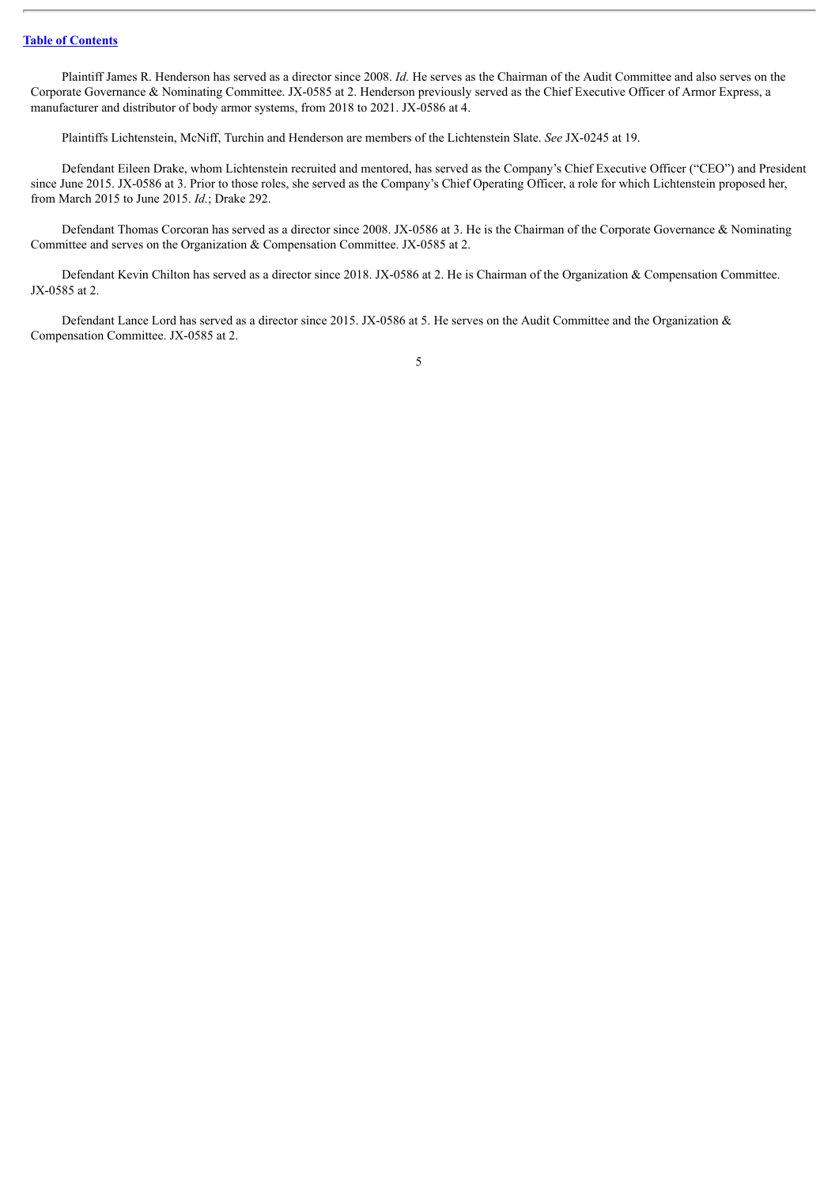Plaintiff James R. Henderson has served as a director since 2008. *Id.* He serves as the Chairman of the Audit Committee and also serves on the Corporate Governance & Nominating Committee. JX-0585 at 2. Henderson previously served as the Chief Executive Officer of Armor Express, a manufacturer and distributor of body armor systems, from 2018 to 2021. JX-0586 at 4.

Plaintiffs Lichtenstein, McNiff, Turchin and Henderson are members of the Lichtenstein Slate. *See* JX-0245 at 19.

Defendant Eileen Drake, whom Lichtenstein recruited and mentored, has served as the Company's Chief Executive Officer ("CEO") and President since June 2015. JX-0586 at 3. Prior to those roles, she served as the Company's Chief Operating Officer, a role for which Lichtenstein proposed her, from March 2015 to June 2015. *Id.*; Drake 292.

Defendant Thomas Corcoran has served as a director since 2008. JX-0586 at 3. He is the Chairman of the Corporate Governance & Nominating Committee and serves on the Organization & Compensation Committee. JX-0585 at 2.

Defendant Kevin Chilton has served as a director since 2018. JX-0586 at 2. He is Chairman of the Organization & Compensation Committee. JX-0585 at 2.

Defendant Lance Lord has served as a director since 2015. JX-0586 at 5. He serves on the Audit Committee and the Organization & Compensation Committee. JX-0585 at 2.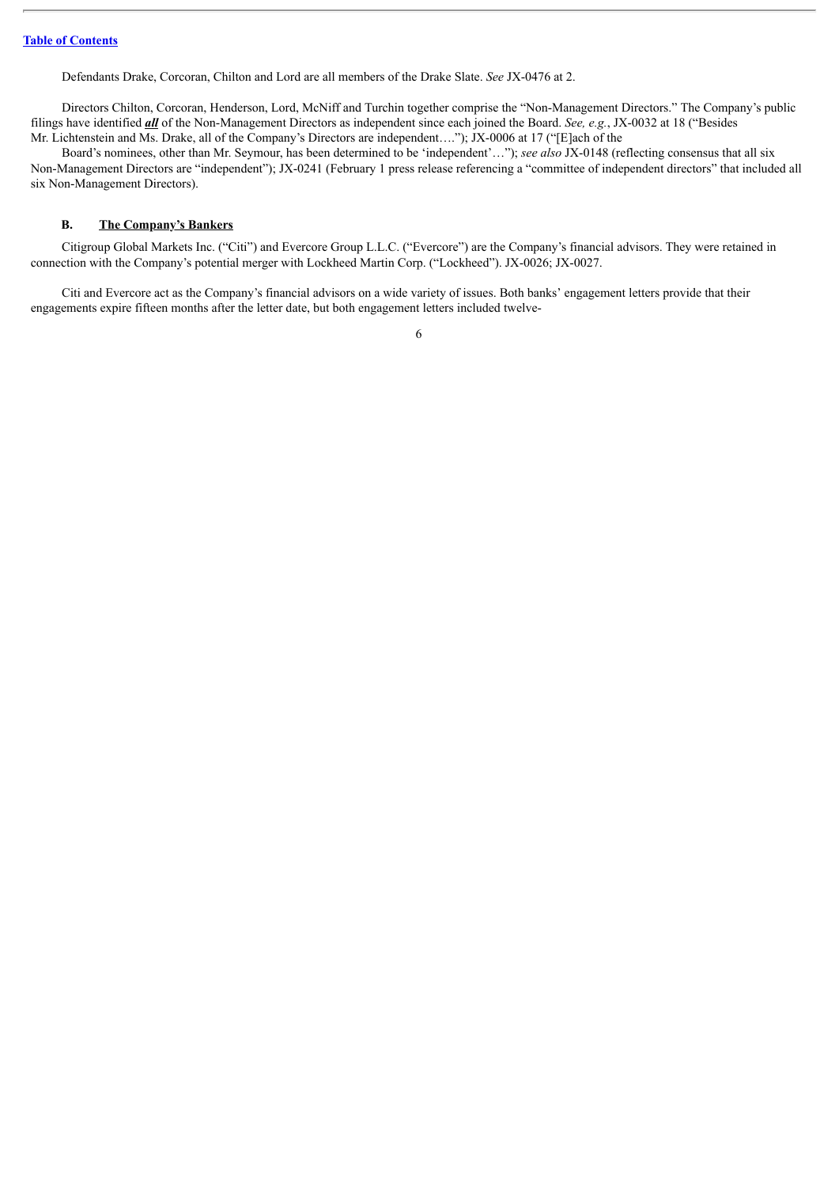Defendants Drake, Corcoran, Chilton and Lord are all members of the Drake Slate. *See* JX-0476 at 2.

Directors Chilton, Corcoran, Henderson, Lord, McNiff and Turchin together comprise the "Non-Management Directors." The Company's public filings have identified *all* of the Non-Management Directors as independent since each joined the Board. *See, e.g.*, JX-0032 at 18 ("Besides Mr. Lichtenstein and Ms. Drake, all of the Company's Directors are independent…."); JX-0006 at 17 ("[E]ach of the

Board's nominees, other than Mr. Seymour, has been determined to be 'independent'…"); *see also* JX-0148 (reflecting consensus that all six Non-Management Directors are "independent"); JX-0241 (February 1 press release referencing a "committee of independent directors" that included all six Non-Management Directors).

#### <span id="page-14-0"></span>**B. The Company's Bankers**

Citigroup Global Markets Inc. ("Citi") and Evercore Group L.L.C. ("Evercore") are the Company's financial advisors. They were retained in connection with the Company's potential merger with Lockheed Martin Corp. ("Lockheed"). JX-0026; JX-0027.

Citi and Evercore act as the Company's financial advisors on a wide variety of issues. Both banks' engagement letters provide that their engagements expire fifteen months after the letter date, but both engagement letters included twelve-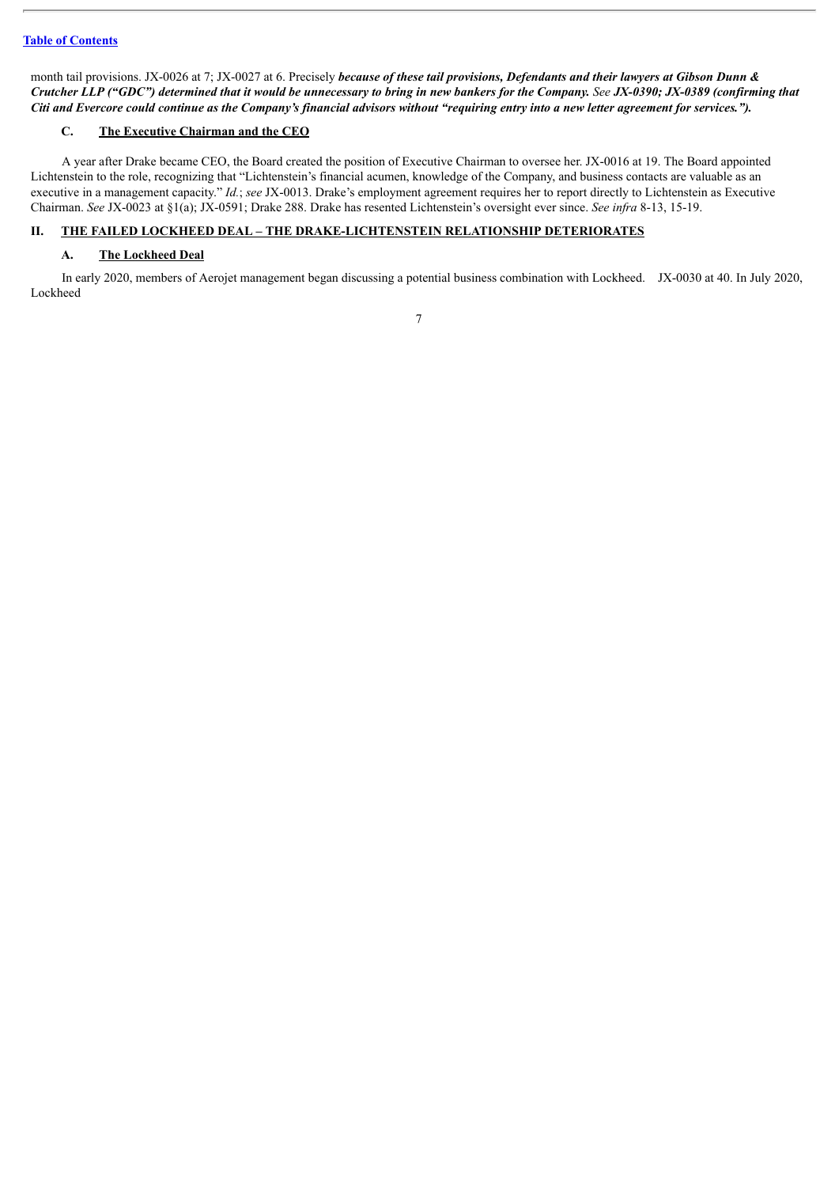month tail provisions. JX-0026 at 7; JX-0027 at 6. Precisely because of these tail provisions, Defendants and their lawyers at Gibson Dunn & Crutcher LLP ("GDC") determined that it would be unnecessary to bring in new bankers for the Company. See JX-0390; JX-0389 (confirming that Citi and Evercore could continue as the Company's financial advisors without "requiring entry into a new letter agreement for services.").

## <span id="page-15-0"></span>**C. The Executive Chairman and the CEO**

A year after Drake became CEO, the Board created the position of Executive Chairman to oversee her. JX-0016 at 19. The Board appointed Lichtenstein to the role, recognizing that "Lichtenstein's financial acumen, knowledge of the Company, and business contacts are valuable as an executive in a management capacity." *Id.*; *see* JX-0013. Drake's employment agreement requires her to report directly to Lichtenstein as Executive Chairman. *See* JX-0023 at §1(a); JX-0591; Drake 288. Drake has resented Lichtenstein's oversight ever since. *See infra* 8-13, 15-19.

## <span id="page-15-1"></span>**II. THE FAILED LOCKHEED DEAL – THE DRAKE-LICHTENSTEIN RELATIONSHIP DETERIORATES**

## <span id="page-15-2"></span>**A. The Lockheed Deal**

In early 2020, members of Aerojet management began discussing a potential business combination with Lockheed. JX-0030 at 40. In July 2020, Lockheed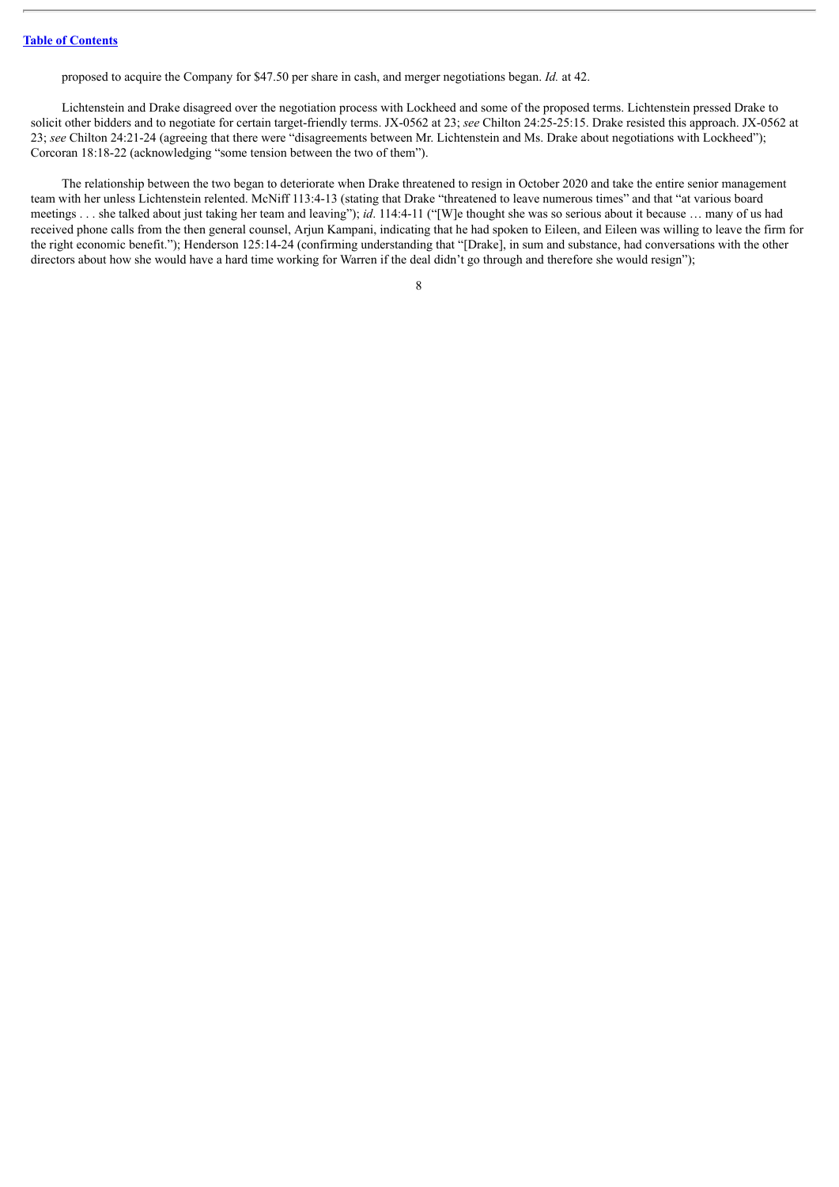proposed to acquire the Company for \$47.50 per share in cash, and merger negotiations began. *Id.* at 42.

Lichtenstein and Drake disagreed over the negotiation process with Lockheed and some of the proposed terms. Lichtenstein pressed Drake to solicit other bidders and to negotiate for certain target-friendly terms. JX-0562 at 23; *see* Chilton 24:25-25:15. Drake resisted this approach. JX-0562 at 23; *see* Chilton 24:21-24 (agreeing that there were "disagreements between Mr. Lichtenstein and Ms. Drake about negotiations with Lockheed"); Corcoran 18:18-22 (acknowledging "some tension between the two of them").

The relationship between the two began to deteriorate when Drake threatened to resign in October 2020 and take the entire senior management team with her unless Lichtenstein relented. McNiff 113:4-13 (stating that Drake "threatened to leave numerous times" and that "at various board meetings . . . she talked about just taking her team and leaving"); *id*. 114:4-11 ("[W]e thought she was so serious about it because … many of us had received phone calls from the then general counsel, Arjun Kampani, indicating that he had spoken to Eileen, and Eileen was willing to leave the firm for the right economic benefit."); Henderson 125:14-24 (confirming understanding that "[Drake], in sum and substance, had conversations with the other directors about how she would have a hard time working for Warren if the deal didn't go through and therefore she would resign");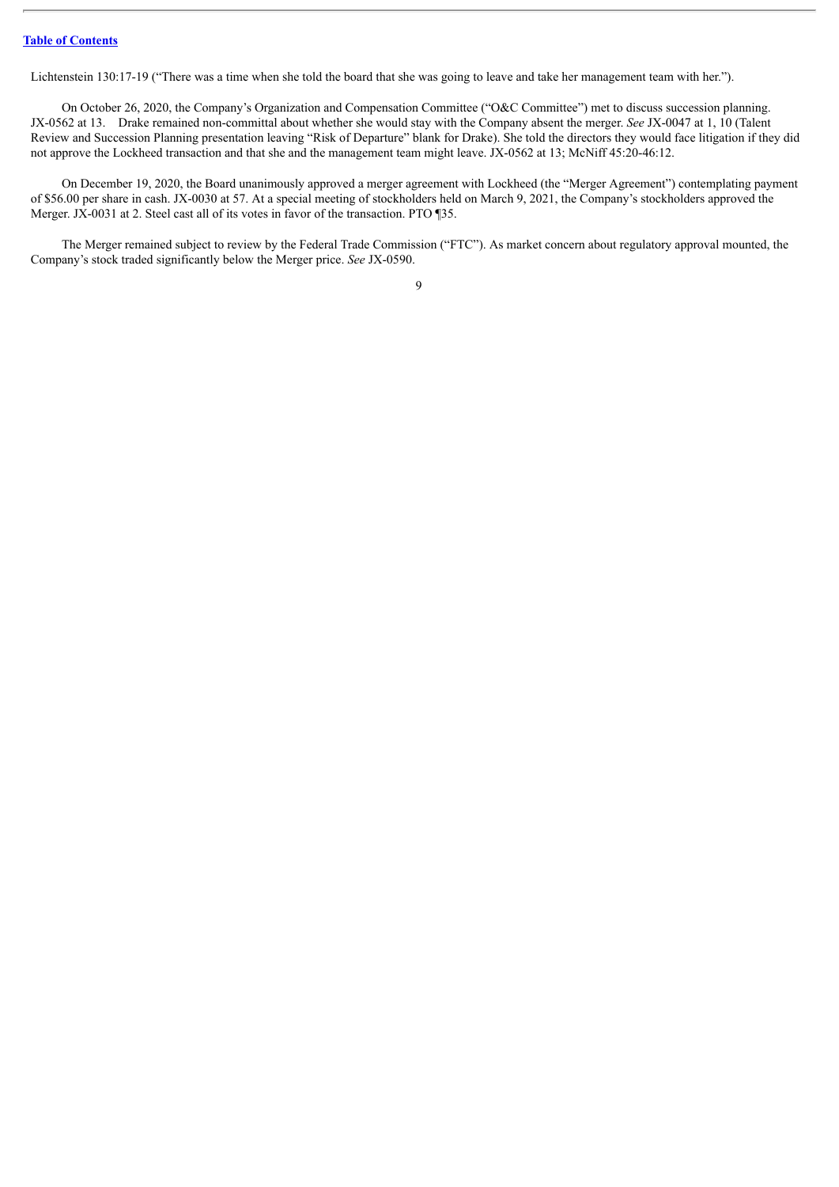Lichtenstein 130:17-19 ("There was a time when she told the board that she was going to leave and take her management team with her.").

On October 26, 2020, the Company's Organization and Compensation Committee ("O&C Committee") met to discuss succession planning. JX-0562 at 13. Drake remained non-committal about whether she would stay with the Company absent the merger. *See* JX-0047 at 1, 10 (Talent Review and Succession Planning presentation leaving "Risk of Departure" blank for Drake). She told the directors they would face litigation if they did not approve the Lockheed transaction and that she and the management team might leave. JX-0562 at 13; McNiff 45:20-46:12.

On December 19, 2020, the Board unanimously approved a merger agreement with Lockheed (the "Merger Agreement") contemplating payment of \$56.00 per share in cash. JX-0030 at 57. At a special meeting of stockholders held on March 9, 2021, the Company's stockholders approved the Merger. JX-0031 at 2. Steel cast all of its votes in favor of the transaction. PTO ¶35.

The Merger remained subject to review by the Federal Trade Commission ("FTC"). As market concern about regulatory approval mounted, the Company's stock traded significantly below the Merger price. *See* JX-0590.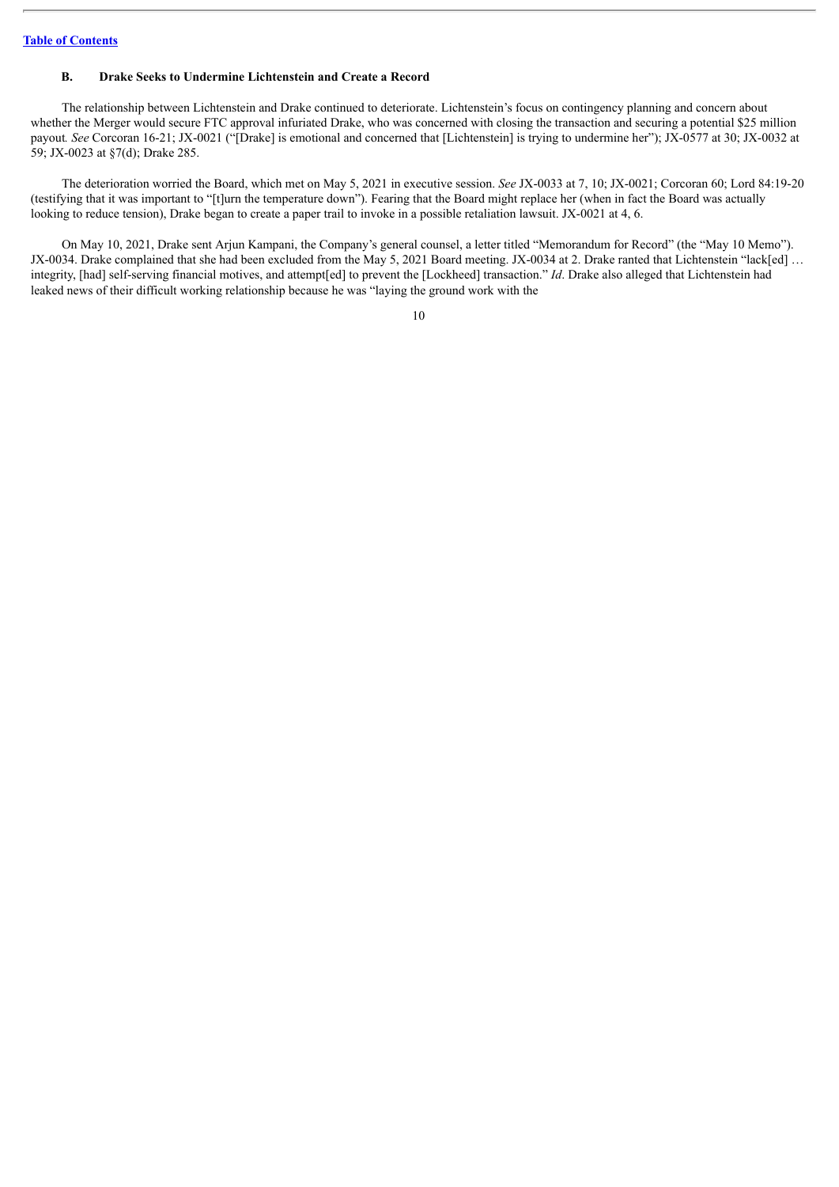#### <span id="page-18-0"></span>**B. Drake Seeks to Undermine Lichtenstein and Create a Record**

The relationship between Lichtenstein and Drake continued to deteriorate. Lichtenstein's focus on contingency planning and concern about whether the Merger would secure FTC approval infuriated Drake, who was concerned with closing the transaction and securing a potential \$25 million payout*. See* Corcoran 16-21; JX-0021 ("[Drake] is emotional and concerned that [Lichtenstein] is trying to undermine her"); JX-0577 at 30; JX-0032 at 59; JX-0023 at §7(d); Drake 285.

The deterioration worried the Board, which met on May 5, 2021 in executive session. *See* JX-0033 at 7, 10; JX-0021; Corcoran 60; Lord 84:19-20 (testifying that it was important to "[t]urn the temperature down"). Fearing that the Board might replace her (when in fact the Board was actually looking to reduce tension), Drake began to create a paper trail to invoke in a possible retaliation lawsuit. JX-0021 at 4, 6.

On May 10, 2021, Drake sent Arjun Kampani, the Company's general counsel, a letter titled "Memorandum for Record" (the "May 10 Memo"). JX-0034. Drake complained that she had been excluded from the May 5, 2021 Board meeting. JX-0034 at 2. Drake ranted that Lichtenstein "lack[ed] ... integrity, [had] self-serving financial motives, and attempt[ed] to prevent the [Lockheed] transaction." *Id*. Drake also alleged that Lichtenstein had leaked news of their difficult working relationship because he was "laying the ground work with the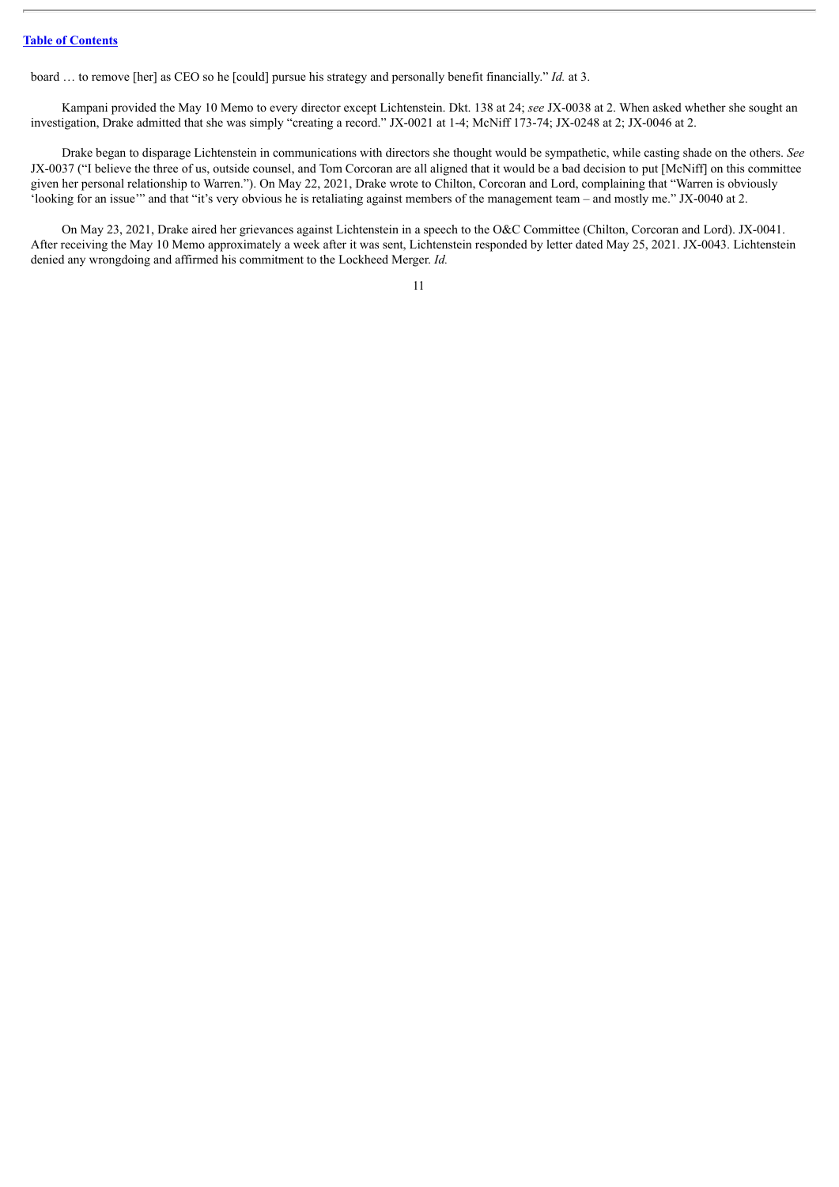board … to remove [her] as CEO so he [could] pursue his strategy and personally benefit financially." *Id.* at 3.

Kampani provided the May 10 Memo to every director except Lichtenstein. Dkt. 138 at 24; *see* JX-0038 at 2. When asked whether she sought an investigation, Drake admitted that she was simply "creating a record." JX-0021 at 1-4; McNiff 173-74; JX-0248 at 2; JX-0046 at 2.

Drake began to disparage Lichtenstein in communications with directors she thought would be sympathetic, while casting shade on the others. *See* JX-0037 ("I believe the three of us, outside counsel, and Tom Corcoran are all aligned that it would be a bad decision to put [McNiff] on this committee given her personal relationship to Warren."). On May 22, 2021, Drake wrote to Chilton, Corcoran and Lord, complaining that "Warren is obviously 'looking for an issue'" and that "it's very obvious he is retaliating against members of the management team – and mostly me." JX-0040 at 2.

On May 23, 2021, Drake aired her grievances against Lichtenstein in a speech to the O&C Committee (Chilton, Corcoran and Lord). JX-0041. After receiving the May 10 Memo approximately a week after it was sent, Lichtenstein responded by letter dated May 25, 2021. JX-0043. Lichtenstein denied any wrongdoing and affirmed his commitment to the Lockheed Merger. *Id.*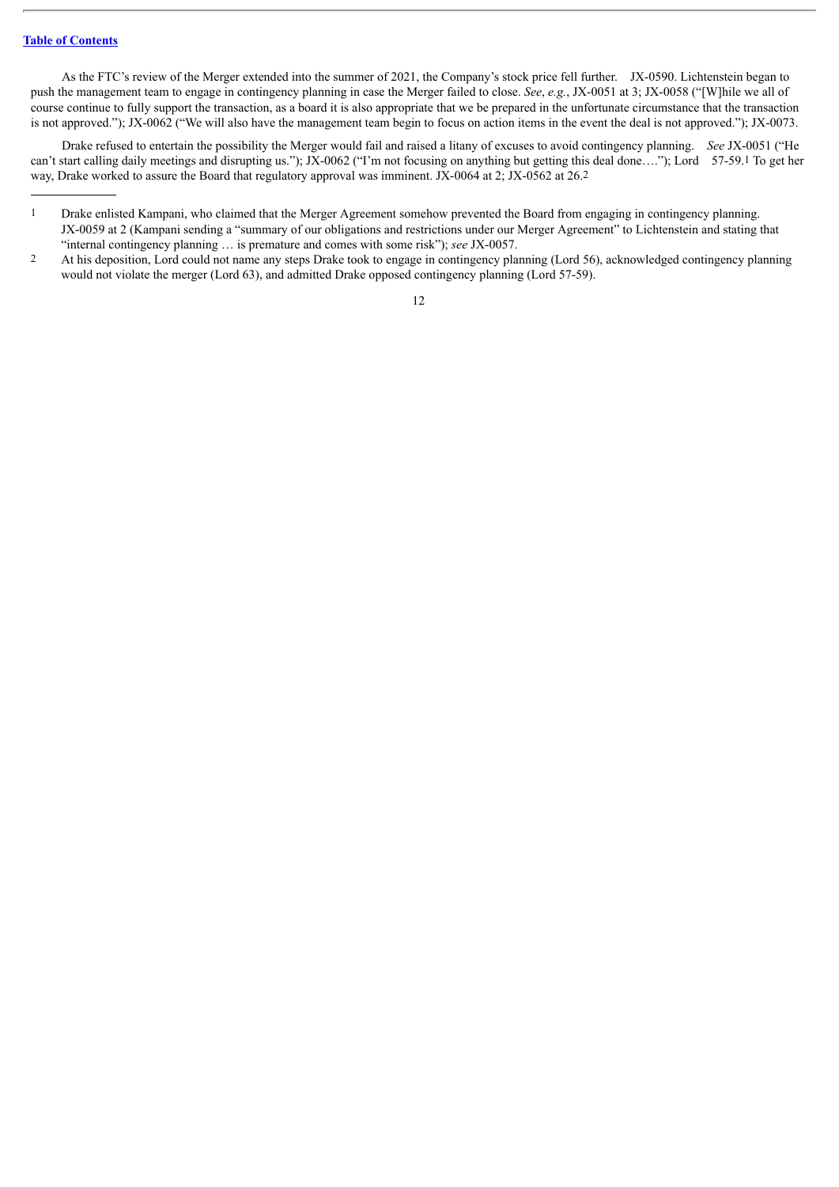As the FTC's review of the Merger extended into the summer of 2021, the Company's stock price fell further. JX-0590. Lichtenstein began to push the management team to engage in contingency planning in case the Merger failed to close. *See*, *e.g.*, JX-0051 at 3; JX-0058 ("[W]hile we all of course continue to fully support the transaction, as a board it is also appropriate that we be prepared in the unfortunate circumstance that the transaction is not approved."); JX-0062 ("We will also have the management team begin to focus on action items in the event the deal is not approved."); JX-0073.

Drake refused to entertain the possibility the Merger would fail and raised a litany of excuses to avoid contingency planning. *See* JX-0051 ("He can't start calling daily meetings and disrupting us."); JX-0062 ("I'm not focusing on anything but getting this deal done…."); Lord 57-59.1 To get her way, Drake worked to assure the Board that regulatory approval was imminent. JX-0064 at 2; JX-0562 at 26.2

<sup>1</sup> Drake enlisted Kampani, who claimed that the Merger Agreement somehow prevented the Board from engaging in contingency planning. JX-0059 at 2 (Kampani sending a "summary of our obligations and restrictions under our Merger Agreement" to Lichtenstein and stating that "internal contingency planning … is premature and comes with some risk"); *see* JX-0057.

<sup>2</sup> At his deposition, Lord could not name any steps Drake took to engage in contingency planning (Lord 56), acknowledged contingency planning would not violate the merger (Lord 63), and admitted Drake opposed contingency planning (Lord 57-59).

<sup>12</sup>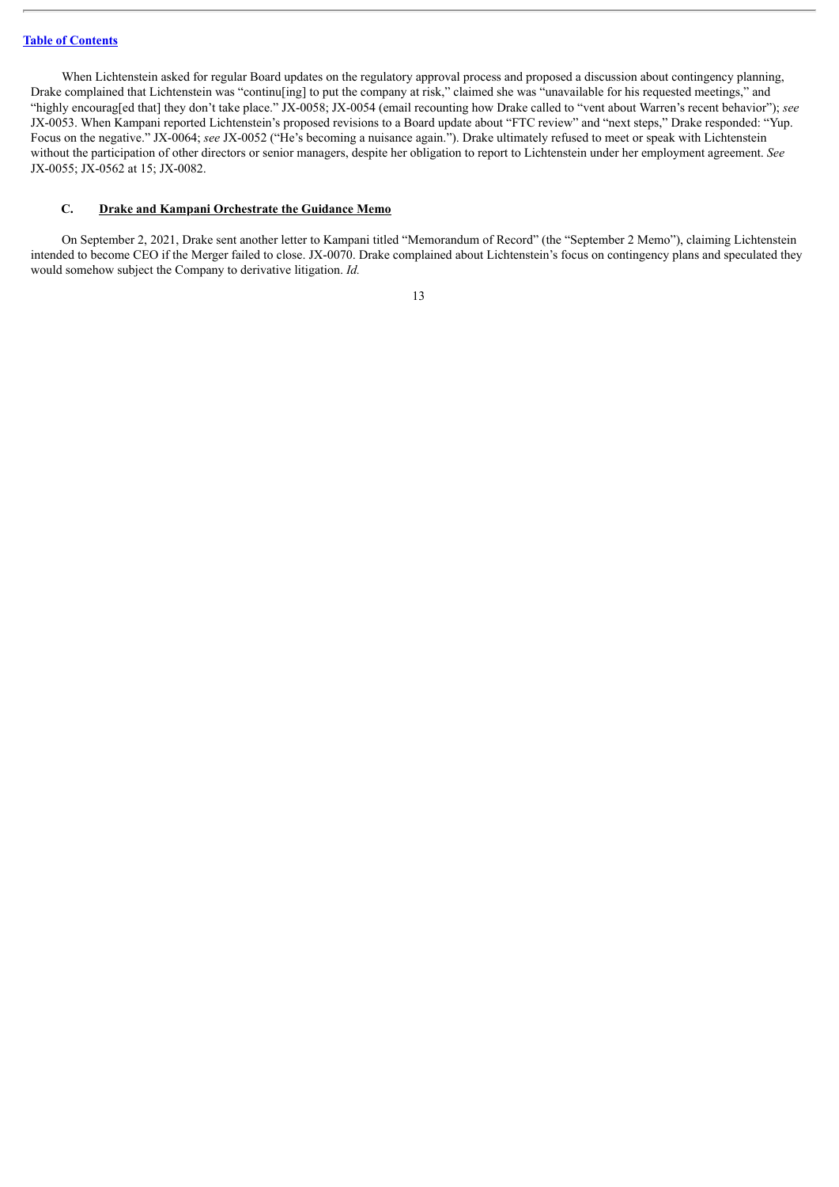When Lichtenstein asked for regular Board updates on the regulatory approval process and proposed a discussion about contingency planning, Drake complained that Lichtenstein was "continu $\lim_{n \to \infty}$  to put the company at risk," claimed she was "unavailable for his requested meetings," and "highly encourag[ed that] they don't take place." JX-0058; JX-0054 (email recounting how Drake called to "vent about Warren's recent behavior"); *see* JX-0053. When Kampani reported Lichtenstein's proposed revisions to a Board update about "FTC review" and "next steps," Drake responded: "Yup. Focus on the negative." JX-0064; *see* JX-0052 ("He's becoming a nuisance again."). Drake ultimately refused to meet or speak with Lichtenstein without the participation of other directors or senior managers, despite her obligation to report to Lichtenstein under her employment agreement. *See* JX-0055; JX-0562 at 15; JX-0082.

#### <span id="page-21-0"></span>**C. Drake and Kampani Orchestrate the Guidance Memo**

On September 2, 2021, Drake sent another letter to Kampani titled "Memorandum of Record" (the "September 2 Memo"), claiming Lichtenstein intended to become CEO if the Merger failed to close. JX-0070. Drake complained about Lichtenstein's focus on contingency plans and speculated they would somehow subject the Company to derivative litigation. *Id.*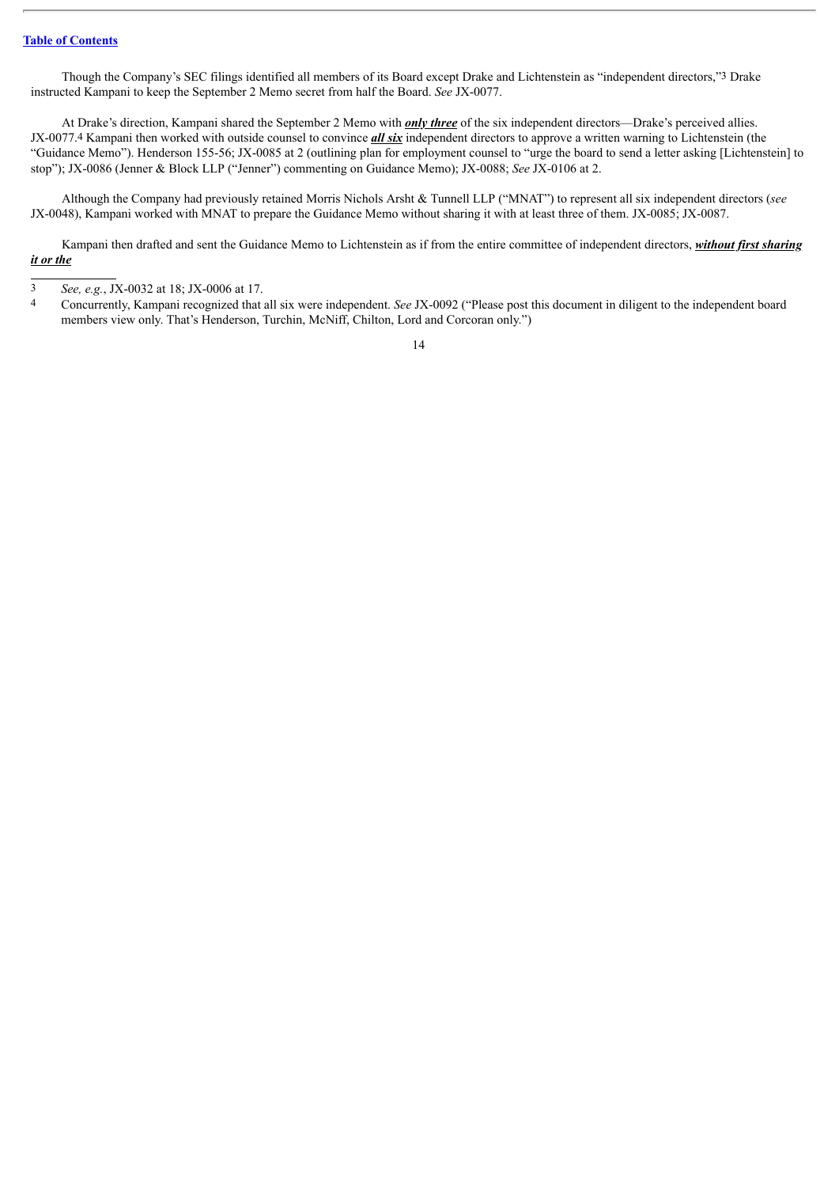Though the Company's SEC filings identified all members of its Board except Drake and Lichtenstein as "independent directors,"3 Drake instructed Kampani to keep the September 2 Memo secret from half the Board. *See* JX-0077.

At Drake's direction, Kampani shared the September 2 Memo with *only three* of the six independent directors—Drake's perceived allies. JX-0077.4 Kampani then worked with outside counsel to convince *all six* independent directors to approve a written warning to Lichtenstein (the "Guidance Memo"). Henderson 155-56; JX-0085 at 2 (outlining plan for employment counsel to "urge the board to send a letter asking [Lichtenstein] to stop"); JX-0086 (Jenner & Block LLP ("Jenner") commenting on Guidance Memo); JX-0088; *See* JX-0106 at 2.

Although the Company had previously retained Morris Nichols Arsht & Tunnell LLP ("MNAT") to represent all six independent directors (*see* JX-0048), Kampani worked with MNAT to prepare the Guidance Memo without sharing it with at least three of them. JX-0085; JX-0087.

Kampani then drafted and sent the Guidance Memo to Lichtenstein as if from the entire committee of independent directors, *without first sharing it or the*

<sup>3</sup> *See, e.g.*, JX-0032 at 18; JX-0006 at 17.

<sup>4</sup> Concurrently, Kampani recognized that all six were independent. *See* JX-0092 ("Please post this document in diligent to the independent board members view only. That's Henderson, Turchin, McNiff, Chilton, Lord and Corcoran only.")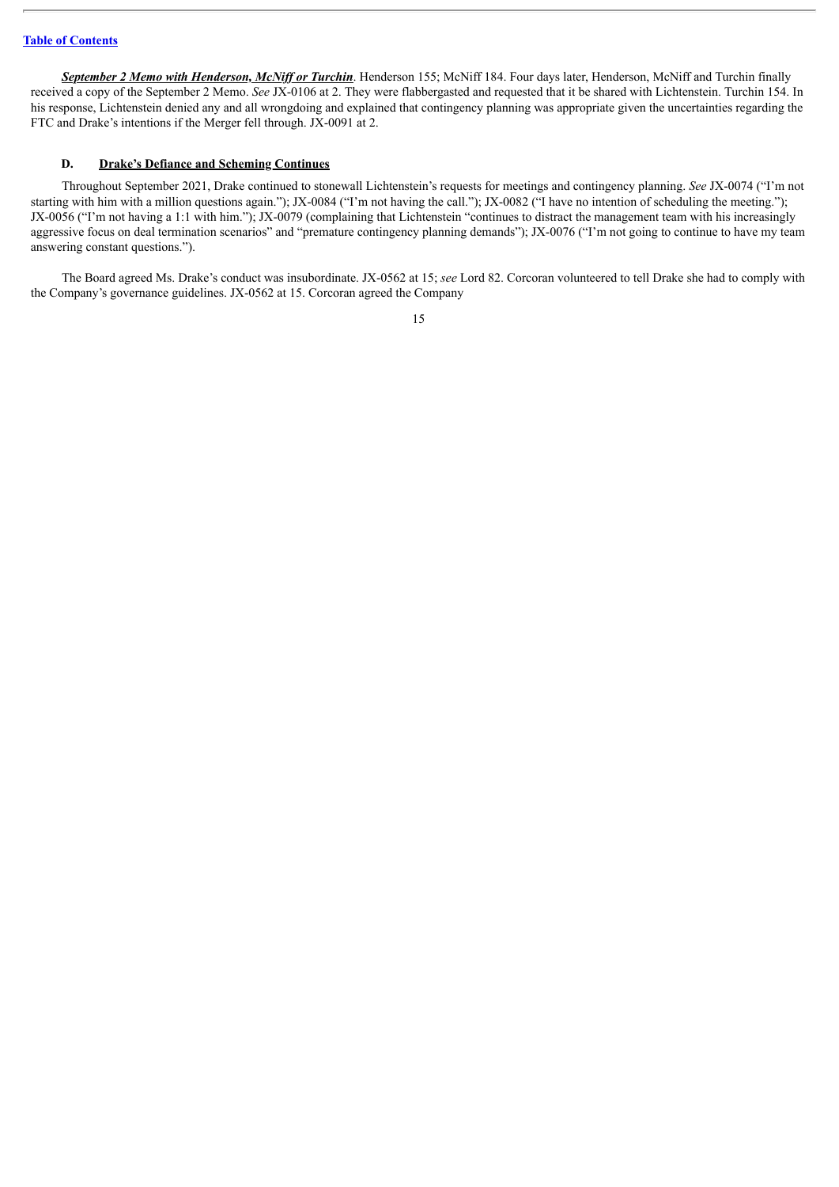*September 2 Memo with Henderson, McNif or Turchin*. Henderson 155; McNiff 184. Four days later, Henderson, McNiff and Turchin finally received a copy of the September 2 Memo. *See* JX-0106 at 2. They were flabbergasted and requested that it be shared with Lichtenstein. Turchin 154. In his response, Lichtenstein denied any and all wrongdoing and explained that contingency planning was appropriate given the uncertainties regarding the FTC and Drake's intentions if the Merger fell through. JX-0091 at 2.

## <span id="page-23-0"></span>**D. Drake's Defiance and Scheming Continues**

Throughout September 2021, Drake continued to stonewall Lichtenstein's requests for meetings and contingency planning. *See* JX-0074 ("I'm not starting with him with a million questions again."); JX-0084 ("I'm not having the call."); JX-0082 ("I have no intention of scheduling the meeting."); JX-0056 ("I'm not having a 1:1 with him."); JX-0079 (complaining that Lichtenstein "continues to distract the management team with his increasingly aggressive focus on deal termination scenarios" and "premature contingency planning demands"); JX-0076 ("I'm not going to continue to have my team answering constant questions.").

The Board agreed Ms. Drake's conduct was insubordinate. JX-0562 at 15; *see* Lord 82. Corcoran volunteered to tell Drake she had to comply with the Company's governance guidelines. JX-0562 at 15. Corcoran agreed the Company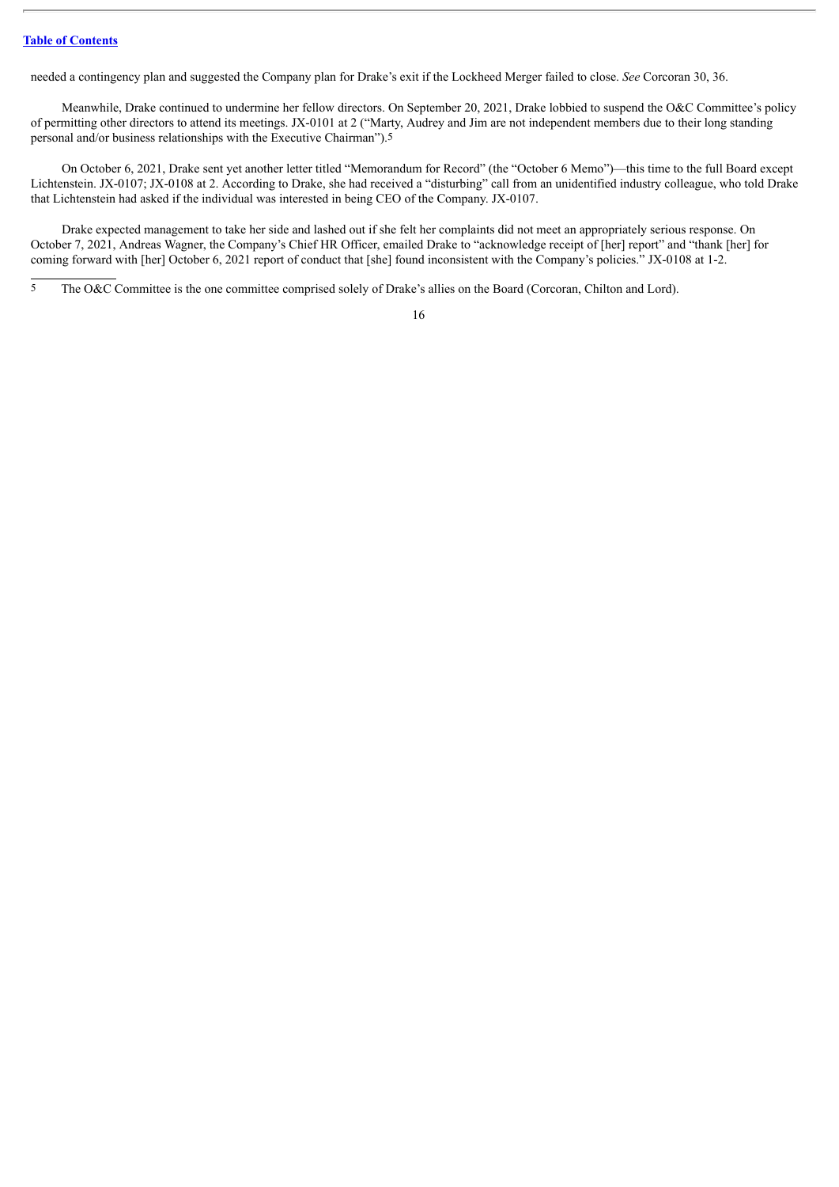needed a contingency plan and suggested the Company plan for Drake's exit if the Lockheed Merger failed to close. *See* Corcoran 30, 36.

Meanwhile, Drake continued to undermine her fellow directors. On September 20, 2021, Drake lobbied to suspend the O&C Committee's policy of permitting other directors to attend its meetings. JX-0101 at 2 ("Marty, Audrey and Jim are not independent members due to their long standing personal and/or business relationships with the Executive Chairman").5

On October 6, 2021, Drake sent yet another letter titled "Memorandum for Record" (the "October 6 Memo")—this time to the full Board except Lichtenstein. JX-0107; JX-0108 at 2. According to Drake, she had received a "disturbing" call from an unidentified industry colleague, who told Drake that Lichtenstein had asked if the individual was interested in being CEO of the Company. JX-0107.

Drake expected management to take her side and lashed out if she felt her complaints did not meet an appropriately serious response. On October 7, 2021, Andreas Wagner, the Company's Chief HR Officer, emailed Drake to "acknowledge receipt of [her] report" and "thank [her] for coming forward with [her] October 6, 2021 report of conduct that [she] found inconsistent with the Company's policies." JX-0108 at 1-2.

5 The O&C Committee is the one committee comprised solely of Drake's allies on the Board (Corcoran, Chilton and Lord).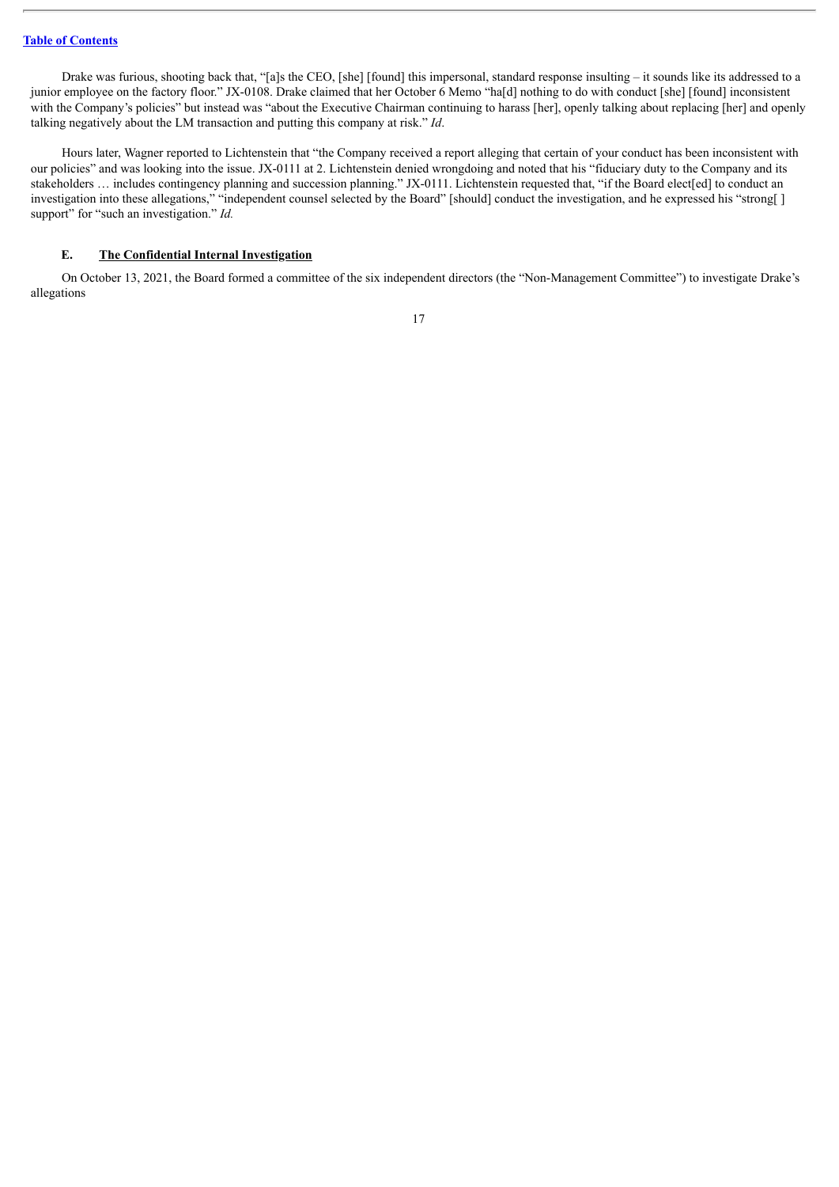Drake was furious, shooting back that, "[a]s the CEO, [she] [found] this impersonal, standard response insulting – it sounds like its addressed to a junior employee on the factory floor." JX-0108. Drake claimed that her October 6 Memo "ha[d] nothing to do with conduct [she] [found] inconsistent with the Company's policies" but instead was "about the Executive Chairman continuing to harass [her], openly talking about replacing [her] and openly talking negatively about the LM transaction and putting this company at risk." *Id*.

Hours later, Wagner reported to Lichtenstein that "the Company received a report alleging that certain of your conduct has been inconsistent with our policies" and was looking into the issue. JX-0111 at 2. Lichtenstein denied wrongdoing and noted that his "fiduciary duty to the Company and its stakeholders … includes contingency planning and succession planning." JX-0111. Lichtenstein requested that, "if the Board elect[ed] to conduct an investigation into these allegations," "independent counsel selected by the Board" [should] conduct the investigation, and he expressed his "strong[ ] support" for "such an investigation." *Id.* 

## <span id="page-25-0"></span>**E. The Confidential Internal Investigation**

On October 13, 2021, the Board formed a committee of the six independent directors (the "Non-Management Committee") to investigate Drake's allegations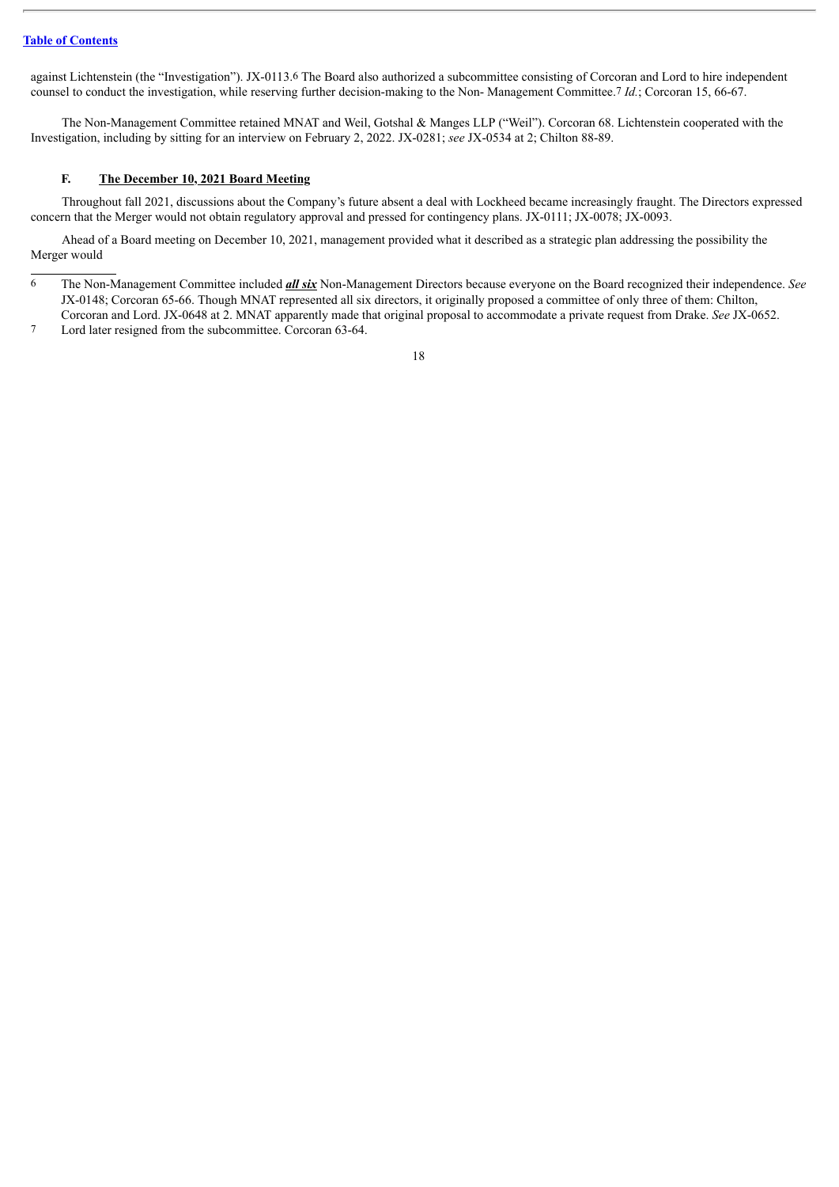against Lichtenstein (the "Investigation"). JX-0113.6 The Board also authorized a subcommittee consisting of Corcoran and Lord to hire independent counsel to conduct the investigation, while reserving further decision-making to the Non- Management Committee.7 *Id.*; Corcoran 15, 66-67.

The Non-Management Committee retained MNAT and Weil, Gotshal & Manges LLP ("Weil"). Corcoran 68. Lichtenstein cooperated with the Investigation, including by sitting for an interview on February 2, 2022. JX-0281; *see* JX-0534 at 2; Chilton 88-89.

## <span id="page-26-0"></span>**F. The December 10, 2021 Board Meeting**

Throughout fall 2021, discussions about the Company's future absent a deal with Lockheed became increasingly fraught. The Directors expressed concern that the Merger would not obtain regulatory approval and pressed for contingency plans. JX-0111; JX-0078; JX-0093.

Ahead of a Board meeting on December 10, 2021, management provided what it described as a strategic plan addressing the possibility the Merger would

- 6 The Non-Management Committee included *all six* Non-Management Directors because everyone on the Board recognized their independence. *See* JX-0148; Corcoran 65-66. Though MNAT represented all six directors, it originally proposed a committee of only three of them: Chilton, Corcoran and Lord. JX-0648 at 2. MNAT apparently made that original proposal to accommodate a private request from Drake. *See* JX-0652.
- 7 Lord later resigned from the subcommittee. Corcoran 63-64.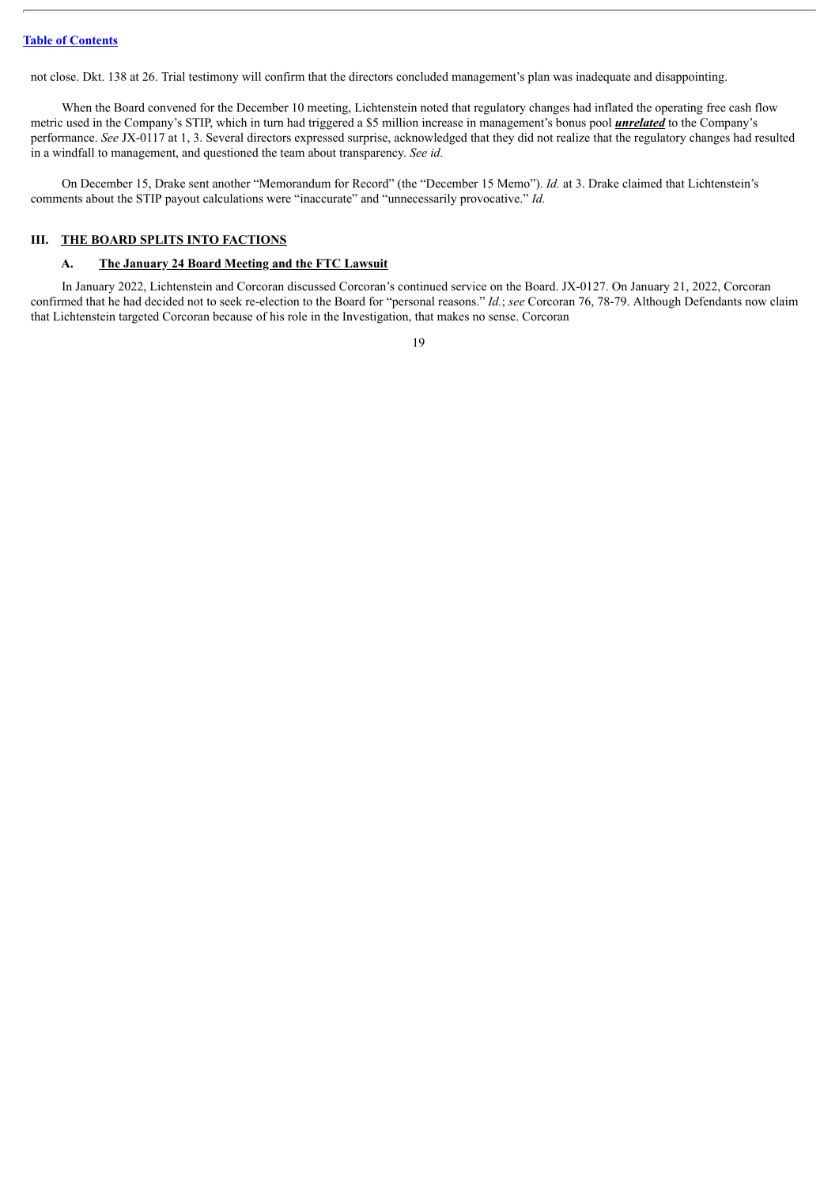not close. Dkt. 138 at 26. Trial testimony will confirm that the directors concluded management's plan was inadequate and disappointing.

When the Board convened for the December 10 meeting, Lichtenstein noted that regulatory changes had inflated the operating free cash flow metric used in the Company's STIP, which in turn had triggered a \$5 million increase in management's bonus pool *unrelated* to the Company's performance. *See* JX-0117 at 1, 3. Several directors expressed surprise, acknowledged that they did not realize that the regulatory changes had resulted in a windfall to management, and questioned the team about transparency. *See id.*

On December 15, Drake sent another "Memorandum for Record" (the "December 15 Memo"). *Id.* at 3. Drake claimed that Lichtenstein's comments about the STIP payout calculations were "inaccurate" and "unnecessarily provocative." *Id.*

## <span id="page-27-0"></span>**III. THE BOARD SPLITS INTO FACTIONS**

## <span id="page-27-1"></span>**A. The January 24 Board Meeting and the FTC Lawsuit**

In January 2022, Lichtenstein and Corcoran discussed Corcoran's continued service on the Board. JX-0127. On January 21, 2022, Corcoran confirmed that he had decided not to seek re-election to the Board for "personal reasons." *Id.*; *see* Corcoran 76, 78-79. Although Defendants now claim that Lichtenstein targeted Corcoran because of his role in the Investigation, that makes no sense. Corcoran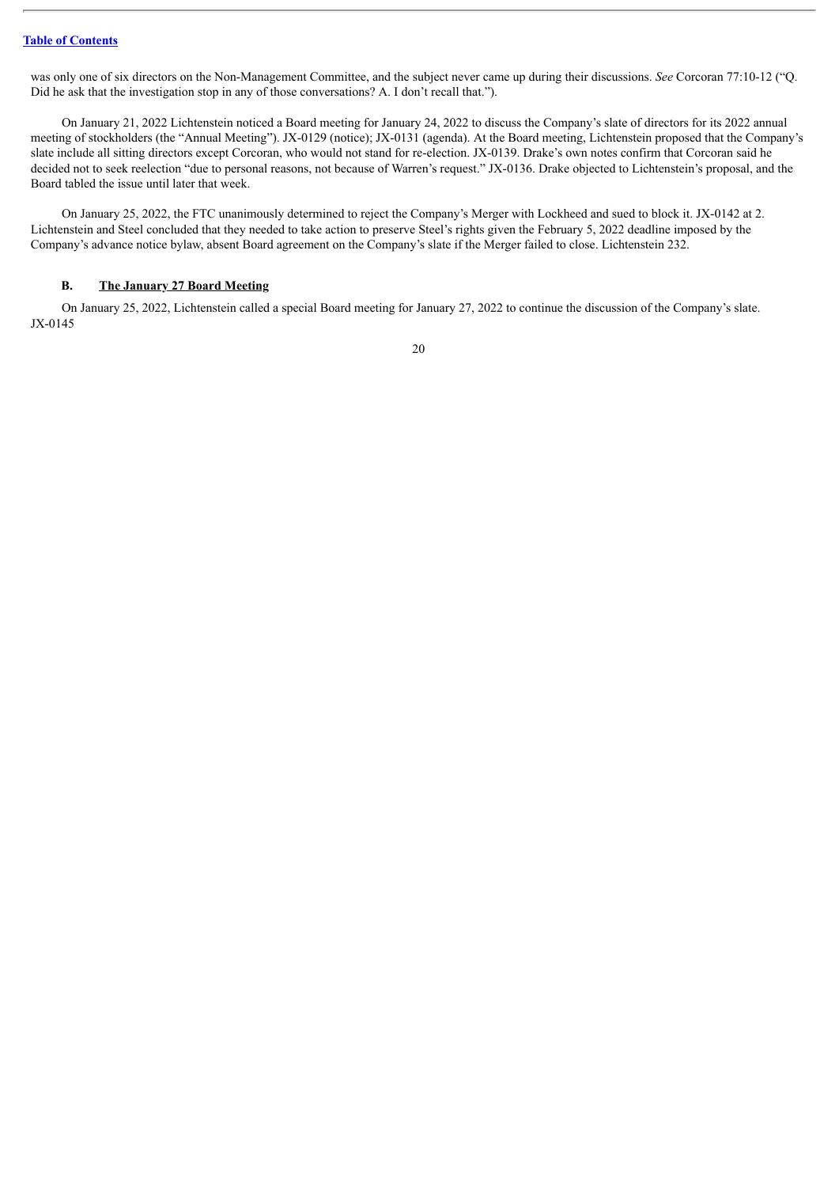was only one of six directors on the Non-Management Committee, and the subject never came up during their discussions. *See* Corcoran 77:10-12 ("Q. Did he ask that the investigation stop in any of those conversations? A. I don't recall that.").

On January 21, 2022 Lichtenstein noticed a Board meeting for January 24, 2022 to discuss the Company's slate of directors for its 2022 annual meeting of stockholders (the "Annual Meeting"). JX-0129 (notice); JX-0131 (agenda). At the Board meeting, Lichtenstein proposed that the Company's slate include all sitting directors except Corcoran, who would not stand for re-election. JX-0139. Drake's own notes confirm that Corcoran said he decided not to seek reelection "due to personal reasons, not because of Warren's request." JX-0136. Drake objected to Lichtenstein's proposal, and the Board tabled the issue until later that week.

On January 25, 2022, the FTC unanimously determined to reject the Company's Merger with Lockheed and sued to block it. JX-0142 at 2. Lichtenstein and Steel concluded that they needed to take action to preserve Steel's rights given the February 5, 2022 deadline imposed by the Company's advance notice bylaw, absent Board agreement on the Company's slate if the Merger failed to close. Lichtenstein 232.

#### <span id="page-28-0"></span>**B. The January 27 Board Meeting**

On January 25, 2022, Lichtenstein called a special Board meeting for January 27, 2022 to continue the discussion of the Company's slate. JX-0145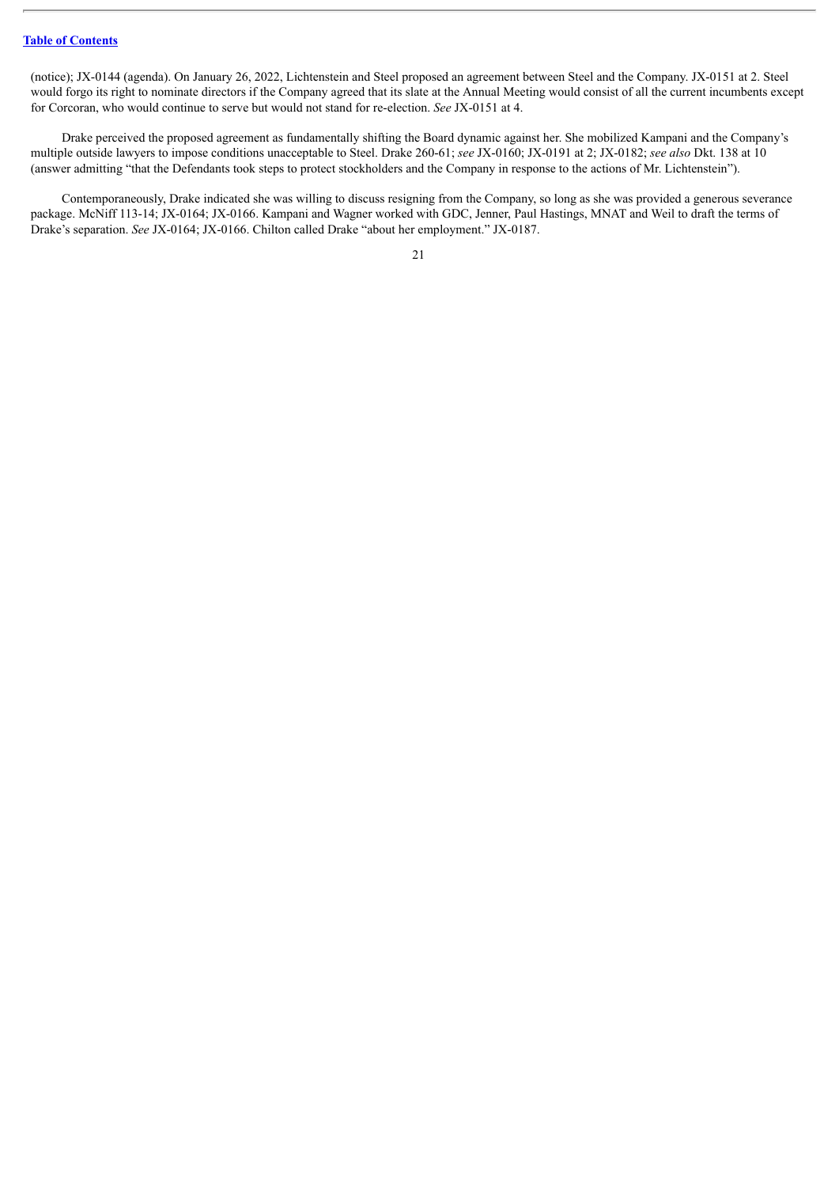(notice); JX-0144 (agenda). On January 26, 2022, Lichtenstein and Steel proposed an agreement between Steel and the Company. JX-0151 at 2. Steel would forgo its right to nominate directors if the Company agreed that its slate at the Annual Meeting would consist of all the current incumbents except for Corcoran, who would continue to serve but would not stand for re-election. *See* JX-0151 at 4.

Drake perceived the proposed agreement as fundamentally shifting the Board dynamic against her. She mobilized Kampani and the Company's multiple outside lawyers to impose conditions unacceptable to Steel. Drake 260-61; *see* JX-0160; JX-0191 at 2; JX-0182; *see also* Dkt. 138 at 10 (answer admitting "that the Defendants took steps to protect stockholders and the Company in response to the actions of Mr. Lichtenstein").

Contemporaneously, Drake indicated she was willing to discuss resigning from the Company, so long as she was provided a generous severance package. McNiff 113-14; JX-0164; JX-0166. Kampani and Wagner worked with GDC, Jenner, Paul Hastings, MNAT and Weil to draft the terms of Drake's separation. *See* JX-0164; JX-0166. Chilton called Drake "about her employment." JX-0187.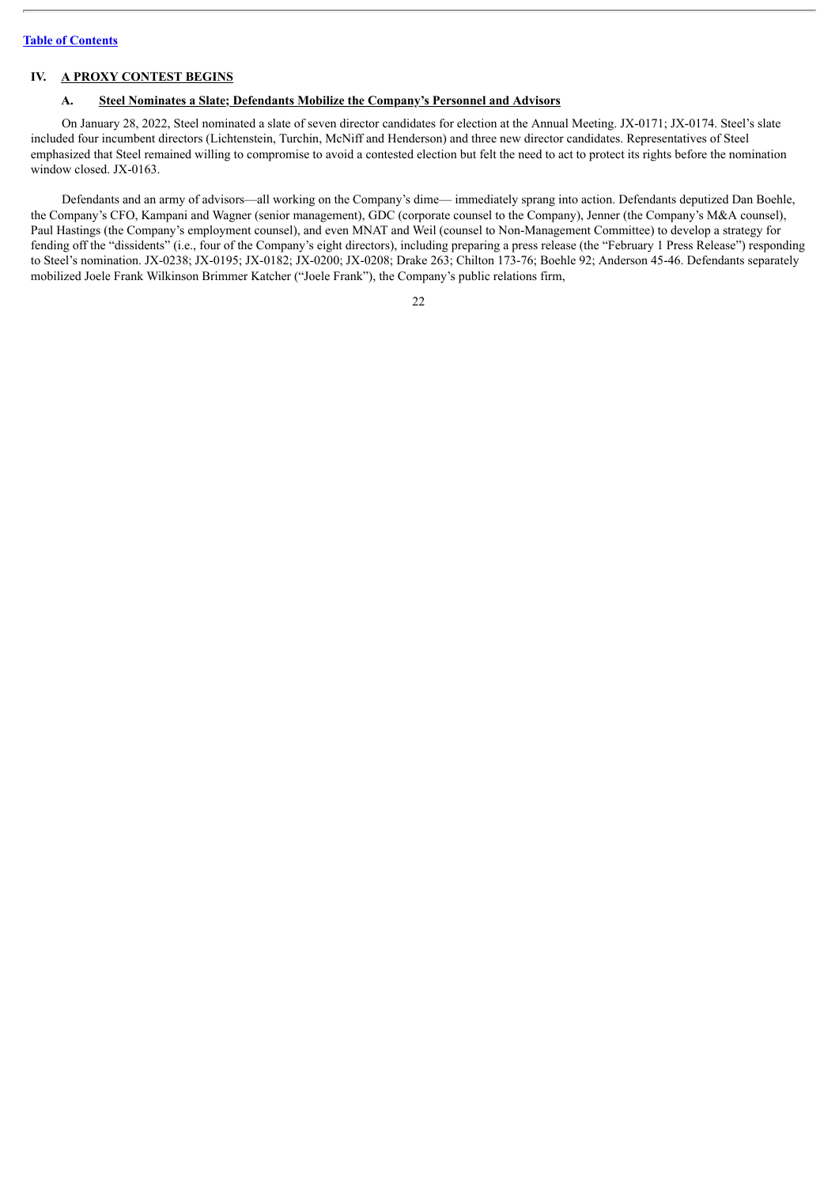#### <span id="page-30-0"></span>**IV. A PROXY CONTEST BEGINS**

## <span id="page-30-1"></span>**A. Steel Nominates a Slate; Defendants Mobilize the Company's Personnel and Advisors**

On January 28, 2022, Steel nominated a slate of seven director candidates for election at the Annual Meeting. JX-0171; JX-0174. Steel's slate included four incumbent directors (Lichtenstein, Turchin, McNiff and Henderson) and three new director candidates. Representatives of Steel emphasized that Steel remained willing to compromise to avoid a contested election but felt the need to act to protect its rights before the nomination window closed. JX-0163.

Defendants and an army of advisors—all working on the Company's dime— immediately sprang into action. Defendants deputized Dan Boehle, the Company's CFO, Kampani and Wagner (senior management), GDC (corporate counsel to the Company), Jenner (the Company's M&A counsel), Paul Hastings (the Company's employment counsel), and even MNAT and Weil (counsel to Non-Management Committee) to develop a strategy for fending off the "dissidents" (i.e., four of the Company's eight directors), including preparing a press release (the "February 1 Press Release") responding to Steel's nomination. JX-0238; JX-0195; JX-0182; JX-0200; JX-0208; Drake 263; Chilton 173-76; Boehle 92; Anderson 45-46. Defendants separately mobilized Joele Frank Wilkinson Brimmer Katcher ("Joele Frank"), the Company's public relations firm,

| v |  |
|---|--|
|   |  |
|   |  |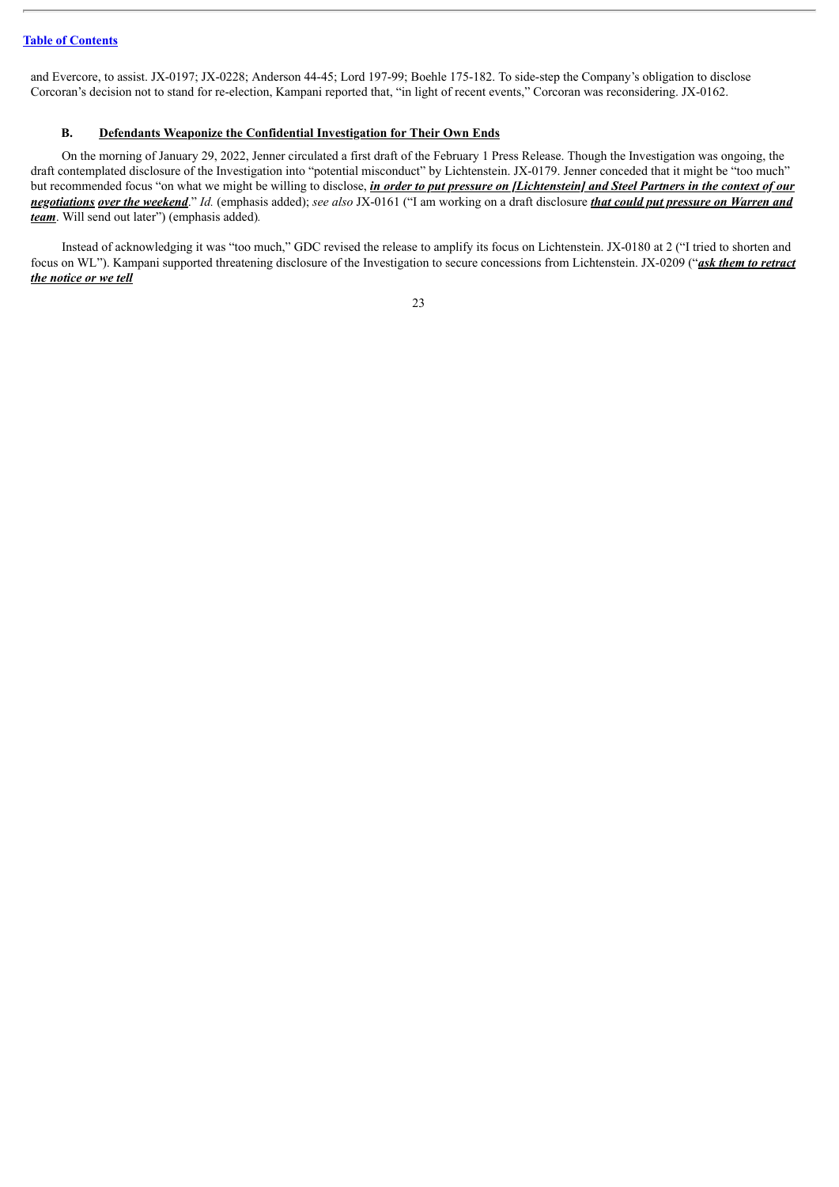and Evercore, to assist. JX-0197; JX-0228; Anderson 44-45; Lord 197-99; Boehle 175-182. To side-step the Company's obligation to disclose Corcoran's decision not to stand for re-election, Kampani reported that, "in light of recent events," Corcoran was reconsidering. JX-0162.

## <span id="page-31-0"></span>**B. Defendants Weaponize the Confidential Investigation for Their Own Ends**

On the morning of January 29, 2022, Jenner circulated a first draft of the February 1 Press Release. Though the Investigation was ongoing, the draft contemplated disclosure of the Investigation into "potential misconduct" by Lichtenstein. JX-0179. Jenner conceded that it might be "too much" but recommended focus "on what we might be willing to disclose, *in order to put pressure on [Lichtenstein] and Steel Partners in the context of our* negotiations over the weekend." Id. (emphasis added); see also JX-0161 ("I am working on a draft disclosure that could put pressure on Warren and *team*. Will send out later") (emphasis added)*.*

Instead of acknowledging it was "too much," GDC revised the release to amplify its focus on Lichtenstein. JX-0180 at 2 ("I tried to shorten and focus on WL"). Kampani supported threatening disclosure of the Investigation to secure concessions from Lichtenstein. JX-0209 ("*ask them to retract the notice or we tell*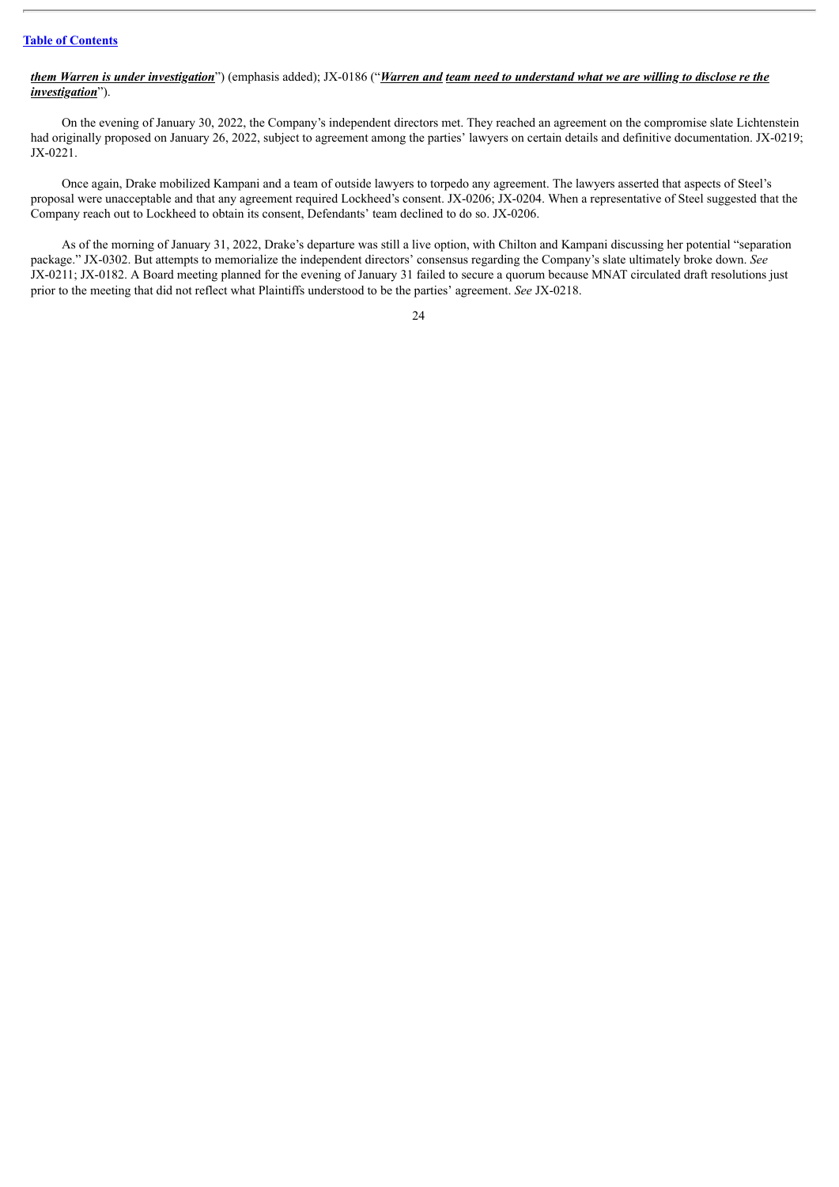### *them Warren is under investigation*") (emphasis added); JX-0186 ("Warren and team need to understand what we are willing to disclose re the *investigation*").

On the evening of January 30, 2022, the Company's independent directors met. They reached an agreement on the compromise slate Lichtenstein had originally proposed on January 26, 2022, subject to agreement among the parties' lawyers on certain details and definitive documentation. JX-0219; JX-0221.

Once again, Drake mobilized Kampani and a team of outside lawyers to torpedo any agreement. The lawyers asserted that aspects of Steel's proposal were unacceptable and that any agreement required Lockheed's consent. JX-0206; JX-0204. When a representative of Steel suggested that the Company reach out to Lockheed to obtain its consent, Defendants' team declined to do so. JX-0206.

As of the morning of January 31, 2022, Drake's departure was still a live option, with Chilton and Kampani discussing her potential "separation package." JX-0302. But attempts to memorialize the independent directors' consensus regarding the Company's slate ultimately broke down. *See* JX-0211; JX-0182. A Board meeting planned for the evening of January 31 failed to secure a quorum because MNAT circulated draft resolutions just prior to the meeting that did not reflect what Plaintiffs understood to be the parties' agreement. *See* JX-0218.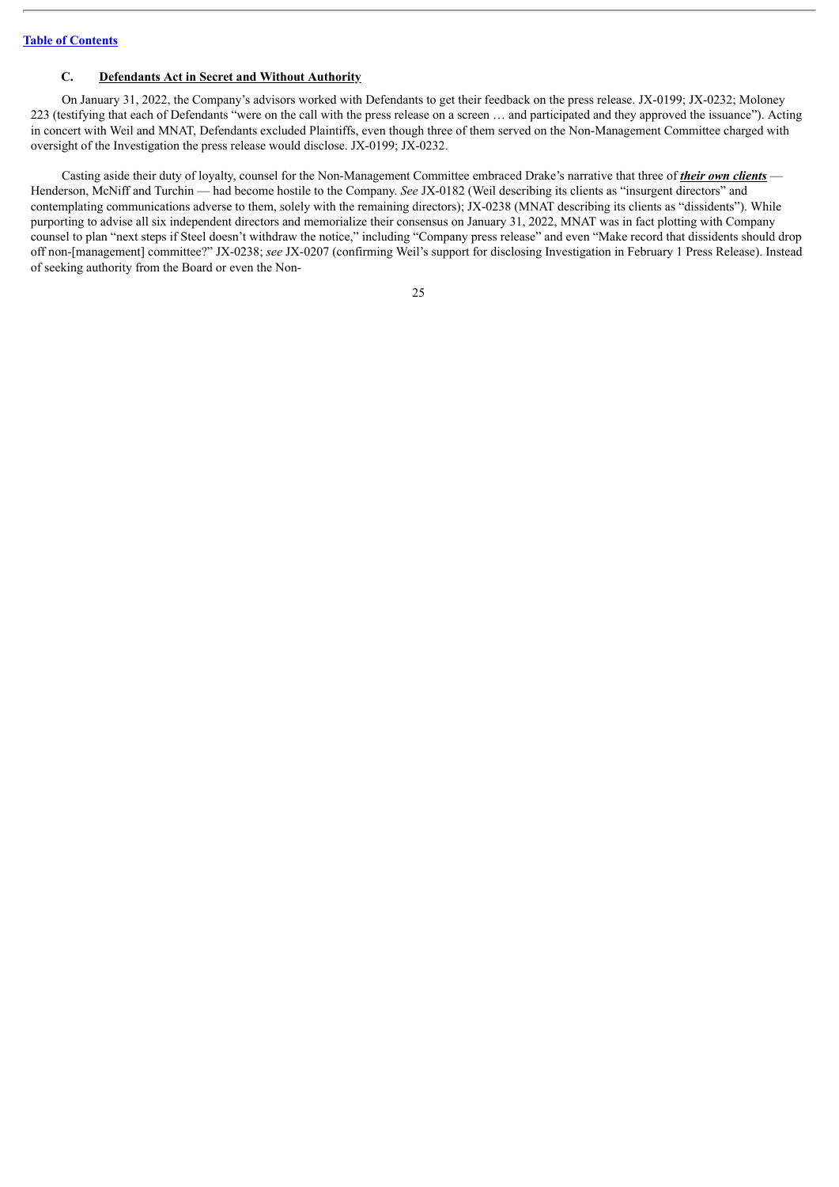#### <span id="page-33-0"></span>**C. Defendants Act in Secret and Without Authority**

On January 31, 2022, the Company's advisors worked with Defendants to get their feedback on the press release. JX-0199; JX-0232; Moloney 223 (testifying that each of Defendants "were on the call with the press release on a screen … and participated and they approved the issuance"). Acting in concert with Weil and MNAT, Defendants excluded Plaintiffs, even though three of them served on the Non-Management Committee charged with oversight of the Investigation the press release would disclose. JX-0199; JX-0232.

Casting aside their duty of loyalty, counsel for the Non-Management Committee embraced Drake's narrative that three of *their own clients* — Henderson, McNiff and Turchin — had become hostile to the Company. *See* JX-0182 (Weil describing its clients as "insurgent directors" and contemplating communications adverse to them, solely with the remaining directors); JX-0238 (MNAT describing its clients as "dissidents"). While purporting to advise all six independent directors and memorialize their consensus on January 31, 2022, MNAT was in fact plotting with Company counsel to plan "next steps if Steel doesn't withdraw the notice," including "Company press release" and even "Make record that dissidents should drop off non-[management] committee?" JX-0238; *see* JX-0207 (confirming Weil's support for disclosing Investigation in February 1 Press Release). Instead of seeking authority from the Board or even the Non-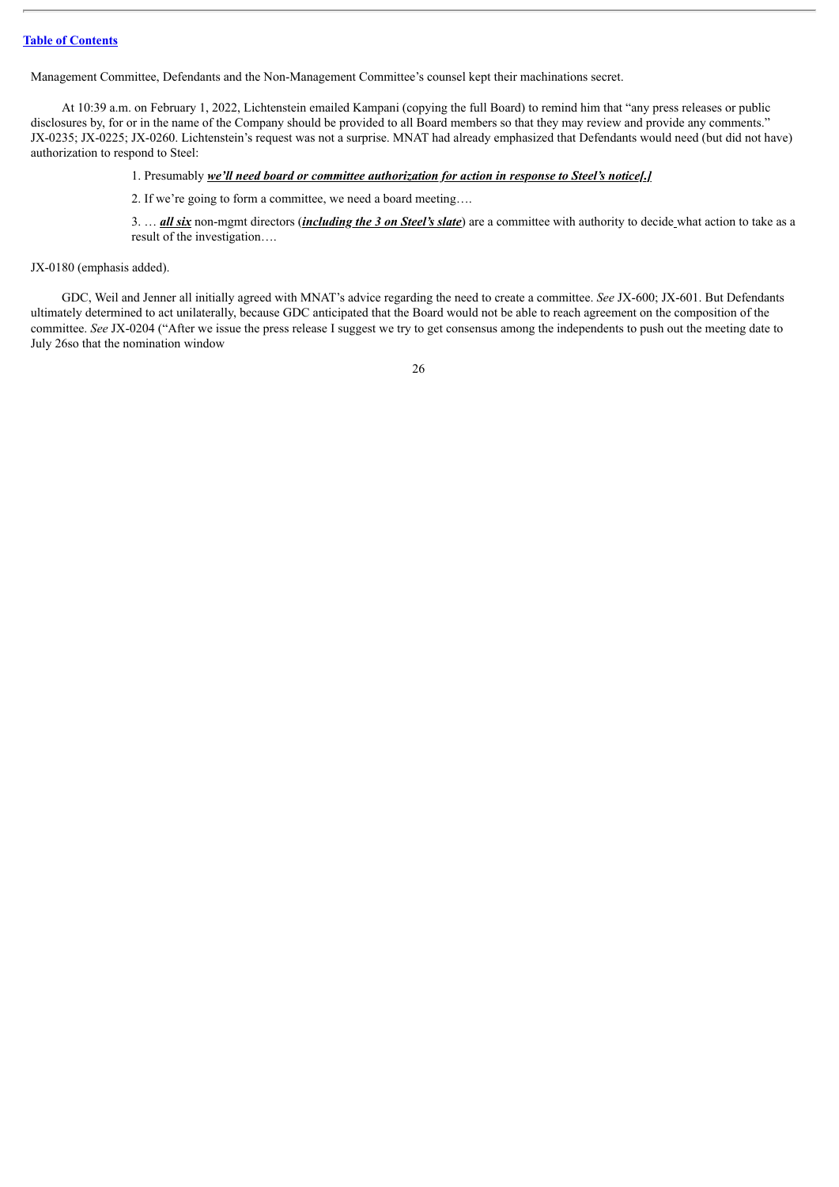Management Committee, Defendants and the Non-Management Committee's counsel kept their machinations secret.

At 10:39 a.m. on February 1, 2022, Lichtenstein emailed Kampani (copying the full Board) to remind him that "any press releases or public disclosures by, for or in the name of the Company should be provided to all Board members so that they may review and provide any comments." JX-0235; JX-0225; JX-0260. Lichtenstein's request was not a surprise. MNAT had already emphasized that Defendants would need (but did not have) authorization to respond to Steel:

#### 1. Presumably *we'll need board or committee authorization for action in response to Steel's notice[.]*

2. If we're going to form a committee, we need a board meeting….

3. … *all six* non-mgmt directors (*including the 3 on Steel's slate*) are a committee with authority to decide what action to take as a result of the investigation….

JX-0180 (emphasis added).

GDC, Weil and Jenner all initially agreed with MNAT's advice regarding the need to create a committee. *See* JX-600; JX-601. But Defendants ultimately determined to act unilaterally, because GDC anticipated that the Board would not be able to reach agreement on the composition of the committee. *See* JX-0204 ("After we issue the press release I suggest we try to get consensus among the independents to push out the meeting date to July 26so that the nomination window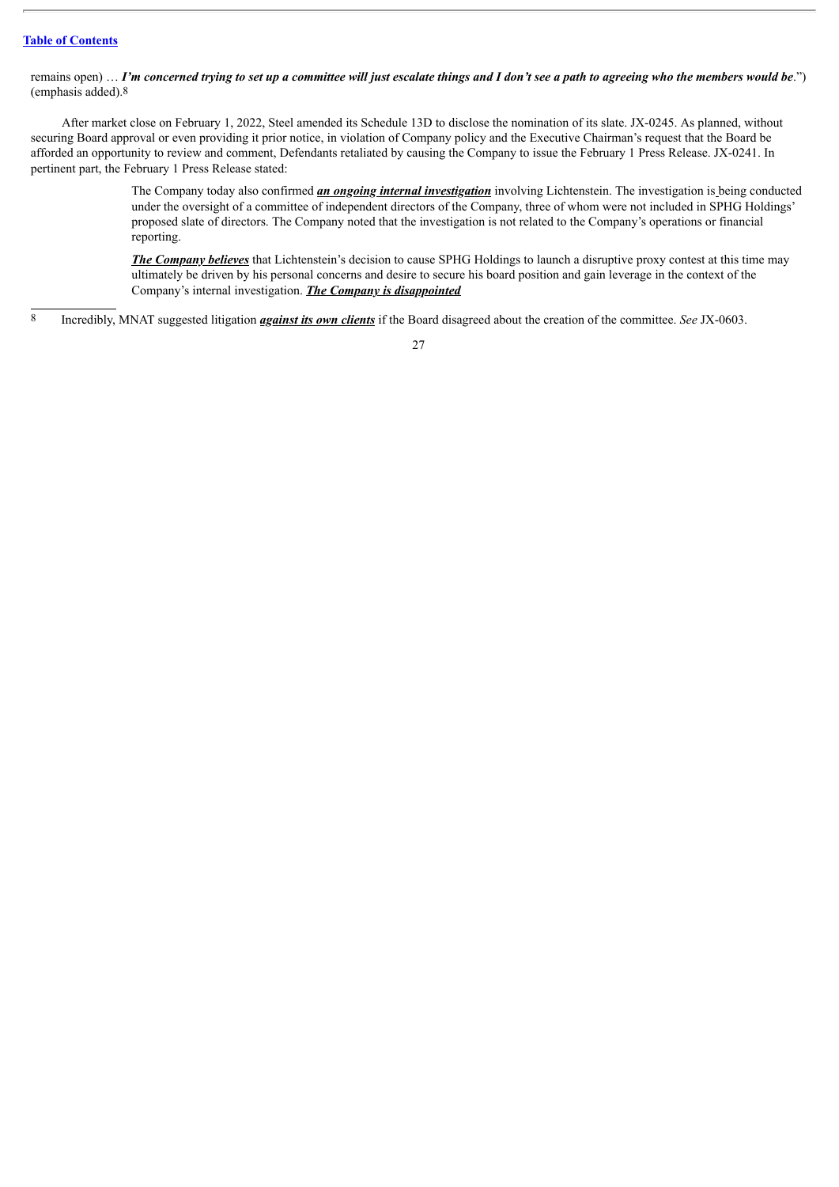remains open) ... I'm concerned trying to set up a committee will just escalate things and I don't see a path to agreeing who the members would be.") (emphasis added).8

After market close on February 1, 2022, Steel amended its Schedule 13D to disclose the nomination of its slate. JX-0245. As planned, without securing Board approval or even providing it prior notice, in violation of Company policy and the Executive Chairman's request that the Board be afforded an opportunity to review and comment, Defendants retaliated by causing the Company to issue the February 1 Press Release. JX-0241. In pertinent part, the February 1 Press Release stated:

> The Company today also confirmed *an ongoing internal investigation* involving Lichtenstein. The investigation is being conducted under the oversight of a committee of independent directors of the Company, three of whom were not included in SPHG Holdings' proposed slate of directors. The Company noted that the investigation is not related to the Company's operations or financial reporting.

*The Company believes* that Lichtenstein's decision to cause SPHG Holdings to launch a disruptive proxy contest at this time may ultimately be driven by his personal concerns and desire to secure his board position and gain leverage in the context of the Company's internal investigation. *The Company is disappointed*

8 Incredibly, MNAT suggested litigation *against its own clients* if the Board disagreed about the creation of the committee. *See* JX-0603.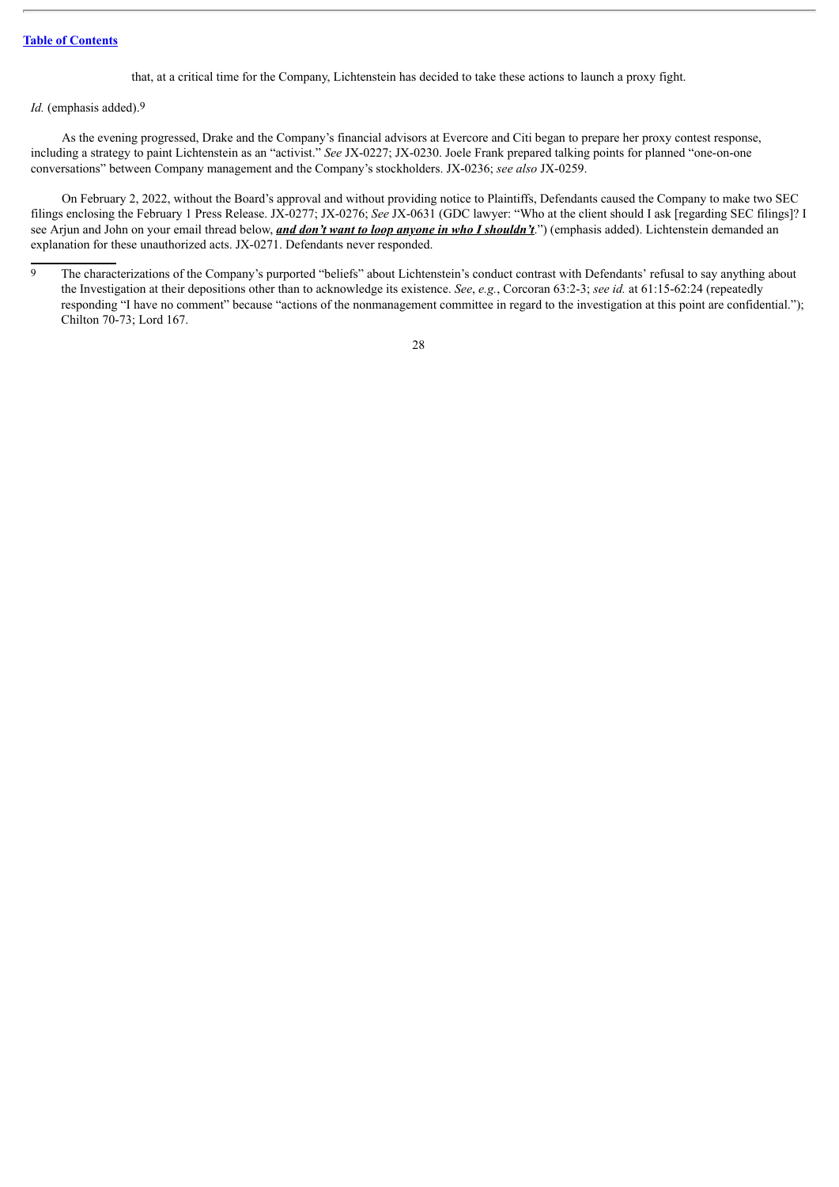that, at a critical time for the Company, Lichtenstein has decided to take these actions to launch a proxy fight.

## *Id.* (emphasis added).9

As the evening progressed, Drake and the Company's financial advisors at Evercore and Citi began to prepare her proxy contest response, including a strategy to paint Lichtenstein as an "activist." *See* JX-0227; JX-0230. Joele Frank prepared talking points for planned "one-on-one conversations" between Company management and the Company's stockholders. JX-0236; *see also* JX-0259.

On February 2, 2022, without the Board's approval and without providing notice to Plaintiffs, Defendants caused the Company to make two SEC filings enclosing the February 1 Press Release. JX-0277; JX-0276; *See* JX-0631 (GDC lawyer: "Who at the client should I ask [regarding SEC filings]? I see Arjun and John on your email thread below, *and don't want to loop anyone in who I shouldn't*.") (emphasis added). Lichtenstein demanded an explanation for these unauthorized acts. JX-0271. Defendants never responded.

<sup>&</sup>lt;sup>9</sup> The characterizations of the Company's purported "beliefs" about Lichtenstein's conduct contrast with Defendants' refusal to say anything about the Investigation at their depositions other than to acknowledge its existence. *See*, *e.g.*, Corcoran 63:2-3; *see id.* at 61:15-62:24 (repeatedly responding "I have no comment" because "actions of the nonmanagement committee in regard to the investigation at this point are confidential."); Chilton 70-73; Lord 167.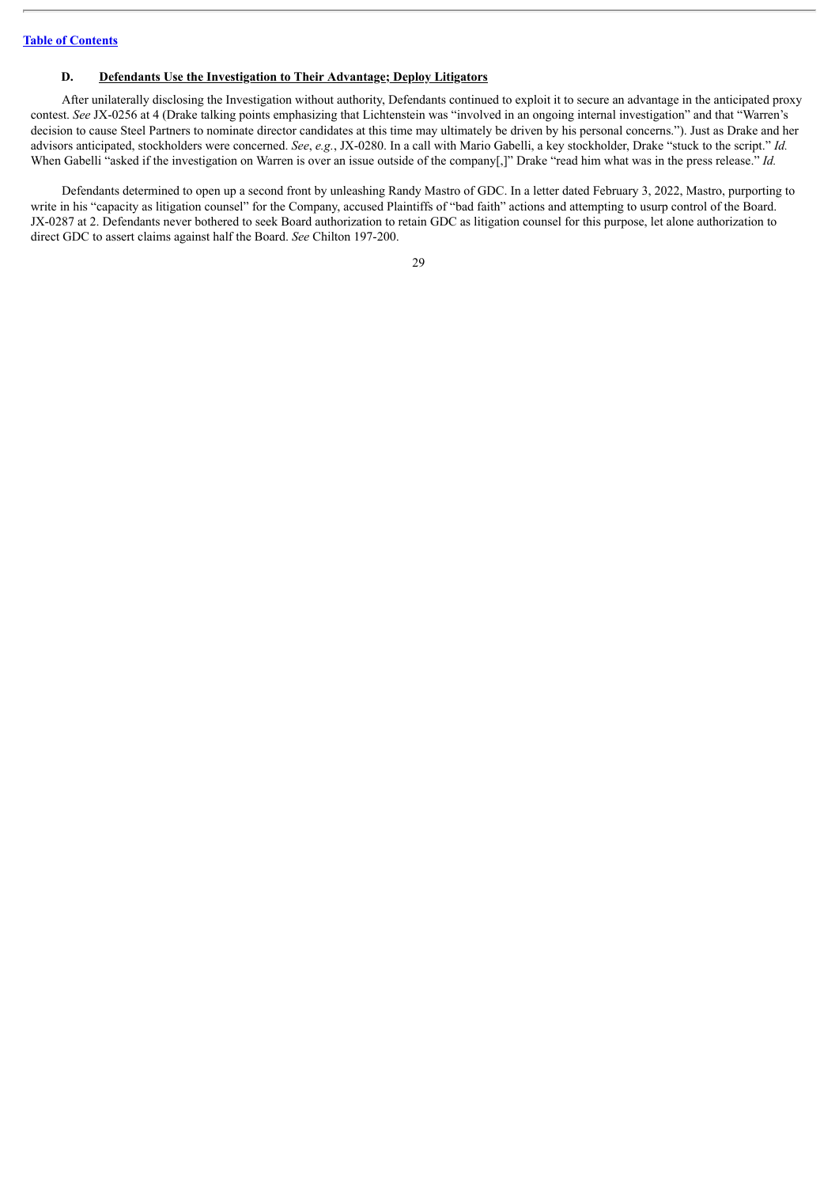### **D. Defendants Use the Investigation to Their Advantage; Deploy Litigators**

After unilaterally disclosing the Investigation without authority, Defendants continued to exploit it to secure an advantage in the anticipated proxy contest. *See* JX-0256 at 4 (Drake talking points emphasizing that Lichtenstein was "involved in an ongoing internal investigation" and that "Warren's decision to cause Steel Partners to nominate director candidates at this time may ultimately be driven by his personal concerns."). Just as Drake and her advisors anticipated, stockholders were concerned. *See*, *e.g.*, JX-0280. In a call with Mario Gabelli, a key stockholder, Drake "stuck to the script." *Id.* When Gabelli "asked if the investigation on Warren is over an issue outside of the company[,]" Drake "read him what was in the press release." *Id.* 

Defendants determined to open up a second front by unleashing Randy Mastro of GDC. In a letter dated February 3, 2022, Mastro, purporting to write in his "capacity as litigation counsel" for the Company, accused Plaintiffs of "bad faith" actions and attempting to usurp control of the Board. JX-0287 at 2. Defendants never bothered to seek Board authorization to retain GDC as litigation counsel for this purpose, let alone authorization to direct GDC to assert claims against half the Board. *See* Chilton 197-200.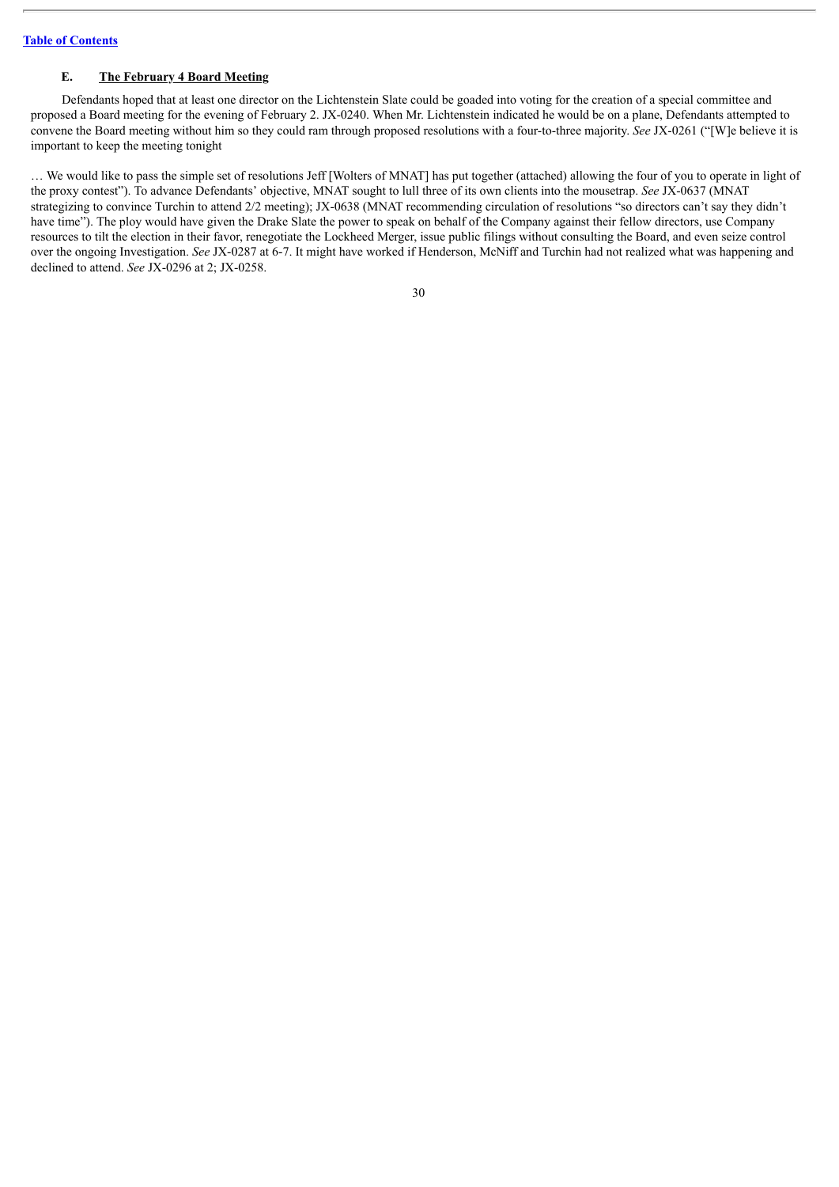## **E. The February 4 Board Meeting**

Defendants hoped that at least one director on the Lichtenstein Slate could be goaded into voting for the creation of a special committee and proposed a Board meeting for the evening of February 2. JX-0240. When Mr. Lichtenstein indicated he would be on a plane, Defendants attempted to convene the Board meeting without him so they could ram through proposed resolutions with a four-to-three majority. *See* JX-0261 ("[W]e believe it is important to keep the meeting tonight

… We would like to pass the simple set of resolutions Jeff [Wolters of MNAT] has put together (attached) allowing the four of you to operate in light of the proxy contest"). To advance Defendants' objective, MNAT sought to lull three of its own clients into the mousetrap. *See* JX-0637 (MNAT strategizing to convince Turchin to attend 2/2 meeting); JX-0638 (MNAT recommending circulation of resolutions "so directors can't say they didn't have time"). The ploy would have given the Drake Slate the power to speak on behalf of the Company against their fellow directors, use Company resources to tilt the election in their favor, renegotiate the Lockheed Merger, issue public filings without consulting the Board, and even seize control over the ongoing Investigation. *See* JX-0287 at 6-7. It might have worked if Henderson, McNiff and Turchin had not realized what was happening and declined to attend. *See* JX-0296 at 2; JX-0258.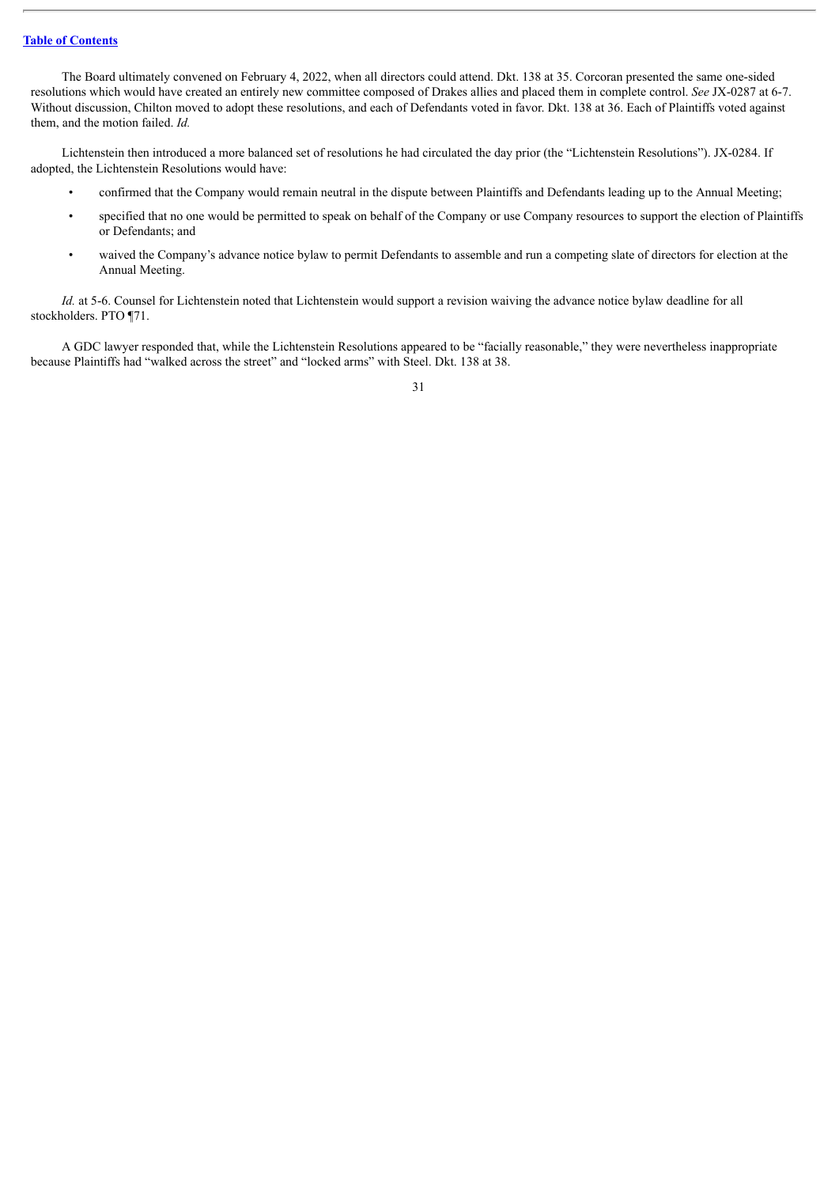The Board ultimately convened on February 4, 2022, when all directors could attend. Dkt. 138 at 35. Corcoran presented the same one-sided resolutions which would have created an entirely new committee composed of Drakes allies and placed them in complete control. *See* JX-0287 at 6-7. Without discussion, Chilton moved to adopt these resolutions, and each of Defendants voted in favor. Dkt. 138 at 36. Each of Plaintiffs voted against them, and the motion failed. *Id.*

Lichtenstein then introduced a more balanced set of resolutions he had circulated the day prior (the "Lichtenstein Resolutions"). JX-0284. If adopted, the Lichtenstein Resolutions would have:

- confirmed that the Company would remain neutral in the dispute between Plaintiffs and Defendants leading up to the Annual Meeting;
- specified that no one would be permitted to speak on behalf of the Company or use Company resources to support the election of Plaintiffs or Defendants; and
- waived the Company's advance notice bylaw to permit Defendants to assemble and run a competing slate of directors for election at the Annual Meeting.

*Id.* at 5-6. Counsel for Lichtenstein noted that Lichtenstein would support a revision waiving the advance notice bylaw deadline for all stockholders. PTO ¶71.

A GDC lawyer responded that, while the Lichtenstein Resolutions appeared to be "facially reasonable," they were nevertheless inappropriate because Plaintiffs had "walked across the street" and "locked arms" with Steel. Dkt. 138 at 38.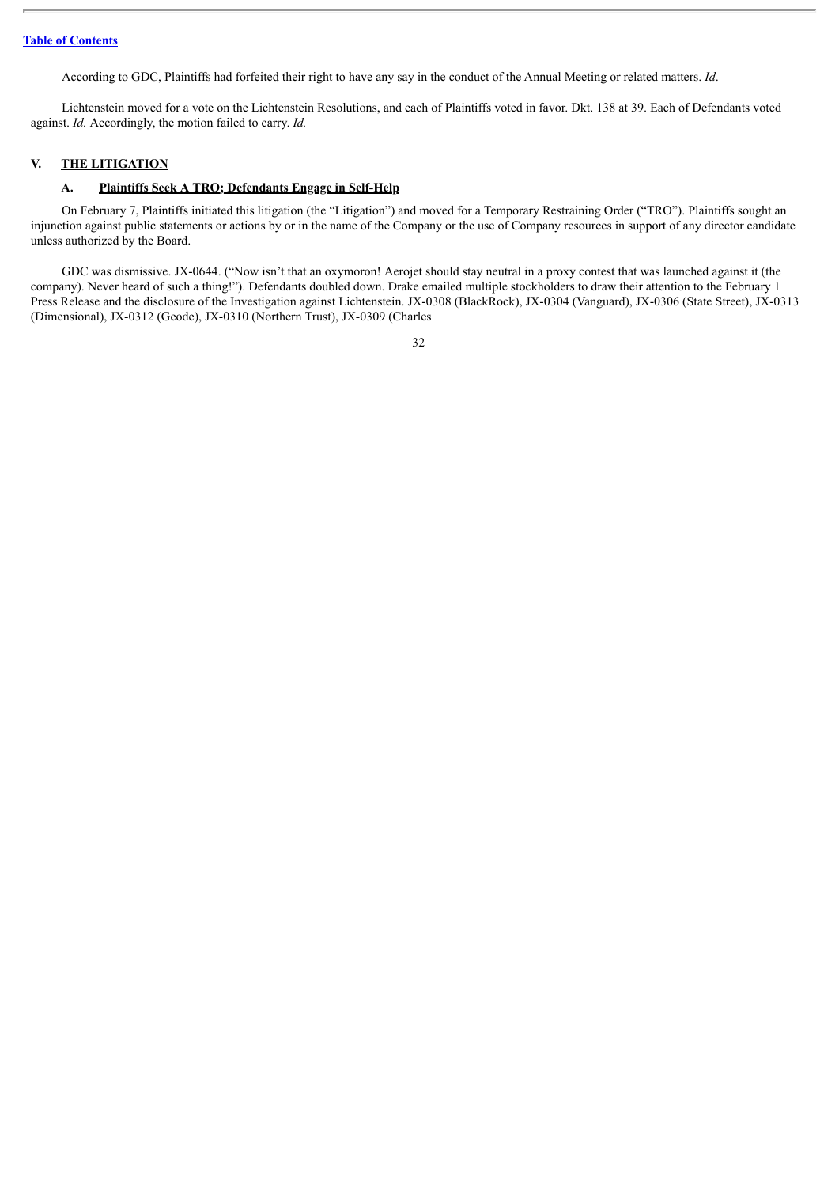According to GDC, Plaintiffs had forfeited their right to have any say in the conduct of the Annual Meeting or related matters. *Id*.

Lichtenstein moved for a vote on the Lichtenstein Resolutions, and each of Plaintiffs voted in favor. Dkt. 138 at 39. Each of Defendants voted against. *Id.* Accordingly, the motion failed to carry. *Id.*

## **V. THE LITIGATION**

### **A. Plaintiffs Seek A TRO; Defendants Engage in Self-Help**

On February 7, Plaintiffs initiated this litigation (the "Litigation") and moved for a Temporary Restraining Order ("TRO"). Plaintiffs sought an injunction against public statements or actions by or in the name of the Company or the use of Company resources in support of any director candidate unless authorized by the Board.

GDC was dismissive. JX-0644. ("Now isn't that an oxymoron! Aerojet should stay neutral in a proxy contest that was launched against it (the company). Never heard of such a thing!"). Defendants doubled down. Drake emailed multiple stockholders to draw their attention to the February 1 Press Release and the disclosure of the Investigation against Lichtenstein. JX-0308 (BlackRock), JX-0304 (Vanguard), JX-0306 (State Street), JX-0313 (Dimensional), JX-0312 (Geode), JX-0310 (Northern Trust), JX-0309 (Charles

<sup>32</sup>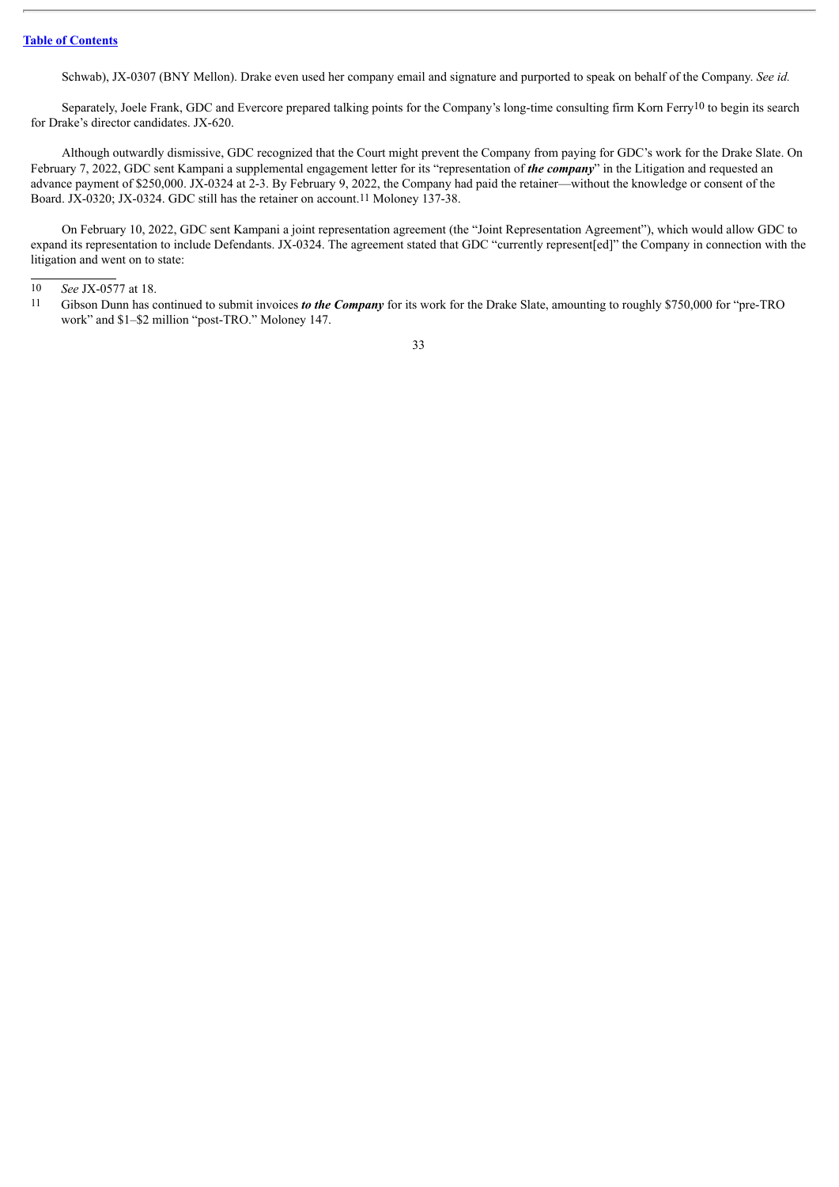Schwab), JX-0307 (BNY Mellon). Drake even used her company email and signature and purported to speak on behalf of the Company. *See id.*

Separately, Joele Frank, GDC and Evercore prepared talking points for the Company's long-time consulting firm Korn Ferry10 to begin its search for Drake's director candidates. JX-620.

Although outwardly dismissive, GDC recognized that the Court might prevent the Company from paying for GDC's work for the Drake Slate. On February 7, 2022, GDC sent Kampani a supplemental engagement letter for its "representation of *the company*" in the Litigation and requested an advance payment of \$250,000. JX-0324 at 2-3. By February 9, 2022, the Company had paid the retainer—without the knowledge or consent of the Board. JX-0320; JX-0324. GDC still has the retainer on account.11 Moloney 137-38.

On February 10, 2022, GDC sent Kampani a joint representation agreement (the "Joint Representation Agreement"), which would allow GDC to expand its representation to include Defendants. JX-0324. The agreement stated that GDC "currently represent[ed]" the Company in connection with the litigation and went on to state:

<sup>10</sup> *See* JX-0577 at 18.

<sup>11</sup> Gibson Dunn has continued to submit invoices *to the Company* for its work for the Drake Slate, amounting to roughly \$750,000 for "pre-TRO work" and \$1–\$2 million "post-TRO." Moloney 147.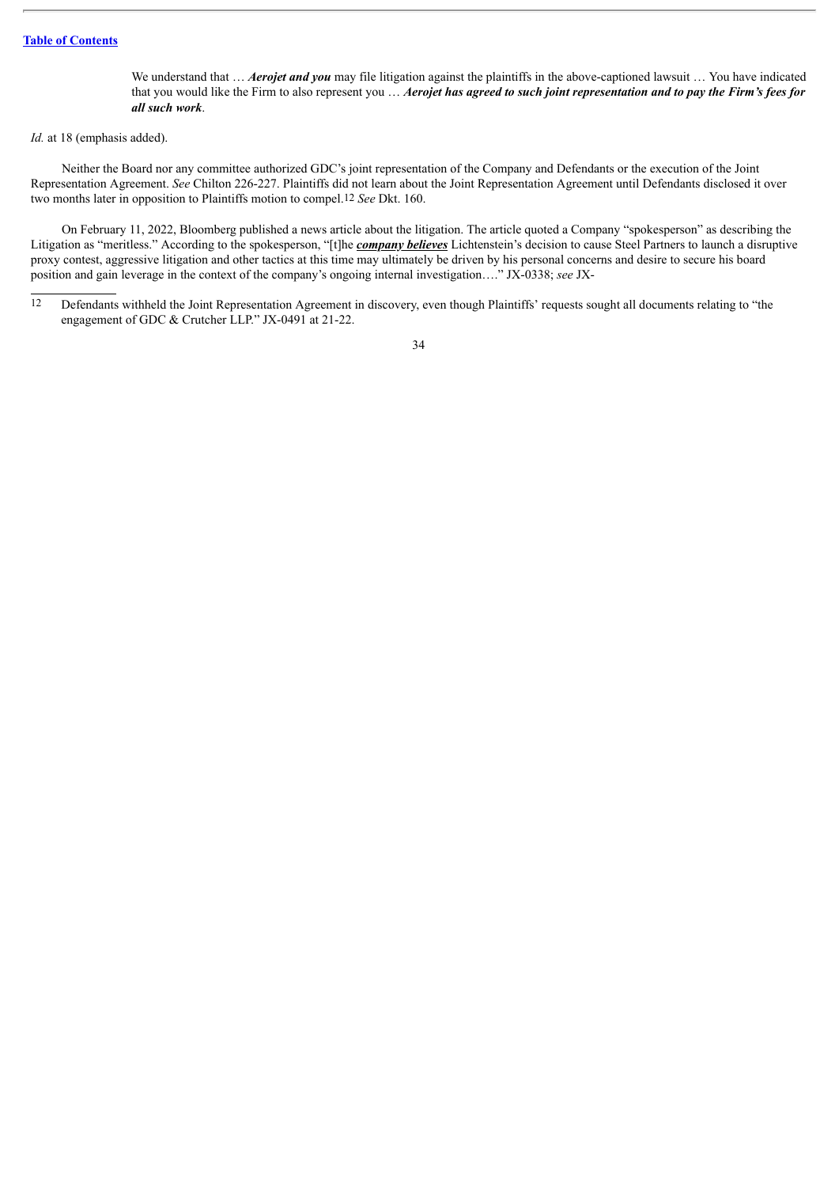We understand that ... *Aerojet and you* may file litigation against the plaintiffs in the above-captioned lawsuit ... You have indicated that you would like the Firm to also represent you ... Aerojet has agreed to such joint representation and to pay the Firm's fees for *all such work*.

### *Id.* at 18 (emphasis added).

Neither the Board nor any committee authorized GDC's joint representation of the Company and Defendants or the execution of the Joint Representation Agreement. *See* Chilton 226-227. Plaintiffs did not learn about the Joint Representation Agreement until Defendants disclosed it over two months later in opposition to Plaintiffs motion to compel.12 *See* Dkt. 160.

On February 11, 2022, Bloomberg published a news article about the litigation. The article quoted a Company "spokesperson" as describing the Litigation as "meritless." According to the spokesperson, "[t]he *company believes* Lichtenstein's decision to cause Steel Partners to launch a disruptive proxy contest, aggressive litigation and other tactics at this time may ultimately be driven by his personal concerns and desire to secure his board position and gain leverage in the context of the company's ongoing internal investigation…." JX-0338; *see* JX-

<sup>12</sup> Defendants withheld the Joint Representation Agreement in discovery, even though Plaintiffs' requests sought all documents relating to "the engagement of GDC & Crutcher LLP." JX-0491 at 21-22.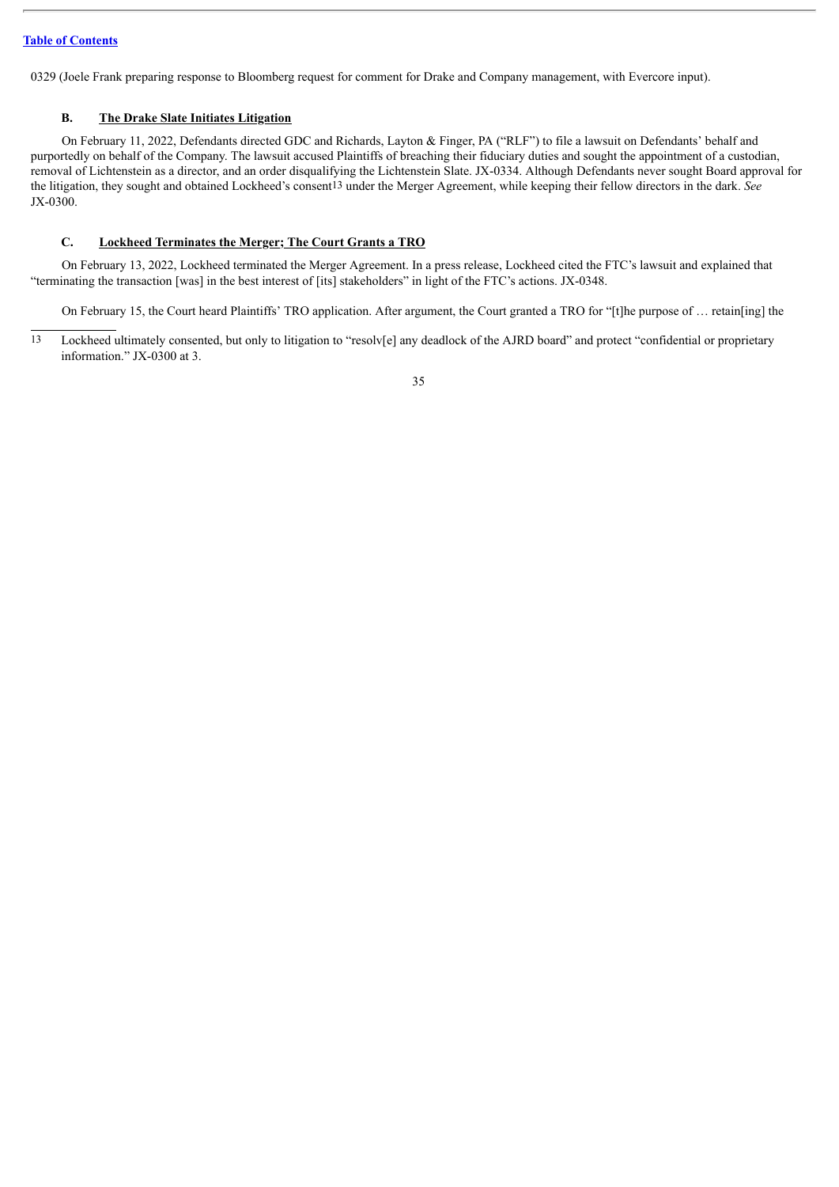0329 (Joele Frank preparing response to Bloomberg request for comment for Drake and Company management, with Evercore input).

## **B. The Drake Slate Initiates Litigation**

On February 11, 2022, Defendants directed GDC and Richards, Layton & Finger, PA ("RLF") to file a lawsuit on Defendants' behalf and purportedly on behalf of the Company. The lawsuit accused Plaintiffs of breaching their fiduciary duties and sought the appointment of a custodian, removal of Lichtenstein as a director, and an order disqualifying the Lichtenstein Slate. JX-0334. Although Defendants never sought Board approval for the litigation, they sought and obtained Lockheed's consent13 under the Merger Agreement, while keeping their fellow directors in the dark. *See* JX-0300.

## **C. Lockheed Terminates the Merger; The Court Grants a TRO**

On February 13, 2022, Lockheed terminated the Merger Agreement. In a press release, Lockheed cited the FTC's lawsuit and explained that "terminating the transaction [was] in the best interest of [its] stakeholders" in light of the FTC's actions. JX-0348.

On February 15, the Court heard Plaintiffs' TRO application. After argument, the Court granted a TRO for "[t]he purpose of … retain[ing] the

13 Lockheed ultimately consented, but only to litigation to "resolv[e] any deadlock of the AJRD board" and protect "confidential or proprietary information." JX-0300 at 3.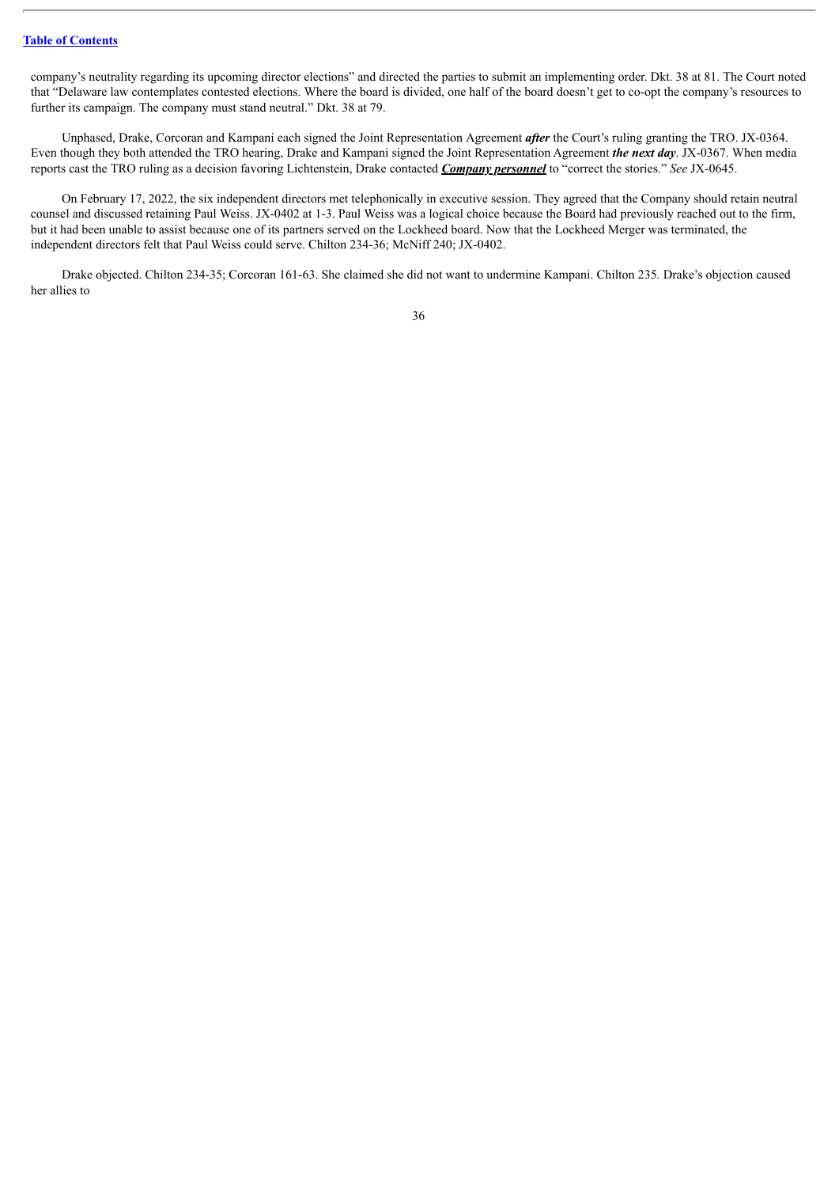company's neutrality regarding its upcoming director elections" and directed the parties to submit an implementing order. Dkt. 38 at 81. The Court noted that "Delaware law contemplates contested elections. Where the board is divided, one half of the board doesn't get to co-opt the company's resources to further its campaign. The company must stand neutral." Dkt. 38 at 79.

Unphased, Drake, Corcoran and Kampani each signed the Joint Representation Agreement *after* the Court's ruling granting the TRO. JX-0364. Even though they both attended the TRO hearing, Drake and Kampani signed the Joint Representation Agreement *the next day*. JX-0367. When media reports cast the TRO ruling as a decision favoring Lichtenstein, Drake contacted *Company personnel* to "correct the stories." *See* JX-0645.

On February 17, 2022, the six independent directors met telephonically in executive session. They agreed that the Company should retain neutral counsel and discussed retaining Paul Weiss. JX-0402 at 1-3. Paul Weiss was a logical choice because the Board had previously reached out to the firm, but it had been unable to assist because one of its partners served on the Lockheed board. Now that the Lockheed Merger was terminated, the independent directors felt that Paul Weiss could serve. Chilton 234-36; McNiff 240; JX-0402.

Drake objected. Chilton 234-35; Corcoran 161-63. She claimed she did not want to undermine Kampani. Chilton 235*.* Drake's objection caused her allies to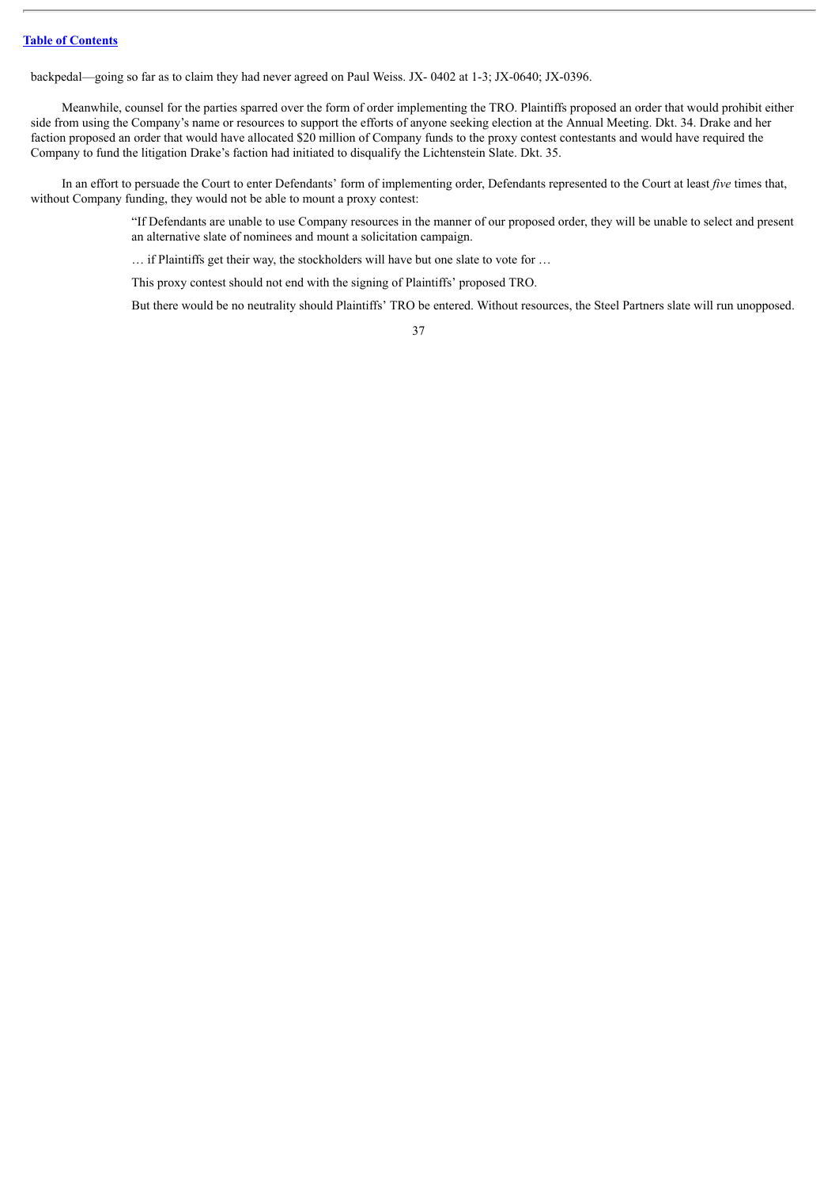backpedal—going so far as to claim they had never agreed on Paul Weiss. JX- 0402 at 1-3; JX-0640; JX-0396.

Meanwhile, counsel for the parties sparred over the form of order implementing the TRO. Plaintiffs proposed an order that would prohibit either side from using the Company's name or resources to support the efforts of anyone seeking election at the Annual Meeting. Dkt. 34. Drake and her faction proposed an order that would have allocated \$20 million of Company funds to the proxy contest contestants and would have required the Company to fund the litigation Drake's faction had initiated to disqualify the Lichtenstein Slate. Dkt. 35.

In an effort to persuade the Court to enter Defendants' form of implementing order, Defendants represented to the Court at least *five* times that, without Company funding, they would not be able to mount a proxy contest:

> "If Defendants are unable to use Company resources in the manner of our proposed order, they will be unable to select and present an alternative slate of nominees and mount a solicitation campaign.

… if Plaintiffs get their way, the stockholders will have but one slate to vote for …

This proxy contest should not end with the signing of Plaintiffs' proposed TRO.

But there would be no neutrality should Plaintiffs' TRO be entered. Without resources, the Steel Partners slate will run unopposed.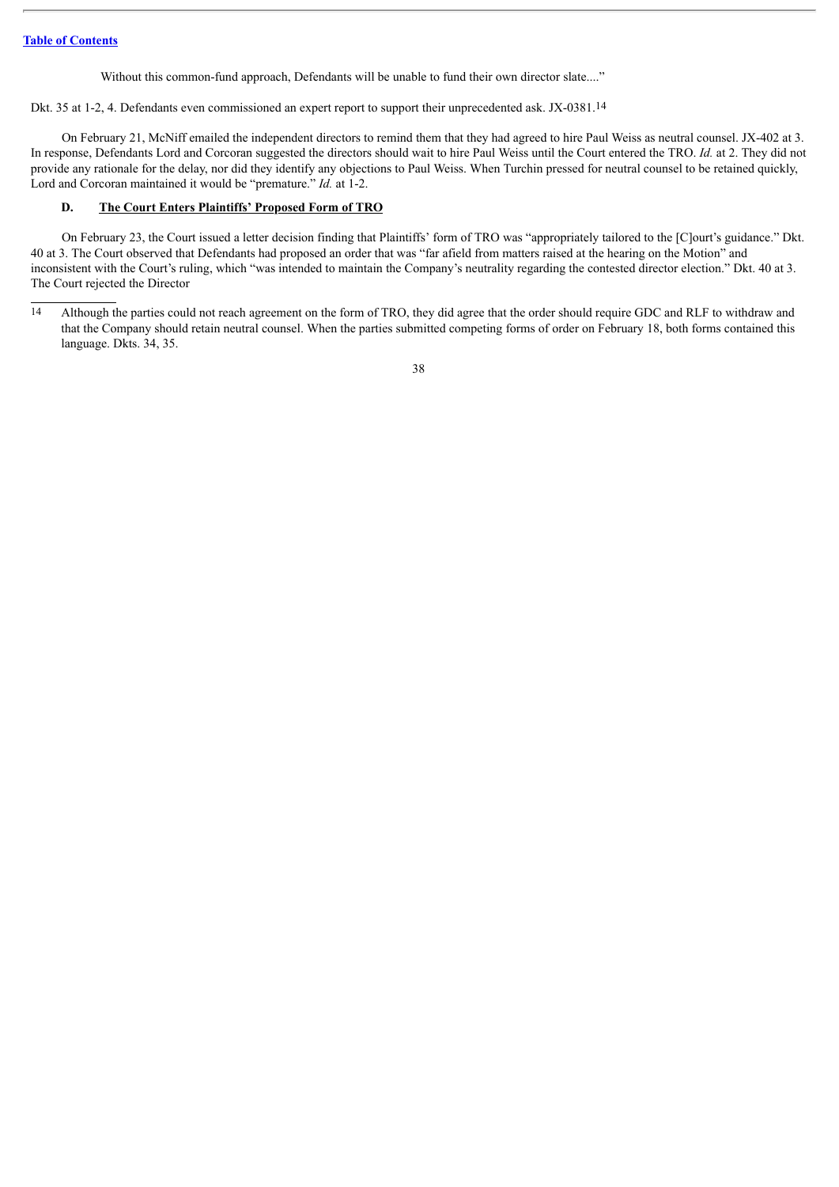Without this common-fund approach, Defendants will be unable to fund their own director slate...."

Dkt. 35 at 1-2, 4. Defendants even commissioned an expert report to support their unprecedented ask. JX-0381.14

On February 21, McNiff emailed the independent directors to remind them that they had agreed to hire Paul Weiss as neutral counsel. JX-402 at 3. In response, Defendants Lord and Corcoran suggested the directors should wait to hire Paul Weiss until the Court entered the TRO. *Id.* at 2. They did not provide any rationale for the delay, nor did they identify any objections to Paul Weiss. When Turchin pressed for neutral counsel to be retained quickly, Lord and Corcoran maintained it would be "premature." *Id.* at 1-2.

## **D. The Court Enters Plaintiffs' Proposed Form of TRO**

On February 23, the Court issued a letter decision finding that Plaintiffs' form of TRO was "appropriately tailored to the [C]ourt's guidance." Dkt. 40 at 3. The Court observed that Defendants had proposed an order that was "far afield from matters raised at the hearing on the Motion" and inconsistent with the Court's ruling, which "was intended to maintain the Company's neutrality regarding the contested director election." Dkt. 40 at 3. The Court rejected the Director

14 Although the parties could not reach agreement on the form of TRO, they did agree that the order should require GDC and RLF to withdraw and that the Company should retain neutral counsel. When the parties submitted competing forms of order on February 18, both forms contained this language. Dkts. 34, 35.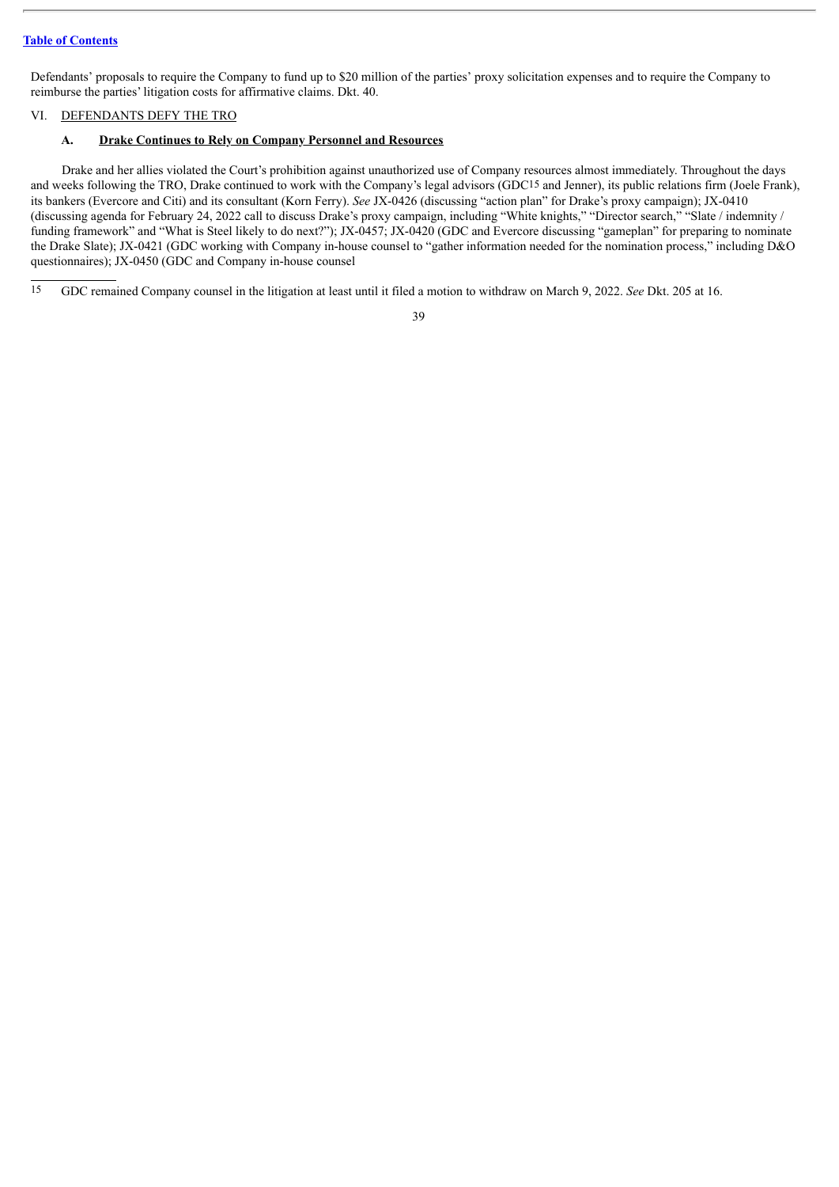Defendants' proposals to require the Company to fund up to \$20 million of the parties' proxy solicitation expenses and to require the Company to reimburse the parties' litigation costs for affirmative claims. Dkt. 40.

# VI. DEFENDANTS DEFY THE TRO

# **A. Drake Continues to Rely on Company Personnel and Resources**

Drake and her allies violated the Court's prohibition against unauthorized use of Company resources almost immediately. Throughout the days and weeks following the TRO, Drake continued to work with the Company's legal advisors (GDC15 and Jenner), its public relations firm (Joele Frank), its bankers (Evercore and Citi) and its consultant (Korn Ferry). *See* JX-0426 (discussing "action plan" for Drake's proxy campaign); JX-0410 (discussing agenda for February 24, 2022 call to discuss Drake's proxy campaign, including "White knights," "Director search," "Slate / indemnity / funding framework" and "What is Steel likely to do next?"); JX-0457; JX-0420 (GDC and Evercore discussing "gameplan" for preparing to nominate the Drake Slate); JX-0421 (GDC working with Company in-house counsel to "gather information needed for the nomination process," including D&O questionnaires); JX-0450 (GDC and Company in-house counsel

15 GDC remained Company counsel in the litigation at least until it filed a motion to withdraw on March 9, 2022. *See* Dkt. 205 at 16.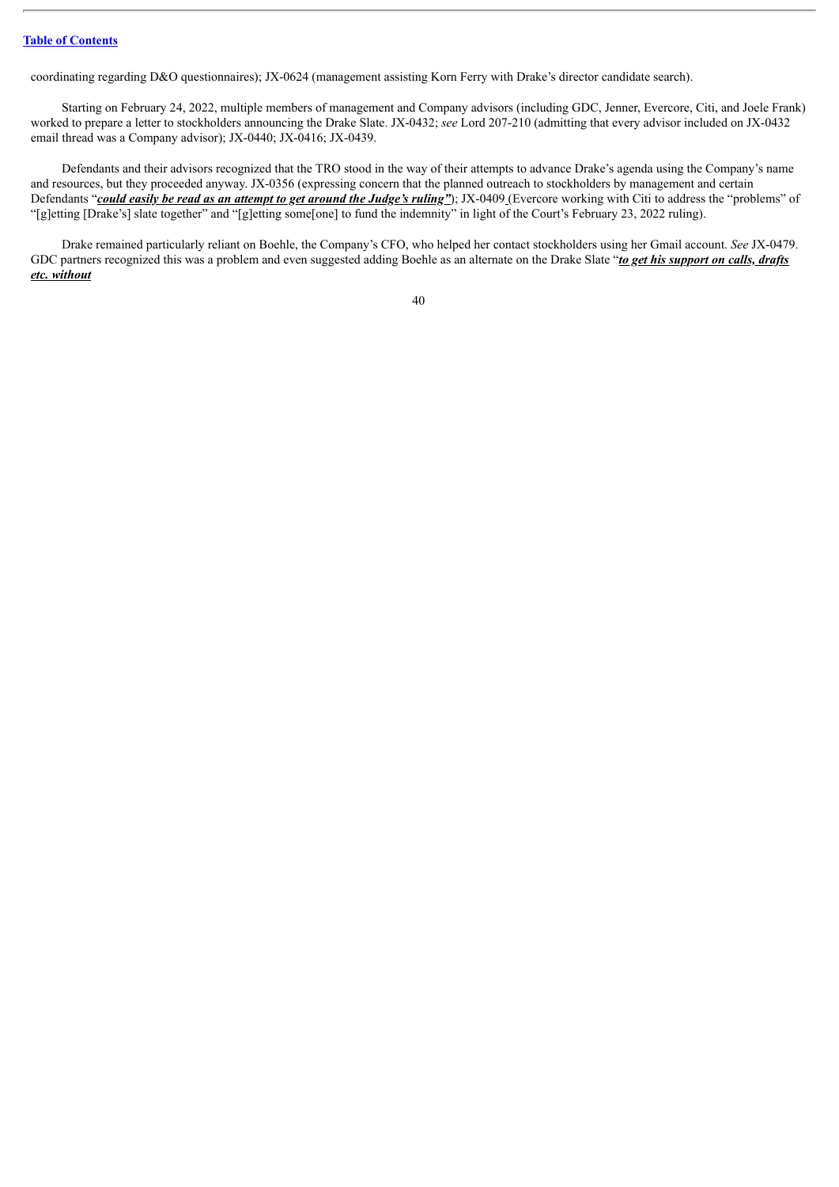coordinating regarding D&O questionnaires); JX-0624 (management assisting Korn Ferry with Drake's director candidate search).

Starting on February 24, 2022, multiple members of management and Company advisors (including GDC, Jenner, Evercore, Citi, and Joele Frank) worked to prepare a letter to stockholders announcing the Drake Slate. JX-0432; *see* Lord 207-210 (admitting that every advisor included on JX-0432 email thread was a Company advisor); JX-0440; JX-0416; JX-0439.

Defendants and their advisors recognized that the TRO stood in the way of their attempts to advance Drake's agenda using the Company's name and resources, but they proceeded anyway. JX-0356 (expressing concern that the planned outreach to stockholders by management and certain Defendants "could easily be read as an attempt to get around the Judge's ruling"); JX-0409 (Evercore working with Citi to address the "problems" of "[g]etting [Drake's] slate together" and "[g]etting some[one] to fund the indemnity" in light of the Court's February 23, 2022 ruling).

Drake remained particularly reliant on Boehle, the Company's CFO, who helped her contact stockholders using her Gmail account. *See* JX-0479. GDC partners recognized this was a problem and even suggested adding Boehle as an alternate on the Drake Slate "*to get his support on calls, drafts etc. without*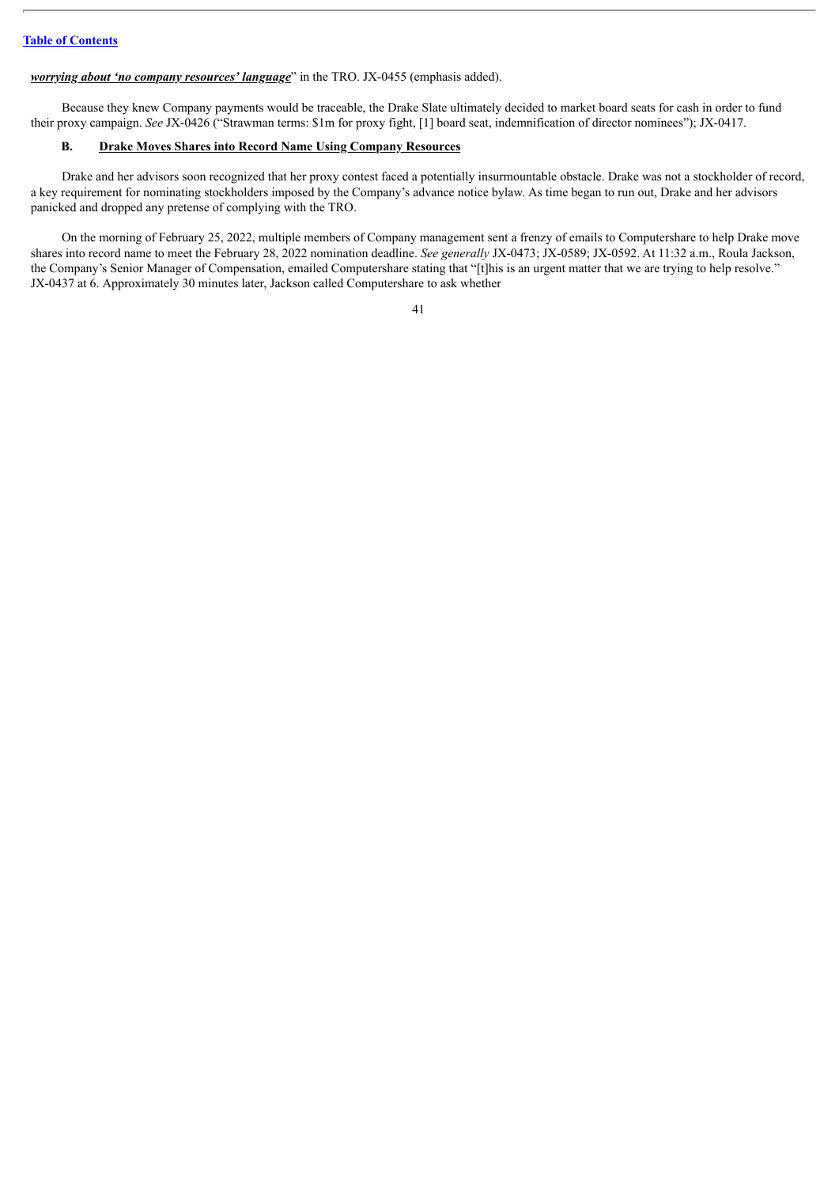#### *worrying about 'no company resources' language*" in the TRO. JX-0455 (emphasis added).

Because they knew Company payments would be traceable, the Drake Slate ultimately decided to market board seats for cash in order to fund their proxy campaign. *See* JX-0426 ("Strawman terms: \$1m for proxy fight, [1] board seat, indemnification of director nominees"); JX-0417.

## **B. Drake Moves Shares into Record Name Using Company Resources**

Drake and her advisors soon recognized that her proxy contest faced a potentially insurmountable obstacle. Drake was not a stockholder of record, a key requirement for nominating stockholders imposed by the Company's advance notice bylaw. As time began to run out, Drake and her advisors panicked and dropped any pretense of complying with the TRO.

On the morning of February 25, 2022, multiple members of Company management sent a frenzy of emails to Computershare to help Drake move shares into record name to meet the February 28, 2022 nomination deadline. *See generally* JX-0473; JX-0589; JX-0592. At 11:32 a.m., Roula Jackson, the Company's Senior Manager of Compensation, emailed Computershare stating that "[t]his is an urgent matter that we are trying to help resolve." JX-0437 at 6. Approximately 30 minutes later, Jackson called Computershare to ask whether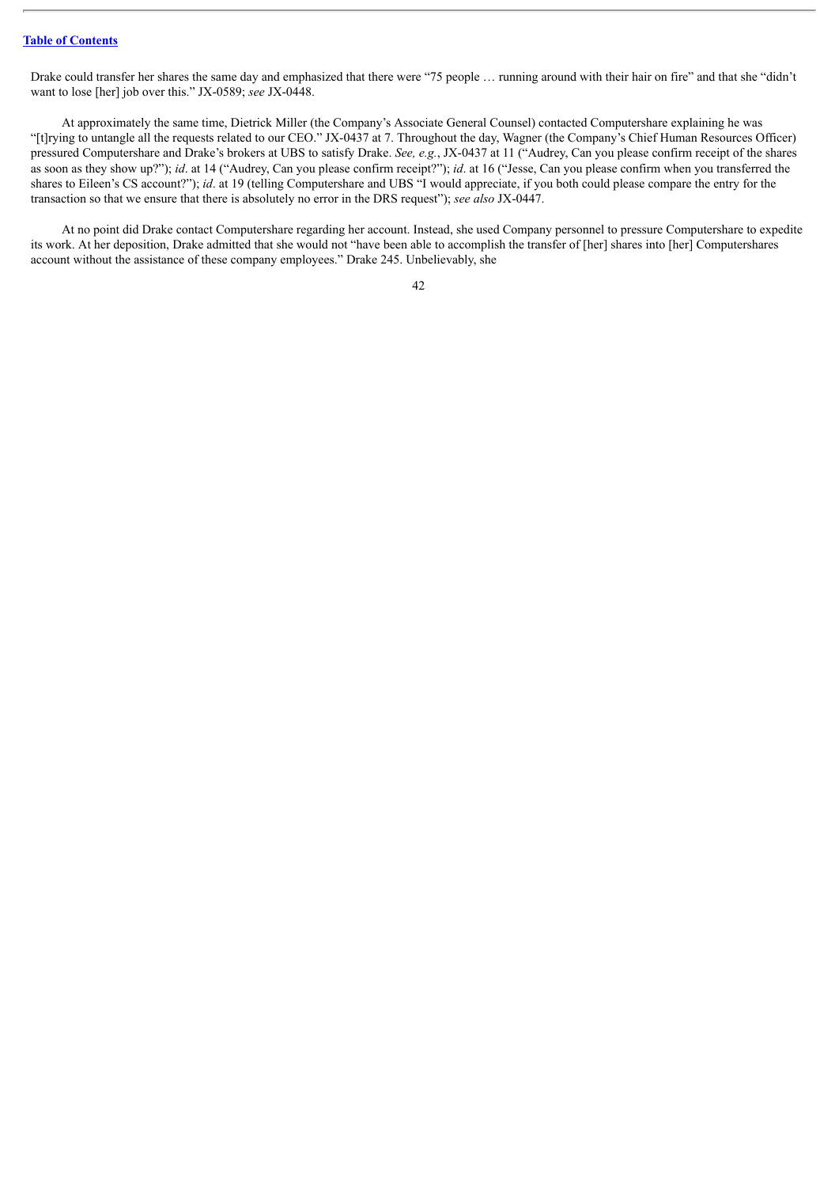Drake could transfer her shares the same day and emphasized that there were "75 people … running around with their hair on fire" and that she "didn't want to lose [her] job over this." JX-0589; *see* JX-0448.

At approximately the same time, Dietrick Miller (the Company's Associate General Counsel) contacted Computershare explaining he was "[t]rying to untangle all the requests related to our CEO." JX-0437 at 7. Throughout the day, Wagner (the Company's Chief Human Resources Officer) pressured Computershare and Drake's brokers at UBS to satisfy Drake. *See, e.g.*, JX-0437 at 11 ("Audrey, Can you please confirm receipt of the shares as soon as they show up?"); *id*. at 14 ("Audrey, Can you please confirm receipt?"); *id*. at 16 ("Jesse, Can you please confirm when you transferred the shares to Eileen's CS account?"); *id*. at 19 (telling Computershare and UBS "I would appreciate, if you both could please compare the entry for the transaction so that we ensure that there is absolutely no error in the DRS request"); *see also* JX-0447.

At no point did Drake contact Computershare regarding her account. Instead, she used Company personnel to pressure Computershare to expedite its work. At her deposition, Drake admitted that she would not "have been able to accomplish the transfer of [her] shares into [her] Computershares account without the assistance of these company employees." Drake 245. Unbelievably, she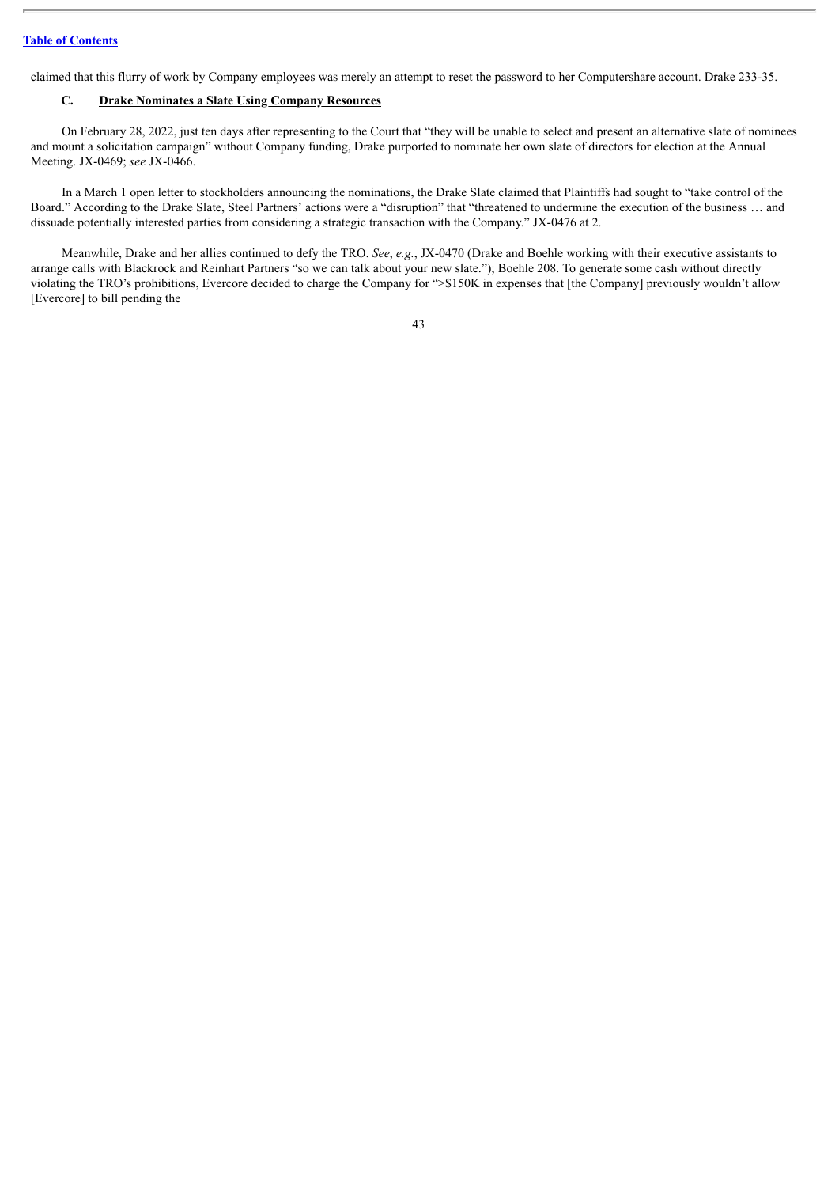claimed that this flurry of work by Company employees was merely an attempt to reset the password to her Computershare account. Drake 233-35.

## **C. Drake Nominates a Slate Using Company Resources**

On February 28, 2022, just ten days after representing to the Court that "they will be unable to select and present an alternative slate of nominees and mount a solicitation campaign" without Company funding, Drake purported to nominate her own slate of directors for election at the Annual Meeting. JX-0469; *see* JX-0466.

In a March 1 open letter to stockholders announcing the nominations, the Drake Slate claimed that Plaintiffs had sought to "take control of the Board." According to the Drake Slate, Steel Partners' actions were a "disruption" that "threatened to undermine the execution of the business … and dissuade potentially interested parties from considering a strategic transaction with the Company." JX-0476 at 2.

Meanwhile, Drake and her allies continued to defy the TRO. *See*, *e.g.*, JX-0470 (Drake and Boehle working with their executive assistants to arrange calls with Blackrock and Reinhart Partners "so we can talk about your new slate."); Boehle 208. To generate some cash without directly violating the TRO's prohibitions, Evercore decided to charge the Company for ">\$150K in expenses that [the Company] previously wouldn't allow [Evercore] to bill pending the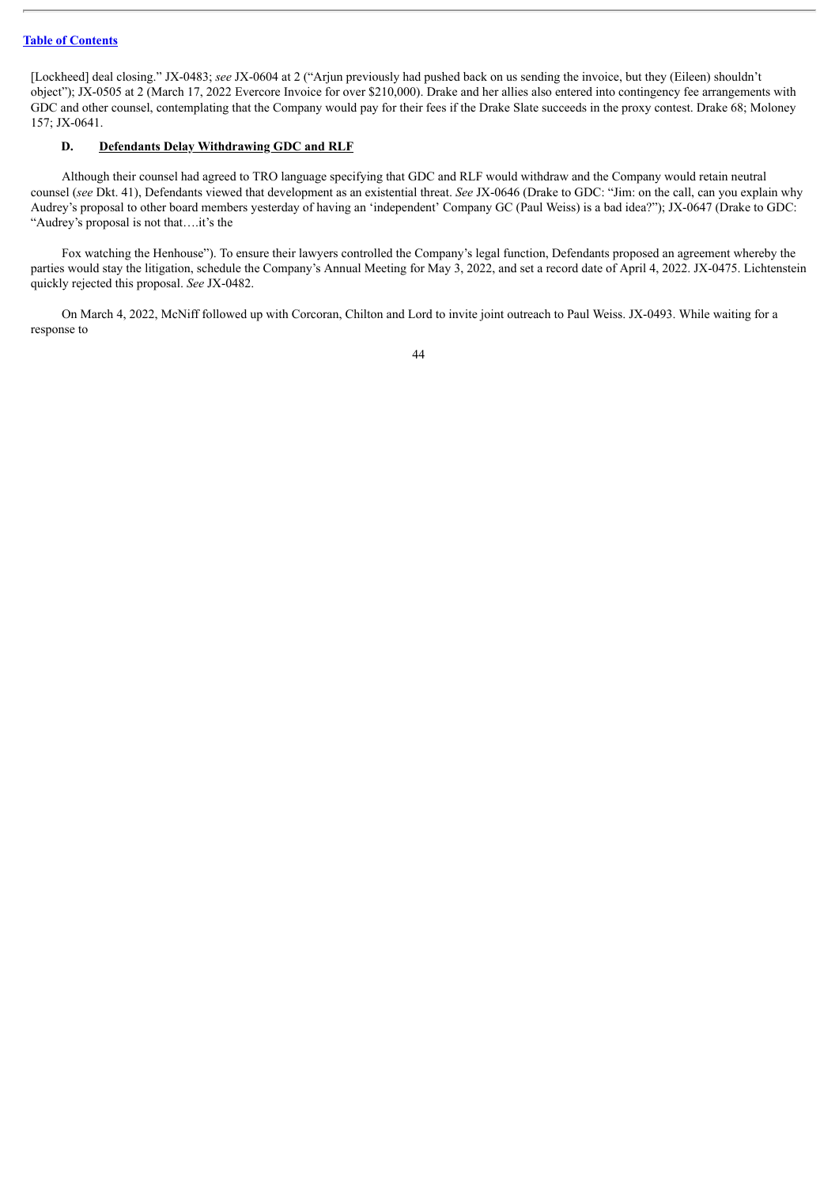[Lockheed] deal closing." JX-0483; *see* JX-0604 at 2 ("Arjun previously had pushed back on us sending the invoice, but they (Eileen) shouldn't object"); JX-0505 at 2 (March 17, 2022 Evercore Invoice for over \$210,000). Drake and her allies also entered into contingency fee arrangements with GDC and other counsel, contemplating that the Company would pay for their fees if the Drake Slate succeeds in the proxy contest. Drake 68; Moloney 157; JX-0641.

## **D. Defendants Delay Withdrawing GDC and RLF**

Although their counsel had agreed to TRO language specifying that GDC and RLF would withdraw and the Company would retain neutral counsel (*see* Dkt. 41), Defendants viewed that development as an existential threat. *See* JX-0646 (Drake to GDC: "Jim: on the call, can you explain why Audrey's proposal to other board members yesterday of having an 'independent' Company GC (Paul Weiss) is a bad idea?"); JX-0647 (Drake to GDC: "Audrey's proposal is not that….it's the

Fox watching the Henhouse"). To ensure their lawyers controlled the Company's legal function, Defendants proposed an agreement whereby the parties would stay the litigation, schedule the Company's Annual Meeting for May 3, 2022, and set a record date of April 4, 2022. JX-0475. Lichtenstein quickly rejected this proposal. *See* JX-0482.

On March 4, 2022, McNiff followed up with Corcoran, Chilton and Lord to invite joint outreach to Paul Weiss. JX-0493. While waiting for a response to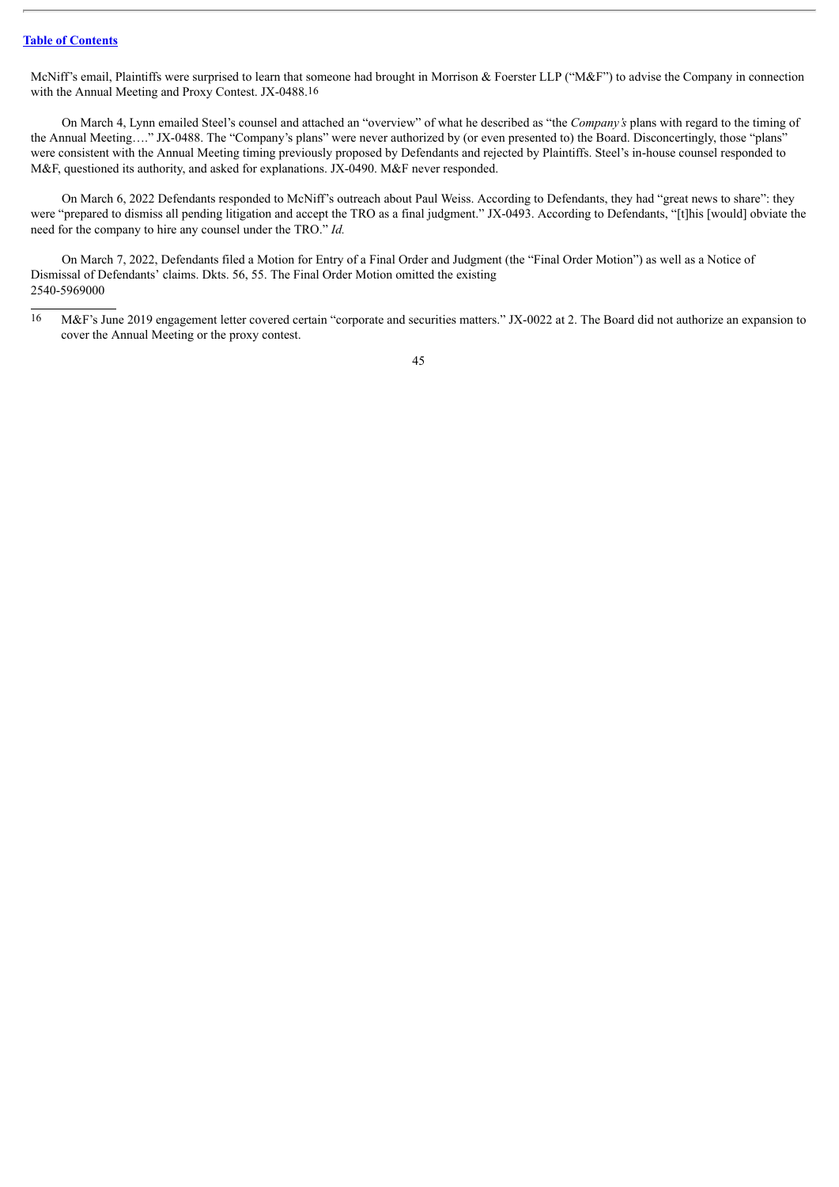McNiff's email, Plaintiffs were surprised to learn that someone had brought in Morrison & Foerster LLP ("M&F") to advise the Company in connection with the Annual Meeting and Proxy Contest. JX-0488.16

On March 4, Lynn emailed Steel's counsel and attached an "overview" of what he described as "the *Company's* plans with regard to the timing of the Annual Meeting…." JX-0488. The "Company's plans" were never authorized by (or even presented to) the Board. Disconcertingly, those "plans" were consistent with the Annual Meeting timing previously proposed by Defendants and rejected by Plaintiffs. Steel's in-house counsel responded to M&F, questioned its authority, and asked for explanations. JX-0490. M&F never responded.

On March 6, 2022 Defendants responded to McNiff's outreach about Paul Weiss. According to Defendants, they had "great news to share": they were "prepared to dismiss all pending litigation and accept the TRO as a final judgment." JX-0493. According to Defendants, "[t]his [would] obviate the need for the company to hire any counsel under the TRO." *Id.*

On March 7, 2022, Defendants filed a Motion for Entry of a Final Order and Judgment (the "Final Order Motion") as well as a Notice of Dismissal of Defendants' claims. Dkts. 56, 55. The Final Order Motion omitted the existing 2540-5969000

<sup>16</sup> M&F's June 2019 engagement letter covered certain "corporate and securities matters." JX-0022 at 2. The Board did not authorize an expansion to cover the Annual Meeting or the proxy contest.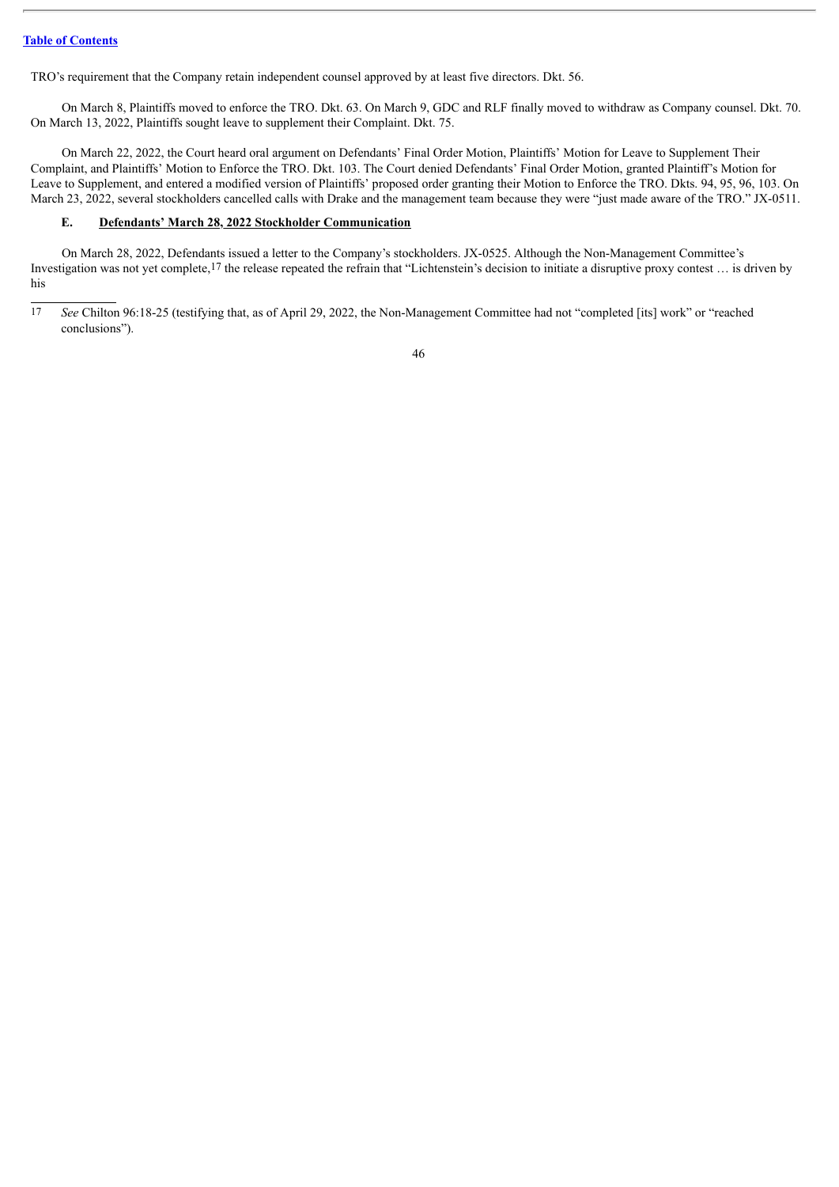TRO's requirement that the Company retain independent counsel approved by at least five directors. Dkt. 56.

On March 8, Plaintiffs moved to enforce the TRO. Dkt. 63. On March 9, GDC and RLF finally moved to withdraw as Company counsel. Dkt. 70. On March 13, 2022, Plaintiffs sought leave to supplement their Complaint. Dkt. 75.

On March 22, 2022, the Court heard oral argument on Defendants' Final Order Motion, Plaintiffs' Motion for Leave to Supplement Their Complaint, and Plaintiffs' Motion to Enforce the TRO. Dkt. 103. The Court denied Defendants' Final Order Motion, granted Plaintiff's Motion for Leave to Supplement, and entered a modified version of Plaintiffs' proposed order granting their Motion to Enforce the TRO. Dkts. 94, 95, 96, 103. On March 23, 2022, several stockholders cancelled calls with Drake and the management team because they were "just made aware of the TRO." JX-0511.

# **E. Defendants' March 28, 2022 Stockholder Communication**

On March 28, 2022, Defendants issued a letter to the Company's stockholders. JX-0525. Although the Non-Management Committee's Investigation was not yet complete,<sup>17</sup> the release repeated the refrain that "Lichtenstein's decision to initiate a disruptive proxy contest ... is driven by his

<sup>17</sup> *See* Chilton 96:18-25 (testifying that, as of April 29, 2022, the Non-Management Committee had not "completed [its] work" or "reached conclusions").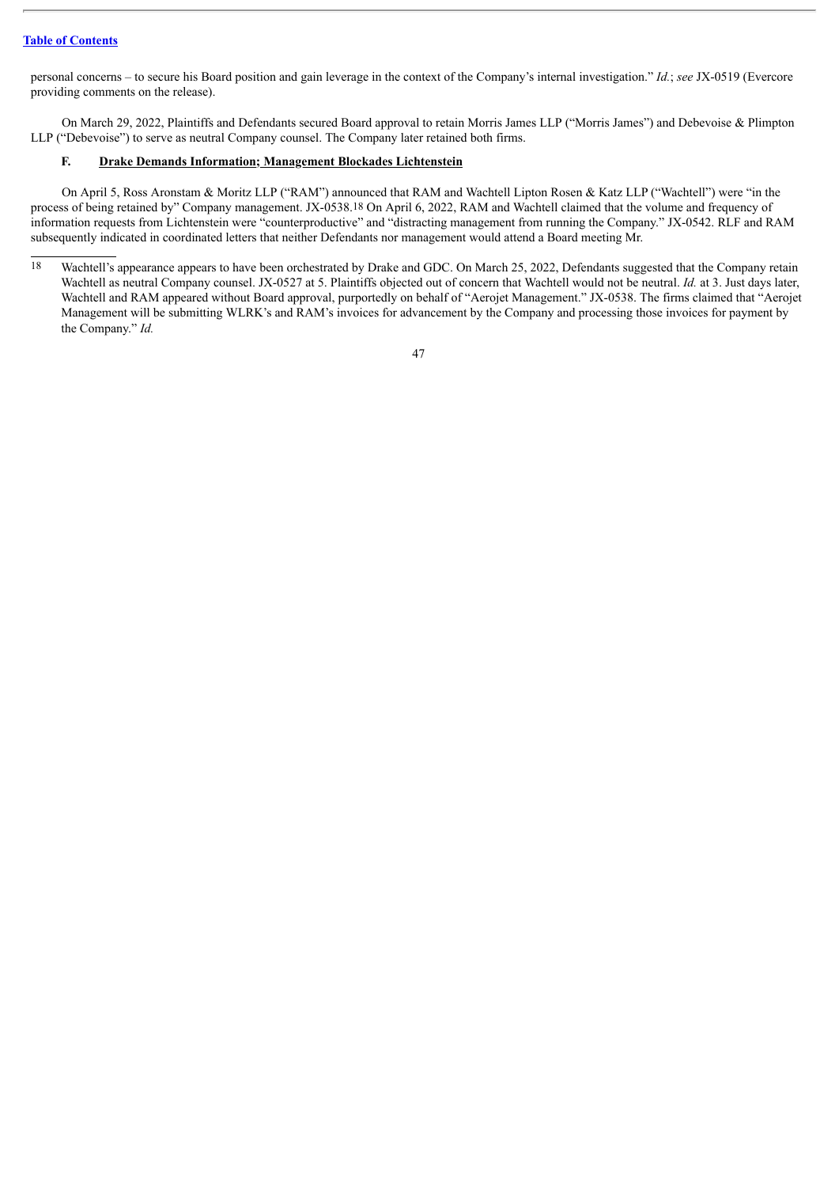personal concerns – to secure his Board position and gain leverage in the context of the Company's internal investigation." *Id.*; *see* JX-0519 (Evercore providing comments on the release).

On March 29, 2022, Plaintiffs and Defendants secured Board approval to retain Morris James LLP ("Morris James") and Debevoise & Plimpton LLP ("Debevoise") to serve as neutral Company counsel. The Company later retained both firms.

## **F. Drake Demands Information; Management Blockades Lichtenstein**

On April 5, Ross Aronstam & Moritz LLP ("RAM") announced that RAM and Wachtell Lipton Rosen & Katz LLP ("Wachtell") were "in the process of being retained by" Company management. JX-0538.18 On April 6, 2022, RAM and Wachtell claimed that the volume and frequency of information requests from Lichtenstein were "counterproductive" and "distracting management from running the Company." JX-0542. RLF and RAM subsequently indicated in coordinated letters that neither Defendants nor management would attend a Board meeting Mr.

<sup>18</sup> Wachtell's appearance appears to have been orchestrated by Drake and GDC. On March 25, 2022, Defendants suggested that the Company retain Wachtell as neutral Company counsel. JX-0527 at 5. Plaintiffs objected out of concern that Wachtell would not be neutral. *Id.* at 3. Just days later, Wachtell and RAM appeared without Board approval, purportedly on behalf of "Aerojet Management." JX-0538. The firms claimed that "Aerojet Management will be submitting WLRK's and RAM's invoices for advancement by the Company and processing those invoices for payment by the Company." *Id.*

<sup>47</sup>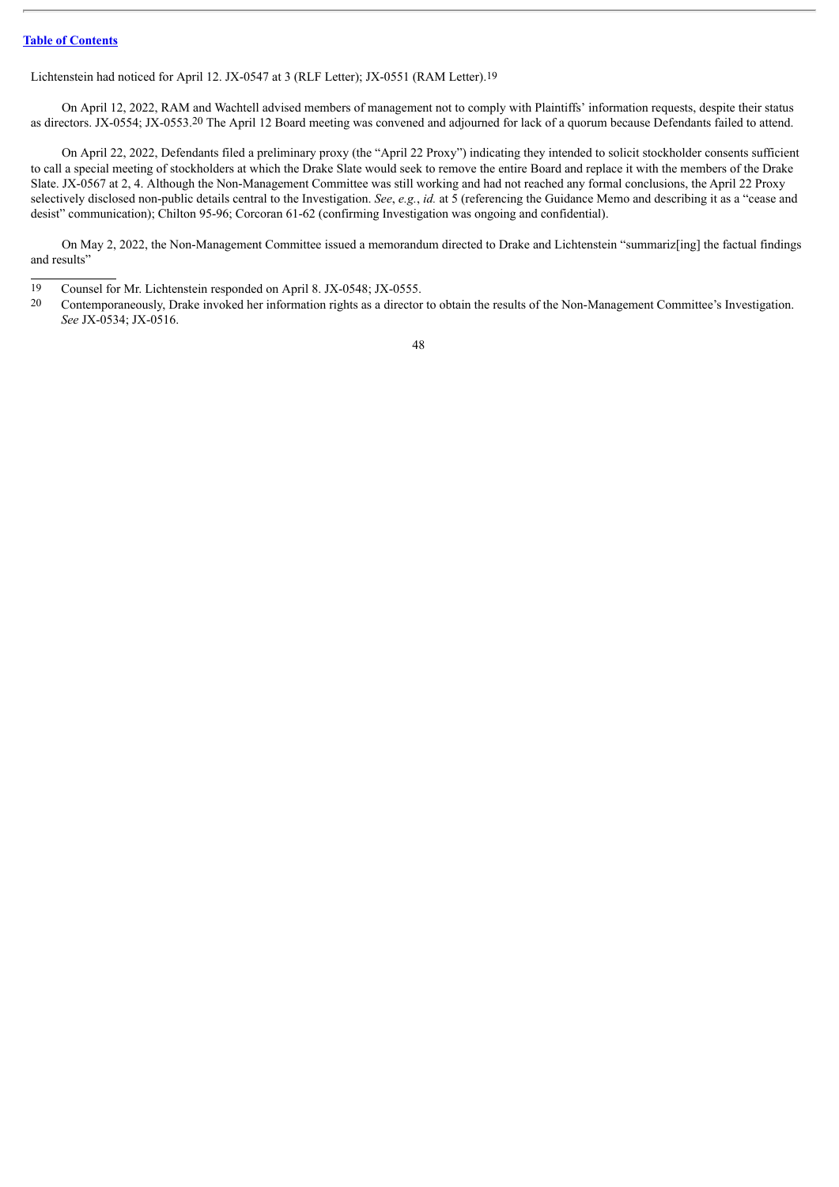Lichtenstein had noticed for April 12. JX-0547 at 3 (RLF Letter); JX-0551 (RAM Letter).19

On April 12, 2022, RAM and Wachtell advised members of management not to comply with Plaintiffs' information requests, despite their status as directors. JX-0554; JX-0553.20 The April 12 Board meeting was convened and adjourned for lack of a quorum because Defendants failed to attend.

On April 22, 2022, Defendants filed a preliminary proxy (the "April 22 Proxy") indicating they intended to solicit stockholder consents sufficient to call a special meeting of stockholders at which the Drake Slate would seek to remove the entire Board and replace it with the members of the Drake Slate. JX-0567 at 2, 4. Although the Non-Management Committee was still working and had not reached any formal conclusions, the April 22 Proxy selectively disclosed non-public details central to the Investigation. *See*, *e.g.*, *id.* at 5 (referencing the Guidance Memo and describing it as a "cease and desist" communication); Chilton 95-96; Corcoran 61-62 (confirming Investigation was ongoing and confidential).

On May 2, 2022, the Non-Management Committee issued a memorandum directed to Drake and Lichtenstein "summariz[ing] the factual findings and results"

<sup>19</sup> Counsel for Mr. Lichtenstein responded on April 8. JX-0548; JX-0555.<br>20 Contemporaneously Drake invoked her information rights as a director

<sup>20</sup> Contemporaneously, Drake invoked her information rights as a director to obtain the results of the Non-Management Committee's Investigation. *See* JX-0534; JX-0516.

<sup>48</sup>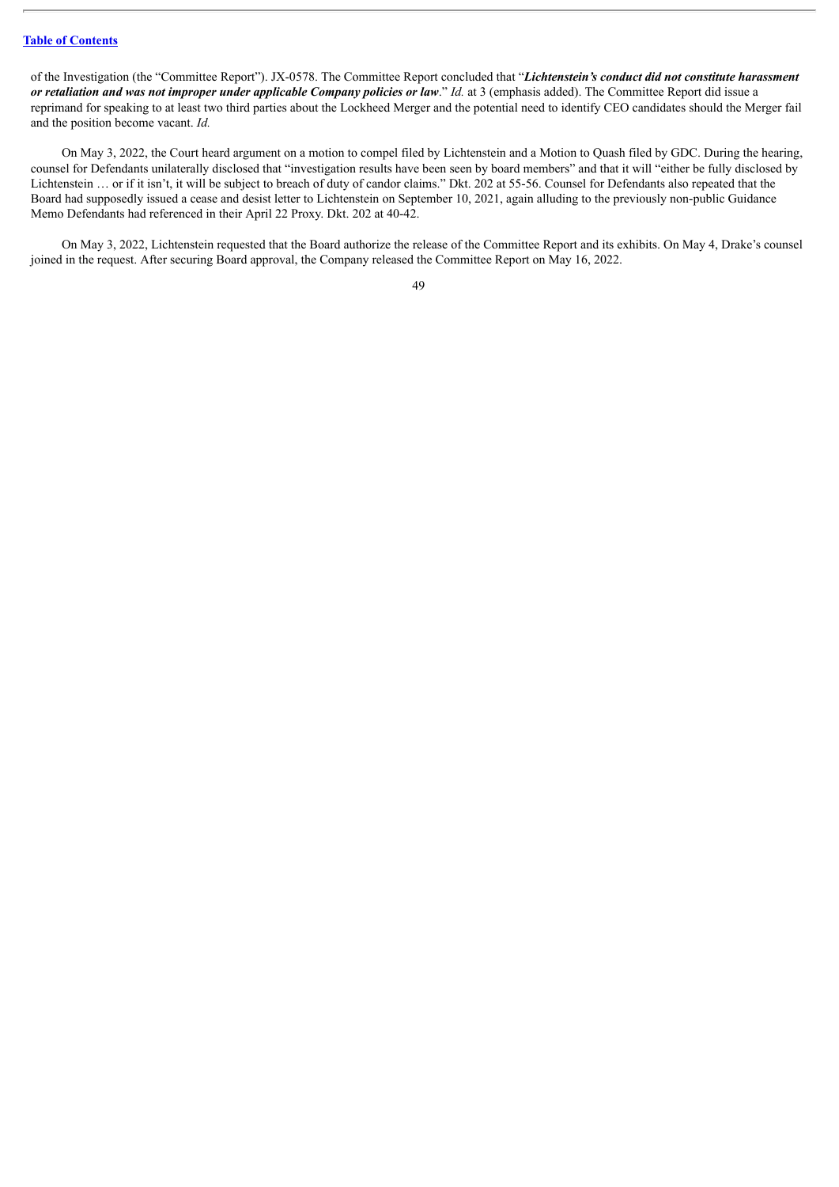of the Investigation (the "Committee Report"). JX-0578. The Committee Report concluded that "*Lichtenstein's conduct did not constitute harassment* or retaliation and was not improper under applicable Company policies or law." Id. at 3 (emphasis added). The Committee Report did issue a reprimand for speaking to at least two third parties about the Lockheed Merger and the potential need to identify CEO candidates should the Merger fail and the position become vacant. *Id.*

On May 3, 2022, the Court heard argument on a motion to compel filed by Lichtenstein and a Motion to Quash filed by GDC. During the hearing, counsel for Defendants unilaterally disclosed that "investigation results have been seen by board members" and that it will "either be fully disclosed by Lichtenstein … or if it isn't, it will be subject to breach of duty of candor claims." Dkt. 202 at 55-56. Counsel for Defendants also repeated that the Board had supposedly issued a cease and desist letter to Lichtenstein on September 10, 2021, again alluding to the previously non-public Guidance Memo Defendants had referenced in their April 22 Proxy. Dkt. 202 at 40-42.

On May 3, 2022, Lichtenstein requested that the Board authorize the release of the Committee Report and its exhibits. On May 4, Drake's counsel joined in the request. After securing Board approval, the Company released the Committee Report on May 16, 2022.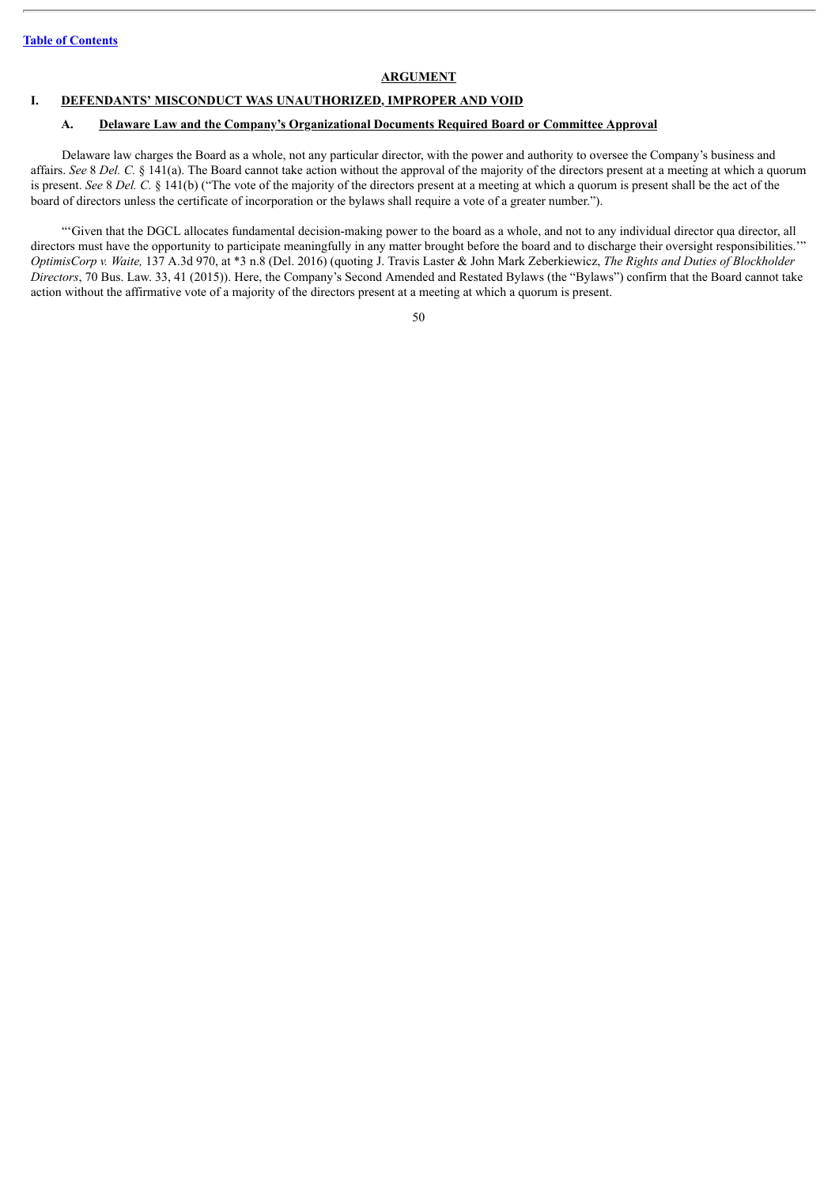#### **ARGUMENT**

## **I. DEFENDANTS' MISCONDUCT WAS UNAUTHORIZED, IMPROPER AND VOID**

### **A. Delaware Law and the Company's Organizational Documents Required Board or Committee Approval**

Delaware law charges the Board as a whole, not any particular director, with the power and authority to oversee the Company's business and affairs. *See* 8 *Del. C.* § 141(a). The Board cannot take action without the approval of the majority of the directors present at a meeting at which a quorum is present. *See* 8 *Del. C.* § 141(b) ("The vote of the majority of the directors present at a meeting at which a quorum is present shall be the act of the board of directors unless the certificate of incorporation or the bylaws shall require a vote of a greater number.").

"'Given that the DGCL allocates fundamental decision-making power to the board as a whole, and not to any individual director qua director, all directors must have the opportunity to participate meaningfully in any matter brought before the board and to discharge their oversight responsibilities." *OptimisCorp v. Waite,* 137 A.3d 970, at \*3 n.8 (Del. 2016) (quoting J. Travis Laster & John Mark Zeberkiewicz, *The Rights and Duties of Blockholder Directors*, 70 Bus. Law. 33, 41 (2015)). Here, the Company's Second Amended and Restated Bylaws (the "Bylaws") confirm that the Board cannot take action without the affirmative vote of a majority of the directors present at a meeting at which a quorum is present.

|                    | ۰,           |
|--------------------|--------------|
| ۰.<br>۰,<br>×<br>٧ | ٦<br>×<br>۰. |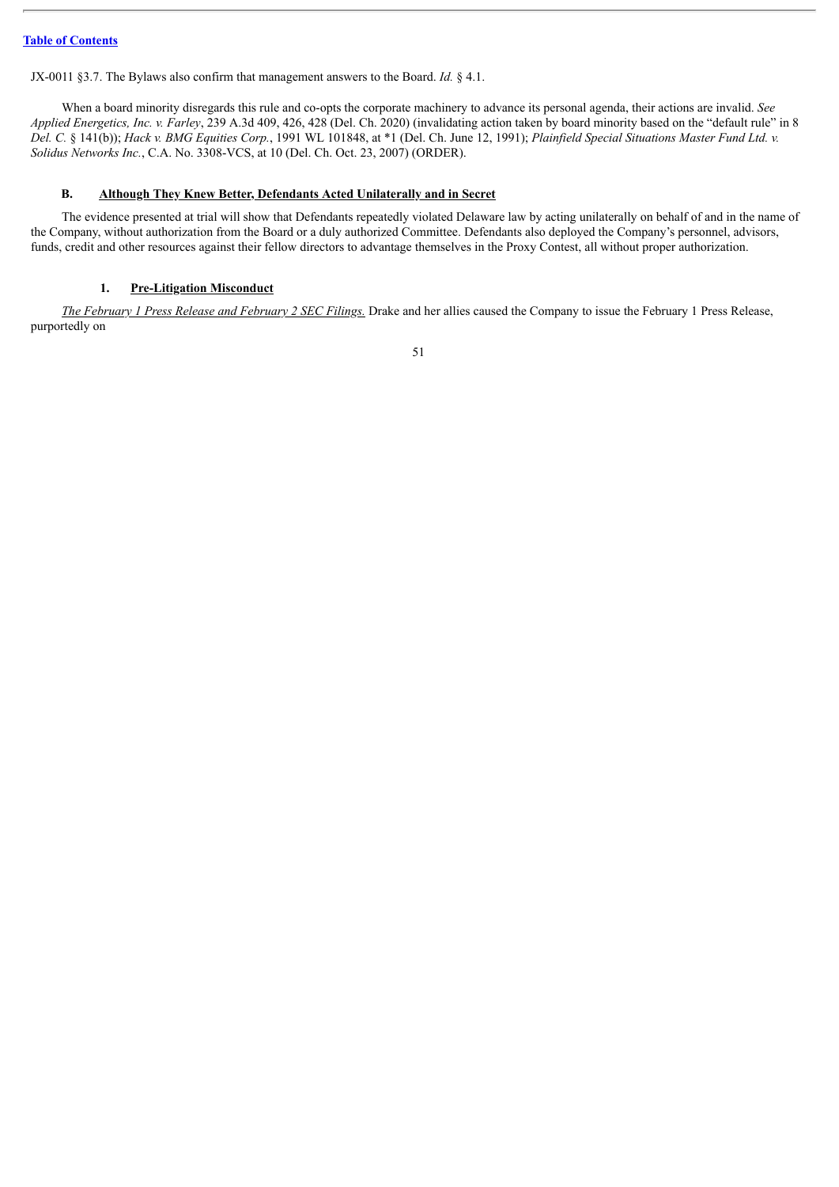JX-0011 §3.7. The Bylaws also confirm that management answers to the Board. *Id.* § 4.1.

When a board minority disregards this rule and co-opts the corporate machinery to advance its personal agenda, their actions are invalid. *See Applied Energetics, Inc. v. Farley*, 239 A.3d 409, 426, 428 (Del. Ch. 2020) (invalidating action taken by board minority based on the "default rule" in 8 Del. C. § 141(b)); Hack v. BMG Equities Corp., 1991 WL 101848, at \*1 (Del. Ch. June 12, 1991); Plainfield Special Situations Master Fund Ltd. v. *Solidus Networks Inc.*, C.A. No. 3308-VCS, at 10 (Del. Ch. Oct. 23, 2007) (ORDER).

## **B. Although They Knew Better, Defendants Acted Unilaterally and in Secret**

The evidence presented at trial will show that Defendants repeatedly violated Delaware law by acting unilaterally on behalf of and in the name of the Company, without authorization from the Board or a duly authorized Committee. Defendants also deployed the Company's personnel, advisors, funds, credit and other resources against their fellow directors to advantage themselves in the Proxy Contest, all without proper authorization.

## **1. Pre-Litigation Misconduct**

*The February 1 Press Release and February 2 SEC Filings.* Drake and her allies caused the Company to issue the February 1 Press Release, purportedly on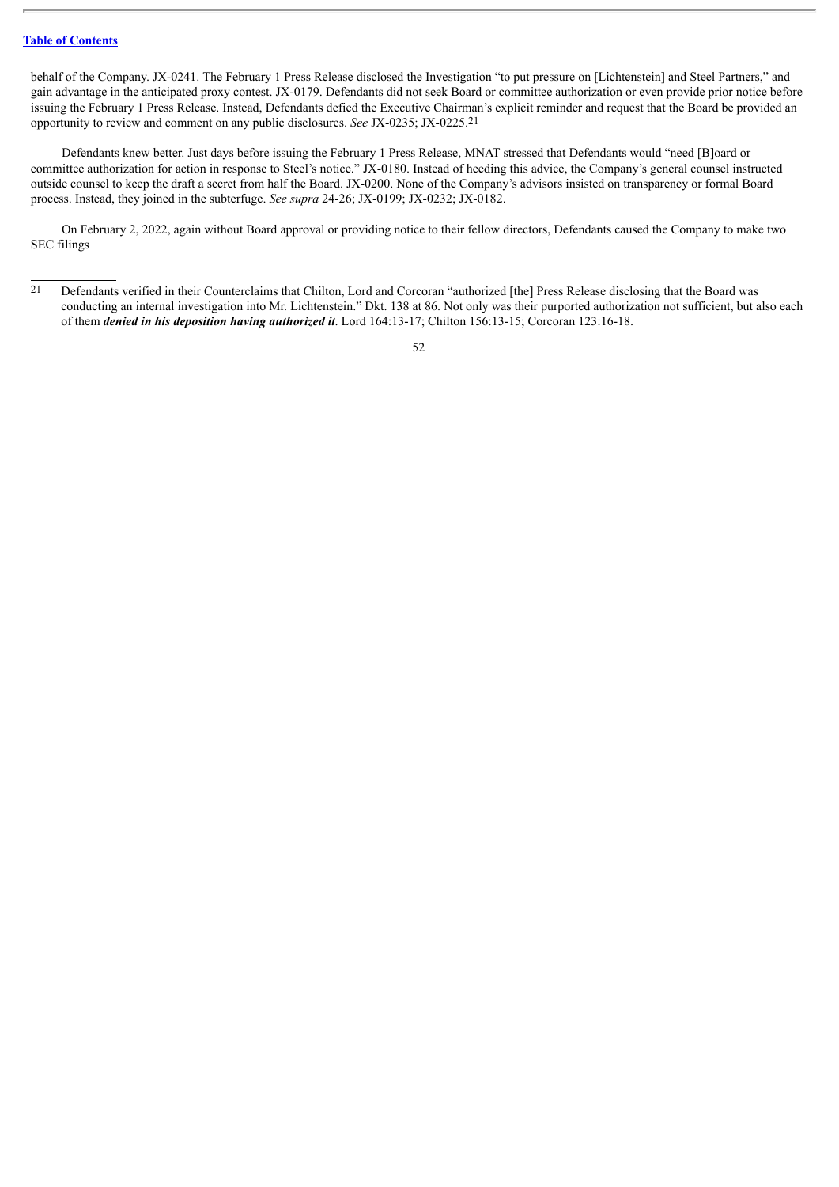behalf of the Company. JX-0241. The February 1 Press Release disclosed the Investigation "to put pressure on [Lichtenstein] and Steel Partners," and gain advantage in the anticipated proxy contest. JX-0179. Defendants did not seek Board or committee authorization or even provide prior notice before issuing the February 1 Press Release. Instead, Defendants defied the Executive Chairman's explicit reminder and request that the Board be provided an opportunity to review and comment on any public disclosures. *See* JX-0235; JX-0225.21

Defendants knew better. Just days before issuing the February 1 Press Release, MNAT stressed that Defendants would "need [B]oard or committee authorization for action in response to Steel's notice." JX-0180. Instead of heeding this advice, the Company's general counsel instructed outside counsel to keep the draft a secret from half the Board. JX-0200. None of the Company's advisors insisted on transparency or formal Board process. Instead, they joined in the subterfuge. *See supra* 24-26; JX-0199; JX-0232; JX-0182.

On February 2, 2022, again without Board approval or providing notice to their fellow directors, Defendants caused the Company to make two SEC filings

<sup>21</sup> Defendants verified in their Counterclaims that Chilton, Lord and Corcoran "authorized [the] Press Release disclosing that the Board was conducting an internal investigation into Mr. Lichtenstein." Dkt. 138 at 86. Not only was their purported authorization not sufficient, but also each of them *denied in his deposition having authorized it*. Lord 164:13-17; Chilton 156:13-15; Corcoran 123:16-18.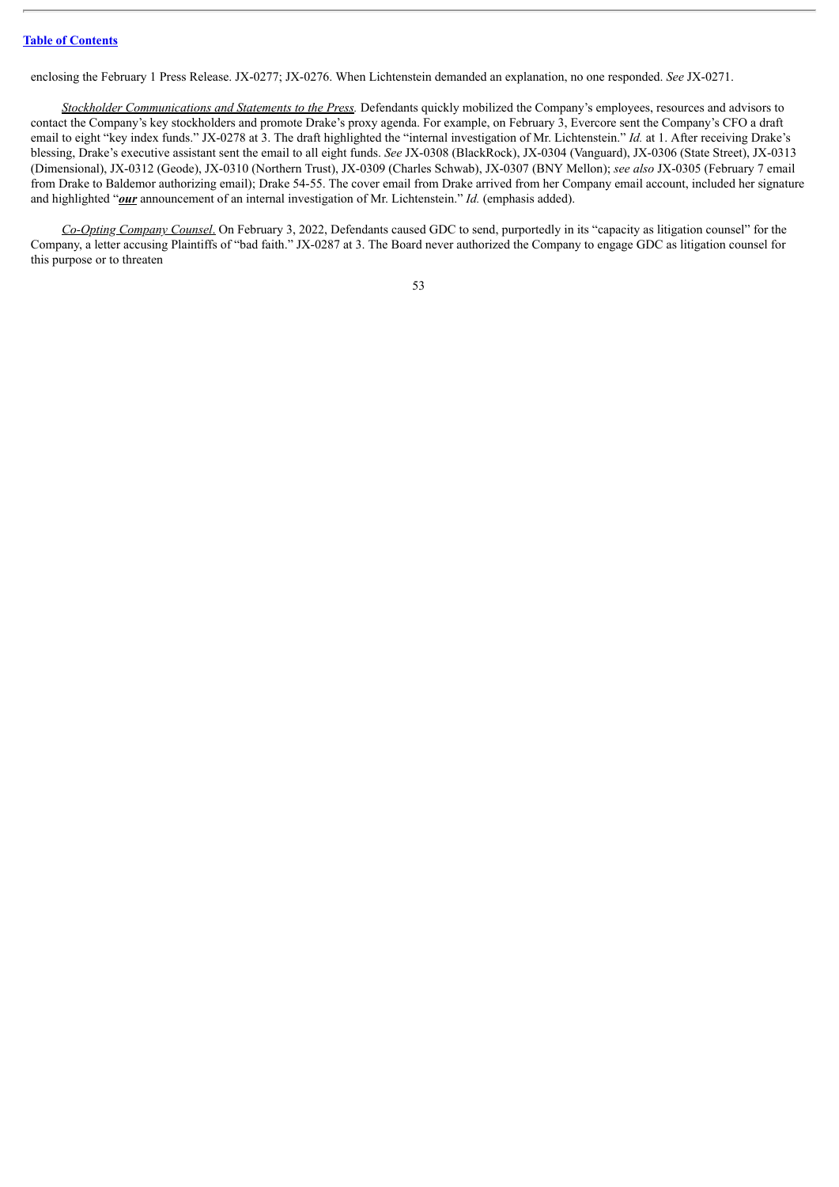enclosing the February 1 Press Release. JX-0277; JX-0276. When Lichtenstein demanded an explanation, no one responded. *See* JX-0271.

*Stockholder Communications and Statements to the Press.* Defendants quickly mobilized the Company's employees, resources and advisors to contact the Company's key stockholders and promote Drake's proxy agenda. For example, on February 3, Evercore sent the Company's CFO a draft email to eight "key index funds." JX-0278 at 3. The draft highlighted the "internal investigation of Mr. Lichtenstein." *Id.* at 1. After receiving Drake's blessing, Drake's executive assistant sent the email to all eight funds. *See* JX-0308 (BlackRock), JX-0304 (Vanguard), JX-0306 (State Street), JX-0313 (Dimensional), JX-0312 (Geode), JX-0310 (Northern Trust), JX-0309 (Charles Schwab), JX-0307 (BNY Mellon); *see also* JX-0305 (February 7 email from Drake to Baldemor authorizing email); Drake 54-55. The cover email from Drake arrived from her Company email account, included her signature and highlighted "*our* announcement of an internal investigation of Mr. Lichtenstein." *Id.* (emphasis added).

*Co-Opting Company Counsel*. On February 3, 2022, Defendants caused GDC to send, purportedly in its "capacity as litigation counsel" for the Company, a letter accusing Plaintiffs of "bad faith." JX-0287 at 3. The Board never authorized the Company to engage GDC as litigation counsel for this purpose or to threaten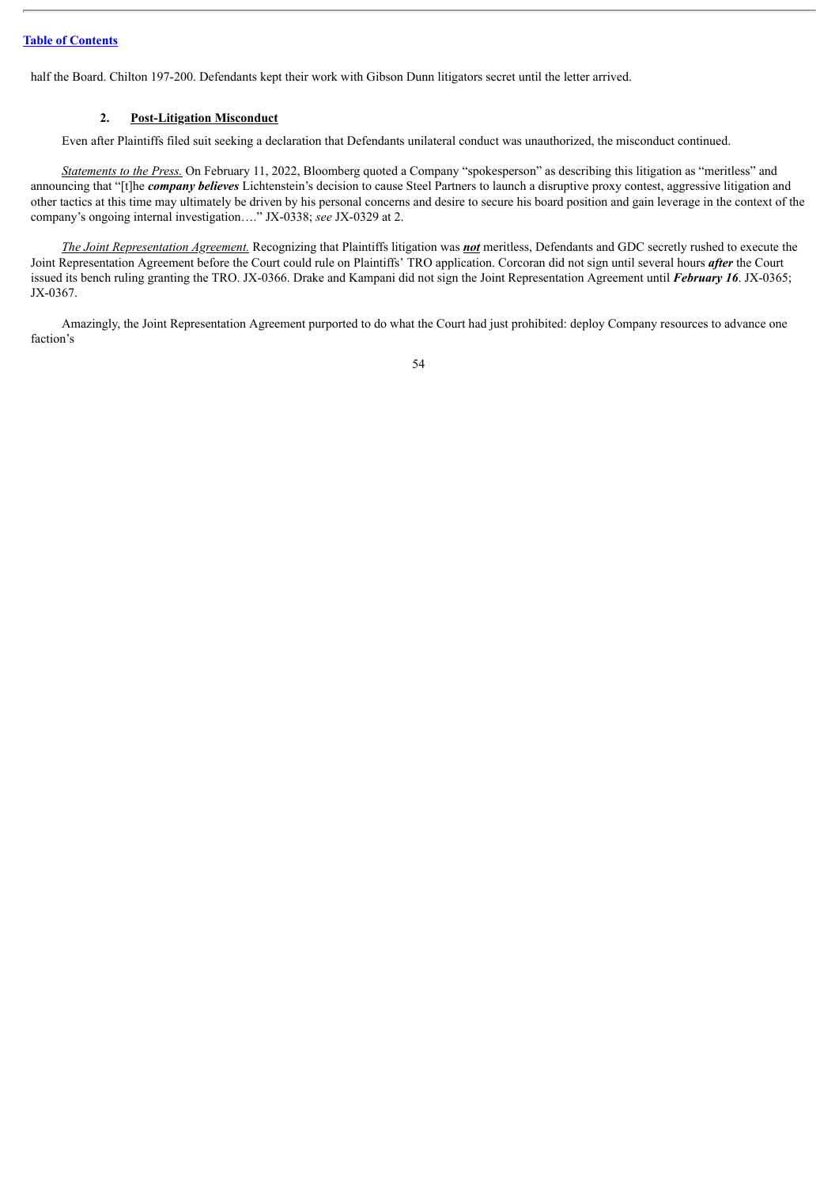half the Board. Chilton 197-200. Defendants kept their work with Gibson Dunn litigators secret until the letter arrived.

## **2. Post-Litigation Misconduct**

Even after Plaintiffs filed suit seeking a declaration that Defendants unilateral conduct was unauthorized, the misconduct continued.

*Statements to the Press.* On February 11, 2022, Bloomberg quoted a Company "spokesperson" as describing this litigation as "meritless" and announcing that "[t]he *company believes* Lichtenstein's decision to cause Steel Partners to launch a disruptive proxy contest, aggressive litigation and other tactics at this time may ultimately be driven by his personal concerns and desire to secure his board position and gain leverage in the context of the company's ongoing internal investigation…." JX-0338; *see* JX-0329 at 2.

*The Joint Representation Agreement.* Recognizing that Plaintiffs litigation was *not* meritless, Defendants and GDC secretly rushed to execute the Joint Representation Agreement before the Court could rule on Plaintiffs' TRO application. Corcoran did not sign until several hours *after* the Court issued its bench ruling granting the TRO. JX-0366. Drake and Kampani did not sign the Joint Representation Agreement until *February 16*. JX-0365; JX-0367.

Amazingly, the Joint Representation Agreement purported to do what the Court had just prohibited: deploy Company resources to advance one faction's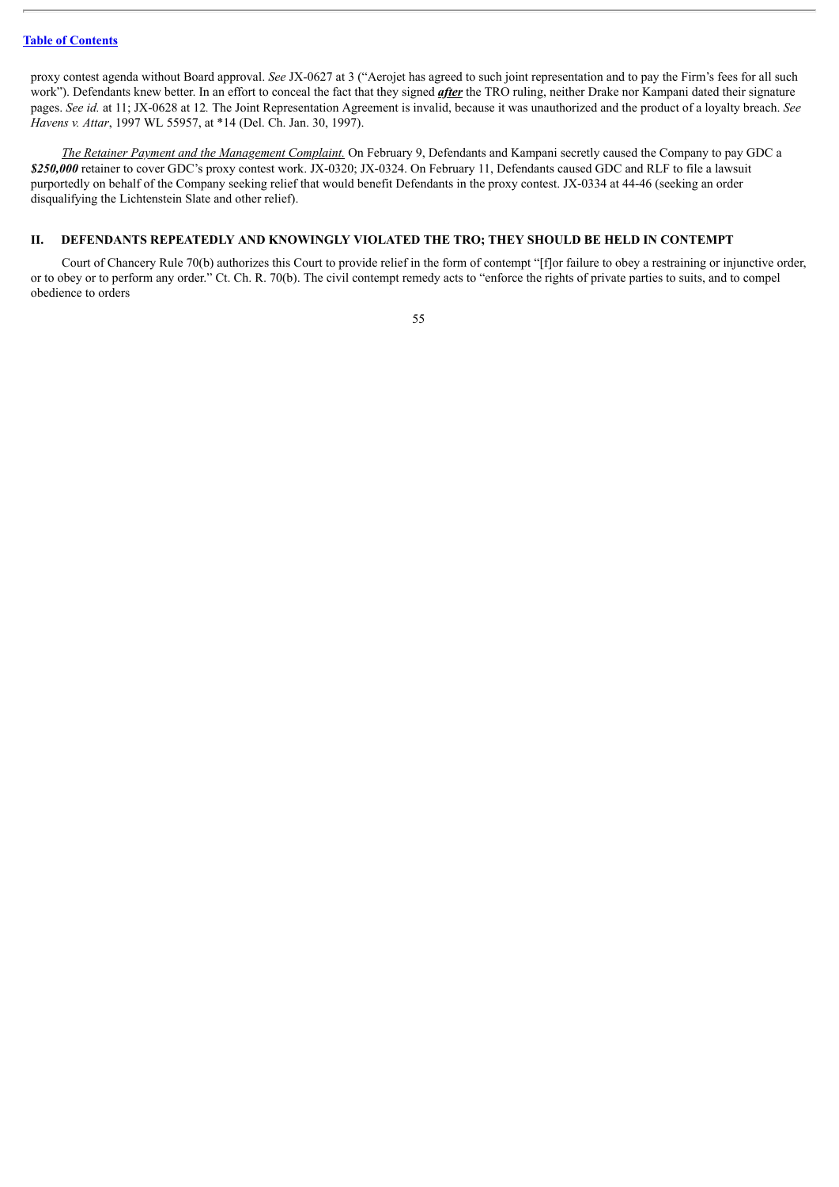proxy contest agenda without Board approval. *See* JX-0627 at 3 ("Aerojet has agreed to such joint representation and to pay the Firm's fees for all such work"). Defendants knew better. In an effort to conceal the fact that they signed *after* the TRO ruling, neither Drake nor Kampani dated their signature pages. *See id.* at 11; JX-0628 at 12*.* The Joint Representation Agreement is invalid, because it was unauthorized and the product of a loyalty breach. *See Havens v. Attar*, 1997 WL 55957, at \*14 (Del. Ch. Jan. 30, 1997).

*The Retainer Payment and the Management Complaint.* On February 9, Defendants and Kampani secretly caused the Company to pay GDC a *\$250,000* retainer to cover GDC's proxy contest work. JX-0320; JX-0324. On February 11, Defendants caused GDC and RLF to file a lawsuit purportedly on behalf of the Company seeking relief that would benefit Defendants in the proxy contest. JX-0334 at 44-46 (seeking an order disqualifying the Lichtenstein Slate and other relief).

# **II. DEFENDANTS REPEATEDLY AND KNOWINGLY VIOLATED THE TRO; THEY SHOULD BE HELD IN CONTEMPT**

Court of Chancery Rule 70(b) authorizes this Court to provide relief in the form of contempt "[f]or failure to obey a restraining or injunctive order, or to obey or to perform any order." Ct. Ch. R. 70(b). The civil contempt remedy acts to "enforce the rights of private parties to suits, and to compel obedience to orders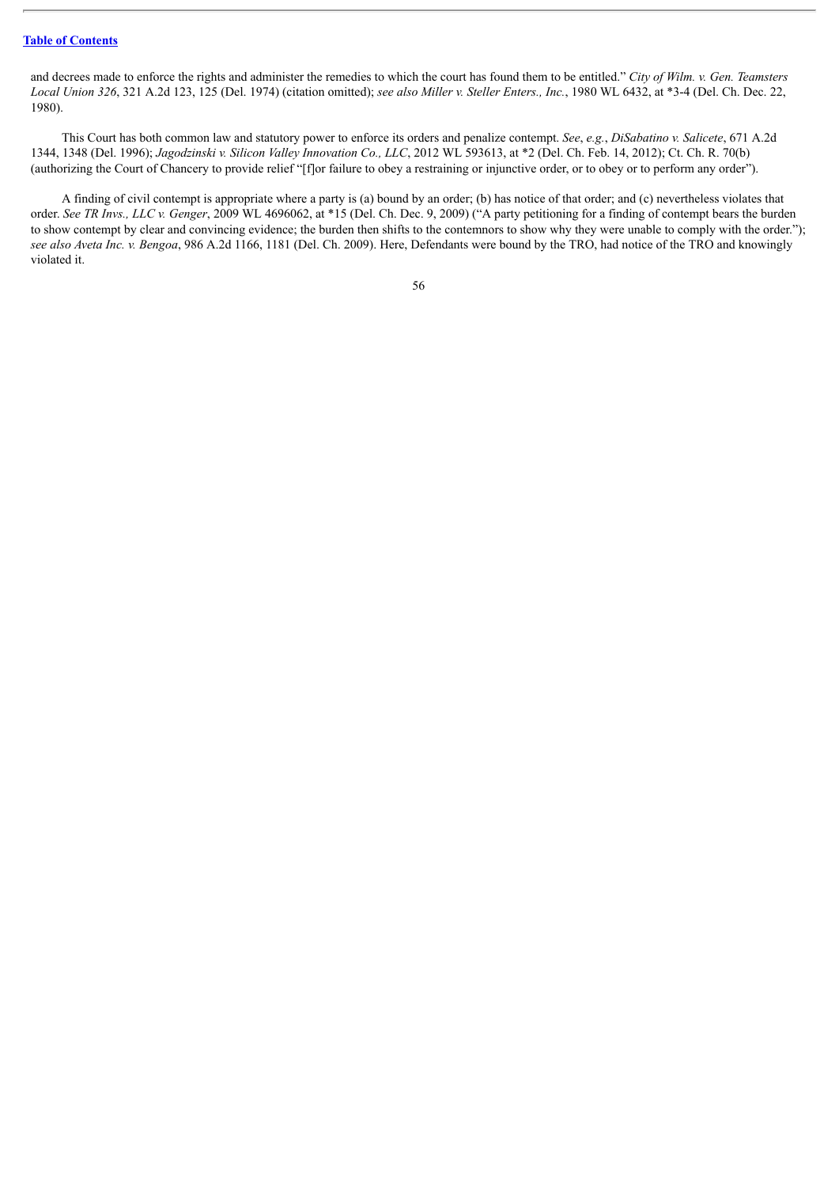and decrees made to enforce the rights and administer the remedies to which the court has found them to be entitled." *City of Wilm. v. Gen. Teamsters Local Union 326*, 321 A.2d 123, 125 (Del. 1974) (citation omitted); *see also Miller v. Steller Enters., Inc.*, 1980 WL 6432, at \*3-4 (Del. Ch. Dec. 22, 1980).

This Court has both common law and statutory power to enforce its orders and penalize contempt. *See*, *e.g.*, *DiSabatino v. Salicete*, 671 A.2d 1344, 1348 (Del. 1996); *Jagodzinski v. Silicon Valley Innovation Co., LLC*, 2012 WL 593613, at \*2 (Del. Ch. Feb. 14, 2012); Ct. Ch. R. 70(b) (authorizing the Court of Chancery to provide relief "[f]or failure to obey a restraining or injunctive order, or to obey or to perform any order").

A finding of civil contempt is appropriate where a party is (a) bound by an order; (b) has notice of that order; and (c) nevertheless violates that order. *See TR Invs., LLC v. Genger*, 2009 WL 4696062, at \*15 (Del. Ch. Dec. 9, 2009) ("A party petitioning for a finding of contempt bears the burden to show contempt by clear and convincing evidence; the burden then shifts to the contemnors to show why they were unable to comply with the order."); *see also Aveta Inc. v. Bengoa*, 986 A.2d 1166, 1181 (Del. Ch. 2009). Here, Defendants were bound by the TRO, had notice of the TRO and knowingly violated it.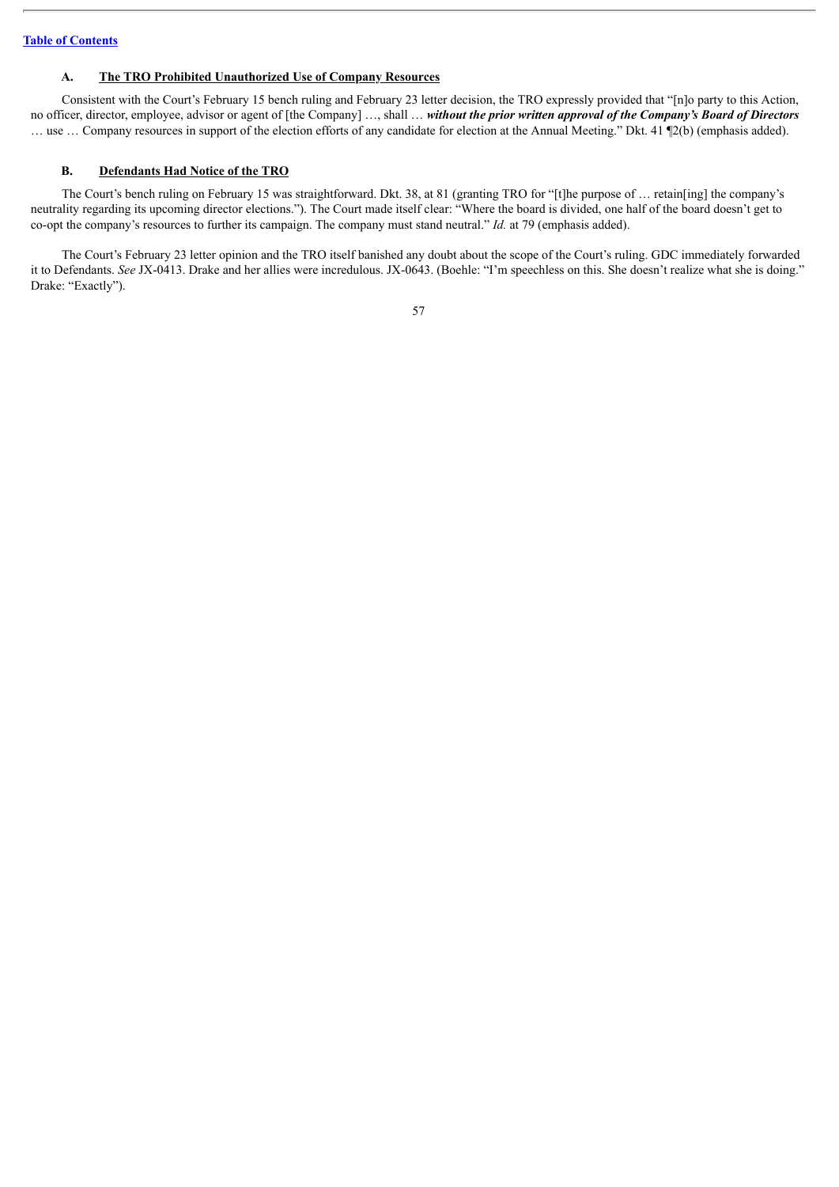## **A. The TRO Prohibited Unauthorized Use of Company Resources**

Consistent with the Court's February 15 bench ruling and February 23 letter decision, the TRO expressly provided that "[n]o party to this Action, no officer, director, employee, advisor or agent of [the Company] …, shall … *without the prior written approval of the Company's Board of Directors* … use … Company resources in support of the election efforts of any candidate for election at the Annual Meeting." Dkt. 41 ¶2(b) (emphasis added).

### **B. Defendants Had Notice of the TRO**

The Court's bench ruling on February 15 was straightforward. Dkt. 38, at 81 (granting TRO for "[t]he purpose of … retain[ing] the company's neutrality regarding its upcoming director elections."). The Court made itself clear: "Where the board is divided, one half of the board doesn't get to co-opt the company's resources to further its campaign. The company must stand neutral." *Id.* at 79 (emphasis added).

The Court's February 23 letter opinion and the TRO itself banished any doubt about the scope of the Court's ruling. GDC immediately forwarded it to Defendants. *See* JX-0413. Drake and her allies were incredulous. JX-0643. (Boehle: "I'm speechless on this. She doesn't realize what she is doing." Drake: "Exactly").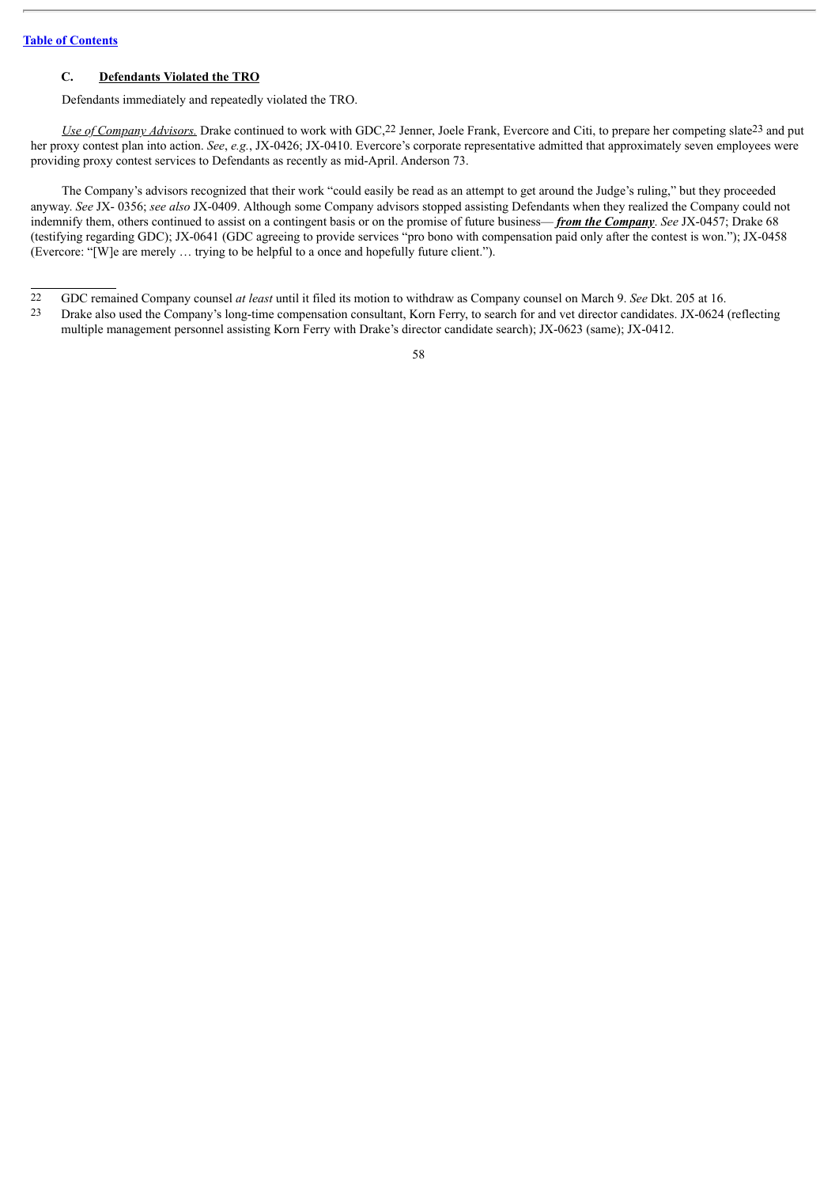## **C. Defendants Violated the TRO**

Defendants immediately and repeatedly violated the TRO.

*Use of Company Advisors.* Drake continued to work with GDC,22 Jenner, Joele Frank, Evercore and Citi, to prepare her competing slate23 and put her proxy contest plan into action. *See*, *e.g.*, JX-0426; JX-0410. Evercore's corporate representative admitted that approximately seven employees were providing proxy contest services to Defendants as recently as mid-April. Anderson 73.

The Company's advisors recognized that their work "could easily be read as an attempt to get around the Judge's ruling," but they proceeded anyway. *See* JX- 0356; *see also* JX-0409. Although some Company advisors stopped assisting Defendants when they realized the Company could not indemnify them, others continued to assist on a contingent basis or on the promise of future business— *from the Company*. *See* JX-0457; Drake 68 (testifying regarding GDC); JX-0641 (GDC agreeing to provide services "pro bono with compensation paid only after the contest is won."); JX-0458 (Evercore: "[W]e are merely … trying to be helpful to a once and hopefully future client.").

23 Drake also used the Company's long-time compensation consultant, Korn Ferry, to search for and vet director candidates. JX-0624 (reflecting multiple management personnel assisting Korn Ferry with Drake's director candidate search); JX-0623 (same); JX-0412.

<sup>22</sup> GDC remained Company counsel *at least* until it filed its motion to withdraw as Company counsel on March 9. *See* Dkt. 205 at 16.<br>23 Drake also used the Company's long-time compensation consultant. Korn Ferry to search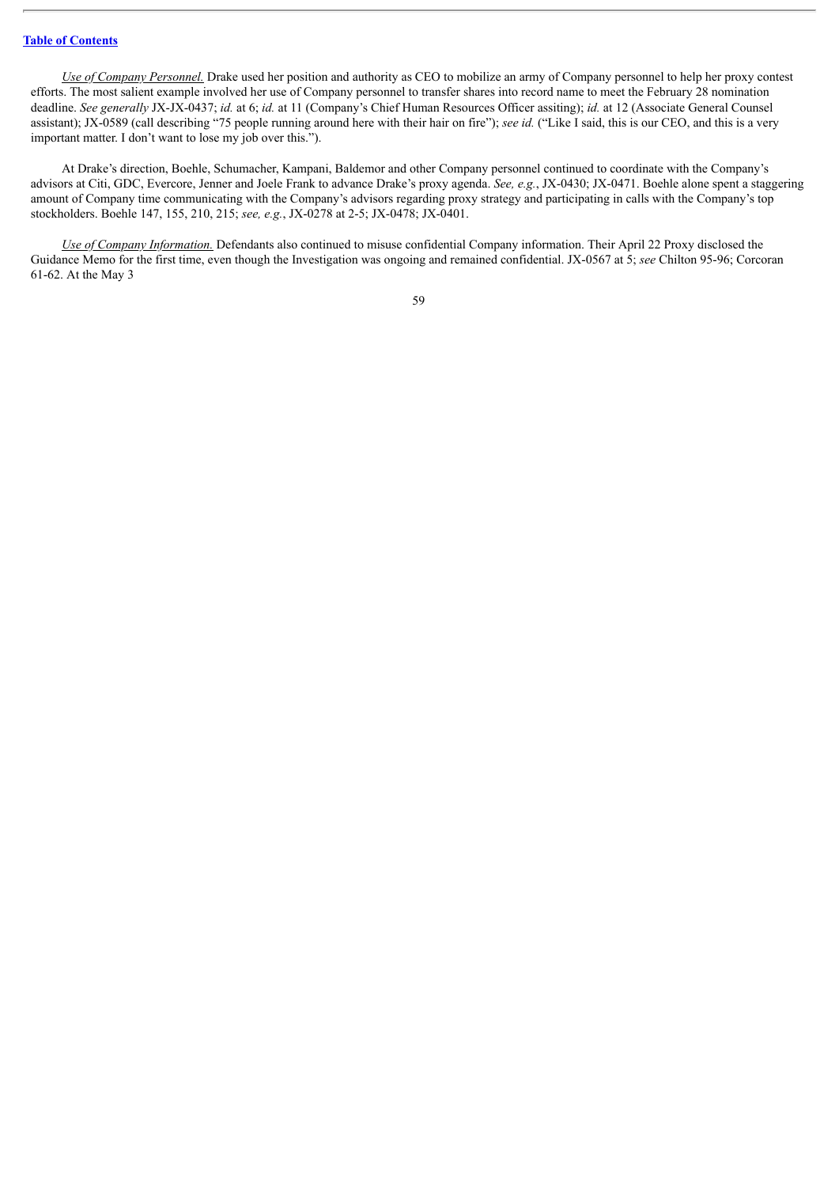*Use of Company Personnel.* Drake used her position and authority as CEO to mobilize an army of Company personnel to help her proxy contest efforts. The most salient example involved her use of Company personnel to transfer shares into record name to meet the February 28 nomination deadline. *See generally* JX-JX-0437; *id.* at 6; *id.* at 11 (Company's Chief Human Resources Officer assiting); *id.* at 12 (Associate General Counsel assistant); JX-0589 (call describing "75 people running around here with their hair on fire"); *see id.* ("Like I said, this is our CEO, and this is a very important matter. I don't want to lose my job over this.").

At Drake's direction, Boehle, Schumacher, Kampani, Baldemor and other Company personnel continued to coordinate with the Company's advisors at Citi, GDC, Evercore, Jenner and Joele Frank to advance Drake's proxy agenda. *See, e.g.*, JX-0430; JX-0471. Boehle alone spent a staggering amount of Company time communicating with the Company's advisors regarding proxy strategy and participating in calls with the Company's top stockholders. Boehle 147, 155, 210, 215; *see, e.g.*, JX-0278 at 2-5; JX-0478; JX-0401.

*Use of Company Information.* Defendants also continued to misuse confidential Company information. Their April 22 Proxy disclosed the Guidance Memo for the first time, even though the Investigation was ongoing and remained confidential. JX-0567 at 5; *see* Chilton 95-96; Corcoran 61-62. At the May 3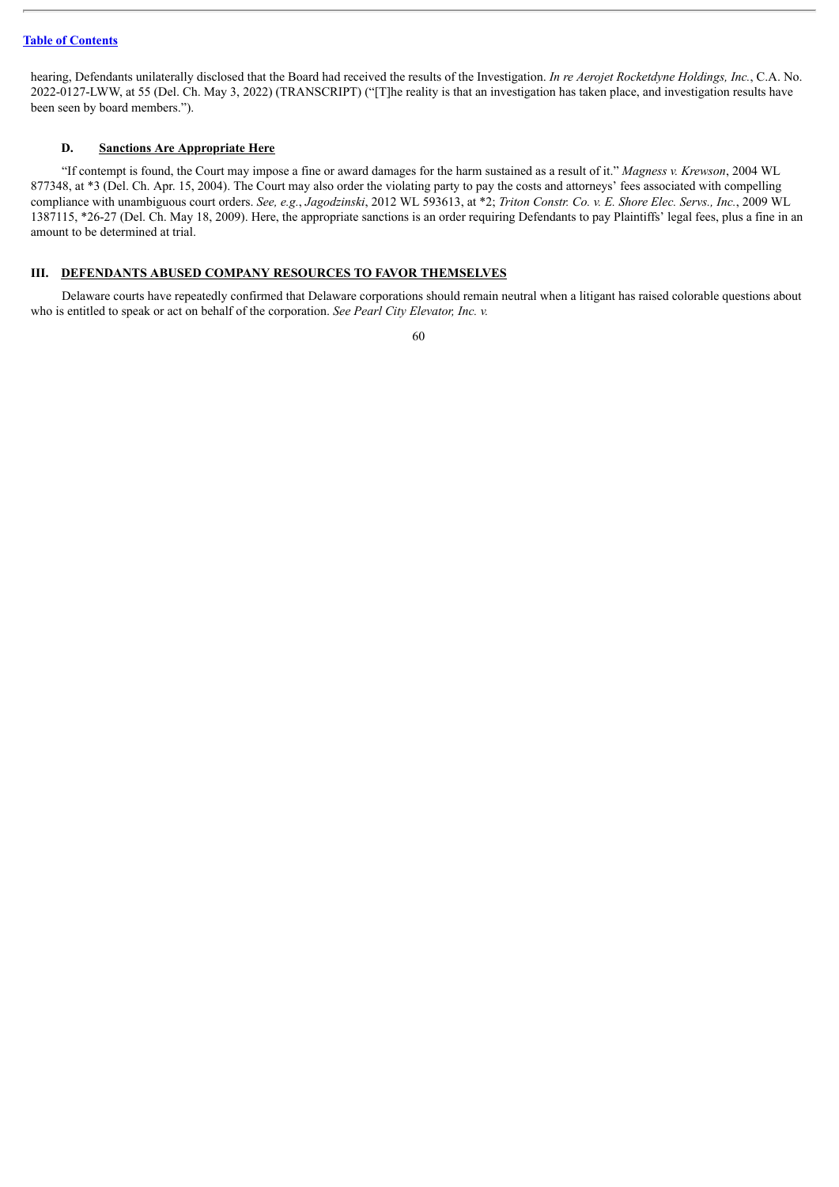hearing, Defendants unilaterally disclosed that the Board had received the results of the Investigation. *In re Aerojet Rocketdyne Holdings, Inc.*, C.A. No. 2022-0127-LWW, at 55 (Del. Ch. May 3, 2022) (TRANSCRIPT) ("[T]he reality is that an investigation has taken place, and investigation results have been seen by board members.").

## **D. Sanctions Are Appropriate Here**

"If contempt is found, the Court may impose a fine or award damages for the harm sustained as a result of it." *Magness v. Krewson*, 2004 WL 877348, at \*3 (Del. Ch. Apr. 15, 2004). The Court may also order the violating party to pay the costs and attorneys' fees associated with compelling compliance with unambiguous court orders. See, e.g., Jagodzinski, 2012 WL 593613, at \*2; Triton Constr. Co. v. E. Shore Elec. Servs., Inc., 2009 WL 1387115, \*26-27 (Del. Ch. May 18, 2009). Here, the appropriate sanctions is an order requiring Defendants to pay Plaintiffs' legal fees, plus a fine in an amount to be determined at trial.

#### **III. DEFENDANTS ABUSED COMPANY RESOURCES TO FAVOR THEMSELVES**

Delaware courts have repeatedly confirmed that Delaware corporations should remain neutral when a litigant has raised colorable questions about who is entitled to speak or act on behalf of the corporation. *See Pearl City Elevator, Inc. v.*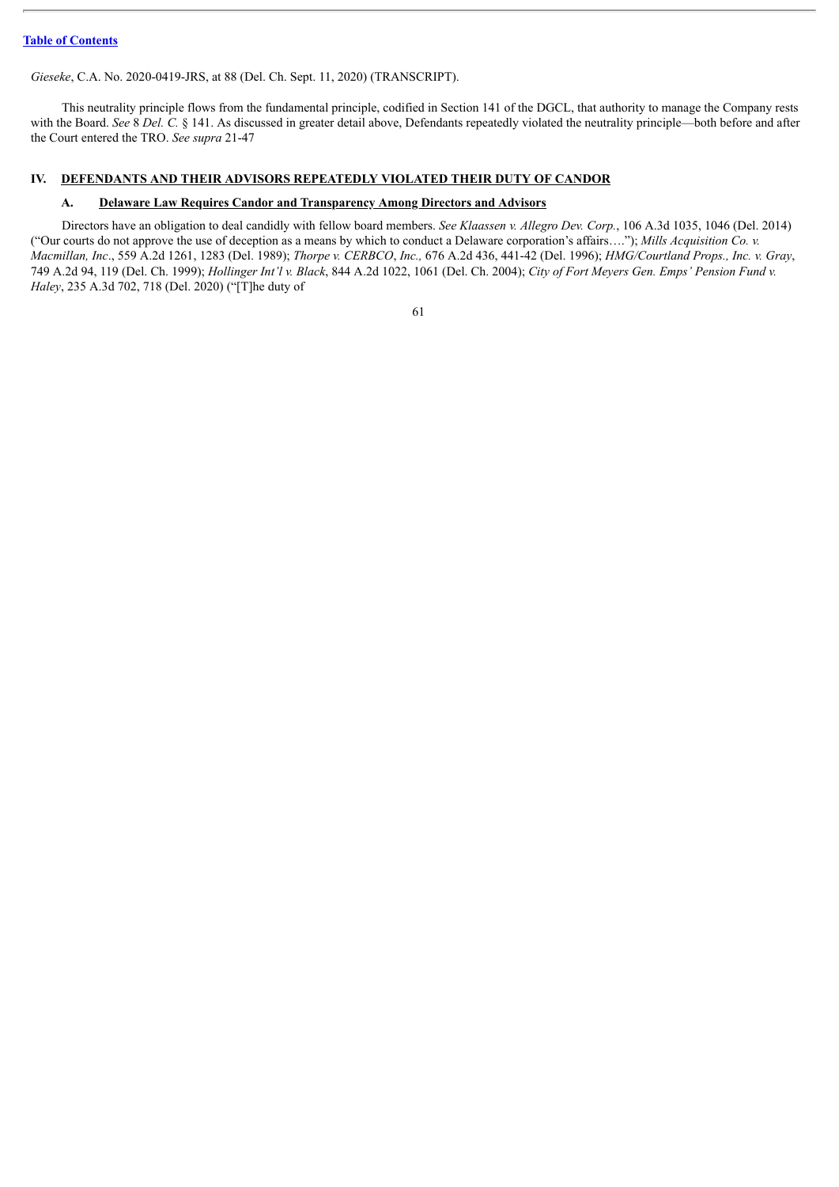*Gieseke*, C.A. No. 2020-0419-JRS, at 88 (Del. Ch. Sept. 11, 2020) (TRANSCRIPT).

This neutrality principle flows from the fundamental principle, codified in Section 141 of the DGCL, that authority to manage the Company rests with the Board. *See* 8 *Del. C.* § 141. As discussed in greater detail above, Defendants repeatedly violated the neutrality principle—both before and after the Court entered the TRO. *See supra* 21-47

## **IV. DEFENDANTS AND THEIR ADVISORS REPEATEDLY VIOLATED THEIR DUTY OF CANDOR**

## **A. Delaware Law Requires Candor and Transparency Among Directors and Advisors**

Directors have an obligation to deal candidly with fellow board members. *See Klaassen v. Allegro Dev. Corp.*, 106 A.3d 1035, 1046 (Del. 2014) ("Our courts do not approve the use of deception as a means by which to conduct a Delaware corporation's affairs…."); *Mills Acquisition Co. v. Macmillan, Inc*., 559 A.2d 1261, 1283 (Del. 1989); *Thorpe v. CERBCO*, *Inc.,* 676 A.2d 436, 441-42 (Del. 1996); *HMG/Courtland Props., Inc. v. Gray*, 749 A.2d 94, 119 (Del. Ch. 1999); Hollinger Int'l v. Black, 844 A.2d 1022, 1061 (Del. Ch. 2004); City of Fort Meyers Gen. Emps' Pension Fund v. *Haley*, 235 A.3d 702, 718 (Del. 2020) ("[T]he duty of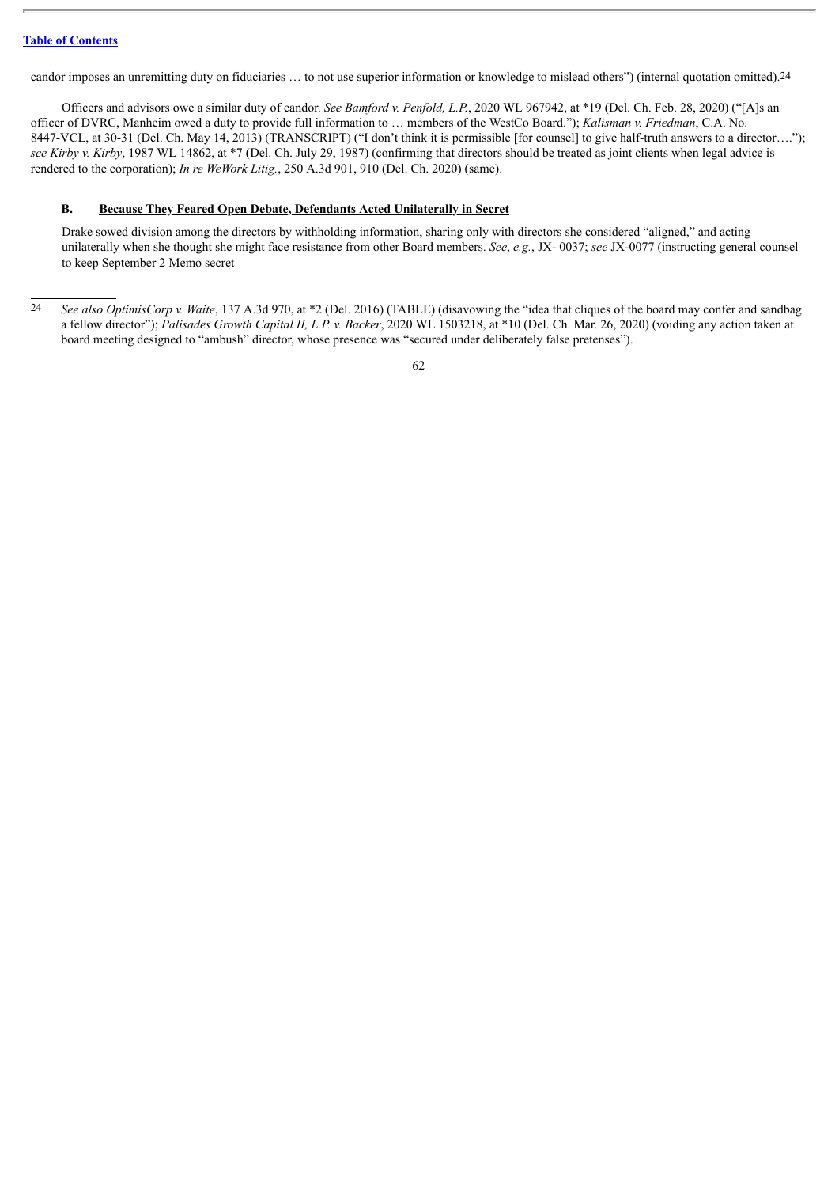candor imposes an unremitting duty on fiduciaries … to not use superior information or knowledge to mislead others") (internal quotation omitted).24

Officers and advisors owe a similar duty of candor. *See Bamford v. Penfold, L.P.*, 2020 WL 967942, at \*19 (Del. Ch. Feb. 28, 2020) ("[A]s an officer of DVRC, Manheim owed a duty to provide full information to … members of the WestCo Board."); *Kalisman v. Friedman*, C.A. No. 8447-VCL, at 30-31 (Del. Ch. May 14, 2013) (TRANSCRIPT) ("I don't think it is permissible [for counsel] to give half-truth answers to a director...."); *see Kirby v. Kirby*, 1987 WL 14862, at \*7 (Del. Ch. July 29, 1987) (confirming that directors should be treated as joint clients when legal advice is rendered to the corporation); *In re WeWork Litig.*, 250 A.3d 901, 910 (Del. Ch. 2020) (same).

### **B. Because They Feared Open Debate, Defendants Acted Unilaterally in Secret**

Drake sowed division among the directors by withholding information, sharing only with directors she considered "aligned," and acting unilaterally when she thought she might face resistance from other Board members. *See*, *e.g.*, JX- 0037; *see* JX-0077 (instructing general counsel to keep September 2 Memo secret

<sup>24</sup> *See also OptimisCorp v. Waite*, 137 A.3d 970, at \*2 (Del. 2016) (TABLE) (disavowing the "idea that cliques of the board may confer and sandbag a fellow director"); *Palisades Growth Capital II, L.P. v. Backer*, 2020 WL 1503218, at \*10 (Del. Ch. Mar. 26, 2020) (voiding any action taken at board meeting designed to "ambush" director, whose presence was "secured under deliberately false pretenses").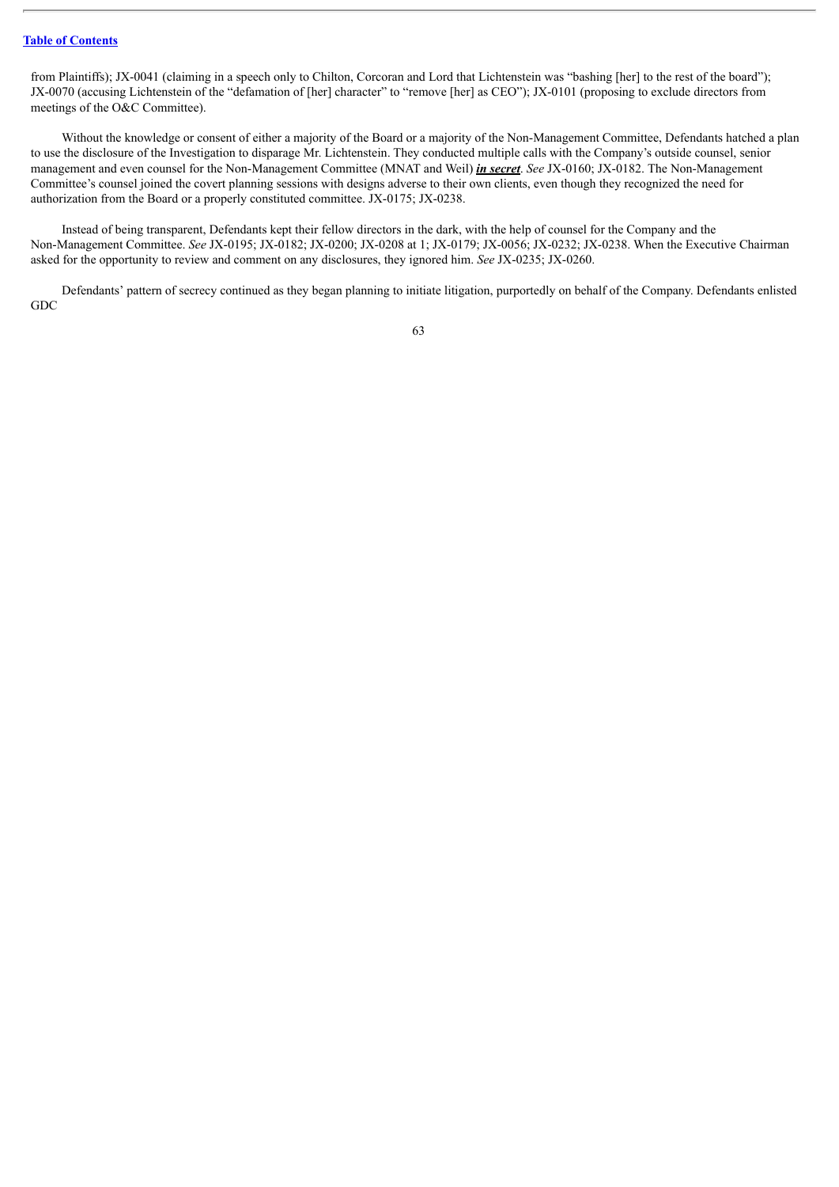from Plaintiffs); JX-0041 (claiming in a speech only to Chilton, Corcoran and Lord that Lichtenstein was "bashing [her] to the rest of the board"); JX-0070 (accusing Lichtenstein of the "defamation of [her] character" to "remove [her] as CEO"); JX-0101 (proposing to exclude directors from meetings of the O&C Committee).

Without the knowledge or consent of either a majority of the Board or a majority of the Non-Management Committee, Defendants hatched a plan to use the disclosure of the Investigation to disparage Mr. Lichtenstein. They conducted multiple calls with the Company's outside counsel, senior management and even counsel for the Non-Management Committee (MNAT and Weil) *in secret*. *See* JX-0160; JX-0182. The Non-Management Committee's counsel joined the covert planning sessions with designs adverse to their own clients, even though they recognized the need for authorization from the Board or a properly constituted committee. JX-0175; JX-0238.

Instead of being transparent, Defendants kept their fellow directors in the dark, with the help of counsel for the Company and the Non-Management Committee. *See* JX-0195; JX-0182; JX-0200; JX-0208 at 1; JX-0179; JX-0056; JX-0232; JX-0238. When the Executive Chairman asked for the opportunity to review and comment on any disclosures, they ignored him. *See* JX-0235; JX-0260.

Defendants' pattern of secrecy continued as they began planning to initiate litigation, purportedly on behalf of the Company. Defendants enlisted GDC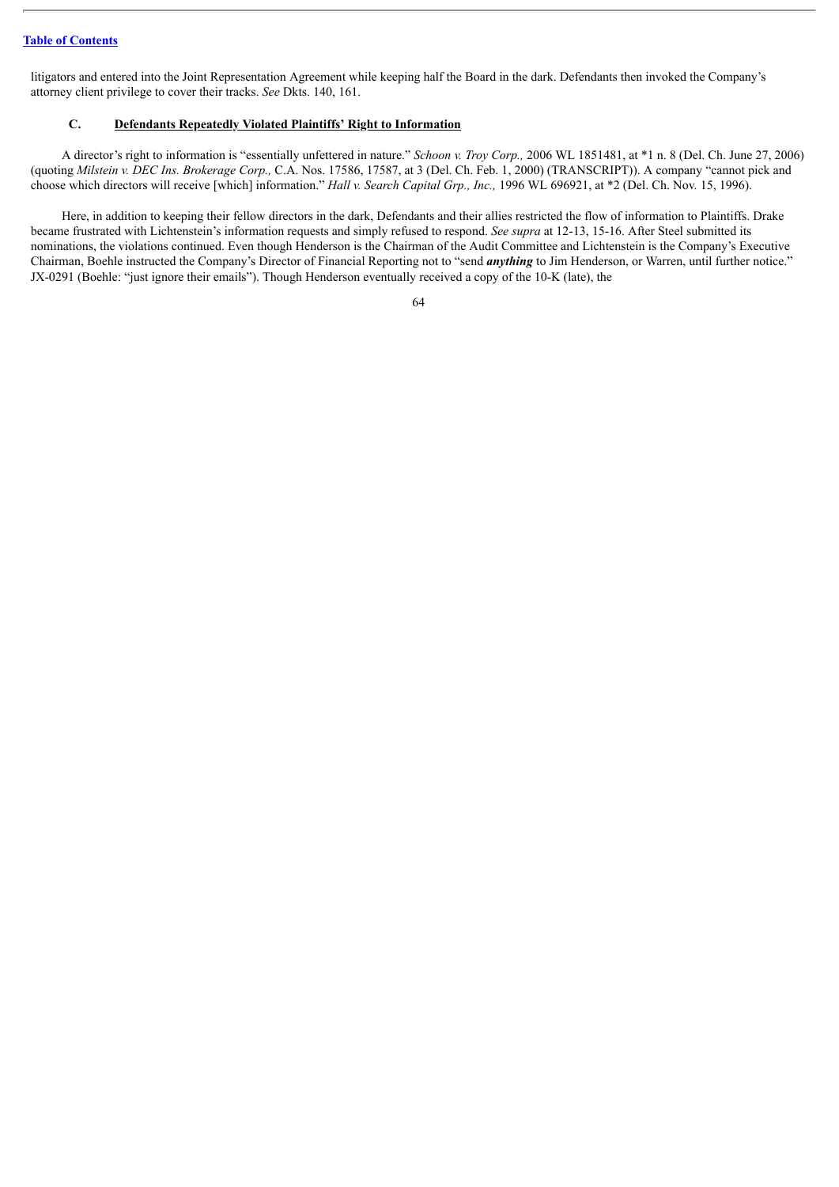litigators and entered into the Joint Representation Agreement while keeping half the Board in the dark. Defendants then invoked the Company's attorney client privilege to cover their tracks. *See* Dkts. 140, 161.

#### **C. Defendants Repeatedly Violated Plaintiffs' Right to Information**

A director's right to information is "essentially unfettered in nature." *Schoon v. Troy Corp.,* 2006 WL 1851481, at \*1 n. 8 (Del. Ch. June 27, 2006) (quoting *Milstein v. DEC Ins. Brokerage Corp.,* C.A. Nos. 17586, 17587, at 3 (Del. Ch. Feb. 1, 2000) (TRANSCRIPT)). A company "cannot pick and choose which directors will receive [which] information." *Hall v. Search Capital Grp., Inc.,* 1996 WL 696921, at \*2 (Del. Ch. Nov. 15, 1996).

Here, in addition to keeping their fellow directors in the dark, Defendants and their allies restricted the flow of information to Plaintiffs. Drake became frustrated with Lichtenstein's information requests and simply refused to respond. *See supra* at 12-13, 15-16. After Steel submitted its nominations, the violations continued. Even though Henderson is the Chairman of the Audit Committee and Lichtenstein is the Company's Executive Chairman, Boehle instructed the Company's Director of Financial Reporting not to "send *anything* to Jim Henderson, or Warren, until further notice." JX-0291 (Boehle: "just ignore their emails"). Though Henderson eventually received a copy of the 10-K (late), the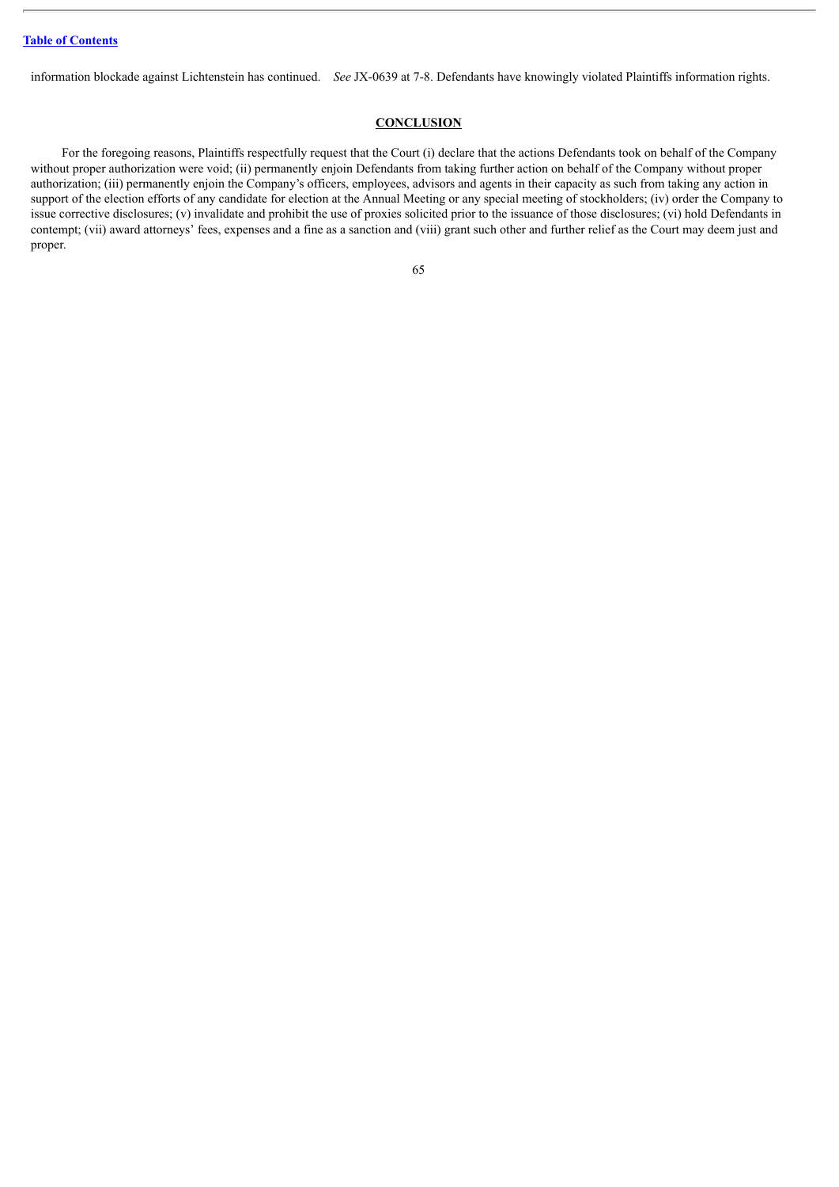information blockade against Lichtenstein has continued. *See* JX-0639 at 7-8. Defendants have knowingly violated Plaintiffs information rights.

#### **CONCLUSION**

For the foregoing reasons, Plaintiffs respectfully request that the Court (i) declare that the actions Defendants took on behalf of the Company without proper authorization were void; (ii) permanently enjoin Defendants from taking further action on behalf of the Company without proper authorization; (iii) permanently enjoin the Company's officers, employees, advisors and agents in their capacity as such from taking any action in support of the election efforts of any candidate for election at the Annual Meeting or any special meeting of stockholders; (iv) order the Company to issue corrective disclosures; (v) invalidate and prohibit the use of proxies solicited prior to the issuance of those disclosures; (vi) hold Defendants in contempt; (vii) award attorneys' fees, expenses and a fine as a sanction and (viii) grant such other and further relief as the Court may deem just and proper.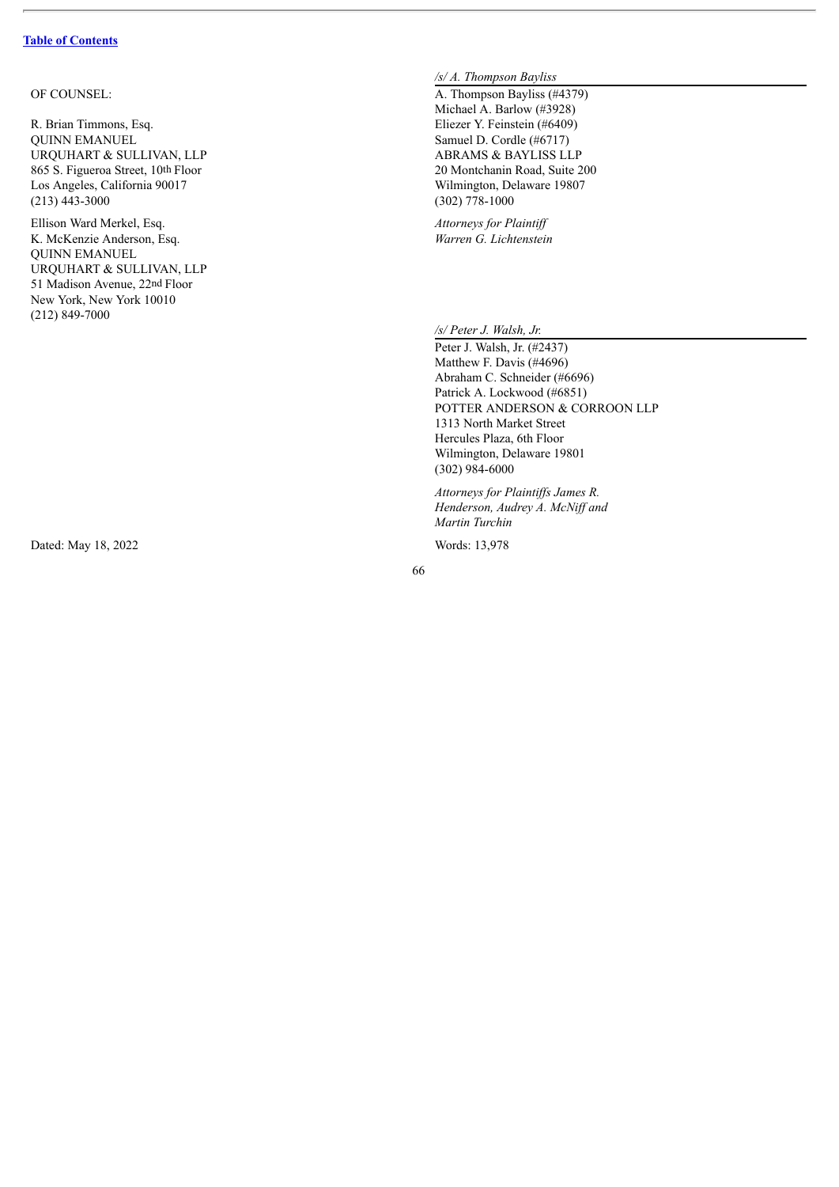#### OF COUNSEI

R. Brian Timmons, Eso  $q.$  El QUINN EMANUEL URQUHART & SULLIVAN, LLP 865 S. Figueroa Street, 10th Floor Los Angeles, California 90017  $(213)$  443-3000

Ellison Ward Merkel, Esc q.  $At$ K. McKenzie Anderson, Esc q.  $Wa$ QUINN EMANUEL URQUHART & SULLIVAN, LLP 51 Madison Avenue, 22nd Floor New York, New York 10010  $(212) 849 - 7000$ 

Dated: May 18, 2022

## */s/ A. Th o mp s o n B ay l is s*

 $L: A.$  The set of  $A$ . hompson Bayliss (#4379) Michael A. Barlow (#3928) liezer Y. Feinstein (#6409) Samuel D. Cordle (#6717) ABRAMS & BAYLISS LLP 20 Montchanin Road, Suite 200 Wilmington, Delaware 19807  $(302) 778 - 1000$ 

> *ttorneys for Plaintiff rren G. Lichtenstein*

*/s/ P e t e r J. Wa ls h, Jr.*

Peter J. Walsh, Jr. (#2437) Matthew F. Davis (#4696) Abraham C. Schneider (#6696) Patrick A. Lockwood (#6851) POTTER ANDERSON & CORROON LLP 1313 North Market Street Hercules Plaza, 6th Floor Wilmington, Delaware 19801  $(302)$  984-6000

*Attorneys for Plaintiffs James R. Henderson, Audrey A. McNif an d Martin Turchin* 

Words: 13,978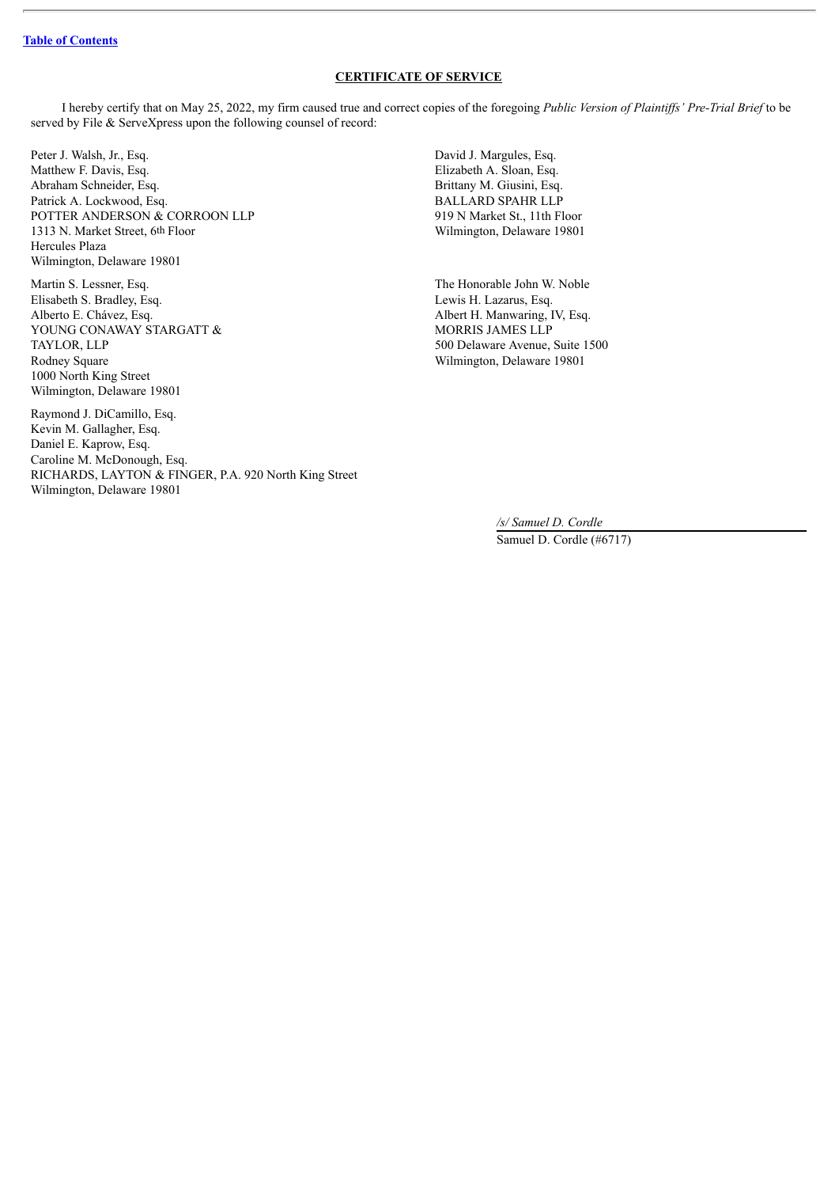# **CERTIFICATE OF SERVICE**

I hereby certify that on May 25, 2022, my firm caused true and correct copies of the foregoing *Public Version of Plaintif s' Pre-Trial Brief* to be served by File & ServeXpress upon the following counsel of record:

Peter J. Walsh, Jr., Esq. 2003. David J. Margules, Esq. 2004. Matthew F. Davis, Esq. **Elizabeth A. Sloan, Esq.** Elizabeth A. Sloan, Esq. Abraham Schneider, Esq. Brittany M. Giusini, Esq. Brittany M. Giusini, Esq. BALLARD SPAHR LLP Patrick A. Lockwood, Esq. POTTER ANDERSON & CORROON LLP 919 N Market St., 11th Floor 1313 N. Market Street, 6th Floor Wilmington, Delaware 19801 Hercules Plaza Wilmington, Delaware 19801

Martin S. Lessner, Esq. The Honorable John W. Noble Elisabeth S. Bradley, Esq. Lewis H. Lazarus, Esq. Alberto E. Chávez, Esq. **Albert H. Manwaring, IV, Esq.** Albert H. Manwaring, IV, Esq. YOUNG CONAWAY STARGATT & MORRIS JAMES LLP TAYLOR, LLP 500 Delaware Avenue, Suite 1500 Rodney Square **Million** Square 19801 1000 North King Street Wilmington, Delaware 19801

Raymond J. DiCamillo, Esq. Kevin M. Gallagher, Esq. Daniel E. Kaprow, Esq. Caroline M. McDonough, Esq. RICHARDS, LAYTON & FINGER, P.A. 920 North King Street Wilmington, Delaware 19801

*/s/ Samuel D. Cordle* Samuel D. Cordle (#6717)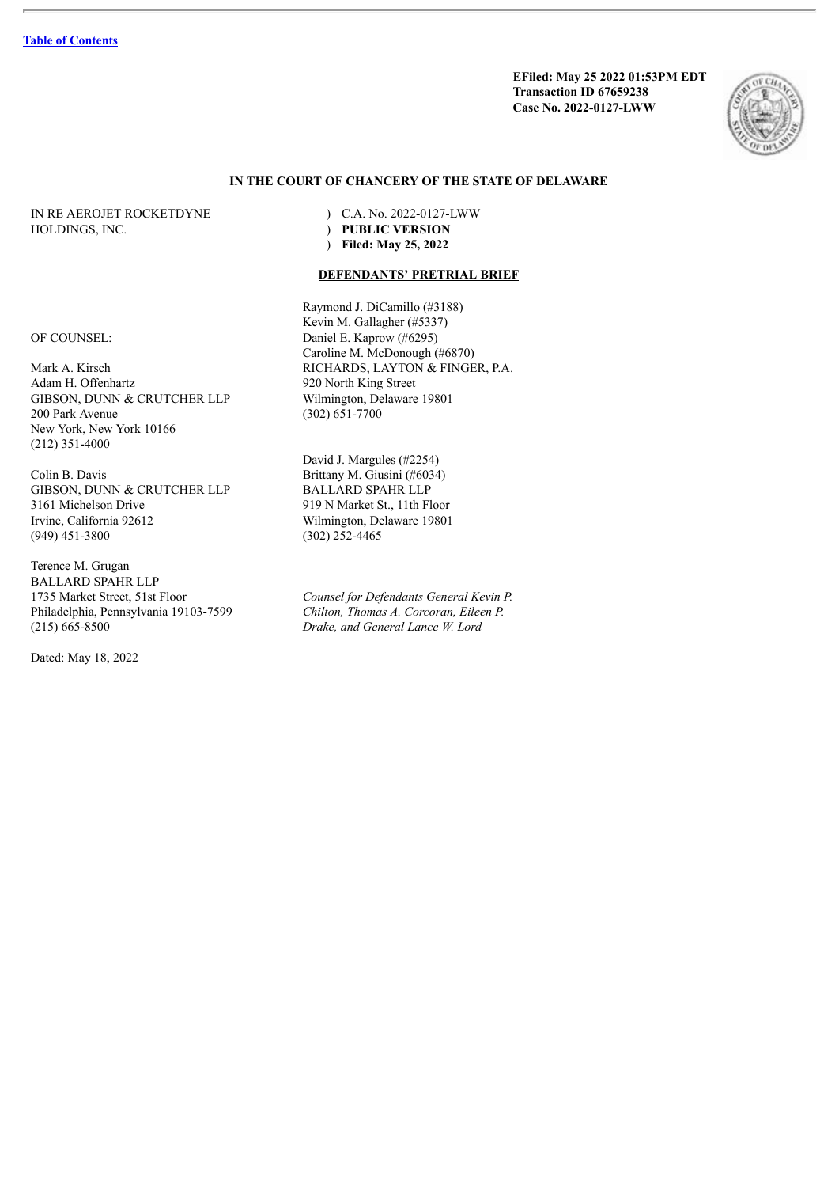**EFiled: May 25 2022 01:53PM EDT Transaction ID 67659238 Case No. 2022-0127-LWW**



# **IN THE COURT OF CHANCERY OF THE STATE OF DELAWARE**

HOLDINGS, INC. ) **PUBLIC VERSION**

IN RE AEROJET ROCKETDYNE ) C.A. No. 2022-0127-LWW ) **Filed: May 25, 2022**

## **DEFENDANTS' PRETRIAL BRIEF**

Raymond J. DiCamillo (#3188) Kevin M. Gallagher (#5337) OF COUNSEL: Daniel E. Kaprow (#6295) Caroline M. McDonough (#6870) Mark A. Kirsch RICHARDS, LAYTON & FINGER, P.A.

David J. Margules (#2254) Colin B. Davis Brittany M. Giusini (#6034) Wilmington, Delaware 19801

1735 Market Street, 51st Floor *Counsel for Defendants General Kevin P.* Philadelphia, Pennsylvania 19103-7599 *Chilton, Thomas A. Corcoran, Eileen P.* (215) 665-8500 *Drake, and General Lance W. Lord*

Adam H. Offenhartz 920 North King Street<br>GIBSON, DUNN & CRUTCHER LLP Wilmington, Delaware 19801 GIBSON, DUNN & CRUTCHER LLP 200 Park Avenue (302) 651-7700 New York, New York 10166 (212) 351-4000

GIBSON, DUNN & CRUTCHER LLP BALLARD SPAHR LLP 3161 Michelson Drive 919 N Market St., 11th Floor<br>Irvine, California 92612 Wilmington, Delaware 19801 (949) 451-3800 (302) 252-4465

Terence M. Grugan BALLARD SPAHR LLP

Dated: May 18, 2022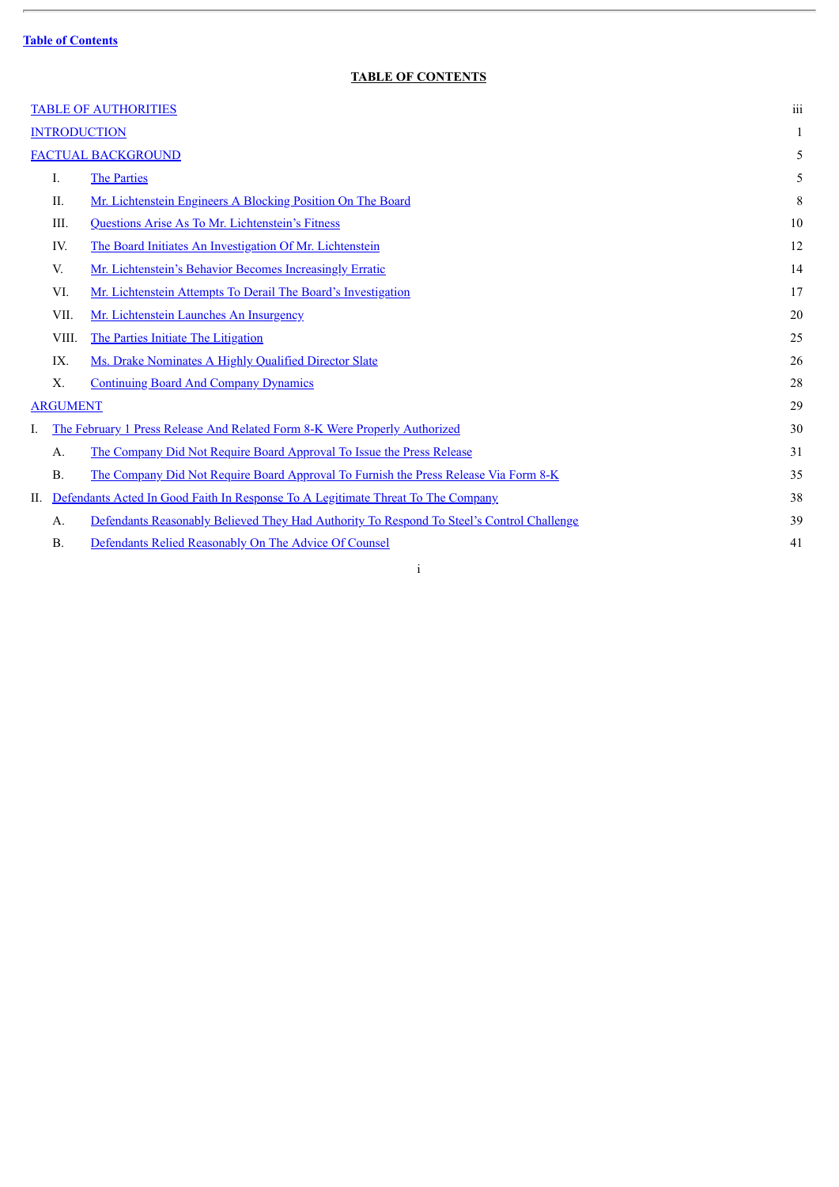$\overline{a}$ 

# **TABLE OF CONTENTS**

 $\overline{\phantom{a}}$ 

| <b>TABLE OF AUTHORITIES</b> |             |                                                                                           |    |  |
|-----------------------------|-------------|-------------------------------------------------------------------------------------------|----|--|
| <b>INTRODUCTION</b>         |             |                                                                                           | 1  |  |
| <b>FACTUAL BACKGROUND</b>   |             |                                                                                           |    |  |
|                             | I.          | <b>The Parties</b>                                                                        | 5  |  |
|                             | II.         | Mr. Lichtenstein Engineers A Blocking Position On The Board                               | 8  |  |
|                             | III.        | Questions Arise As To Mr. Lichtenstein's Fitness                                          | 10 |  |
|                             | IV.         | The Board Initiates An Investigation Of Mr. Lichtenstein                                  | 12 |  |
|                             | V.          | Mr. Lichtenstein's Behavior Becomes Increasingly Erratic                                  | 14 |  |
|                             | VI.         | Mr. Lichtenstein Attempts To Derail The Board's Investigation                             | 17 |  |
|                             | VII.        | Mr. Lichtenstein Launches An Insurgency                                                   | 20 |  |
|                             | VIII.       | The Parties Initiate The Litigation                                                       | 25 |  |
|                             | IX.         | Ms. Drake Nominates A Highly Qualified Director Slate                                     | 26 |  |
|                             | $X_{\cdot}$ | <b>Continuing Board And Company Dynamics</b>                                              | 28 |  |
| <b>ARGUMENT</b>             |             |                                                                                           | 29 |  |
| L                           |             | The February 1 Press Release And Related Form 8-K Were Properly Authorized                | 30 |  |
|                             | A.          | The Company Did Not Require Board Approval To Issue the Press Release                     | 31 |  |
|                             | <b>B.</b>   | The Company Did Not Require Board Approval To Furnish the Press Release Via Form 8-K      | 35 |  |
| H.                          |             | Defendants Acted In Good Faith In Response To A Legitimate Threat To The Company          | 38 |  |
|                             | A.          | Defendants Reasonably Believed They Had Authority To Respond To Steel's Control Challenge | 39 |  |
|                             | <b>B.</b>   | Defendants Relied Reasonably On The Advice Of Counsel                                     | 41 |  |

i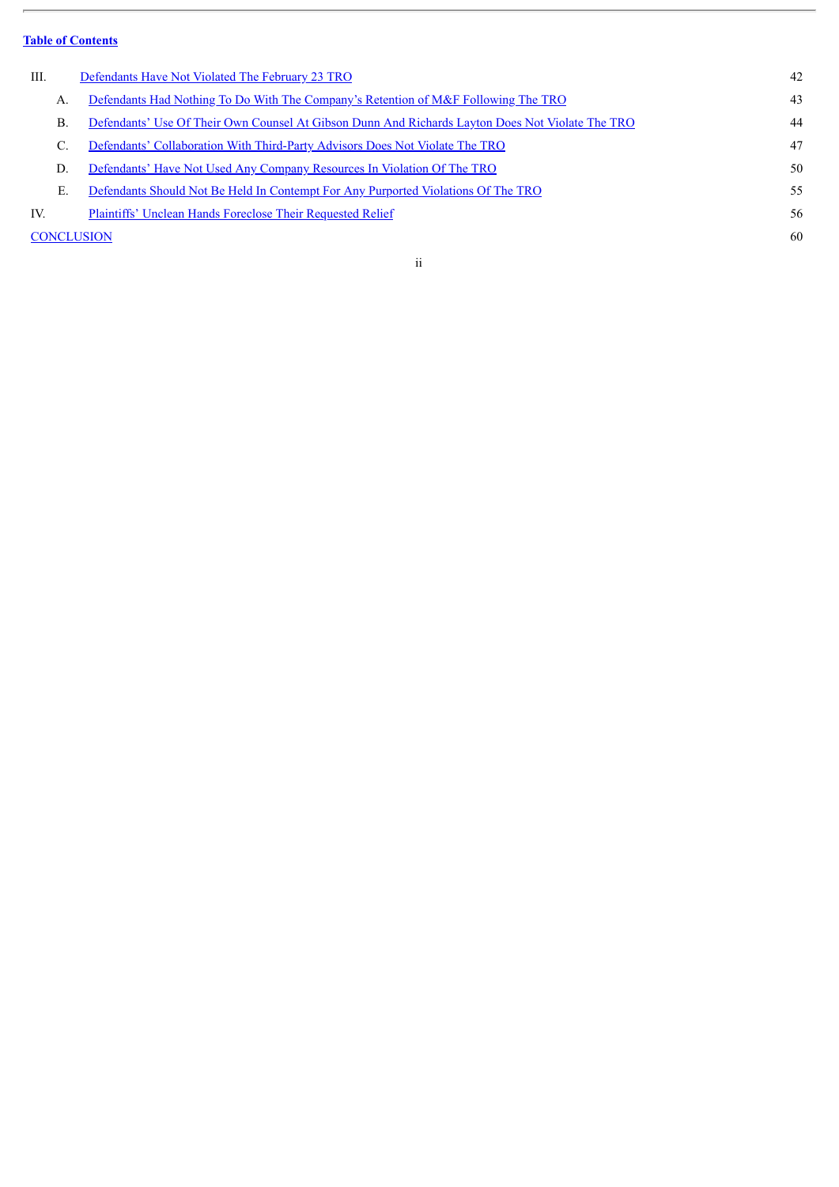$\overline{a}$ 

| III.              | Defendants Have Not Violated The February 23 TRO                                                 | 42 |  |  |  |  |
|-------------------|--------------------------------------------------------------------------------------------------|----|--|--|--|--|
| Α.                | Defendants Had Nothing To Do With The Company's Retention of M&F Following The TRO               | 43 |  |  |  |  |
| $\mathbf{B}$ .    | Defendants' Use Of Their Own Counsel At Gibson Dunn And Richards Layton Does Not Violate The TRO | 44 |  |  |  |  |
| C.                | Defendants' Collaboration With Third-Party Advisors Does Not Violate The TRO                     | 47 |  |  |  |  |
| D.                | Defendants' Have Not Used Any Company Resources In Violation Of The TRO                          | 50 |  |  |  |  |
| E.                | Defendants Should Not Be Held In Contempt For Any Purported Violations Of The TRO                | 55 |  |  |  |  |
| IV.               | Plaintiffs' Unclean Hands Foreclose Their Requested Relief                                       | 56 |  |  |  |  |
| <b>CONCLUSION</b> |                                                                                                  |    |  |  |  |  |
|                   |                                                                                                  |    |  |  |  |  |

ii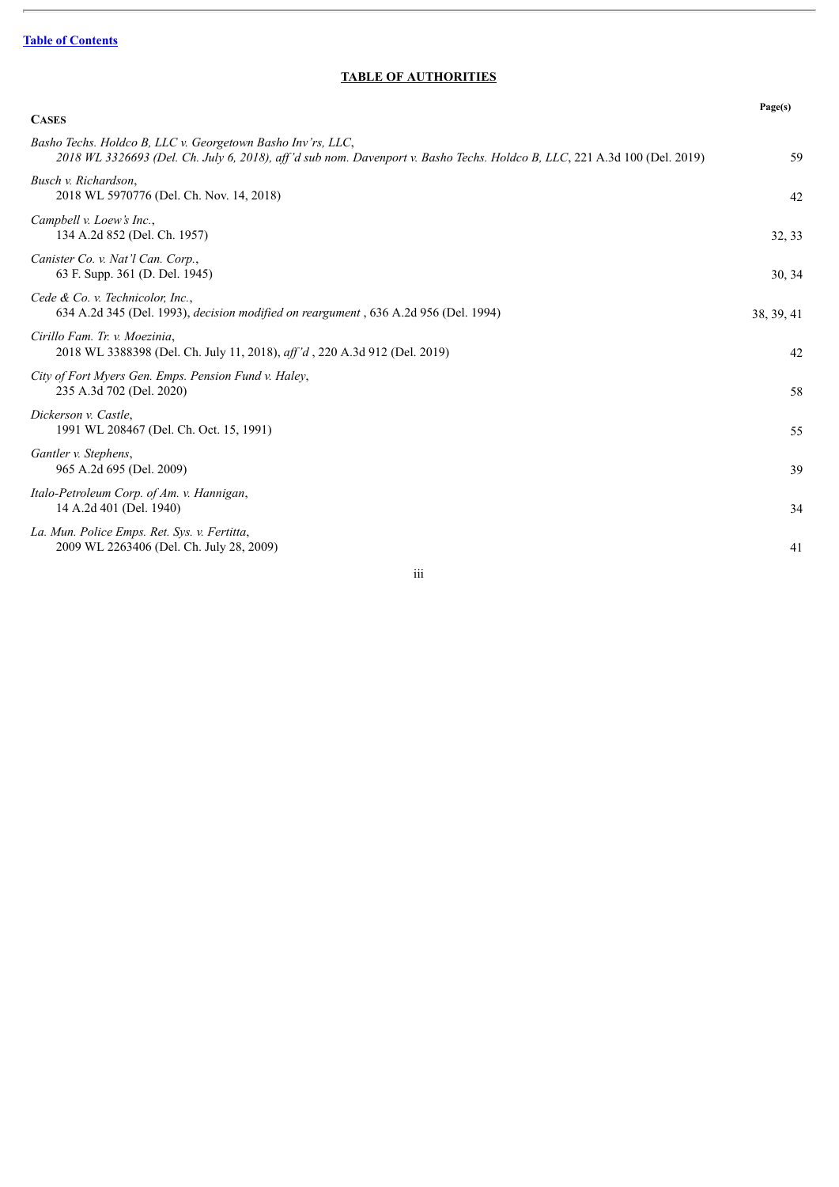$\overline{a}$ 

# **TABLE OF AUTHORITIES**

 $\overline{\phantom{a}}$ 

<span id="page-79-0"></span>

|                                                                                                                                                                                          | Page(s)    |
|------------------------------------------------------------------------------------------------------------------------------------------------------------------------------------------|------------|
| <b>CASES</b>                                                                                                                                                                             |            |
| Basho Techs. Holdco B, LLC v. Georgetown Basho Inv'rs, LLC,<br>2018 WL 3326693 (Del. Ch. July 6, 2018), aff'd sub nom. Davenport v. Basho Techs. Holdco B, LLC, 221 A.3d 100 (Del. 2019) | 59         |
| Busch v. Richardson,<br>2018 WL 5970776 (Del. Ch. Nov. 14, 2018)                                                                                                                         | 42         |
| Campbell v. Loew's Inc.,<br>134 A.2d 852 (Del. Ch. 1957)                                                                                                                                 | 32, 33     |
| Canister Co. v. Nat'l Can. Corp.,<br>63 F. Supp. 361 (D. Del. 1945)                                                                                                                      | 30, 34     |
| Cede & Co. v. Technicolor, Inc.,<br>634 A.2d 345 (Del. 1993), <i>decision modified on reargument</i> , 636 A.2d 956 (Del. 1994)                                                          | 38, 39, 41 |
| Cirillo Fam. Tr. v. Moezinia,<br>2018 WL 3388398 (Del. Ch. July 11, 2018), aff'd, 220 A.3d 912 (Del. 2019)                                                                               | 42         |
| City of Fort Myers Gen. Emps. Pension Fund v. Haley,<br>235 A.3d 702 (Del. 2020)                                                                                                         | 58         |
| Dickerson v. Castle,<br>1991 WL 208467 (Del. Ch. Oct. 15, 1991)                                                                                                                          | 55         |
| Gantler v. Stephens,<br>965 A.2d 695 (Del. 2009)                                                                                                                                         | 39         |
| Italo-Petroleum Corp. of Am. v. Hannigan,<br>14 A.2d 401 (Del. 1940)                                                                                                                     | 34         |
| La. Mun. Police Emps. Ret. Sys. v. Fertitta,<br>2009 WL 2263406 (Del. Ch. July 28, 2009)                                                                                                 | 41         |

iii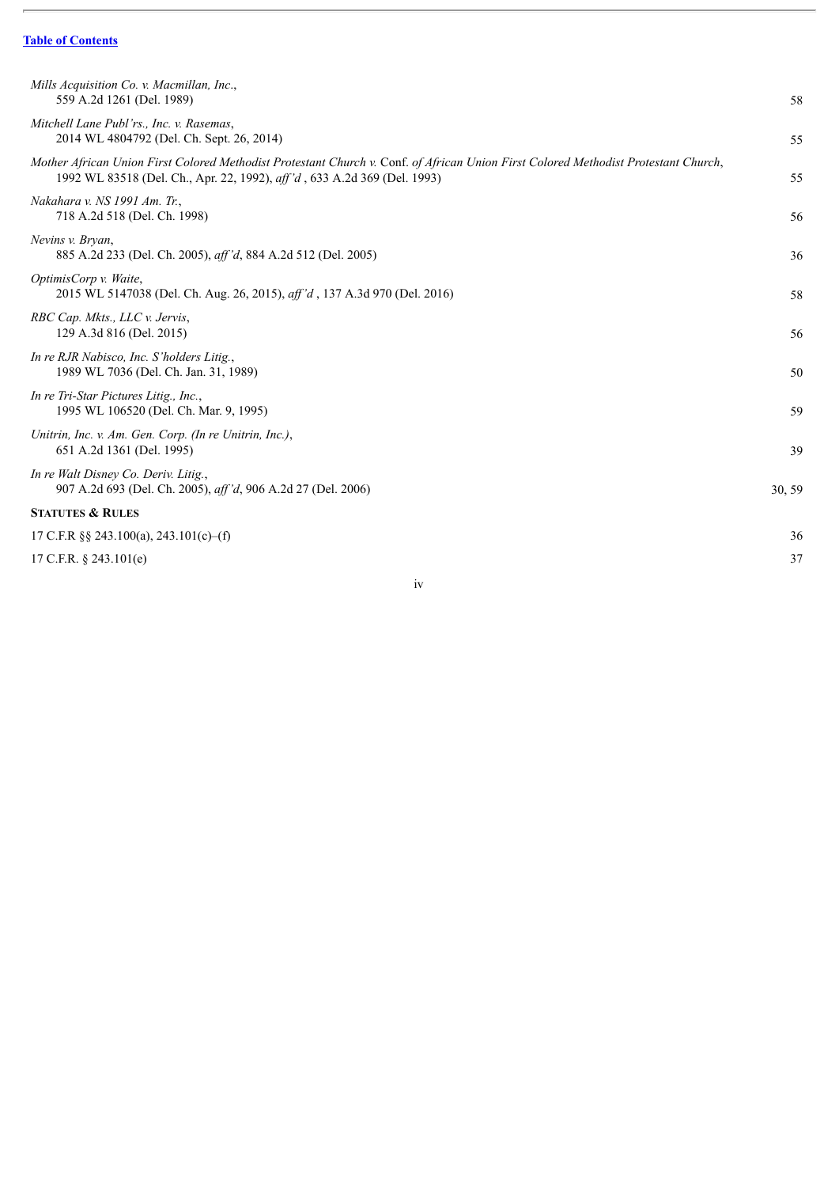$\overline{a}$ 

| 58     |
|--------|
| 55     |
| 55     |
| 56     |
| 36     |
| 58     |
| 56     |
| 50     |
| 59     |
| 39     |
| 30, 59 |
|        |
| 36     |
| 37     |
|        |

iv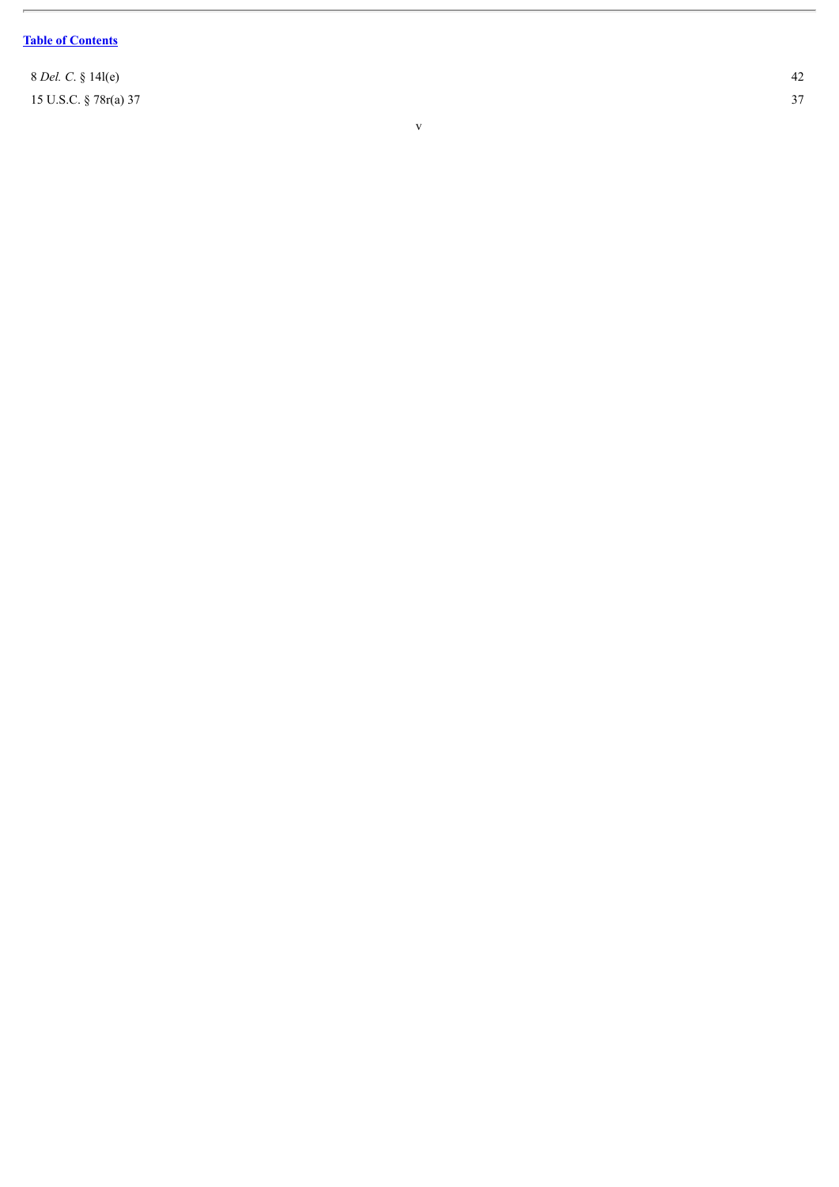$\overline{a}$ 

8 *D e l. C*. § 1 4 l ( e ) 15 U.S.C. § 78r(a) 37

v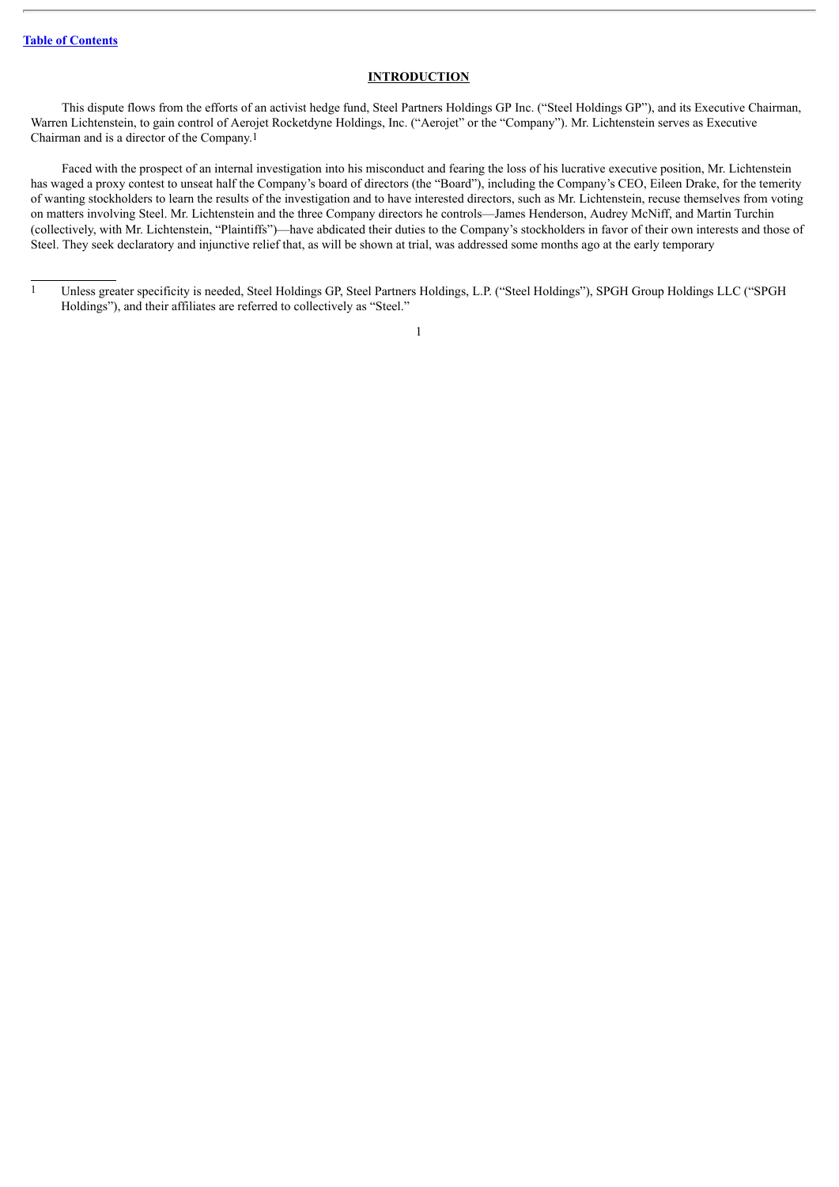#### **INTRODUCTION**

<span id="page-82-0"></span>This dispute flows from the efforts of an activist hedge fund, Steel Partners Holdings GP Inc. ("Steel Holdings GP"), and its Executive Chairman, Warren Lichtenstein, to gain control of Aerojet Rocketdyne Holdings, Inc. ("Aerojet" or the "Company"). Mr. Lichtenstein serves as Executive Chairman and is a director of the Company.1

Faced with the prospect of an internal investigation into his misconduct and fearing the loss of his lucrative executive position, Mr. Lichtenstein has waged a proxy contest to unseat half the Company's board of directors (the "Board"), including the Company's CEO, Eileen Drake, for the temerity of wanting stockholders to learn the results of the investigation and to have interested directors, such as Mr. Lichtenstein, recuse themselves from voting on matters involving Steel. Mr. Lichtenstein and the three Company directors he controls—James Henderson, Audrey McNiff, and Martin Turchin (collectively, with Mr. Lichtenstein, "Plaintiffs")—have abdicated their duties to the Company's stockholders in favor of their own interests and those of Steel. They seek declaratory and injunctive relief that, as will be shown at trial, was addressed some months ago at the early temporary

<sup>1</sup> Unless greater specificity is needed, Steel Holdings GP, Steel Partners Holdings, L.P. ("Steel Holdings"), SPGH Group Holdings LLC ("SPGH Holdings"), and their affiliates are referred to collectively as "Steel."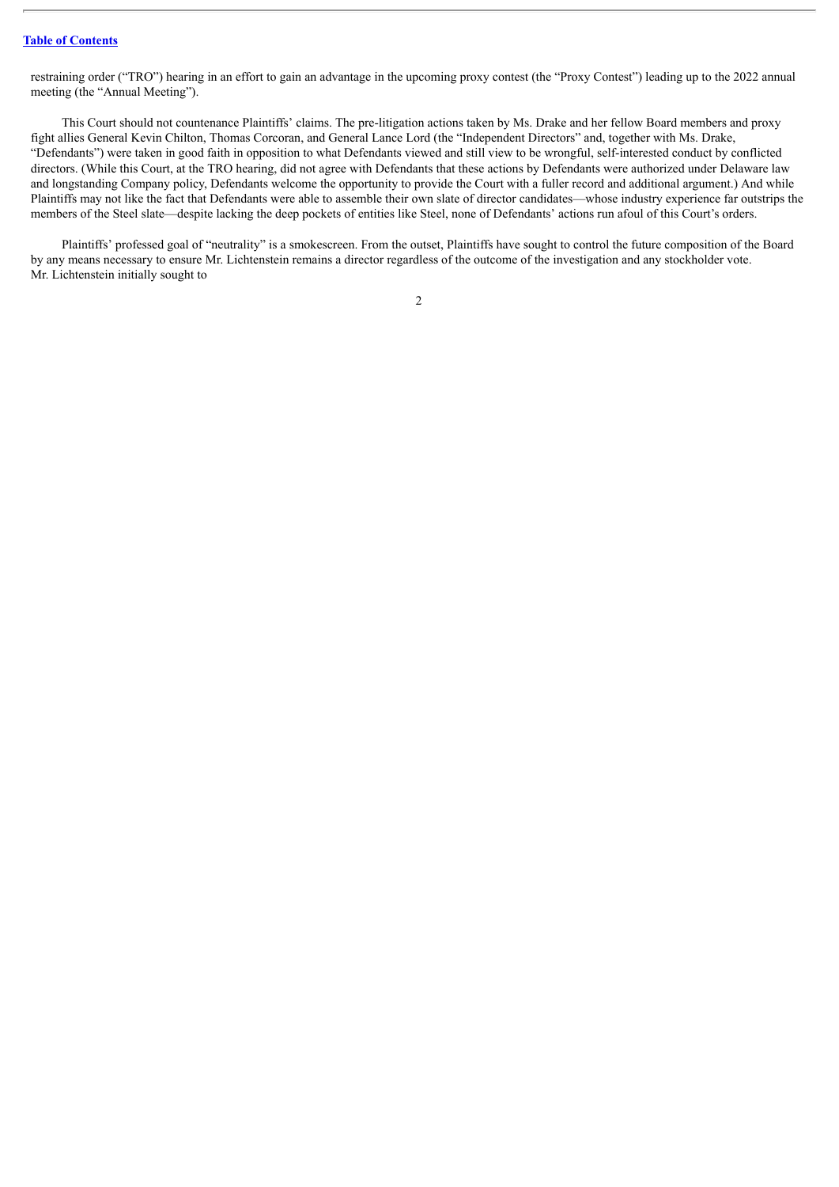restraining order ("TRO") hearing in an effort to gain an advantage in the upcoming proxy contest (the "Proxy Contest") leading up to the 2022 annual meeting (the "Annual Meeting").

This Court should not countenance Plaintiffs' claims. The pre-litigation actions taken by Ms. Drake and her fellow Board members and proxy fight allies General Kevin Chilton, Thomas Corcoran, and General Lance Lord (the "Independent Directors" and, together with Ms. Drake, "Defendants") were taken in good faith in opposition to what Defendants viewed and still view to be wrongful, self-interested conduct by conflicted directors. (While this Court, at the TRO hearing, did not agree with Defendants that these actions by Defendants were authorized under Delaware law and longstanding Company policy, Defendants welcome the opportunity to provide the Court with a fuller record and additional argument.) And while Plaintiffs may not like the fact that Defendants were able to assemble their own slate of director candidates—whose industry experience far outstrips the members of the Steel slate—despite lacking the deep pockets of entities like Steel, none of Defendants' actions run afoul of this Court's orders.

Plaintiffs' professed goal of "neutrality" is a smokescreen. From the outset, Plaintiffs have sought to control the future composition of the Board by any means necessary to ensure Mr. Lichtenstein remains a director regardless of the outcome of the investigation and any stockholder vote. Mr. Lichtenstein initially sought to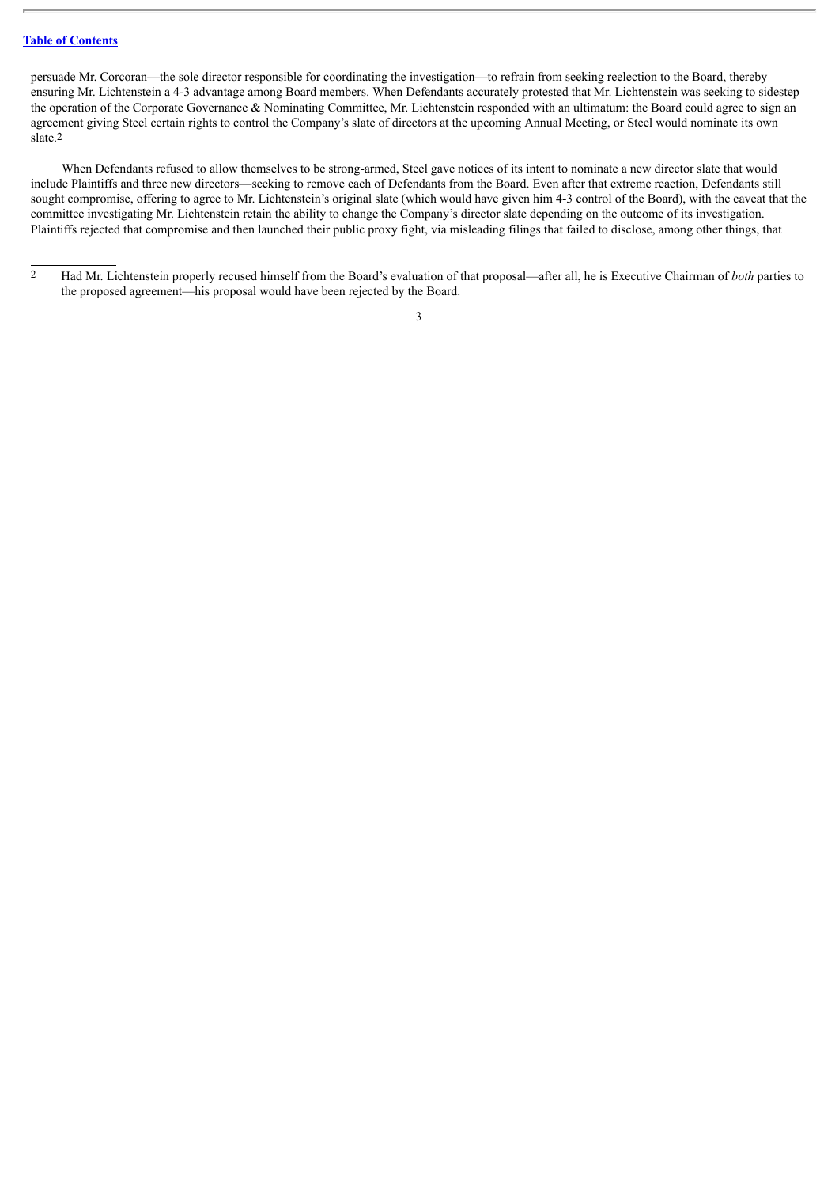persuade Mr. Corcoran—the sole director responsible for coordinating the investigation—to refrain from seeking reelection to the Board, thereby ensuring Mr. Lichtenstein a 4-3 advantage among Board members. When Defendants accurately protested that Mr. Lichtenstein was seeking to sidestep the operation of the Corporate Governance & Nominating Committee, Mr. Lichtenstein responded with an ultimatum: the Board could agree to sign an agreement giving Steel certain rights to control the Company's slate of directors at the upcoming Annual Meeting, or Steel would nominate its own slate.2

When Defendants refused to allow themselves to be strong-armed, Steel gave notices of its intent to nominate a new director slate that would include Plaintiffs and three new directors—seeking to remove each of Defendants from the Board. Even after that extreme reaction, Defendants still sought compromise, offering to agree to Mr. Lichtenstein's original slate (which would have given him 4-3 control of the Board), with the caveat that the committee investigating Mr. Lichtenstein retain the ability to change the Company's director slate depending on the outcome of its investigation. Plaintiffs rejected that compromise and then launched their public proxy fight, via misleading filings that failed to disclose, among other things, that

<sup>&</sup>lt;sup>2</sup> Had Mr. Lichtenstein properly recused himself from the Board's evaluation of that proposal—after all, he is Executive Chairman of *both* parties to the proposed agreement—his proposal would have been rejected by the Board.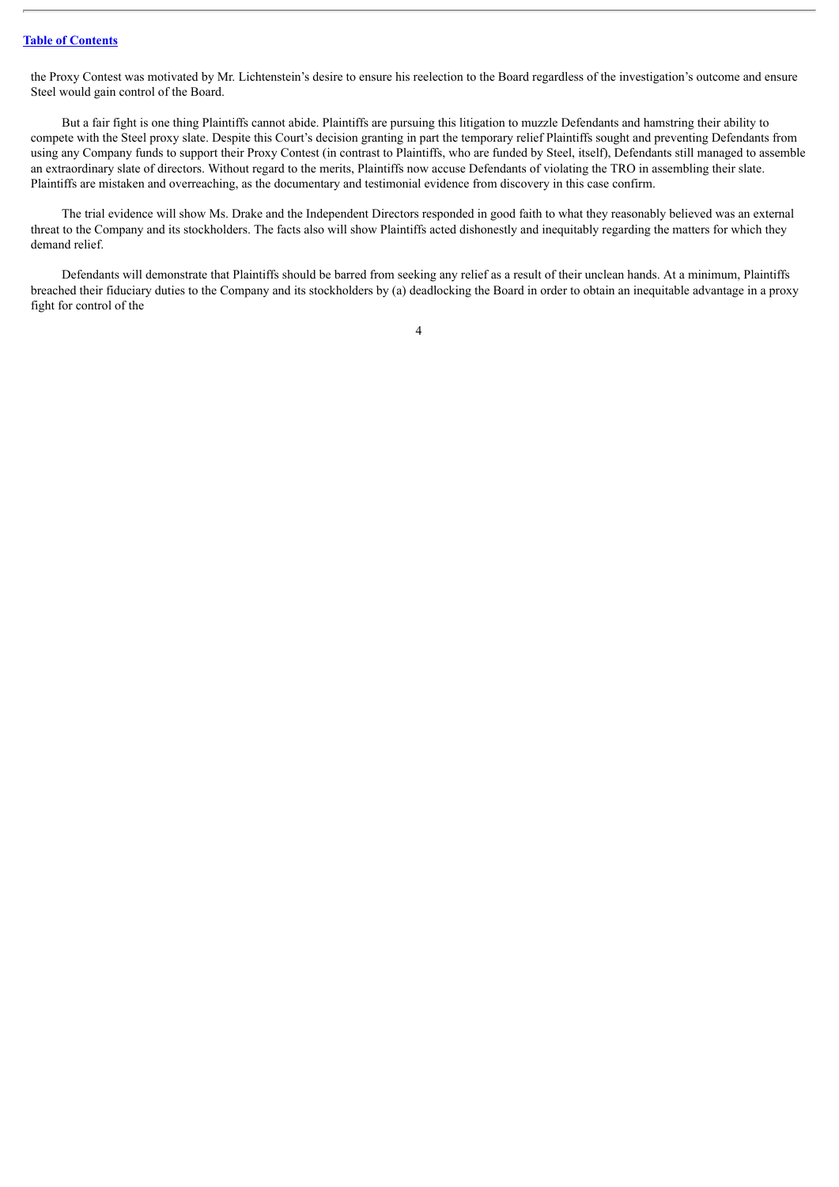the Proxy Contest was motivated by Mr. Lichtenstein's desire to ensure his reelection to the Board regardless of the investigation's outcome and ensure Steel would gain control of the Board.

But a fair fight is one thing Plaintiffs cannot abide. Plaintiffs are pursuing this litigation to muzzle Defendants and hamstring their ability to compete with the Steel proxy slate. Despite this Court's decision granting in part the temporary relief Plaintiffs sought and preventing Defendants from using any Company funds to support their Proxy Contest (in contrast to Plaintiffs, who are funded by Steel, itself), Defendants still managed to assemble an extraordinary slate of directors. Without regard to the merits, Plaintiffs now accuse Defendants of violating the TRO in assembling their slate. Plaintiffs are mistaken and overreaching, as the documentary and testimonial evidence from discovery in this case confirm.

The trial evidence will show Ms. Drake and the Independent Directors responded in good faith to what they reasonably believed was an external threat to the Company and its stockholders. The facts also will show Plaintiffs acted dishonestly and inequitably regarding the matters for which they demand relief.

Defendants will demonstrate that Plaintiffs should be barred from seeking any relief as a result of their unclean hands. At a minimum, Plaintiffs breached their fiduciary duties to the Company and its stockholders by (a) deadlocking the Board in order to obtain an inequitable advantage in a proxy fight for control of the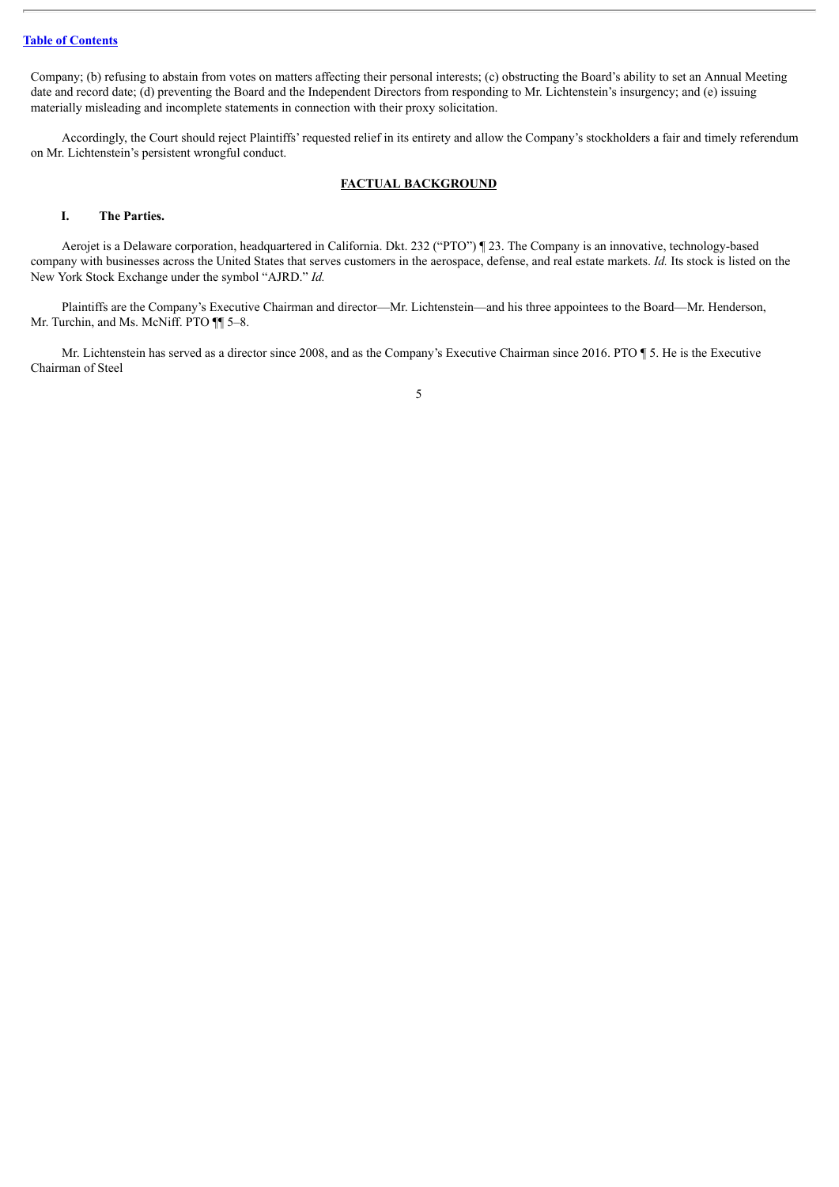Company; (b) refusing to abstain from votes on matters affecting their personal interests; (c) obstructing the Board's ability to set an Annual Meeting date and record date; (d) preventing the Board and the Independent Directors from responding to Mr. Lichtenstein's insurgency; and (e) issuing materially misleading and incomplete statements in connection with their proxy solicitation.

Accordingly, the Court should reject Plaintiffs' requested relief in its entirety and allow the Company's stockholders a fair and timely referendum on Mr. Lichtenstein's persistent wrongful conduct.

# **FACTUAL BACKGROUND**

## <span id="page-86-1"></span><span id="page-86-0"></span>**I. The Parties.**

Aerojet is a Delaware corporation, headquartered in California. Dkt. 232 ("PTO") ¶ 23. The Company is an innovative, technology-based company with businesses across the United States that serves customers in the aerospace, defense, and real estate markets. *Id.* Its stock is listed on the New York Stock Exchange under the symbol "AJRD." *Id.*

Plaintiffs are the Company's Executive Chairman and director—Mr. Lichtenstein—and his three appointees to the Board—Mr. Henderson, Mr. Turchin, and Ms. McNiff. PTO ¶¶ 5–8.

Mr. Lichtenstein has served as a director since 2008, and as the Company's Executive Chairman since 2016. PTO ¶ 5. He is the Executive Chairman of Steel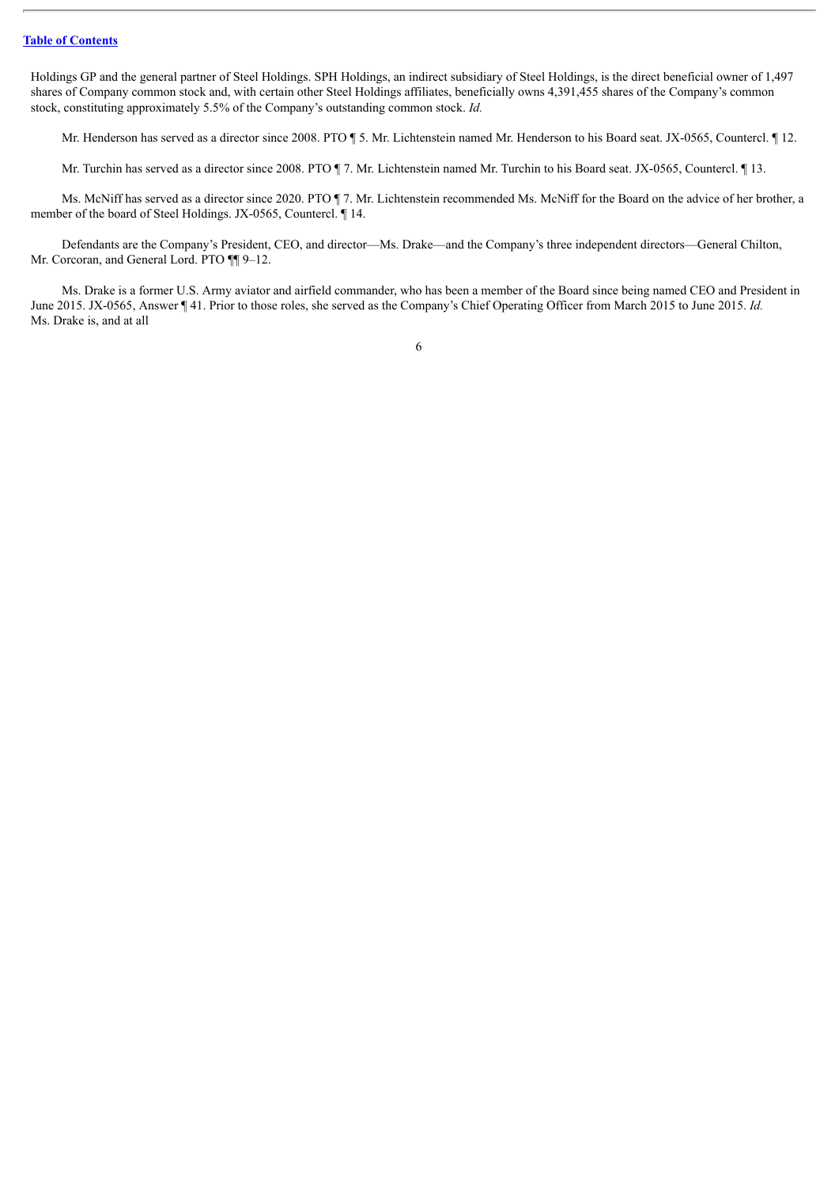Holdings GP and the general partner of Steel Holdings. SPH Holdings, an indirect subsidiary of Steel Holdings, is the direct beneficial owner of 1,497 shares of Company common stock and, with certain other Steel Holdings affiliates, beneficially owns 4,391,455 shares of the Company's common stock, constituting approximately 5.5% of the Company's outstanding common stock. *Id.*

Mr. Henderson has served as a director since 2008. PTO ¶ 5. Mr. Lichtenstein named Mr. Henderson to his Board seat. JX-0565, Countercl. ¶ 12.

Mr. Turchin has served as a director since 2008. PTO ¶ 7. Mr. Lichtenstein named Mr. Turchin to his Board seat. JX-0565, Countercl. ¶ 13.

Ms. McNiff has served as a director since 2020. PTO ¶ 7. Mr. Lichtenstein recommended Ms. McNiff for the Board on the advice of her brother, a member of the board of Steel Holdings. JX-0565, Countercl. ¶ 14.

Defendants are the Company's President, CEO, and director—Ms. Drake—and the Company's three independent directors—General Chilton, Mr. Corcoran, and General Lord. PTO  $\P$  9-12.

Ms. Drake is a former U.S. Army aviator and airfield commander, who has been a member of the Board since being named CEO and President in June 2015. JX-0565, Answer ¶ 41. Prior to those roles, she served as the Company's Chief Operating Officer from March 2015 to June 2015. *Id.* Ms. Drake is, and at all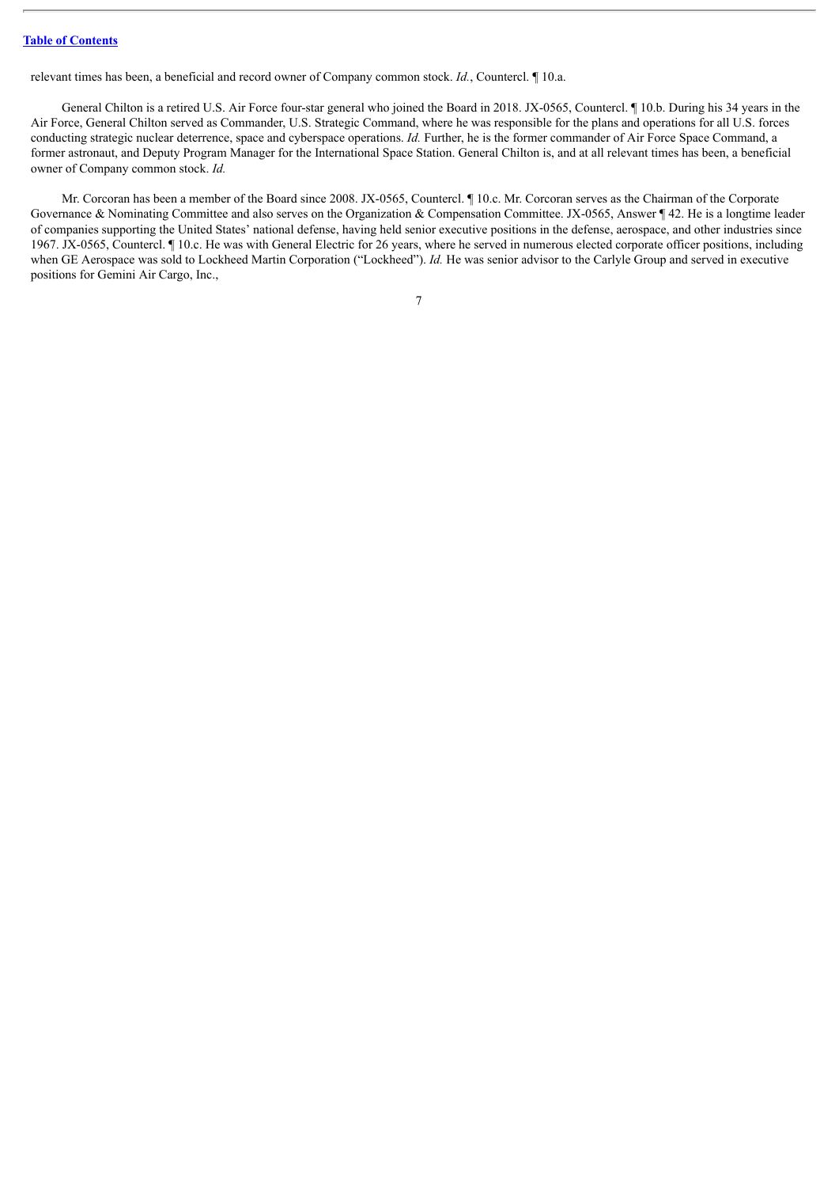relevant times has been, a beneficial and record owner of Company common stock. *Id.*, Countercl. ¶ 10.a.

General Chilton is a retired U.S. Air Force four-star general who joined the Board in 2018. JX-0565, Countercl. ¶ 10.b. During his 34 years in the Air Force, General Chilton served as Commander, U.S. Strategic Command, where he was responsible for the plans and operations for all U.S. forces conducting strategic nuclear deterrence, space and cyberspace operations. *Id.* Further, he is the former commander of Air Force Space Command, a former astronaut, and Deputy Program Manager for the International Space Station. General Chilton is, and at all relevant times has been, a beneficial owner of Company common stock. *Id.*

Mr. Corcoran has been a member of the Board since 2008. JX-0565, Countercl. ¶ 10.c. Mr. Corcoran serves as the Chairman of the Corporate Governance & Nominating Committee and also serves on the Organization & Compensation Committee. JX-0565, Answer ¶ 42. He is a longtime leader of companies supporting the United States' national defense, having held senior executive positions in the defense, aerospace, and other industries since 1967. JX-0565, Countercl. ¶ 10.c. He was with General Electric for 26 years, where he served in numerous elected corporate officer positions, including when GE Aerospace was sold to Lockheed Martin Corporation ("Lockheed"). *Id.* He was senior advisor to the Carlyle Group and served in executive positions for Gemini Air Cargo, Inc.,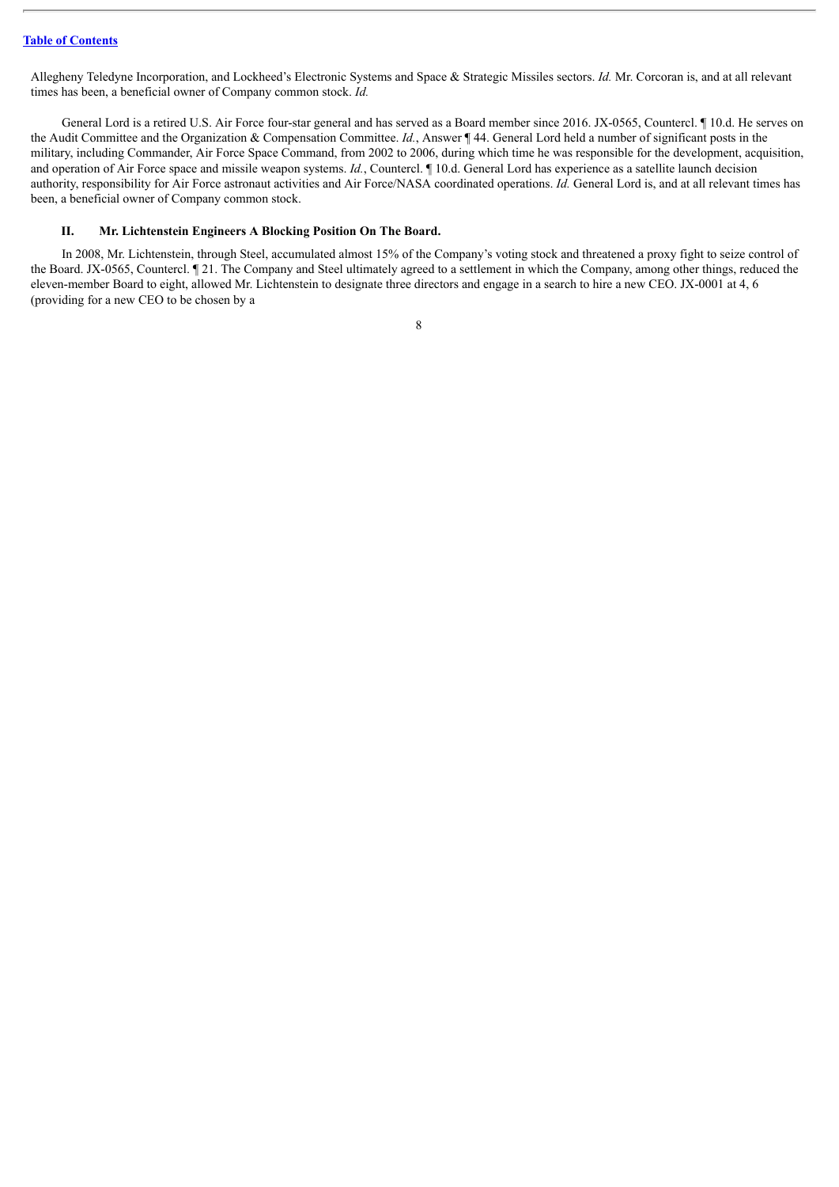Allegheny Teledyne Incorporation, and Lockheed's Electronic Systems and Space & Strategic Missiles sectors. *Id.* Mr. Corcoran is, and at all relevant times has been, a beneficial owner of Company common stock. *Id.*

General Lord is a retired U.S. Air Force four-star general and has served as a Board member since 2016. JX-0565, Countercl. ¶ 10.d. He serves on the Audit Committee and the Organization & Compensation Committee. *Id.*, Answer ¶ 44. General Lord held a number of significant posts in the military, including Commander, Air Force Space Command, from 2002 to 2006, during which time he was responsible for the development, acquisition, and operation of Air Force space and missile weapon systems. *Id.*, Countercl. ¶ 10.d. General Lord has experience as a satellite launch decision authority, responsibility for Air Force astronaut activities and Air Force/NASA coordinated operations. *Id.* General Lord is, and at all relevant times has been, a beneficial owner of Company common stock.

## <span id="page-89-0"></span>**II. Mr. Lichtenstein Engineers A Blocking Position On The Board.**

In 2008, Mr. Lichtenstein, through Steel, accumulated almost 15% of the Company's voting stock and threatened a proxy fight to seize control of the Board. JX-0565, Countercl. ¶ 21. The Company and Steel ultimately agreed to a settlement in which the Company, among other things, reduced the eleven-member Board to eight, allowed Mr. Lichtenstein to designate three directors and engage in a search to hire a new CEO. JX-0001 at 4, 6 (providing for a new CEO to be chosen by a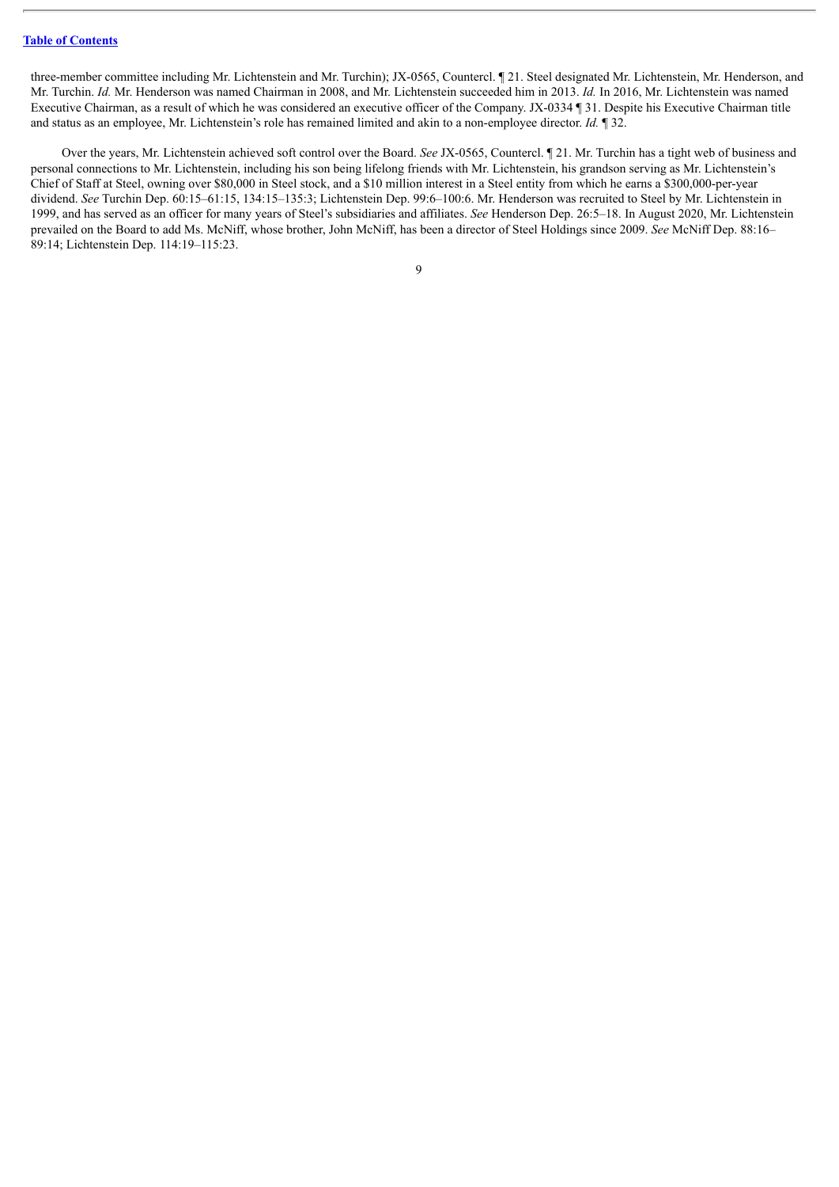three-member committee including Mr. Lichtenstein and Mr. Turchin); JX-0565, Countercl. ¶ 21. Steel designated Mr. Lichtenstein, Mr. Henderson, and Mr. Turchin. *Id.* Mr. Henderson was named Chairman in 2008, and Mr. Lichtenstein succeeded him in 2013. *Id.* In 2016, Mr. Lichtenstein was named Executive Chairman, as a result of which he was considered an executive officer of the Company. JX-0334 ¶ 31. Despite his Executive Chairman title and status as an employee, Mr. Lichtenstein's role has remained limited and akin to a non-employee director. *Id.* ¶ 32.

Over the years, Mr. Lichtenstein achieved soft control over the Board. *See* JX-0565, Countercl. ¶ 21. Mr. Turchin has a tight web of business and personal connections to Mr. Lichtenstein, including his son being lifelong friends with Mr. Lichtenstein, his grandson serving as Mr. Lichtenstein's Chief of Staff at Steel, owning over \$80,000 in Steel stock, and a \$10 million interest in a Steel entity from which he earns a \$300,000-per-year dividend. *See* Turchin Dep. 60:15–61:15, 134:15–135:3; Lichtenstein Dep. 99:6–100:6. Mr. Henderson was recruited to Steel by Mr. Lichtenstein in 1999, and has served as an officer for many years of Steel's subsidiaries and affiliates. *See* Henderson Dep. 26:5–18. In August 2020, Mr. Lichtenstein prevailed on the Board to add Ms. McNiff, whose brother, John McNiff, has been a director of Steel Holdings since 2009. *See* McNiff Dep. 88:16– 89:14; Lichtenstein Dep. 114:19–115:23.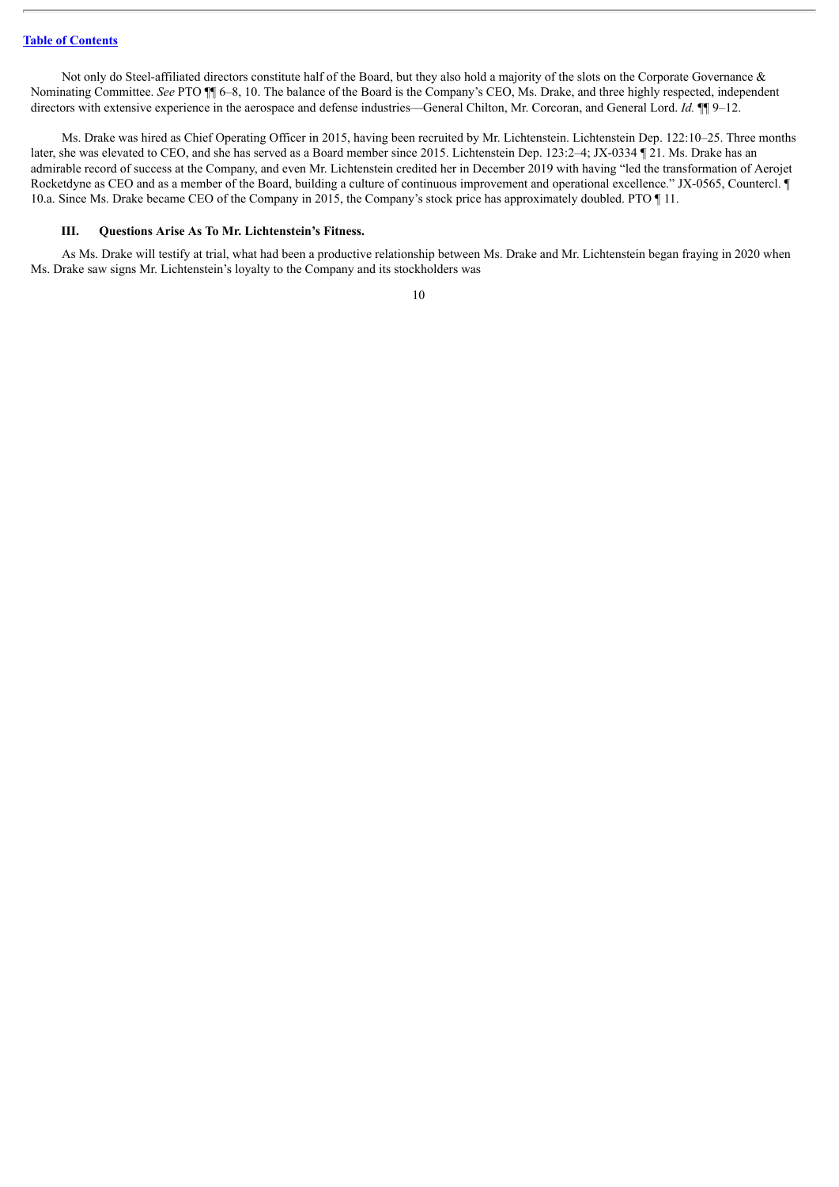Not only do Steel-affiliated directors constitute half of the Board, but they also hold a majority of the slots on the Corporate Governance & Nominating Committee. *See* PTO ¶¶ 6–8, 10. The balance of the Board is the Company's CEO, Ms. Drake, and three highly respected, independent directors with extensive experience in the aerospace and defense industries—General Chilton, Mr. Corcoran, and General Lord. *Id.* ¶¶ 9–12.

Ms. Drake was hired as Chief Operating Officer in 2015, having been recruited by Mr. Lichtenstein. Lichtenstein Dep. 122:10–25. Three months later, she was elevated to CEO, and she has served as a Board member since 2015. Lichtenstein Dep. 123:2–4; JX-0334 ¶ 21. Ms. Drake has an admirable record of success at the Company, and even Mr. Lichtenstein credited her in December 2019 with having "led the transformation of Aerojet Rocketdyne as CEO and as a member of the Board, building a culture of continuous improvement and operational excellence." JX-0565, Countercl. ¶ 10.a. Since Ms. Drake became CEO of the Company in 2015, the Company's stock price has approximately doubled. PTO ¶ 11.

### <span id="page-91-0"></span>**III. Questions Arise As To Mr. Lichtenstein's Fitness.**

As Ms. Drake will testify at trial, what had been a productive relationship between Ms. Drake and Mr. Lichtenstein began fraying in 2020 when Ms. Drake saw signs Mr. Lichtenstein's loyalty to the Company and its stockholders was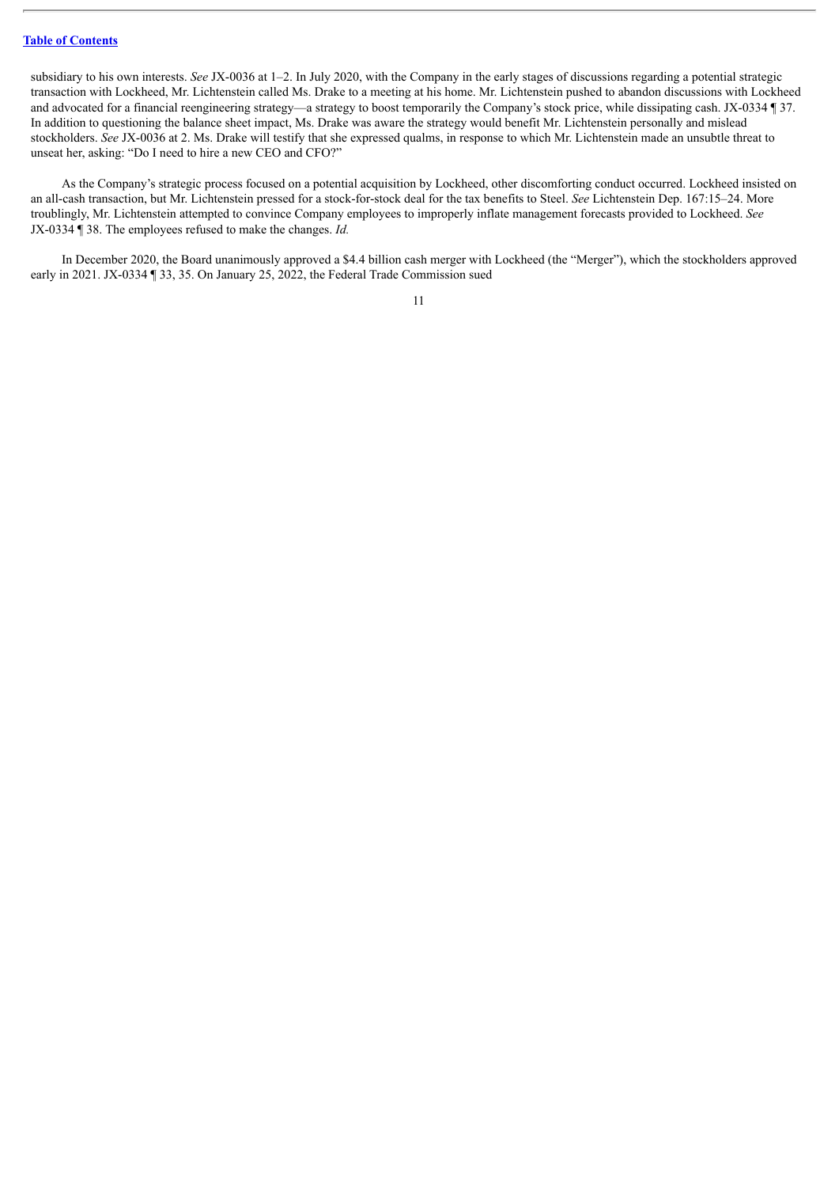subsidiary to his own interests. *See* JX-0036 at 1–2. In July 2020, with the Company in the early stages of discussions regarding a potential strategic transaction with Lockheed, Mr. Lichtenstein called Ms. Drake to a meeting at his home. Mr. Lichtenstein pushed to abandon discussions with Lockheed and advocated for a financial reengineering strategy—a strategy to boost temporarily the Company's stock price, while dissipating cash. JX-0334 ¶ 37. In addition to questioning the balance sheet impact, Ms. Drake was aware the strategy would benefit Mr. Lichtenstein personally and mislead stockholders. *See* JX-0036 at 2. Ms. Drake will testify that she expressed qualms, in response to which Mr. Lichtenstein made an unsubtle threat to unseat her, asking: "Do I need to hire a new CEO and CFO?"

As the Company's strategic process focused on a potential acquisition by Lockheed, other discomforting conduct occurred. Lockheed insisted on an all-cash transaction, but Mr. Lichtenstein pressed for a stock-for-stock deal for the tax benefits to Steel. *See* Lichtenstein Dep. 167:15–24. More troublingly, Mr. Lichtenstein attempted to convince Company employees to improperly inflate management forecasts provided to Lockheed. *See* JX-0334 ¶ 38. The employees refused to make the changes. *Id.*

In December 2020, the Board unanimously approved a \$4.4 billion cash merger with Lockheed (the "Merger"), which the stockholders approved early in 2021. JX-0334 ¶ 33, 35. On January 25, 2022, the Federal Trade Commission sued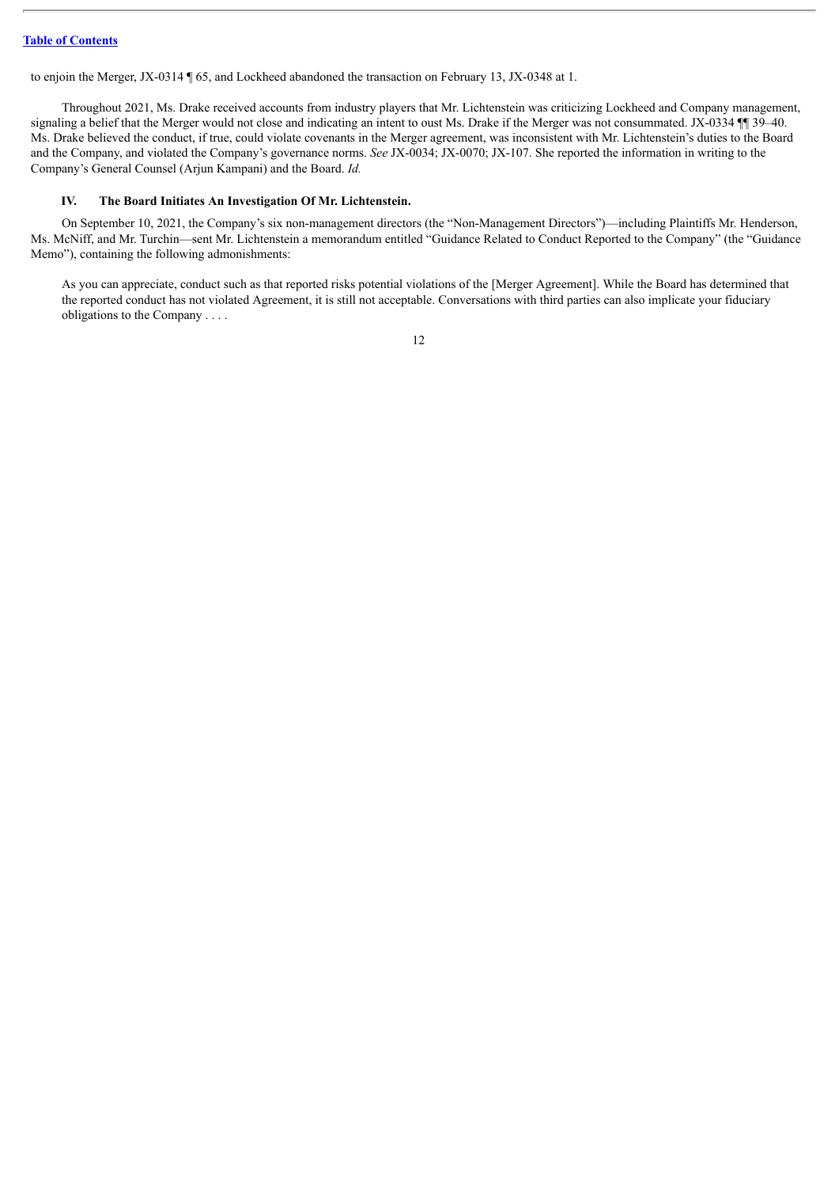to enjoin the Merger, JX-0314 ¶ 65, and Lockheed abandoned the transaction on February 13, JX-0348 at 1.

Throughout 2021, Ms. Drake received accounts from industry players that Mr. Lichtenstein was criticizing Lockheed and Company management, signaling a belief that the Merger would not close and indicating an intent to oust Ms. Drake if the Merger was not consummated. JX-0334 ¶ 39–40. Ms. Drake believed the conduct, if true, could violate covenants in the Merger agreement, was inconsistent with Mr. Lichtenstein's duties to the Board and the Company, and violated the Company's governance norms. *See* JX-0034; JX-0070; JX-107. She reported the information in writing to the Company's General Counsel (Arjun Kampani) and the Board. *Id.*

#### <span id="page-93-0"></span>**IV. The Board Initiates An Investigation Of Mr. Lichtenstein.**

On September 10, 2021, the Company's six non-management directors (the "Non-Management Directors")—including Plaintiffs Mr. Henderson, Ms. McNiff, and Mr. Turchin—sent Mr. Lichtenstein a memorandum entitled "Guidance Related to Conduct Reported to the Company" (the "Guidance Memo"), containing the following admonishments:

As you can appreciate, conduct such as that reported risks potential violations of the [Merger Agreement]. While the Board has determined that the reported conduct has not violated Agreement, it is still not acceptable. Conversations with third parties can also implicate your fiduciary obligations to the Company . . . .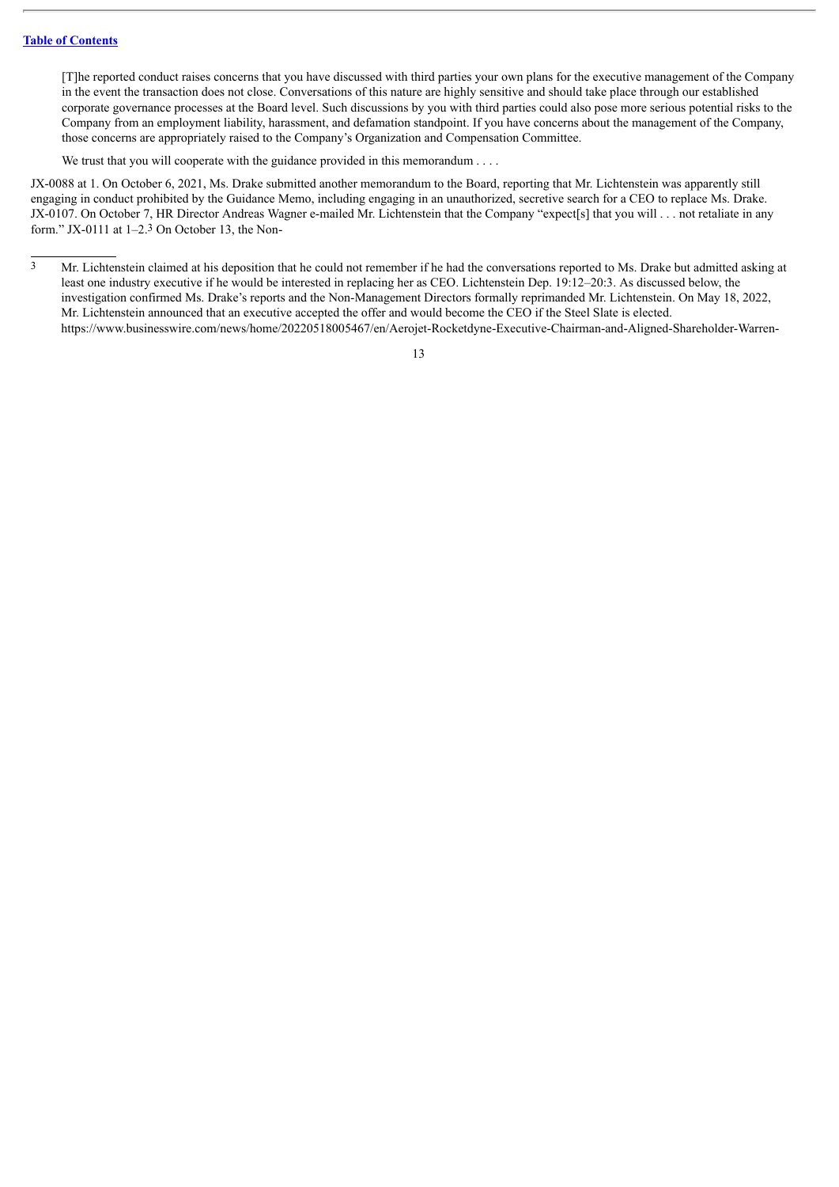[T]he reported conduct raises concerns that you have discussed with third parties your own plans for the executive management of the Company in the event the transaction does not close. Conversations of this nature are highly sensitive and should take place through our established corporate governance processes at the Board level. Such discussions by you with third parties could also pose more serious potential risks to the Company from an employment liability, harassment, and defamation standpoint. If you have concerns about the management of the Company, those concerns are appropriately raised to the Company's Organization and Compensation Committee.

We trust that you will cooperate with the guidance provided in this memorandum . . . .

JX-0088 at 1. On October 6, 2021, Ms. Drake submitted another memorandum to the Board, reporting that Mr. Lichtenstein was apparently still engaging in conduct prohibited by the Guidance Memo, including engaging in an unauthorized, secretive search for a CEO to replace Ms. Drake. JX-0107. On October 7, HR Director Andreas Wagner e-mailed Mr. Lichtenstein that the Company "expect[s] that you will . . . not retaliate in any form." JX-0111 at 1–2.3 On October 13, the Non-

<sup>3</sup> Mr. Lichtenstein claimed at his deposition that he could not remember if he had the conversations reported to Ms. Drake but admitted asking at least one industry executive if he would be interested in replacing her as CEO. Lichtenstein Dep. 19:12–20:3. As discussed below, the investigation confirmed Ms. Drake's reports and the Non-Management Directors formally reprimanded Mr. Lichtenstein. On May 18, 2022, Mr. Lichtenstein announced that an executive accepted the offer and would become the CEO if the Steel Slate is elected. https://www.businesswire.com/news/home/20220518005467/en/Aerojet-Rocketdyne-Executive-Chairman-and-Aligned-Shareholder-Warren-

<sup>13</sup>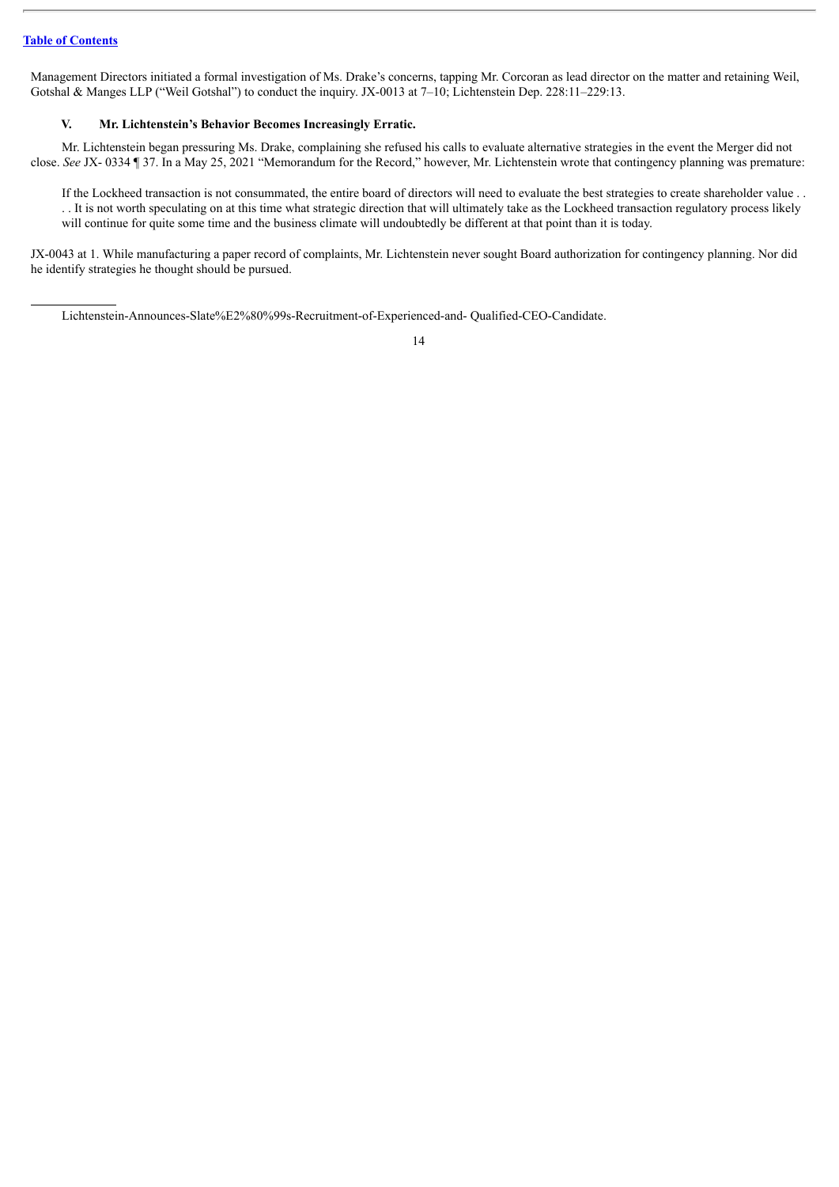Management Directors initiated a formal investigation of Ms. Drake's concerns, tapping Mr. Corcoran as lead director on the matter and retaining Weil, Gotshal & Manges LLP ("Weil Gotshal") to conduct the inquiry. JX-0013 at 7-10; Lichtenstein Dep. 228:11-229:13.

#### <span id="page-95-0"></span>**V. Mr. Lichtenstein's Behavior Becomes Increasingly Erratic.**

Mr. Lichtenstein began pressuring Ms. Drake, complaining she refused his calls to evaluate alternative strategies in the event the Merger did not close. *See* JX- 0334 ¶ 37. In a May 25, 2021 "Memorandum for the Record," however, Mr. Lichtenstein wrote that contingency planning was premature:

If the Lockheed transaction is not consummated, the entire board of directors will need to evaluate the best strategies to create shareholder value . . . . It is not worth speculating on at this time what strategic direction that will ultimately take as the Lockheed transaction regulatory process likely will continue for quite some time and the business climate will undoubtedly be different at that point than it is today.

JX-0043 at 1. While manufacturing a paper record of complaints, Mr. Lichtenstein never sought Board authorization for contingency planning. Nor did he identify strategies he thought should be pursued.

Lichtenstein-Announces-Slate%E2%80%99s-Recruitment-of-Experienced-and- Qualified-CEO-Candidate.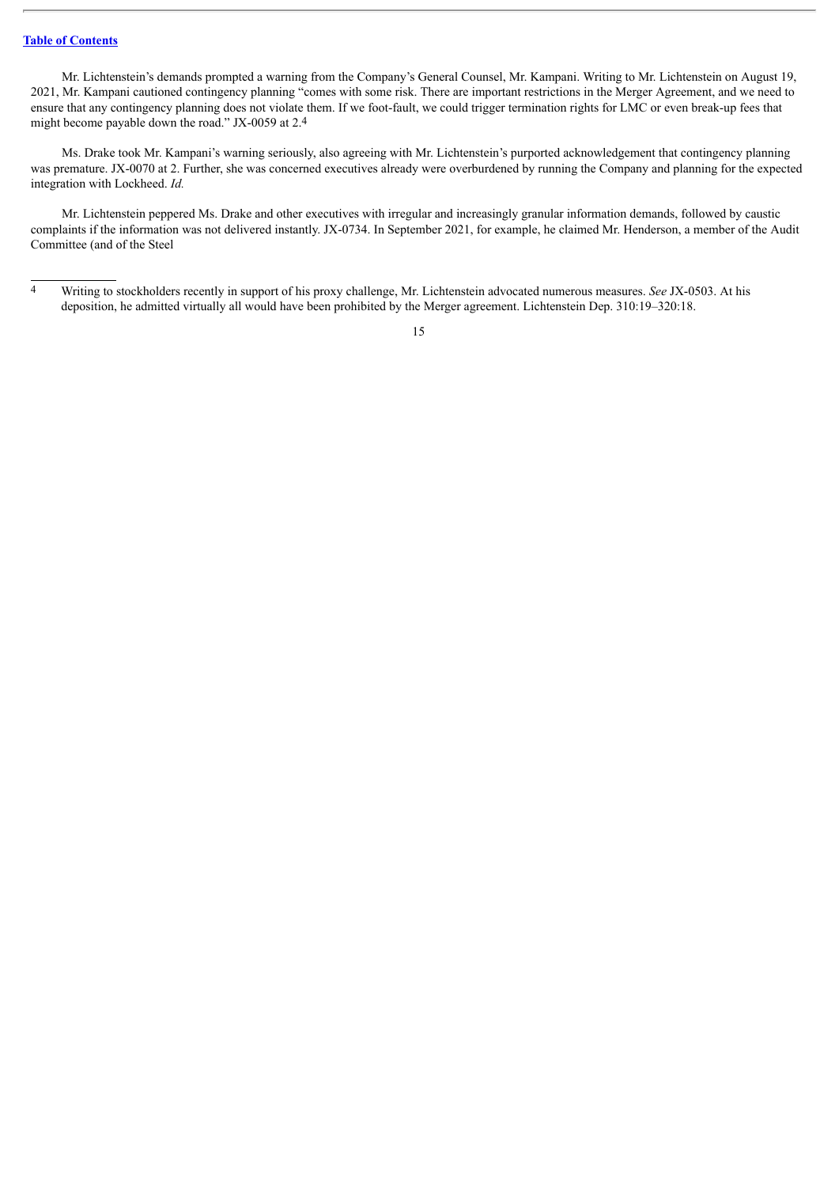Mr. Lichtenstein's demands prompted a warning from the Company's General Counsel, Mr. Kampani. Writing to Mr. Lichtenstein on August 19, 2021, Mr. Kampani cautioned contingency planning "comes with some risk. There are important restrictions in the Merger Agreement, and we need to ensure that any contingency planning does not violate them. If we foot-fault, we could trigger termination rights for LMC or even break-up fees that might become payable down the road." JX-0059 at 2.4

Ms. Drake took Mr. Kampani's warning seriously, also agreeing with Mr. Lichtenstein's purported acknowledgement that contingency planning was premature. JX-0070 at 2. Further, she was concerned executives already were overburdened by running the Company and planning for the expected integration with Lockheed. *Id.*

Mr. Lichtenstein peppered Ms. Drake and other executives with irregular and increasingly granular information demands, followed by caustic complaints if the information was not delivered instantly. JX-0734. In September 2021, for example, he claimed Mr. Henderson, a member of the Audit Committee (and of the Steel

<sup>4</sup> Writing to stockholders recently in support of his proxy challenge, Mr. Lichtenstein advocated numerous measures. *See* JX-0503. At his deposition, he admitted virtually all would have been prohibited by the Merger agreement. Lichtenstein Dep. 310:19–320:18.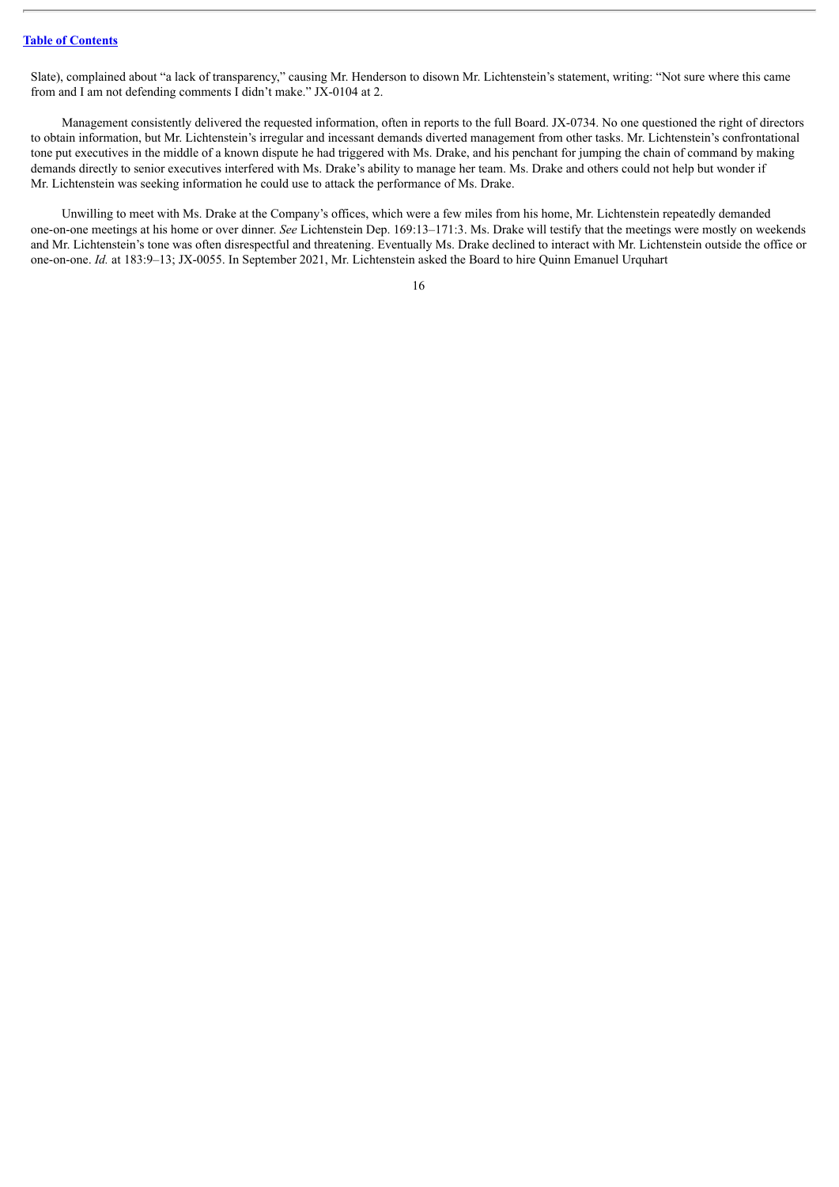Slate), complained about "a lack of transparency," causing Mr. Henderson to disown Mr. Lichtenstein's statement, writing: "Not sure where this came from and I am not defending comments I didn't make." JX-0104 at 2.

Management consistently delivered the requested information, often in reports to the full Board. JX-0734. No one questioned the right of directors to obtain information, but Mr. Lichtenstein's irregular and incessant demands diverted management from other tasks. Mr. Lichtenstein's confrontational tone put executives in the middle of a known dispute he had triggered with Ms. Drake, and his penchant for jumping the chain of command by making demands directly to senior executives interfered with Ms. Drake's ability to manage her team. Ms. Drake and others could not help but wonder if Mr. Lichtenstein was seeking information he could use to attack the performance of Ms. Drake.

Unwilling to meet with Ms. Drake at the Company's offices, which were a few miles from his home, Mr. Lichtenstein repeatedly demanded one-on-one meetings at his home or over dinner. *See* Lichtenstein Dep. 169:13–171:3. Ms. Drake will testify that the meetings were mostly on weekends and Mr. Lichtenstein's tone was often disrespectful and threatening. Eventually Ms. Drake declined to interact with Mr. Lichtenstein outside the office or one-on-one. *Id.* at 183:9–13; JX-0055. In September 2021, Mr. Lichtenstein asked the Board to hire Quinn Emanuel Urquhart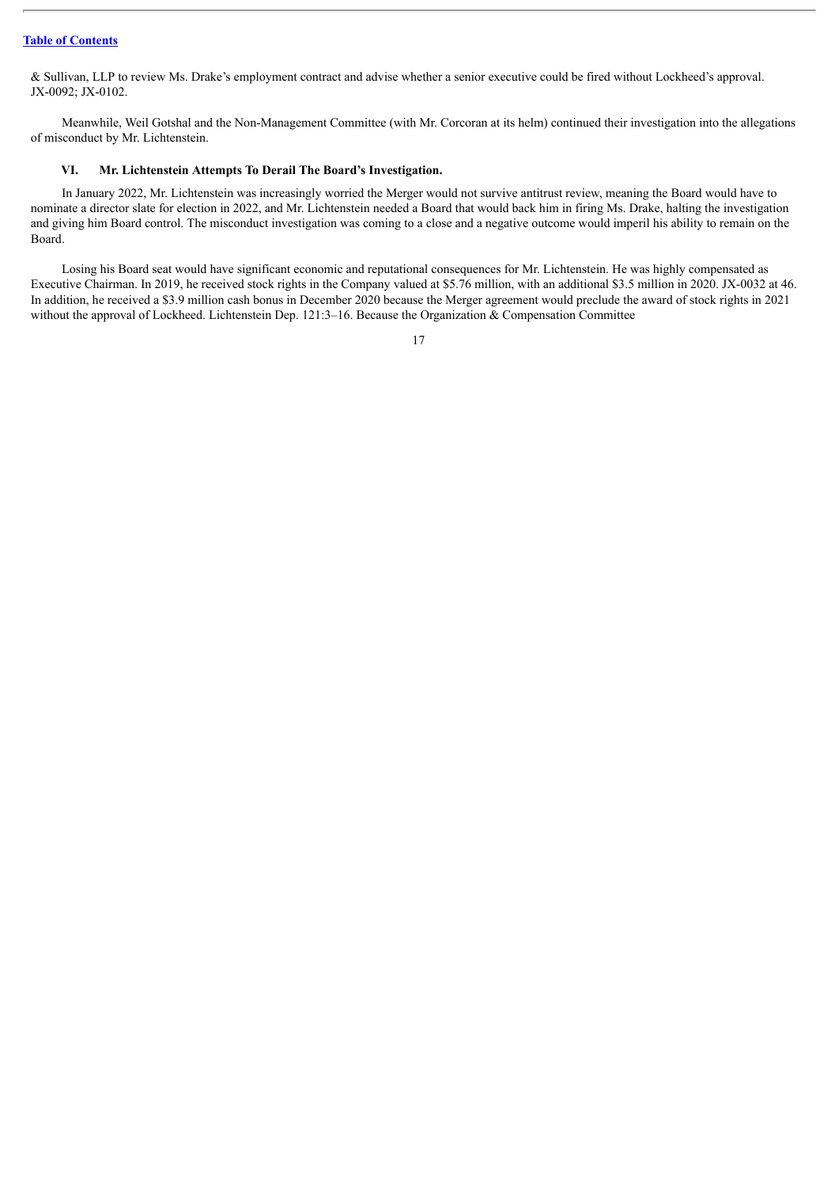& Sullivan, LLP to review Ms. Drake's employment contract and advise whether a senior executive could be fired without Lockheed's approval. JX-0092; JX-0102.

Meanwhile, Weil Gotshal and the Non-Management Committee (with Mr. Corcoran at its helm) continued their investigation into the allegations of misconduct by Mr. Lichtenstein.

#### <span id="page-98-0"></span>**VI. Mr. Lichtenstein Attempts To Derail The Board's Investigation.**

In January 2022, Mr. Lichtenstein was increasingly worried the Merger would not survive antitrust review, meaning the Board would have to nominate a director slate for election in 2022, and Mr. Lichtenstein needed a Board that would back him in firing Ms. Drake, halting the investigation and giving him Board control. The misconduct investigation was coming to a close and a negative outcome would imperil his ability to remain on the Board.

Losing his Board seat would have significant economic and reputational consequences for Mr. Lichtenstein. He was highly compensated as Executive Chairman. In 2019, he received stock rights in the Company valued at \$5.76 million, with an additional \$3.5 million in 2020. JX-0032 at 46. In addition, he received a \$3.9 million cash bonus in December 2020 because the Merger agreement would preclude the award of stock rights in 2021 without the approval of Lockheed. Lichtenstein Dep. 121:3-16. Because the Organization & Compensation Committee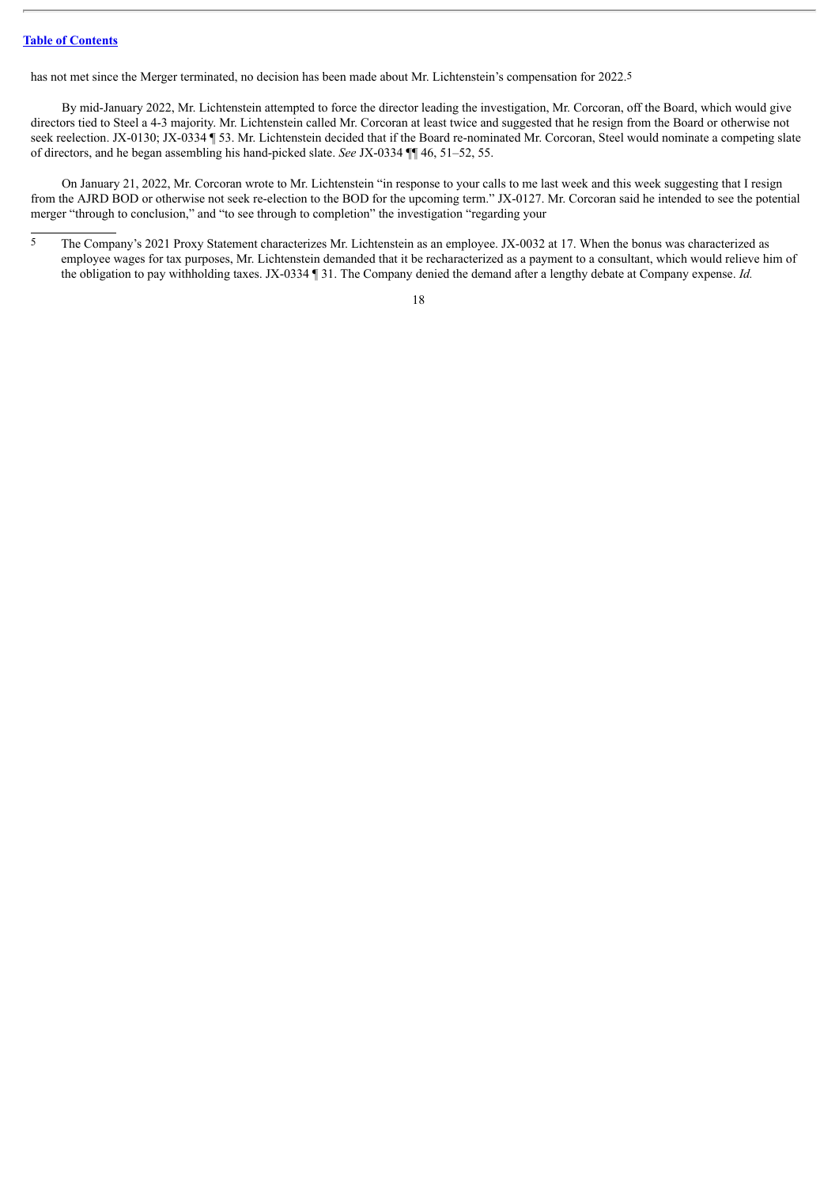has not met since the Merger terminated, no decision has been made about Mr. Lichtenstein's compensation for 2022.5

By mid-January 2022, Mr. Lichtenstein attempted to force the director leading the investigation, Mr. Corcoran, off the Board, which would give directors tied to Steel a 4-3 majority. Mr. Lichtenstein called Mr. Corcoran at least twice and suggested that he resign from the Board or otherwise not seek reelection. JX-0130; JX-0334 ¶ 53. Mr. Lichtenstein decided that if the Board re-nominated Mr. Corcoran, Steel would nominate a competing slate of directors, and he began assembling his hand-picked slate. *See* JX-0334 ¶¶ 46, 51–52, 55.

On January 21, 2022, Mr. Corcoran wrote to Mr. Lichtenstein "in response to your calls to me last week and this week suggesting that I resign from the AJRD BOD or otherwise not seek re-election to the BOD for the upcoming term." JX-0127. Mr. Corcoran said he intended to see the potential merger "through to conclusion," and "to see through to completion" the investigation "regarding your

<sup>5</sup> The Company's 2021 Proxy Statement characterizes Mr. Lichtenstein as an employee. JX-0032 at 17. When the bonus was characterized as employee wages for tax purposes, Mr. Lichtenstein demanded that it be recharacterized as a payment to a consultant, which would relieve him of the obligation to pay withholding taxes. JX-0334 ¶ 31. The Company denied the demand after a lengthy debate at Company expense. *Id.*

<sup>18</sup>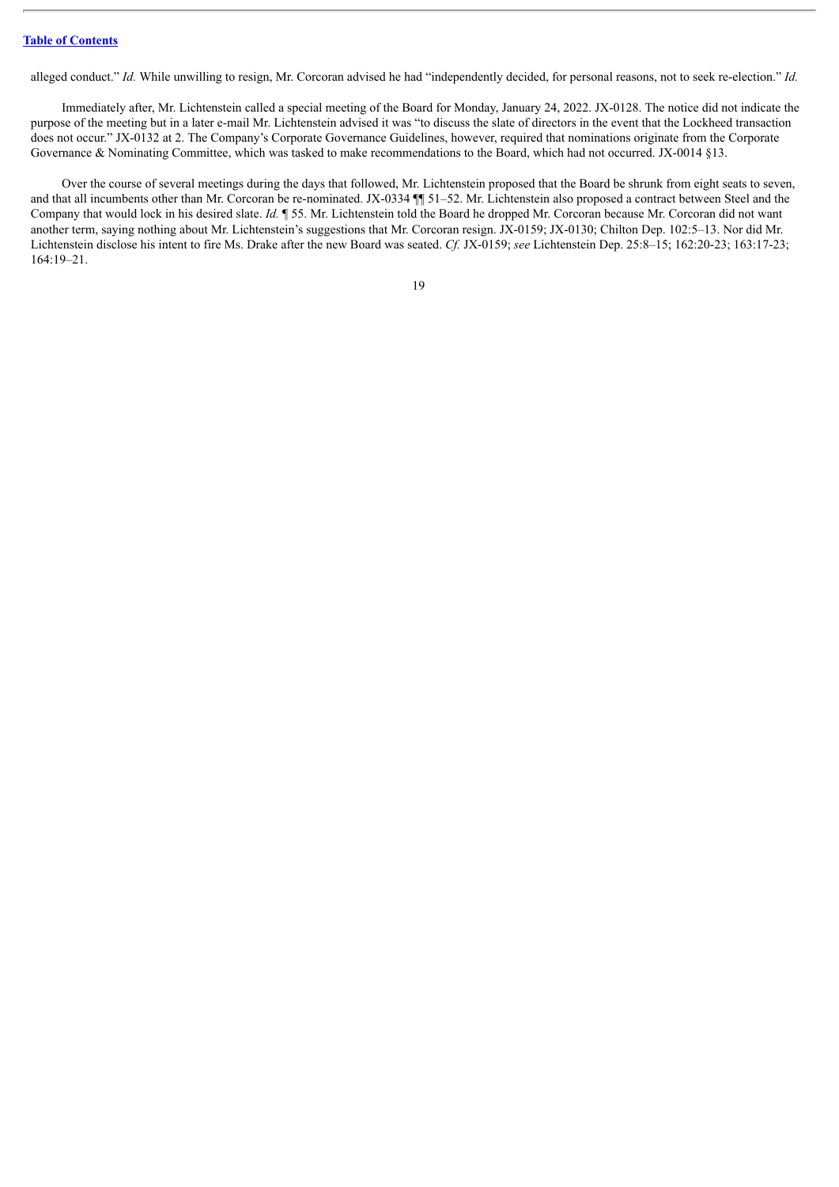alleged conduct." *Id.* While unwilling to resign, Mr. Corcoran advised he had "independently decided, for personal reasons, not to seek re-election." *Id.*

Immediately after, Mr. Lichtenstein called a special meeting of the Board for Monday, January 24, 2022. JX-0128. The notice did not indicate the purpose of the meeting but in a later e-mail Mr. Lichtenstein advised it was "to discuss the slate of directors in the event that the Lockheed transaction does not occur." JX-0132 at 2. The Company's Corporate Governance Guidelines, however, required that nominations originate from the Corporate Governance & Nominating Committee, which was tasked to make recommendations to the Board, which had not occurred. JX-0014 §13.

Over the course of several meetings during the days that followed, Mr. Lichtenstein proposed that the Board be shrunk from eight seats to seven, and that all incumbents other than Mr. Corcoran be re-nominated. JX-0334 ¶¶ 51–52. Mr. Lichtenstein also proposed a contract between Steel and the Company that would lock in his desired slate. *Id.* ¶ 55. Mr. Lichtenstein told the Board he dropped Mr. Corcoran because Mr. Corcoran did not want another term, saying nothing about Mr. Lichtenstein's suggestions that Mr. Corcoran resign. JX-0159; JX-0130; Chilton Dep. 102:5–13. Nor did Mr. Lichtenstein disclose his intent to fire Ms. Drake after the new Board was seated. *Cf.* JX-0159; *see* Lichtenstein Dep. 25:8–15; 162:20-23; 163:17-23; 164:19–21.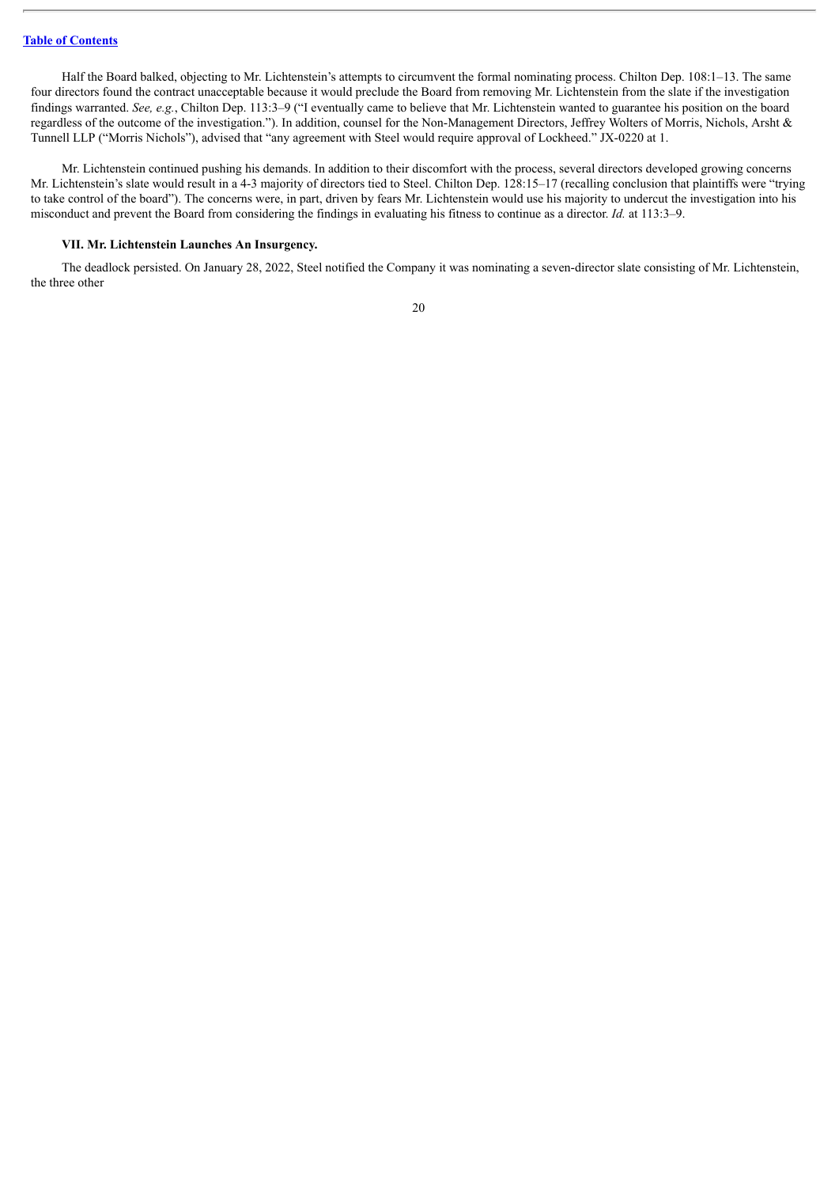Half the Board balked, objecting to Mr. Lichtenstein's attempts to circumvent the formal nominating process. Chilton Dep. 108:1–13. The same four directors found the contract unacceptable because it would preclude the Board from removing Mr. Lichtenstein from the slate if the investigation findings warranted. *See, e.g.*, Chilton Dep. 113:3–9 ("I eventually came to believe that Mr. Lichtenstein wanted to guarantee his position on the board regardless of the outcome of the investigation."). In addition, counsel for the Non-Management Directors, Jeffrey Wolters of Morris, Nichols, Arsht & Tunnell LLP ("Morris Nichols"), advised that "any agreement with Steel would require approval of Lockheed." JX-0220 at 1.

Mr. Lichtenstein continued pushing his demands. In addition to their discomfort with the process, several directors developed growing concerns Mr. Lichtenstein's slate would result in a 4-3 majority of directors tied to Steel. Chilton Dep. 128:15–17 (recalling conclusion that plaintiffs were "trying to take control of the board"). The concerns were, in part, driven by fears Mr. Lichtenstein would use his majority to undercut the investigation into his misconduct and prevent the Board from considering the findings in evaluating his fitness to continue as a director. *Id.* at 113:3–9.

#### <span id="page-101-0"></span>**VII. Mr. Lichtenstein Launches An Insurgency.**

The deadlock persisted. On January 28, 2022, Steel notified the Company it was nominating a seven-director slate consisting of Mr. Lichtenstein, the three other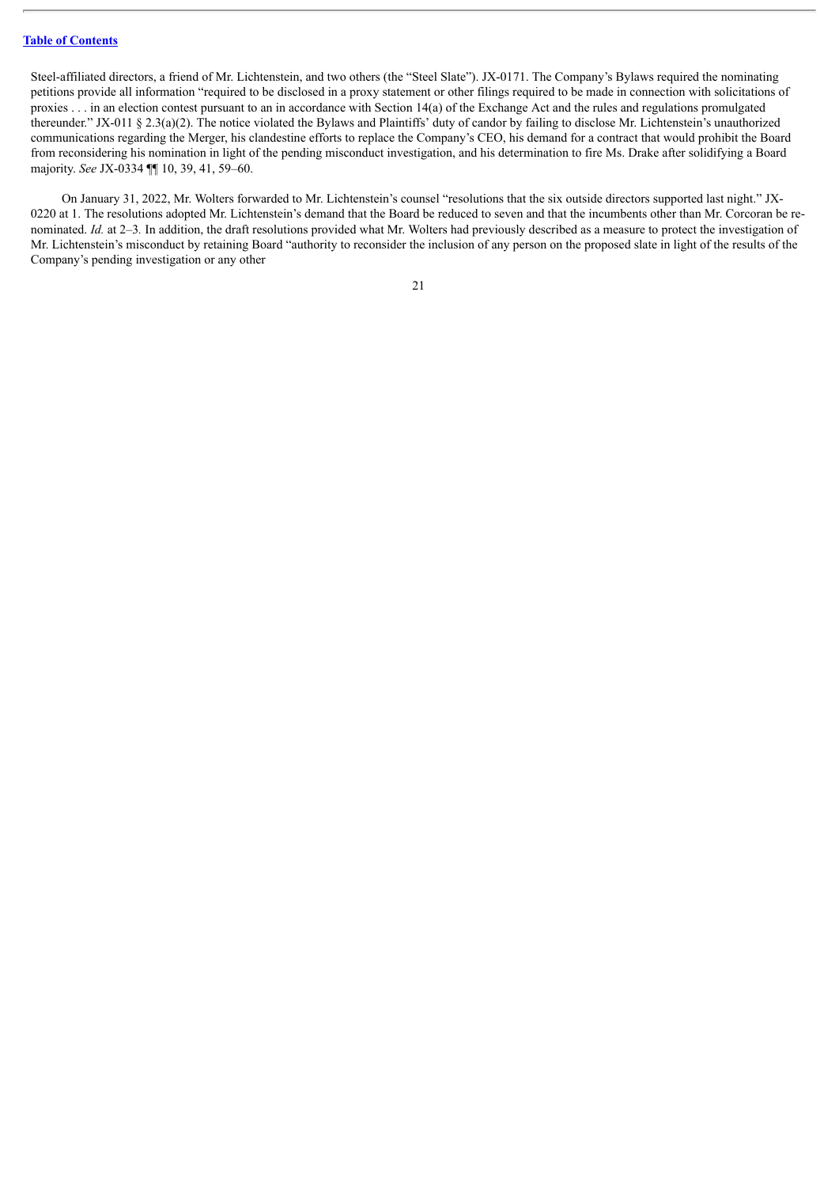Steel-affiliated directors, a friend of Mr. Lichtenstein, and two others (the "Steel Slate"). JX-0171. The Company's Bylaws required the nominating petitions provide all information "required to be disclosed in a proxy statement or other filings required to be made in connection with solicitations of proxies . . . in an election contest pursuant to an in accordance with Section 14(a) of the Exchange Act and the rules and regulations promulgated thereunder." JX-011 § 2.3(a)(2). The notice violated the Bylaws and Plaintiffs' duty of candor by failing to disclose Mr. Lichtenstein's unauthorized communications regarding the Merger, his clandestine efforts to replace the Company's CEO, his demand for a contract that would prohibit the Board from reconsidering his nomination in light of the pending misconduct investigation, and his determination to fire Ms. Drake after solidifying a Board majority. *See* JX-0334 ¶¶ 10, 39, 41, 59–60.

On January 31, 2022, Mr. Wolters forwarded to Mr. Lichtenstein's counsel "resolutions that the six outside directors supported last night." JX-0220 at 1. The resolutions adopted Mr. Lichtenstein's demand that the Board be reduced to seven and that the incumbents other than Mr. Corcoran be renominated. *Id.* at 2–3*.* In addition, the draft resolutions provided what Mr. Wolters had previously described as a measure to protect the investigation of Mr. Lichtenstein's misconduct by retaining Board "authority to reconsider the inclusion of any person on the proposed slate in light of the results of the Company's pending investigation or any other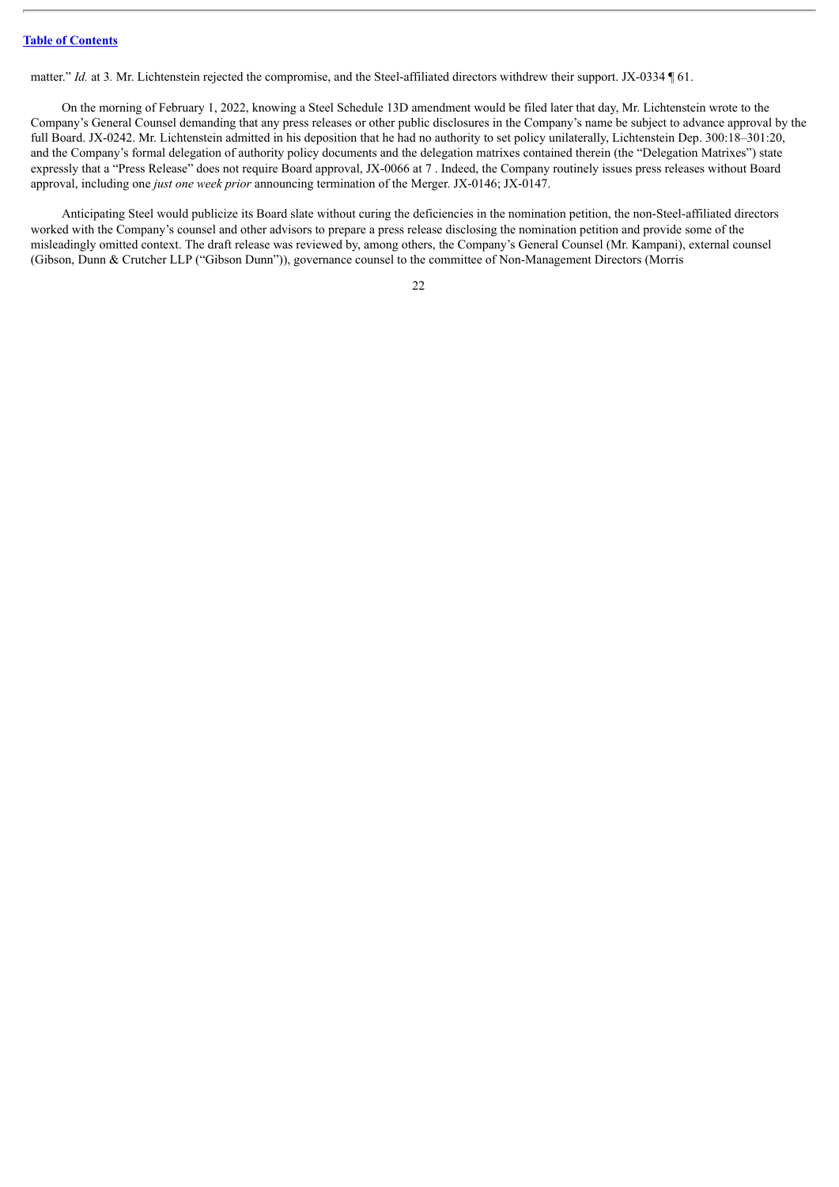matter." *Id.* at 3. Mr. Lichtenstein rejected the compromise, and the Steel-affiliated directors withdrew their support. JX-0334 ¶ 61.

On the morning of February 1, 2022, knowing a Steel Schedule 13D amendment would be filed later that day, Mr. Lichtenstein wrote to the Company's General Counsel demanding that any press releases or other public disclosures in the Company's name be subject to advance approval by the full Board. JX-0242. Mr. Lichtenstein admitted in his deposition that he had no authority to set policy unilaterally, Lichtenstein Dep. 300:18–301:20, and the Company's formal delegation of authority policy documents and the delegation matrixes contained therein (the "Delegation Matrixes") state expressly that a "Press Release" does not require Board approval, JX-0066 at 7 . Indeed, the Company routinely issues press releases without Board approval, including one *just one week prior* announcing termination of the Merger. JX-0146; JX-0147.

Anticipating Steel would publicize its Board slate without curing the deficiencies in the nomination petition, the non-Steel-affiliated directors worked with the Company's counsel and other advisors to prepare a press release disclosing the nomination petition and provide some of the misleadingly omitted context. The draft release was reviewed by, among others, the Company's General Counsel (Mr. Kampani), external counsel (Gibson, Dunn & Crutcher LLP ("Gibson Dunn")), governance counsel to the committee of Non-Management Directors (Morris

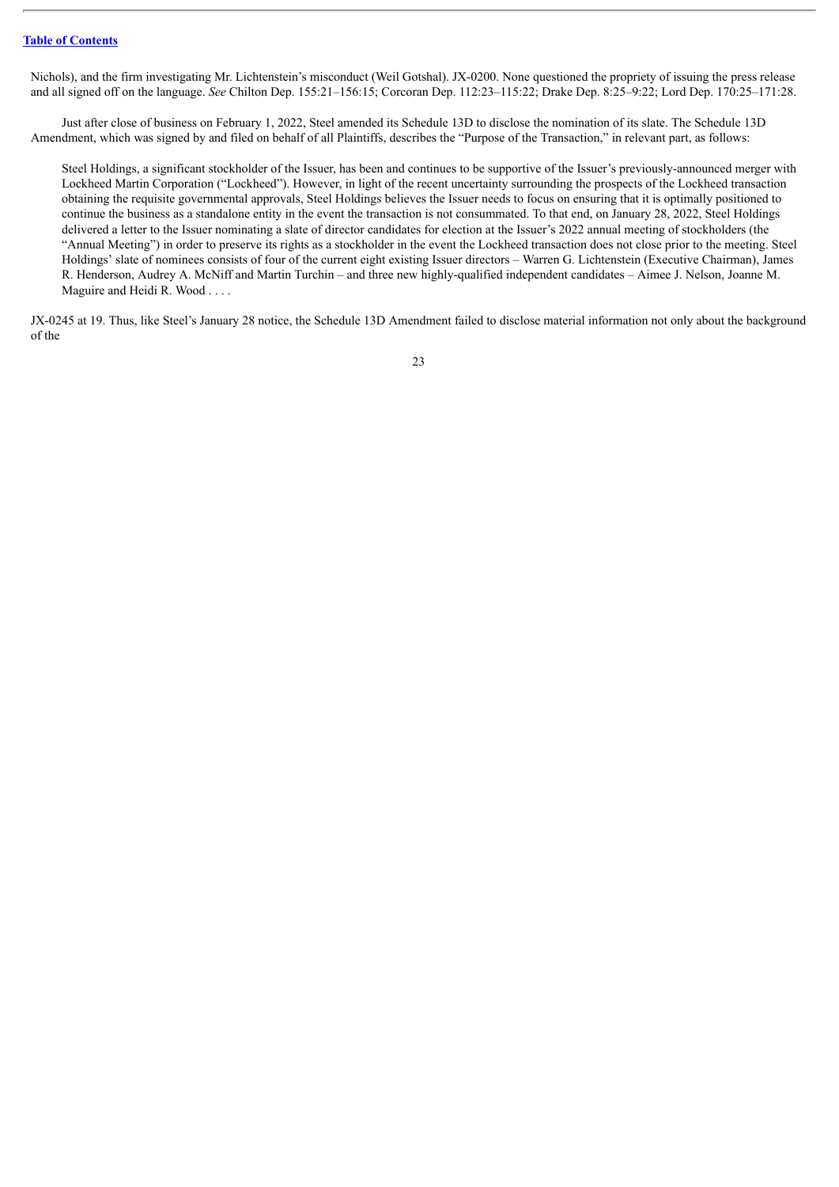Nichols), and the firm investigating Mr. Lichtenstein's misconduct (Weil Gotshal). JX-0200. None questioned the propriety of issuing the press release and all signed off on the language. *See* Chilton Dep. 155:21–156:15; Corcoran Dep. 112:23–115:22; Drake Dep. 8:25–9:22; Lord Dep. 170:25–171:28.

Just after close of business on February 1, 2022, Steel amended its Schedule 13D to disclose the nomination of its slate. The Schedule 13D Amendment, which was signed by and filed on behalf of all Plaintiffs, describes the "Purpose of the Transaction," in relevant part, as follows:

Steel Holdings, a significant stockholder of the Issuer, has been and continues to be supportive of the Issuer's previously-announced merger with Lockheed Martin Corporation ("Lockheed"). However, in light of the recent uncertainty surrounding the prospects of the Lockheed transaction obtaining the requisite governmental approvals, Steel Holdings believes the Issuer needs to focus on ensuring that it is optimally positioned to continue the business as a standalone entity in the event the transaction is not consummated. To that end, on January 28, 2022, Steel Holdings delivered a letter to the Issuer nominating a slate of director candidates for election at the Issuer's 2022 annual meeting of stockholders (the "Annual Meeting") in order to preserve its rights as a stockholder in the event the Lockheed transaction does not close prior to the meeting. Steel Holdings' slate of nominees consists of four of the current eight existing Issuer directors – Warren G. Lichtenstein (Executive Chairman), James R. Henderson, Audrey A. McNiff and Martin Turchin – and three new highly-qualified independent candidates – Aimee J. Nelson, Joanne M. Maguire and Heidi R. Wood . . . .

JX-0245 at 19. Thus, like Steel's January 28 notice, the Schedule 13D Amendment failed to disclose material information not only about the background of the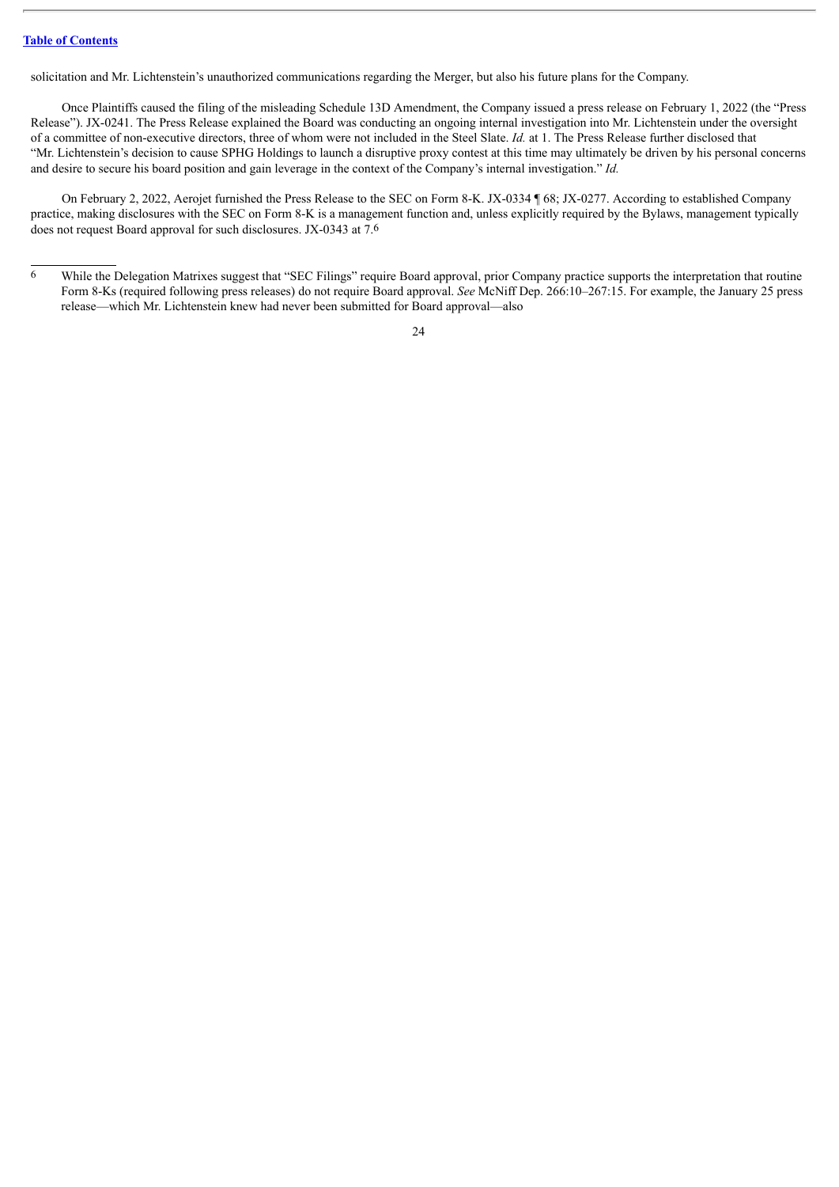solicitation and Mr. Lichtenstein's unauthorized communications regarding the Merger, but also his future plans for the Company.

Once Plaintiffs caused the filing of the misleading Schedule 13D Amendment, the Company issued a press release on February 1, 2022 (the "Press Release"). JX-0241. The Press Release explained the Board was conducting an ongoing internal investigation into Mr. Lichtenstein under the oversight of a committee of non-executive directors, three of whom were not included in the Steel Slate. *Id.* at 1. The Press Release further disclosed that "Mr. Lichtenstein's decision to cause SPHG Holdings to launch a disruptive proxy contest at this time may ultimately be driven by his personal concerns and desire to secure his board position and gain leverage in the context of the Company's internal investigation." *Id.*

On February 2, 2022, Aerojet furnished the Press Release to the SEC on Form 8-K. JX-0334 ¶ 68; JX-0277. According to established Company practice, making disclosures with the SEC on Form 8-K is a management function and, unless explicitly required by the Bylaws, management typically does not request Board approval for such disclosures. JX-0343 at 7.6

<sup>6</sup> While the Delegation Matrixes suggest that "SEC Filings" require Board approval, prior Company practice supports the interpretation that routine Form 8-Ks (required following press releases) do not require Board approval. *See* McNiff Dep. 266:10–267:15. For example, the January 25 press release—which Mr. Lichtenstein knew had never been submitted for Board approval—also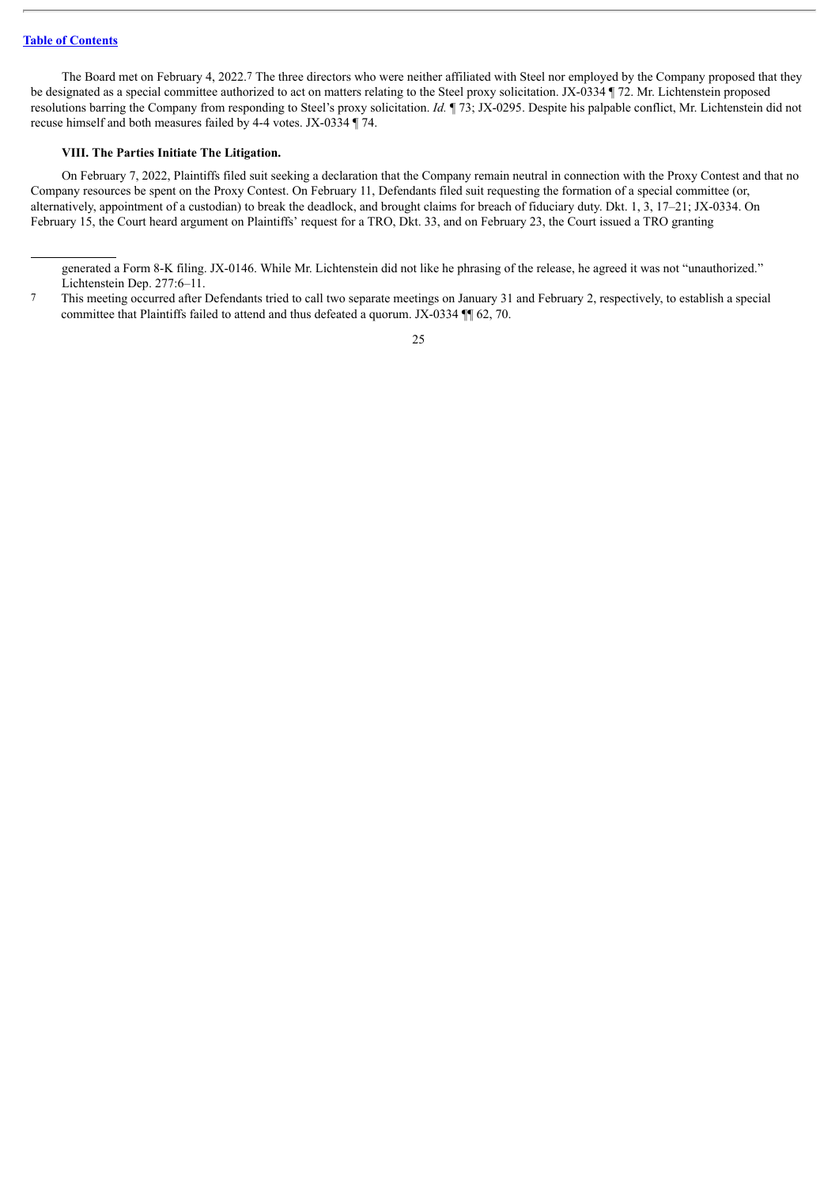The Board met on February 4, 2022.7 The three directors who were neither affiliated with Steel nor employed by the Company proposed that they be designated as a special committee authorized to act on matters relating to the Steel proxy solicitation. JX-0334 ¶ 72. Mr. Lichtenstein proposed resolutions barring the Company from responding to Steel's proxy solicitation. *Id.* ¶ 73; JX-0295. Despite his palpable conflict, Mr. Lichtenstein did not recuse himself and both measures failed by 4-4 votes. JX-0334 ¶ 74.

# <span id="page-106-0"></span>**VIII. The Parties Initiate The Litigation.**

On February 7, 2022, Plaintiffs filed suit seeking a declaration that the Company remain neutral in connection with the Proxy Contest and that no Company resources be spent on the Proxy Contest. On February 11, Defendants filed suit requesting the formation of a special committee (or, alternatively, appointment of a custodian) to break the deadlock, and brought claims for breach of fiduciary duty. Dkt. 1, 3, 17–21; JX-0334. On February 15, the Court heard argument on Plaintiffs' request for a TRO, Dkt. 33, and on February 23, the Court issued a TRO granting

generated a Form 8-K filing. JX-0146. While Mr. Lichtenstein did not like he phrasing of the release, he agreed it was not "unauthorized." Lichtenstein Dep. 277:6–11.

<sup>7</sup> This meeting occurred after Defendants tried to call two separate meetings on January 31 and February 2, respectively, to establish a special committee that Plaintiffs failed to attend and thus defeated a quorum. JX-0334 ¶¶ 62, 70.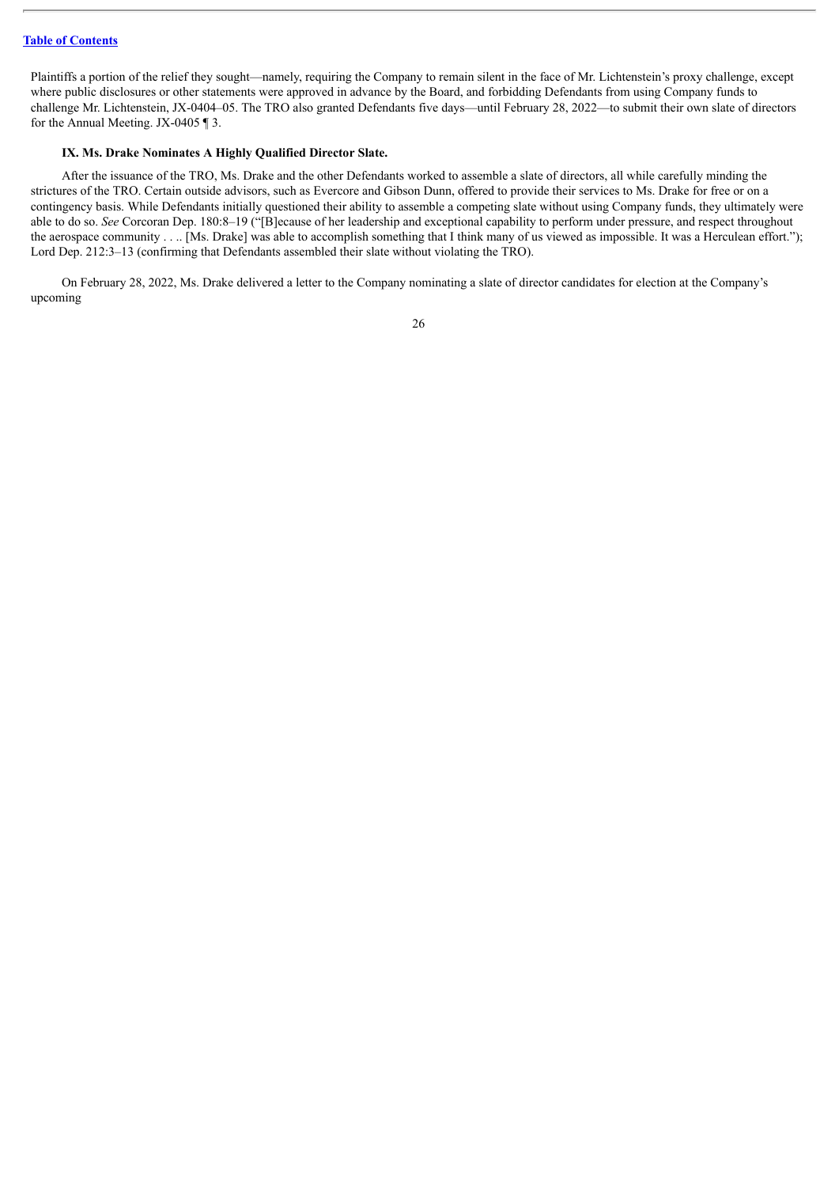Plaintiffs a portion of the relief they sought—namely, requiring the Company to remain silent in the face of Mr. Lichtenstein's proxy challenge, except where public disclosures or other statements were approved in advance by the Board, and forbidding Defendants from using Company funds to challenge Mr. Lichtenstein, JX-0404-05. The TRO also granted Defendants five days—until February 28, 2022—to submit their own slate of directors for the Annual Meeting. JX-0405 ¶ 3.

#### <span id="page-107-0"></span>**IX. Ms. Drake Nominates A Highly Qualified Director Slate.**

After the issuance of the TRO, Ms. Drake and the other Defendants worked to assemble a slate of directors, all while carefully minding the strictures of the TRO. Certain outside advisors, such as Evercore and Gibson Dunn, offered to provide their services to Ms. Drake for free or on a contingency basis. While Defendants initially questioned their ability to assemble a competing slate without using Company funds, they ultimately were able to do so. *See* Corcoran Dep. 180:8–19 ("[B]ecause of her leadership and exceptional capability to perform under pressure, and respect throughout the aerospace community . . .. [Ms. Drake] was able to accomplish something that I think many of us viewed as impossible. It was a Herculean effort."); Lord Dep. 212:3–13 (confirming that Defendants assembled their slate without violating the TRO).

On February 28, 2022, Ms. Drake delivered a letter to the Company nominating a slate of director candidates for election at the Company's upcoming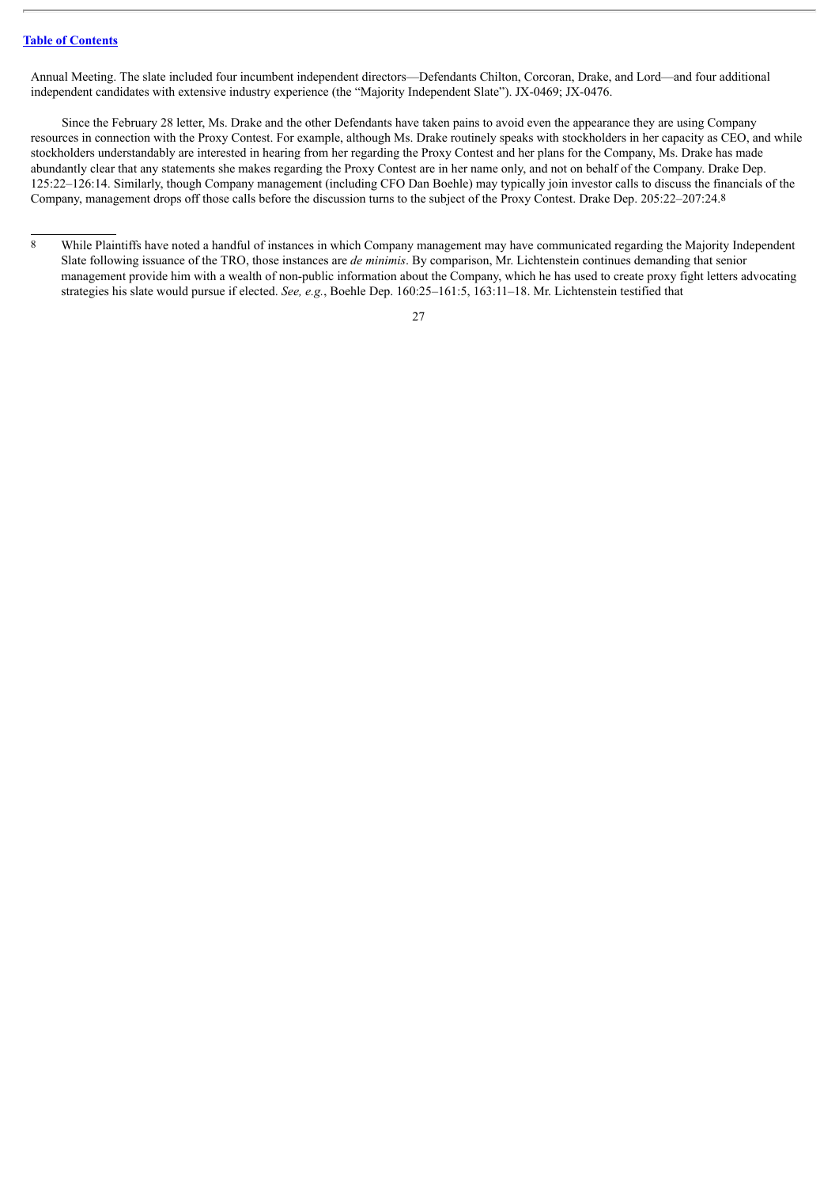Annual Meeting. The slate included four incumbent independent directors—Defendants Chilton, Corcoran, Drake, and Lord—and four additional independent candidates with extensive industry experience (the "Majority Independent Slate"). JX-0469; JX-0476.

Since the February 28 letter, Ms. Drake and the other Defendants have taken pains to avoid even the appearance they are using Company resources in connection with the Proxy Contest. For example, although Ms. Drake routinely speaks with stockholders in her capacity as CEO, and while stockholders understandably are interested in hearing from her regarding the Proxy Contest and her plans for the Company, Ms. Drake has made abundantly clear that any statements she makes regarding the Proxy Contest are in her name only, and not on behalf of the Company. Drake Dep. 125:22–126:14. Similarly, though Company management (including CFO Dan Boehle) may typically join investor calls to discuss the financials of the Company, management drops off those calls before the discussion turns to the subject of the Proxy Contest. Drake Dep. 205:22–207:24.8

<sup>8</sup> While Plaintiffs have noted a handful of instances in which Company management may have communicated regarding the Majority Independent Slate following issuance of the TRO, those instances are *de minimis*. By comparison, Mr. Lichtenstein continues demanding that senior management provide him with a wealth of non-public information about the Company, which he has used to create proxy fight letters advocating strategies his slate would pursue if elected. *See, e.g.*, Boehle Dep. 160:25–161:5, 163:11–18. Mr. Lichtenstein testified that

<sup>27</sup>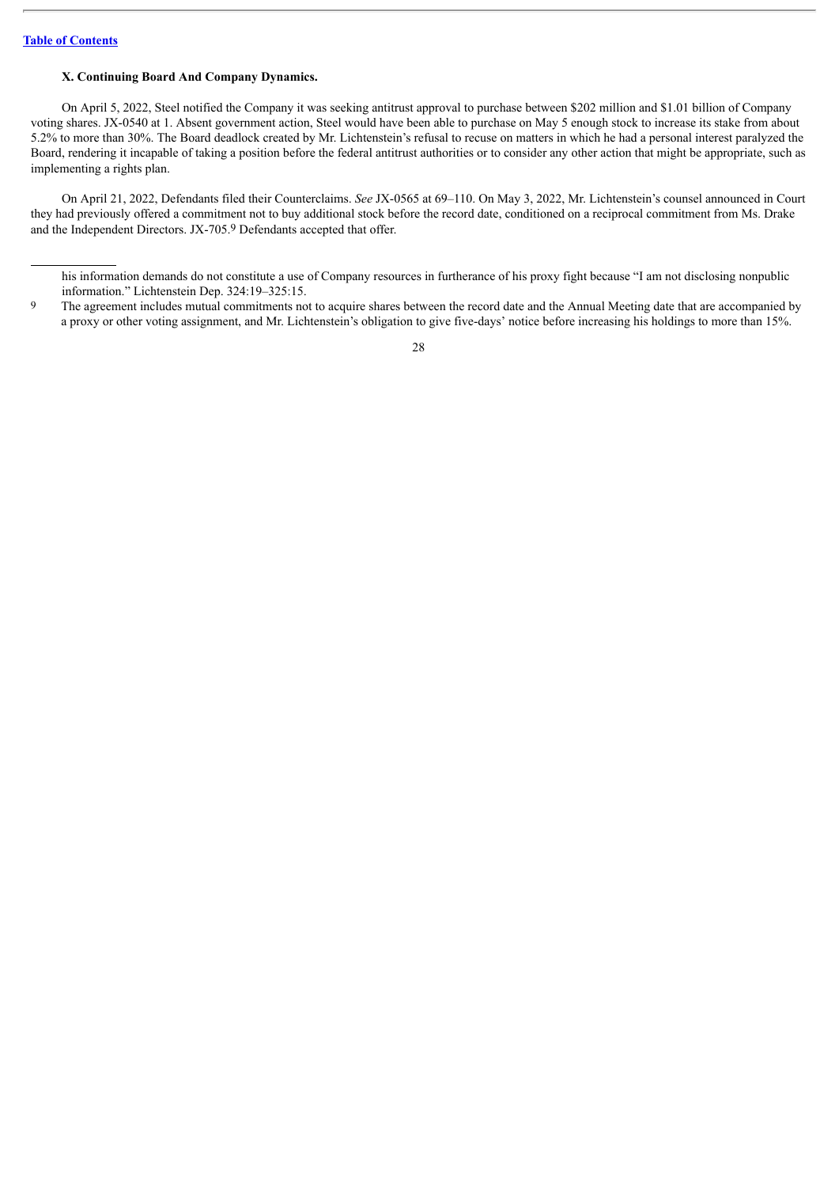# **X. Continuing Board And Company Dynamics.**

On April 5, 2022, Steel notified the Company it was seeking antitrust approval to purchase between \$202 million and \$1.01 billion of Company voting shares. JX-0540 at 1. Absent government action, Steel would have been able to purchase on May 5 enough stock to increase its stake from about 5.2% to more than 30%. The Board deadlock created by Mr. Lichtenstein's refusal to recuse on matters in which he had a personal interest paralyzed the Board, rendering it incapable of taking a position before the federal antitrust authorities or to consider any other action that might be appropriate, such as implementing a rights plan.

On April 21, 2022, Defendants filed their Counterclaims. *See* JX-0565 at 69–110. On May 3, 2022, Mr. Lichtenstein's counsel announced in Court they had previously offered a commitment not to buy additional stock before the record date, conditioned on a reciprocal commitment from Ms. Drake and the Independent Directors. JX-705.9 Defendants accepted that offer.

his information demands do not constitute a use of Company resources in furtherance of his proxy fight because "I am not disclosing nonpublic information." Lichtenstein Dep. 324:19–325:15.

<sup>9</sup> The agreement includes mutual commitments not to acquire shares between the record date and the Annual Meeting date that are accompanied by a proxy or other voting assignment, and Mr. Lichtenstein's obligation to give five-days' notice before increasing his holdings to more than 15%.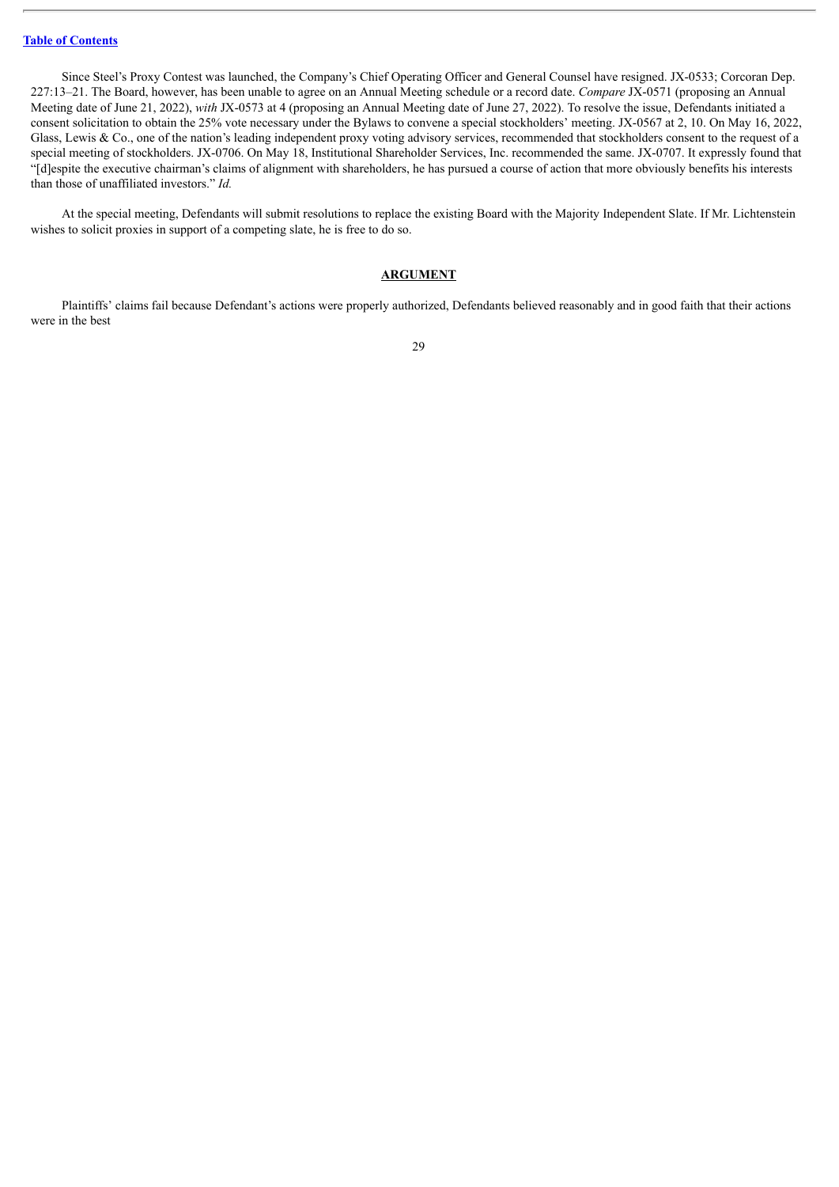Since Steel's Proxy Contest was launched, the Company's Chief Operating Officer and General Counsel have resigned. JX-0533; Corcoran Dep. 227:13–21. The Board, however, has been unable to agree on an Annual Meeting schedule or a record date. *Compare* JX-0571 (proposing an Annual Meeting date of June 21, 2022), *with* JX-0573 at 4 (proposing an Annual Meeting date of June 27, 2022). To resolve the issue, Defendants initiated a consent solicitation to obtain the 25% vote necessary under the Bylaws to convene a special stockholders' meeting. JX-0567 at 2, 10. On May 16, 2022, Glass, Lewis & Co., one of the nation's leading independent proxy voting advisory services, recommended that stockholders consent to the request of a special meeting of stockholders. JX-0706. On May 18, Institutional Shareholder Services, Inc. recommended the same. JX-0707. It expressly found that "[d]espite the executive chairman's claims of alignment with shareholders, he has pursued a course of action that more obviously benefits his interests than those of unaffiliated investors." *Id.*

At the special meeting, Defendants will submit resolutions to replace the existing Board with the Majority Independent Slate. If Mr. Lichtenstein wishes to solicit proxies in support of a competing slate, he is free to do so.

#### **ARGUMENT**

Plaintiffs' claims fail because Defendant's actions were properly authorized, Defendants believed reasonably and in good faith that their actions were in the best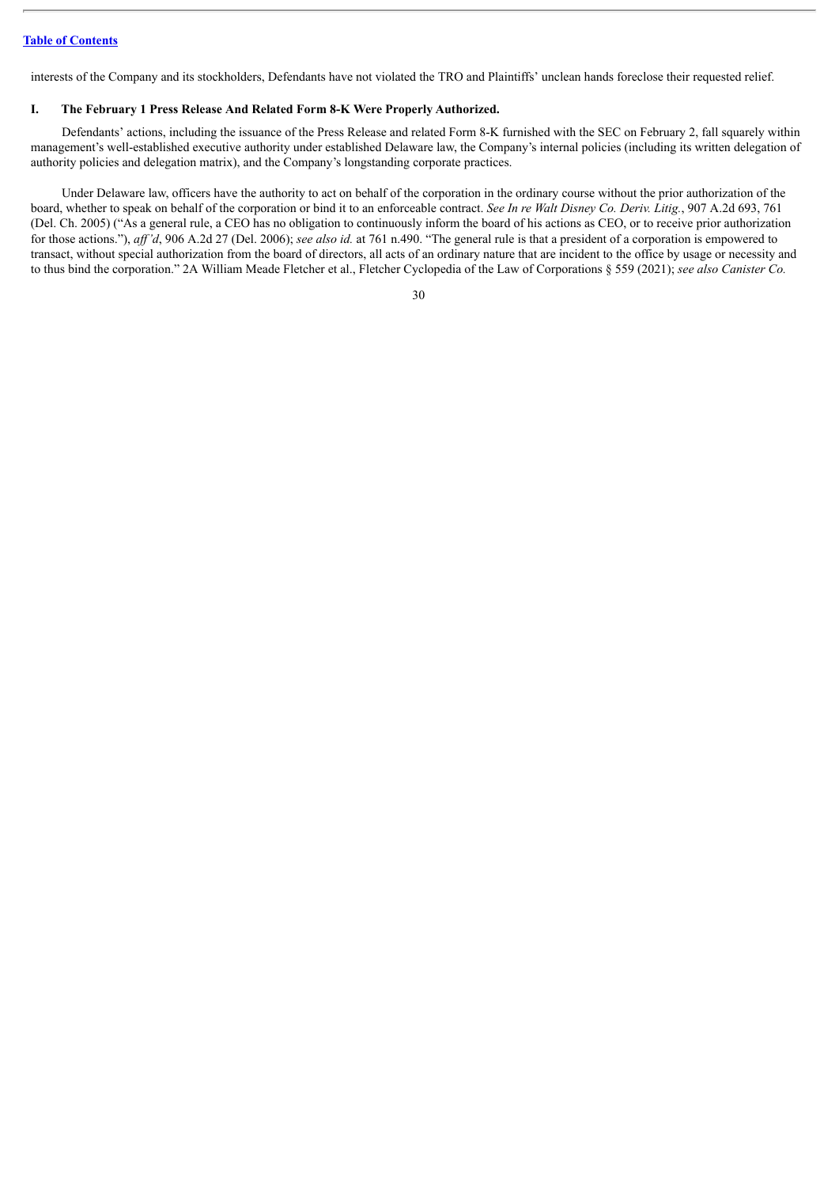interests of the Company and its stockholders, Defendants have not violated the TRO and Plaintiffs' unclean hands foreclose their requested relief.

### **I. The February 1 Press Release And Related Form 8-K Were Properly Authorized.**

Defendants' actions, including the issuance of the Press Release and related Form 8-K furnished with the SEC on February 2, fall squarely within management's well-established executive authority under established Delaware law, the Company's internal policies (including its written delegation of authority policies and delegation matrix), and the Company's longstanding corporate practices.

Under Delaware law, officers have the authority to act on behalf of the corporation in the ordinary course without the prior authorization of the board, whether to speak on behalf of the corporation or bind it to an enforceable contract. *See In re Walt Disney Co. Deriv. Litig.*, 907 A.2d 693, 761 (Del. Ch. 2005) ("As a general rule, a CEO has no obligation to continuously inform the board of his actions as CEO, or to receive prior authorization for those actions."), *af 'd*, 906 A.2d 27 (Del. 2006); *see also id.* at 761 n.490. "The general rule is that a president of a corporation is empowered to transact, without special authorization from the board of directors, all acts of an ordinary nature that are incident to the office by usage or necessity and to thus bind the corporation." 2A William Meade Fletcher et al., Fletcher Cyclopedia of the Law of Corporations § 559 (2021); *see also Canister Co.*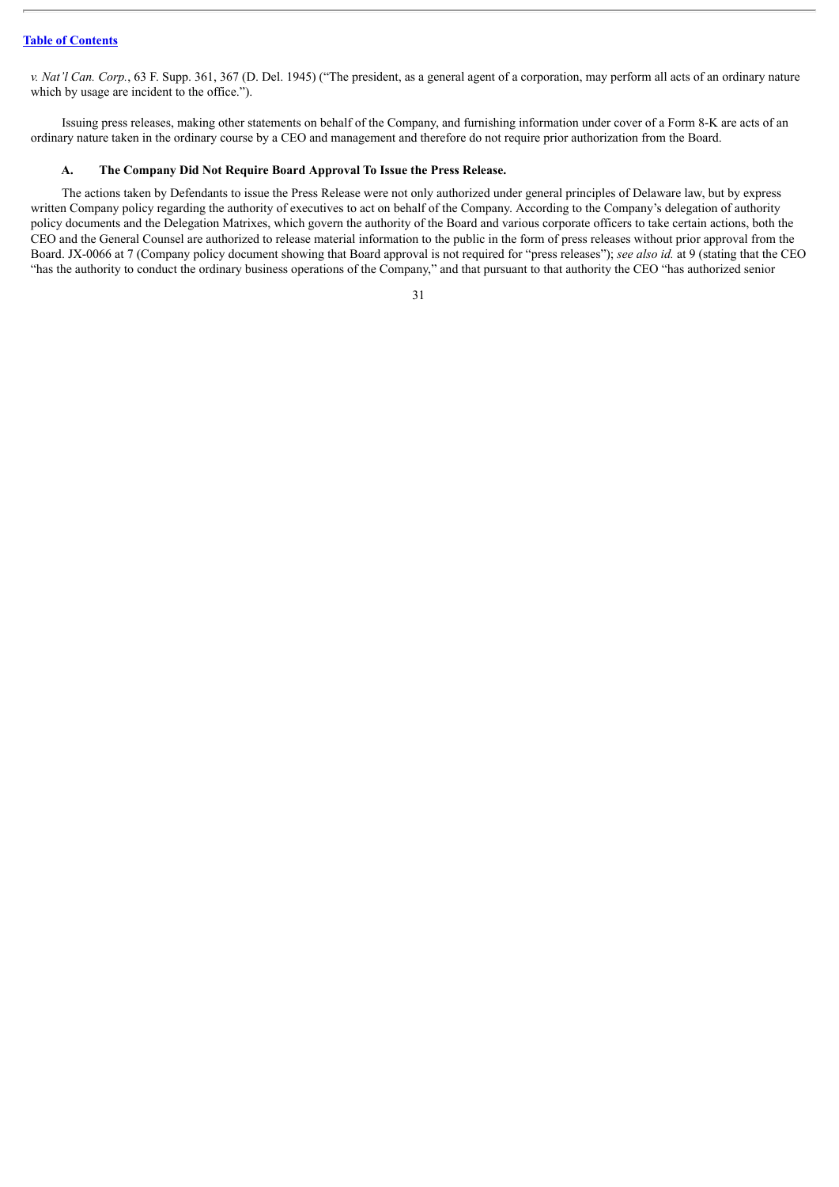*v. Nat'l Can. Corp.*, 63 F. Supp. 361, 367 (D. Del. 1945) ("The president, as a general agent of a corporation, may perform all acts of an ordinary nature which by usage are incident to the office.").

Issuing press releases, making other statements on behalf of the Company, and furnishing information under cover of a Form 8-K are acts of an ordinary nature taken in the ordinary course by a CEO and management and therefore do not require prior authorization from the Board.

#### **A. The Company Did Not Require Board Approval To Issue the Press Release.**

The actions taken by Defendants to issue the Press Release were not only authorized under general principles of Delaware law, but by express written Company policy regarding the authority of executives to act on behalf of the Company. According to the Company's delegation of authority policy documents and the Delegation Matrixes, which govern the authority of the Board and various corporate officers to take certain actions, both the CEO and the General Counsel are authorized to release material information to the public in the form of press releases without prior approval from the Board. JX-0066 at 7 (Company policy document showing that Board approval is not required for "press releases"); *see also id.* at 9 (stating that the CEO "has the authority to conduct the ordinary business operations of the Company," and that pursuant to that authority the CEO "has authorized senior

<sup>31</sup>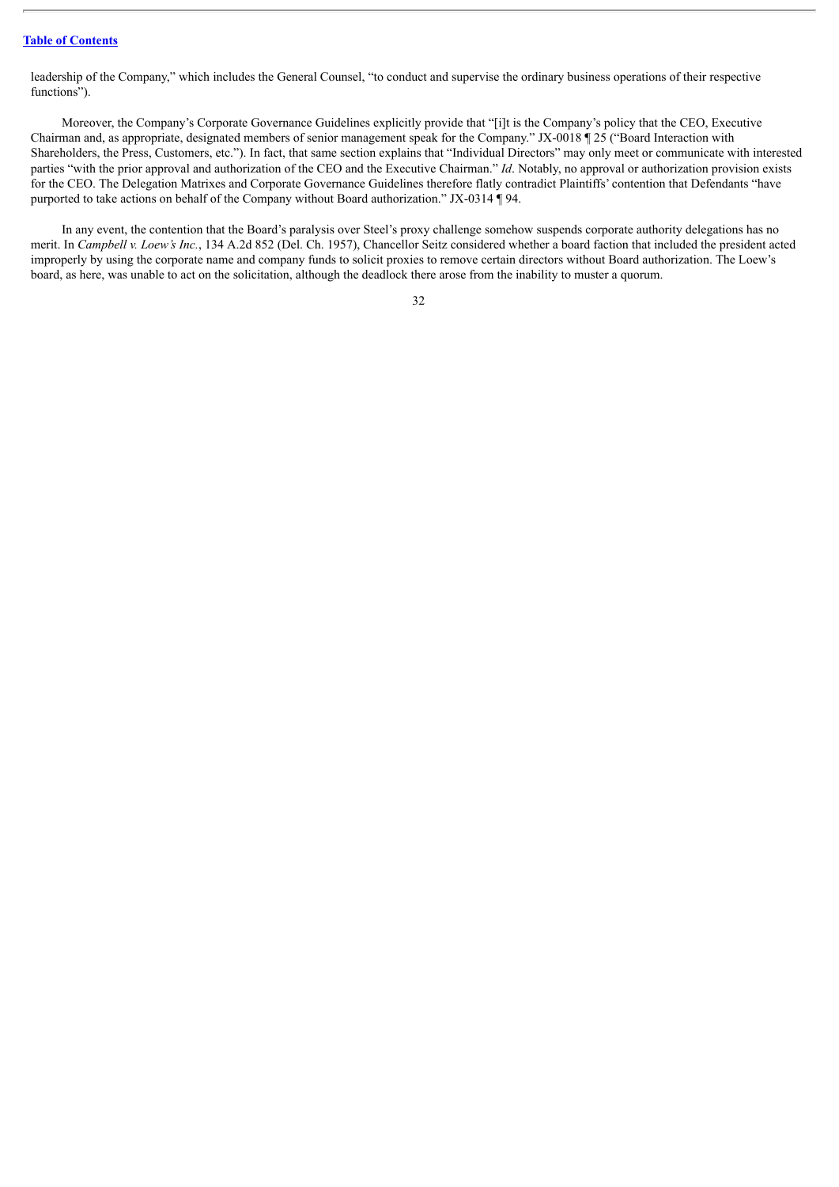leadership of the Company," which includes the General Counsel, "to conduct and supervise the ordinary business operations of their respective functions").

Moreover, the Company's Corporate Governance Guidelines explicitly provide that "[i]t is the Company's policy that the CEO, Executive Chairman and, as appropriate, designated members of senior management speak for the Company." JX-0018 ¶ 25 ("Board Interaction with Shareholders, the Press, Customers, etc."). In fact, that same section explains that "Individual Directors" may only meet or communicate with interested parties "with the prior approval and authorization of the CEO and the Executive Chairman." *Id*. Notably, no approval or authorization provision exists for the CEO. The Delegation Matrixes and Corporate Governance Guidelines therefore flatly contradict Plaintiffs' contention that Defendants "have purported to take actions on behalf of the Company without Board authorization." JX-0314 ¶ 94.

In any event, the contention that the Board's paralysis over Steel's proxy challenge somehow suspends corporate authority delegations has no merit. In *Campbell v. Loew's Inc.*, 134 A.2d 852 (Del. Ch. 1957), Chancellor Seitz considered whether a board faction that included the president acted improperly by using the corporate name and company funds to solicit proxies to remove certain directors without Board authorization. The Loew's board, as here, was unable to act on the solicitation, although the deadlock there arose from the inability to muster a quorum.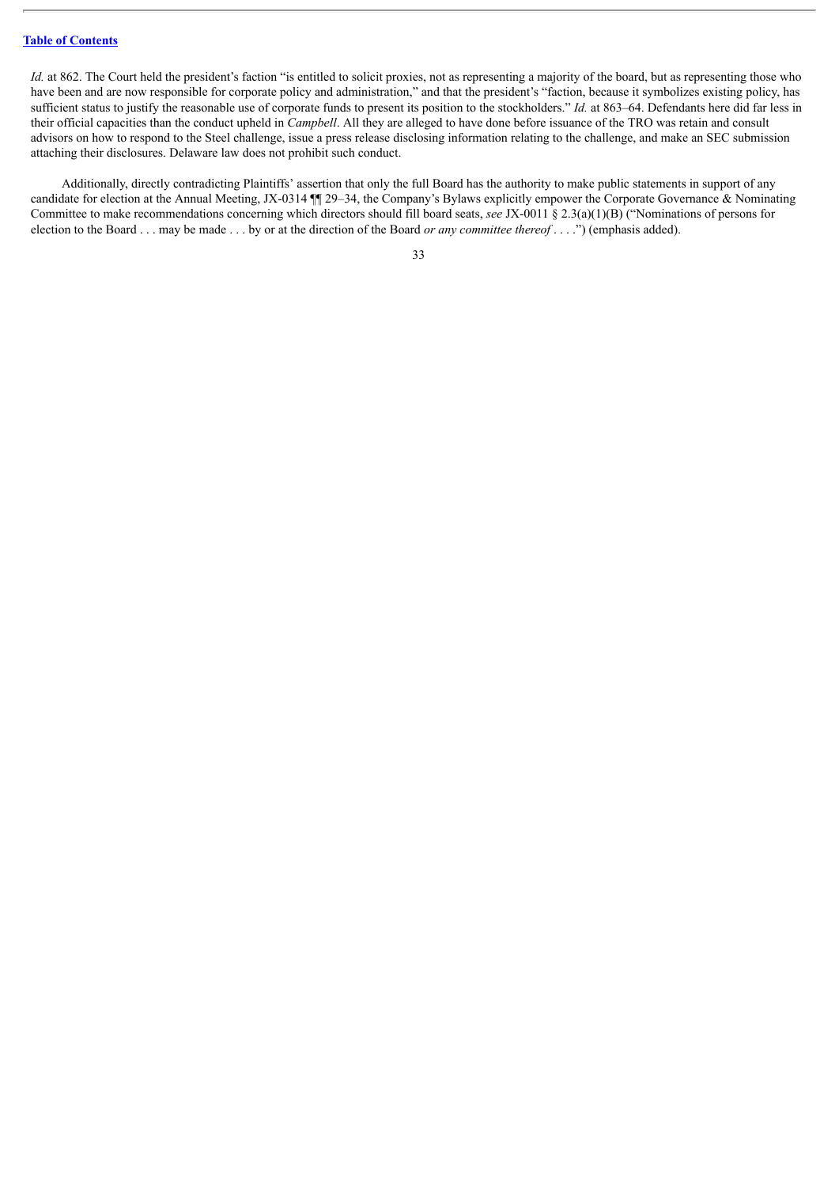*Id.* at 862. The Court held the president's faction "is entitled to solicit proxies, not as representing a majority of the board, but as representing those who have been and are now responsible for corporate policy and administration," and that the president's "faction, because it symbolizes existing policy, has sufficient status to justify the reasonable use of corporate funds to present its position to the stockholders." *Id.* at 863–64. Defendants here did far less in their official capacities than the conduct upheld in *Campbell*. All they are alleged to have done before issuance of the TRO was retain and consult advisors on how to respond to the Steel challenge, issue a press release disclosing information relating to the challenge, and make an SEC submission attaching their disclosures. Delaware law does not prohibit such conduct.

Additionally, directly contradicting Plaintiffs' assertion that only the full Board has the authority to make public statements in support of any candidate for election at the Annual Meeting, JX-0314 ¶¶ 29–34, the Company's Bylaws explicitly empower the Corporate Governance & Nominating Committee to make recommendations concerning which directors should fill board seats, *see* JX-0011 § 2.3(a)(1)(B) ("Nominations of persons for election to the Board . . . may be made . . . by or at the direction of the Board *or any committee thereof* . . . .") (emphasis added).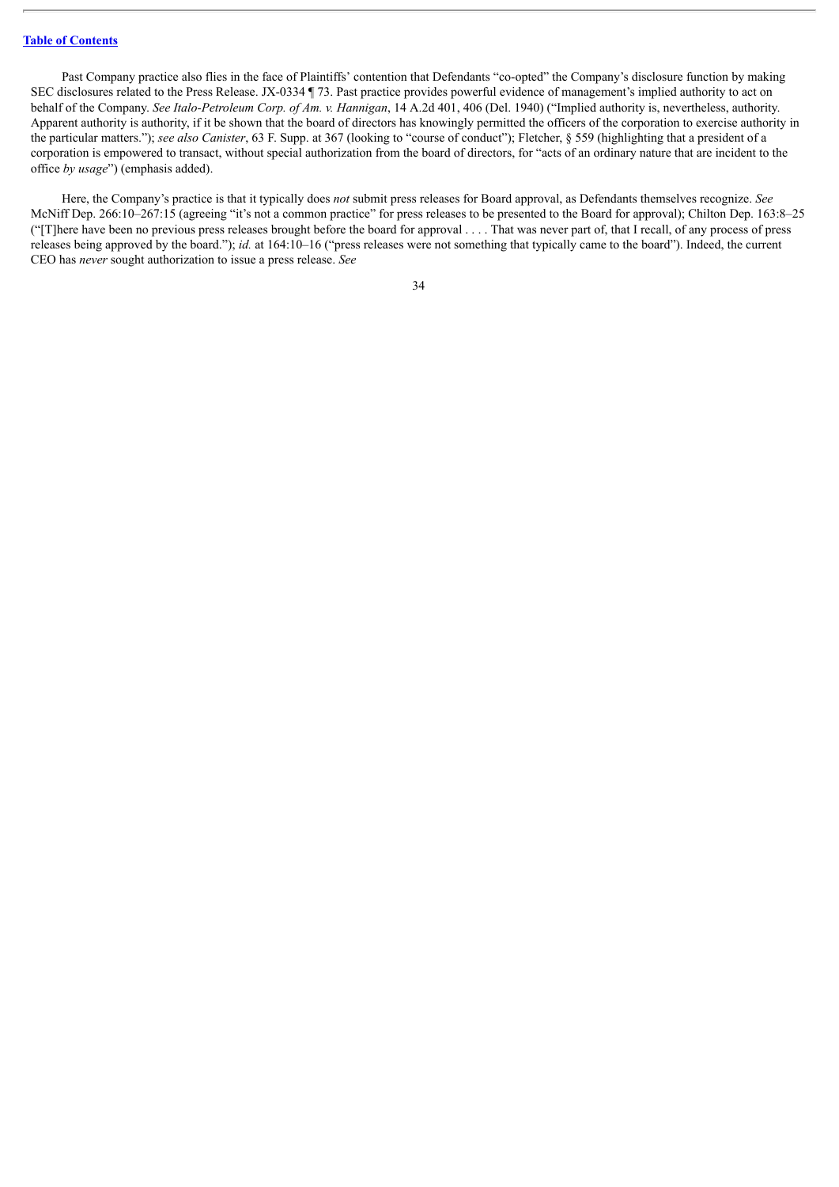Past Company practice also flies in the face of Plaintiffs' contention that Defendants "co-opted" the Company's disclosure function by making SEC disclosures related to the Press Release. JX-0334 ¶ 73. Past practice provides powerful evidence of management's implied authority to act on behalf of the Company. *See Italo-Petroleum Corp. of Am. v. Hannigan*, 14 A.2d 401, 406 (Del. 1940) ("Implied authority is, nevertheless, authority. Apparent authority is authority, if it be shown that the board of directors has knowingly permitted the officers of the corporation to exercise authority in the particular matters."); *see also Canister*, 63 F. Supp. at 367 (looking to "course of conduct"); Fletcher, § 559 (highlighting that a president of a corporation is empowered to transact, without special authorization from the board of directors, for "acts of an ordinary nature that are incident to the office *by usage*") (emphasis added).

Here, the Company's practice is that it typically does *not* submit press releases for Board approval, as Defendants themselves recognize. *See* McNiff Dep. 266:10–267:15 (agreeing "it's not a common practice" for press releases to be presented to the Board for approval); Chilton Dep. 163:8–25 ("There have been no previous press releases brought before the board for approval  $\dots$ . That was never part of, that I recall, of any process of press releases being approved by the board."); *id.* at 164:10–16 ("press releases were not something that typically came to the board"). Indeed, the current CEO has *never* sought authorization to issue a press release. *See*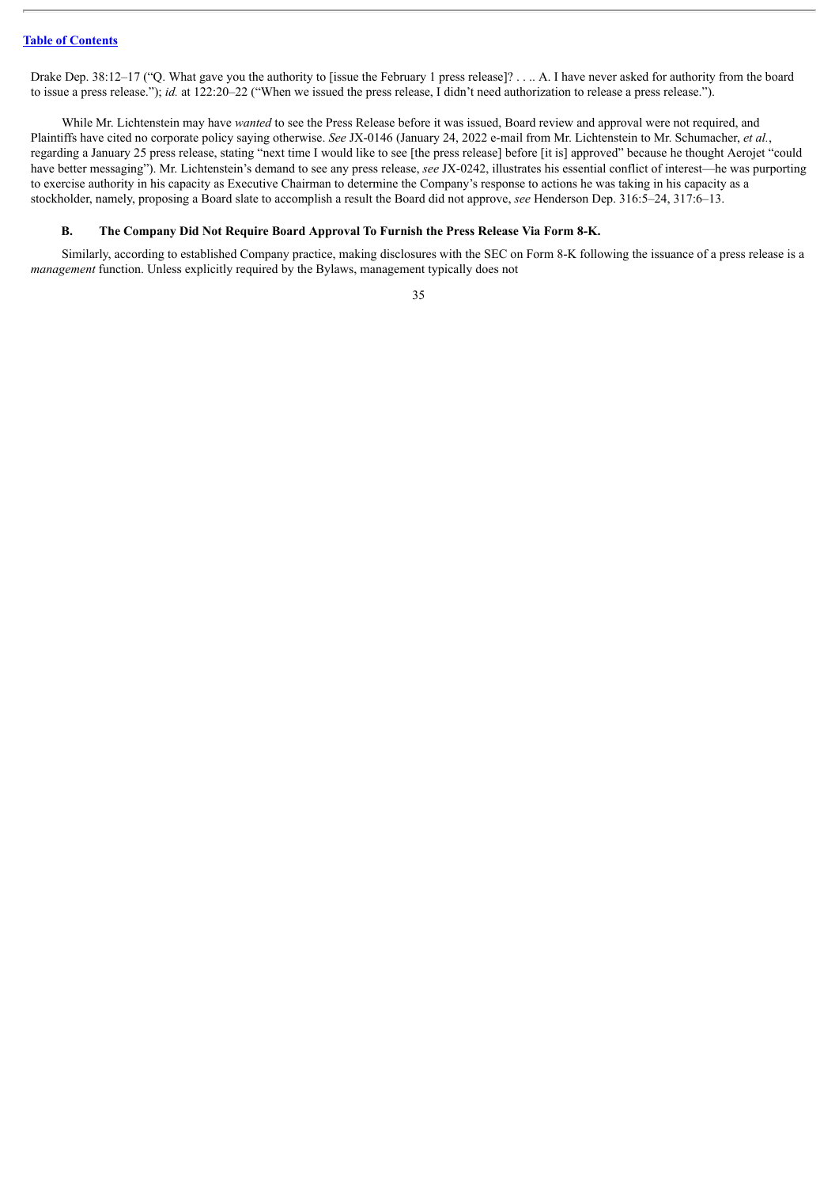Drake Dep. 38:12–17 ("Q. What gave you the authority to [issue the February 1 press release]? . . . A. I have never asked for authority from the board to issue a press release."); *id.* at 122:20–22 ("When we issued the press release, I didn't need authorization to release a press release.").

While Mr. Lichtenstein may have *wanted* to see the Press Release before it was issued, Board review and approval were not required, and Plaintiffs have cited no corporate policy saying otherwise. *See* JX-0146 (January 24, 2022 e-mail from Mr. Lichtenstein to Mr. Schumacher, *et al.*, regarding a January 25 press release, stating "next time I would like to see [the press release] before [it is] approved" because he thought Aerojet "could have better messaging"). Mr. Lichtenstein's demand to see any press release, *see* JX-0242, illustrates his essential conflict of interest—he was purporting to exercise authority in his capacity as Executive Chairman to determine the Company's response to actions he was taking in his capacity as a stockholder, namely, proposing a Board slate to accomplish a result the Board did not approve, *see* Henderson Dep. 316:5–24, 317:6–13.

## **B. The Company Did Not Require Board Approval To Furnish the Press Release Via Form 8-K.**

Similarly, according to established Company practice, making disclosures with the SEC on Form 8-K following the issuance of a press release is a *management* function. Unless explicitly required by the Bylaws, management typically does not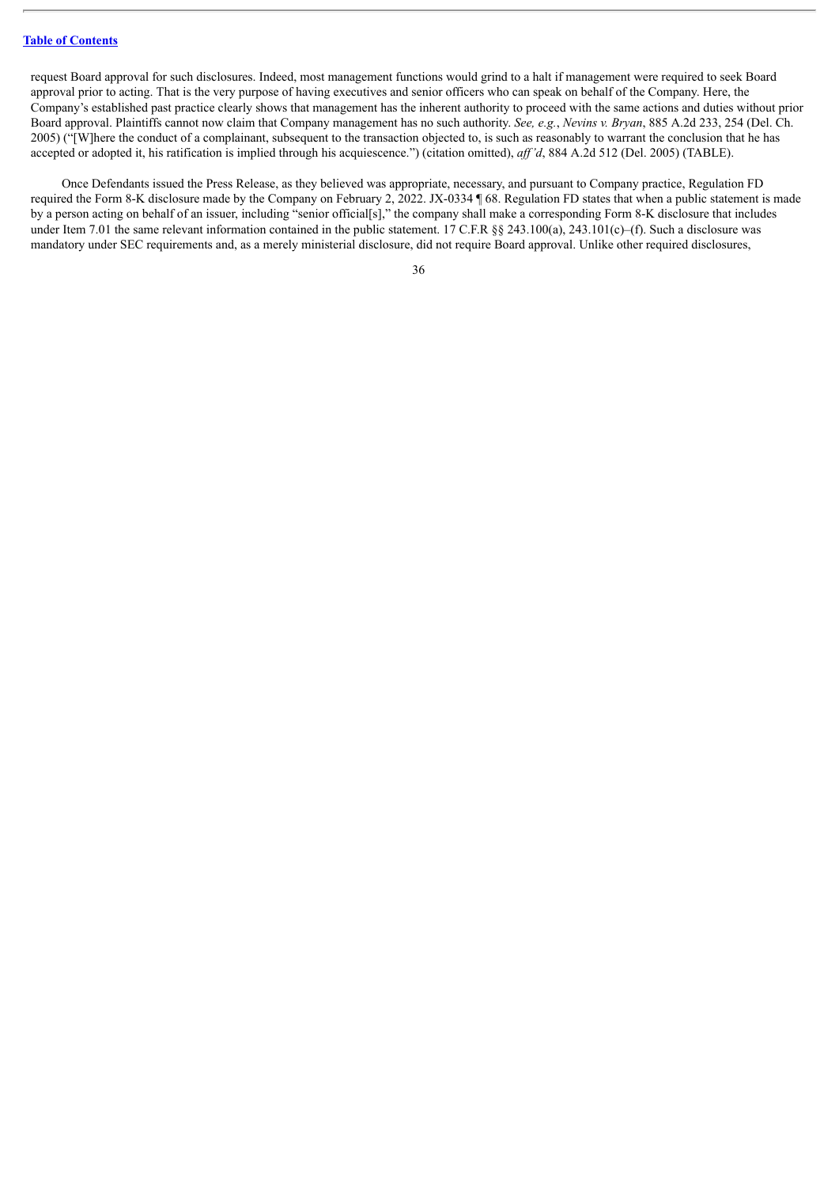request Board approval for such disclosures. Indeed, most management functions would grind to a halt if management were required to seek Board approval prior to acting. That is the very purpose of having executives and senior officers who can speak on behalf of the Company. Here, the Company's established past practice clearly shows that management has the inherent authority to proceed with the same actions and duties without prior Board approval. Plaintiffs cannot now claim that Company management has no such authority. *See, e.g.*, *Nevins v. Bryan*, 885 A.2d 233, 254 (Del. Ch. 2005) ("[W]here the conduct of a complainant, subsequent to the transaction objected to, is such as reasonably to warrant the conclusion that he has accepted or adopted it, his ratification is implied through his acquiescence.") (citation omitted), *af 'd*, 884 A.2d 512 (Del. 2005) (TABLE).

Once Defendants issued the Press Release, as they believed was appropriate, necessary, and pursuant to Company practice, Regulation FD required the Form 8-K disclosure made by the Company on February 2, 2022. JX-0334 ¶ 68. Regulation FD states that when a public statement is made by a person acting on behalf of an issuer, including "senior official[s]," the company shall make a corresponding Form 8-K disclosure that includes under Item 7.01 the same relevant information contained in the public statement. 17 C.F.R §§ 243.100(a), 243.101(c)–(f). Such a disclosure was mandatory under SEC requirements and, as a merely ministerial disclosure, did not require Board approval. Unlike other required disclosures,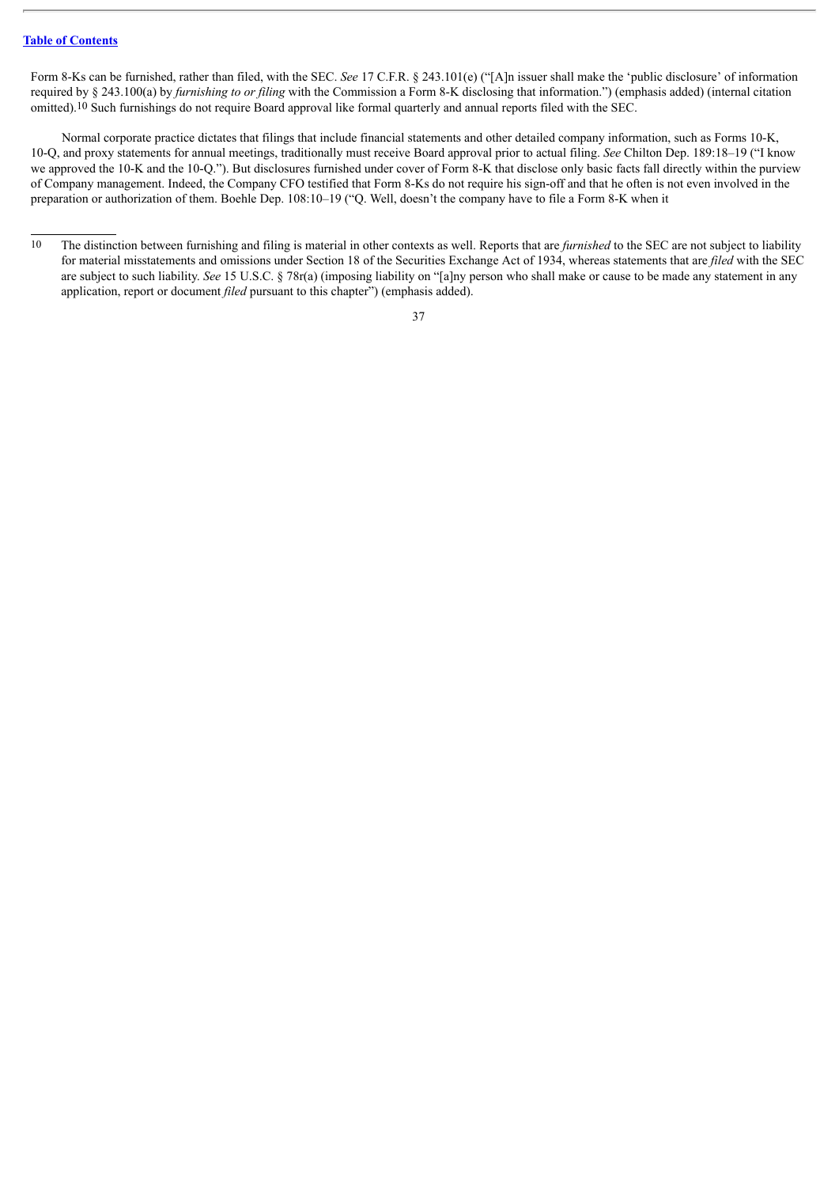Form 8-Ks can be furnished, rather than filed, with the SEC. *See* 17 C.F.R. § 243.101(e) ("[A]n issuer shall make the 'public disclosure' of information required by § 243.100(a) by *furnishing to or filing* with the Commission a Form 8-K disclosing that information.") (emphasis added) (internal citation omitted).10 Such furnishings do not require Board approval like formal quarterly and annual reports filed with the SEC.

Normal corporate practice dictates that filings that include financial statements and other detailed company information, such as Forms 10-K, 10-Q, and proxy statements for annual meetings, traditionally must receive Board approval prior to actual filing. *See* Chilton Dep. 189:18–19 ("I know we approved the 10-K and the 10-Q."). But disclosures furnished under cover of Form 8-K that disclose only basic facts fall directly within the purview of Company management. Indeed, the Company CFO testified that Form 8-Ks do not require his sign-off and that he often is not even involved in the preparation or authorization of them. Boehle Dep. 108:10–19 ("Q. Well, doesn't the company have to file a Form 8-K when it

<sup>&</sup>lt;sup>10</sup> The distinction between furnishing and filing is material in other contexts as well. Reports that are *furnished* to the SEC are not subject to liability for material misstatements and omissions under Section 18 of the Securities Exchange Act of 1934, whereas statements that are *filed* with the SEC are subject to such liability. *See* 15 U.S.C. § 78r(a) (imposing liability on "[a]ny person who shall make or cause to be made any statement in any application, report or document *filed* pursuant to this chapter") (emphasis added).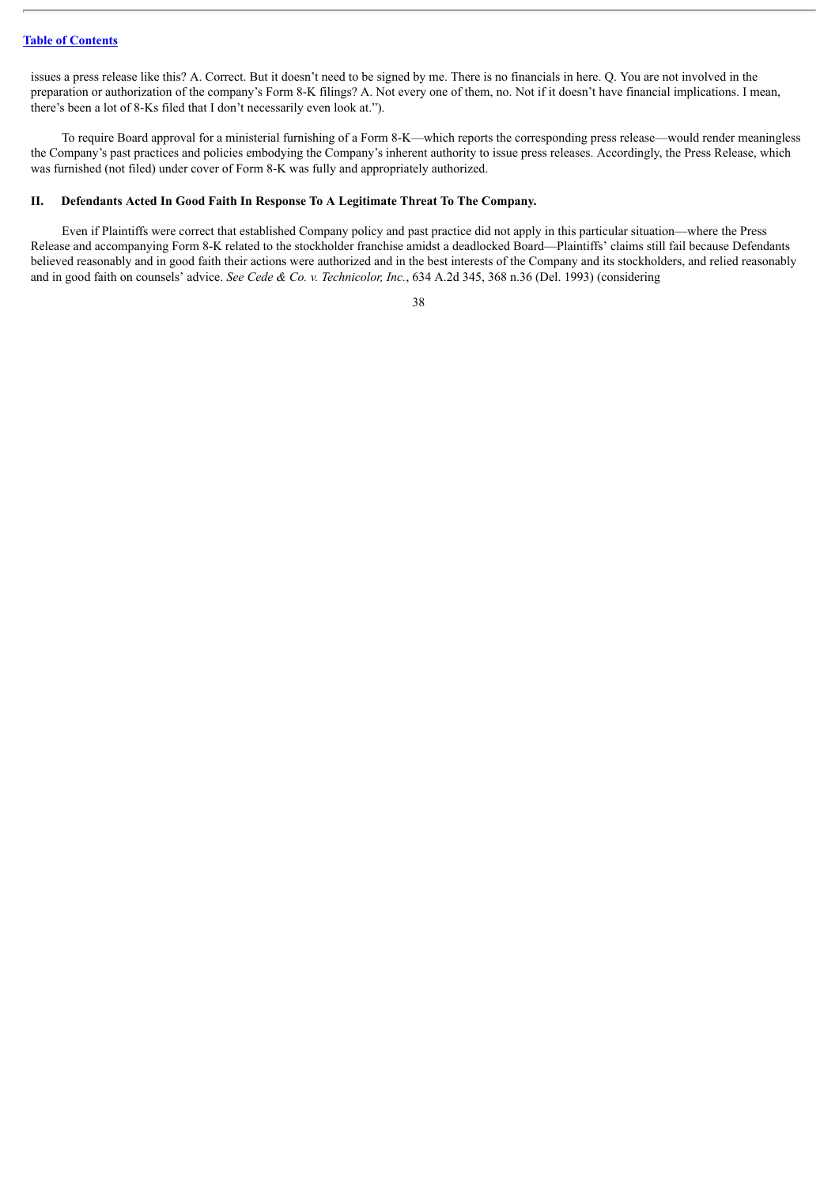issues a press release like this? A. Correct. But it doesn't need to be signed by me. There is no financials in here. Q. You are not involved in the preparation or authorization of the company's Form 8-K filings? A. Not every one of them, no. Not if it doesn't have financial implications. I mean, there's been a lot of 8-Ks filed that I don't necessarily even look at.").

To require Board approval for a ministerial furnishing of a Form 8-K—which reports the corresponding press release—would render meaningless the Company's past practices and policies embodying the Company's inherent authority to issue press releases. Accordingly, the Press Release, which was furnished (not filed) under cover of Form 8-K was fully and appropriately authorized.

#### **II. Defendants Acted In Good Faith In Response To A Legitimate Threat To The Company.**

Even if Plaintiffs were correct that established Company policy and past practice did not apply in this particular situation—where the Press Release and accompanying Form 8-K related to the stockholder franchise amidst a deadlocked Board—Plaintiffs' claims still fail because Defendants believed reasonably and in good faith their actions were authorized and in the best interests of the Company and its stockholders, and relied reasonably and in good faith on counsels' advice. *See Cede & Co. v. Technicolor, Inc.*, 634 A.2d 345, 368 n.36 (Del. 1993) (considering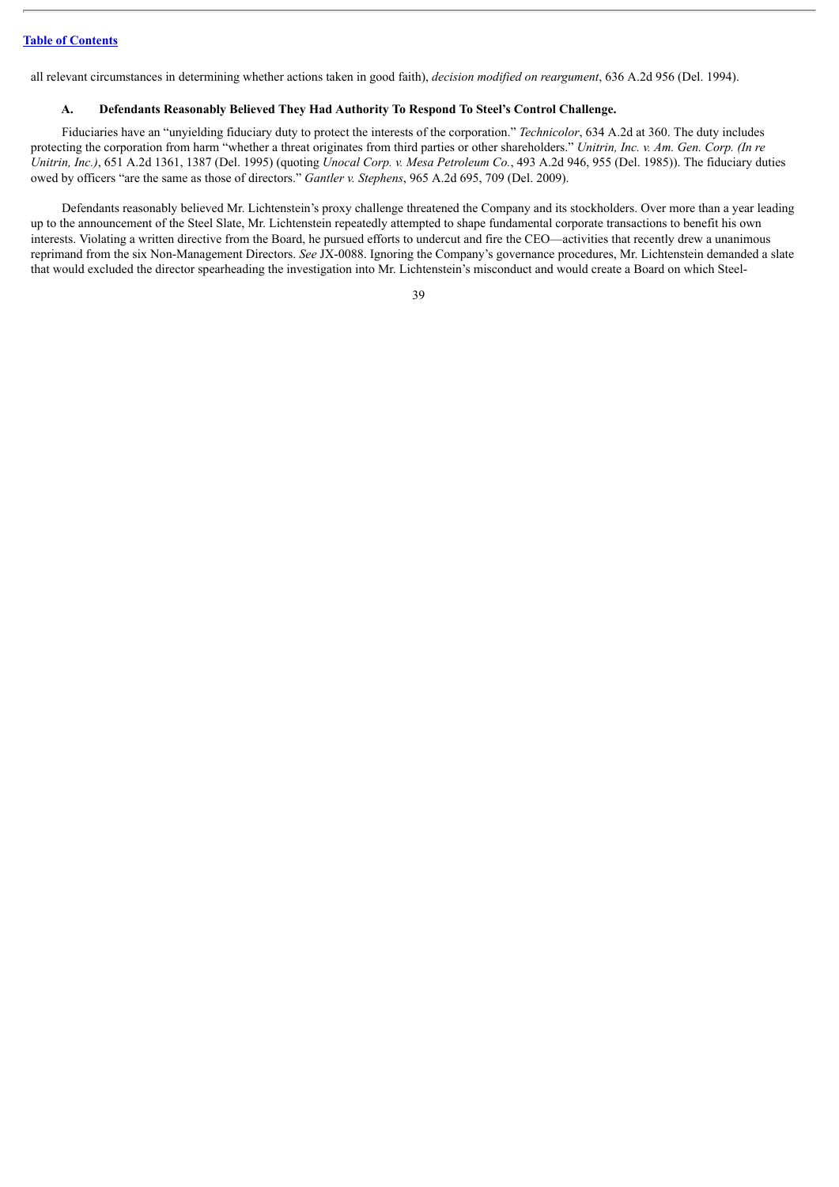all relevant circumstances in determining whether actions taken in good faith), *decision modified on reargument*, 636 A.2d 956 (Del. 1994).

## **A. Defendants Reasonably Believed They Had Authority To Respond To Steel's Control Challenge.**

Fiduciaries have an "unyielding fiduciary duty to protect the interests of the corporation." *Technicolor*, 634 A.2d at 360. The duty includes protecting the corporation from harm "whether a threat originates from third parties or other shareholders." *Unitrin, Inc. v. Am. Gen. Corp. (In re Unitrin, Inc.)*, 651 A.2d 1361, 1387 (Del. 1995) (quoting *Unocal Corp. v. Mesa Petroleum Co.*, 493 A.2d 946, 955 (Del. 1985)). The fiduciary duties owed by officers "are the same as those of directors." *Gantler v. Stephens*, 965 A.2d 695, 709 (Del. 2009).

Defendants reasonably believed Mr. Lichtenstein's proxy challenge threatened the Company and its stockholders. Over more than a year leading up to the announcement of the Steel Slate, Mr. Lichtenstein repeatedly attempted to shape fundamental corporate transactions to benefit his own interests. Violating a written directive from the Board, he pursued efforts to undercut and fire the CEO—activities that recently drew a unanimous reprimand from the six Non-Management Directors. *See* JX-0088. Ignoring the Company's governance procedures, Mr. Lichtenstein demanded a slate that would excluded the director spearheading the investigation into Mr. Lichtenstein's misconduct and would create a Board on which Steel-

<sup>39</sup>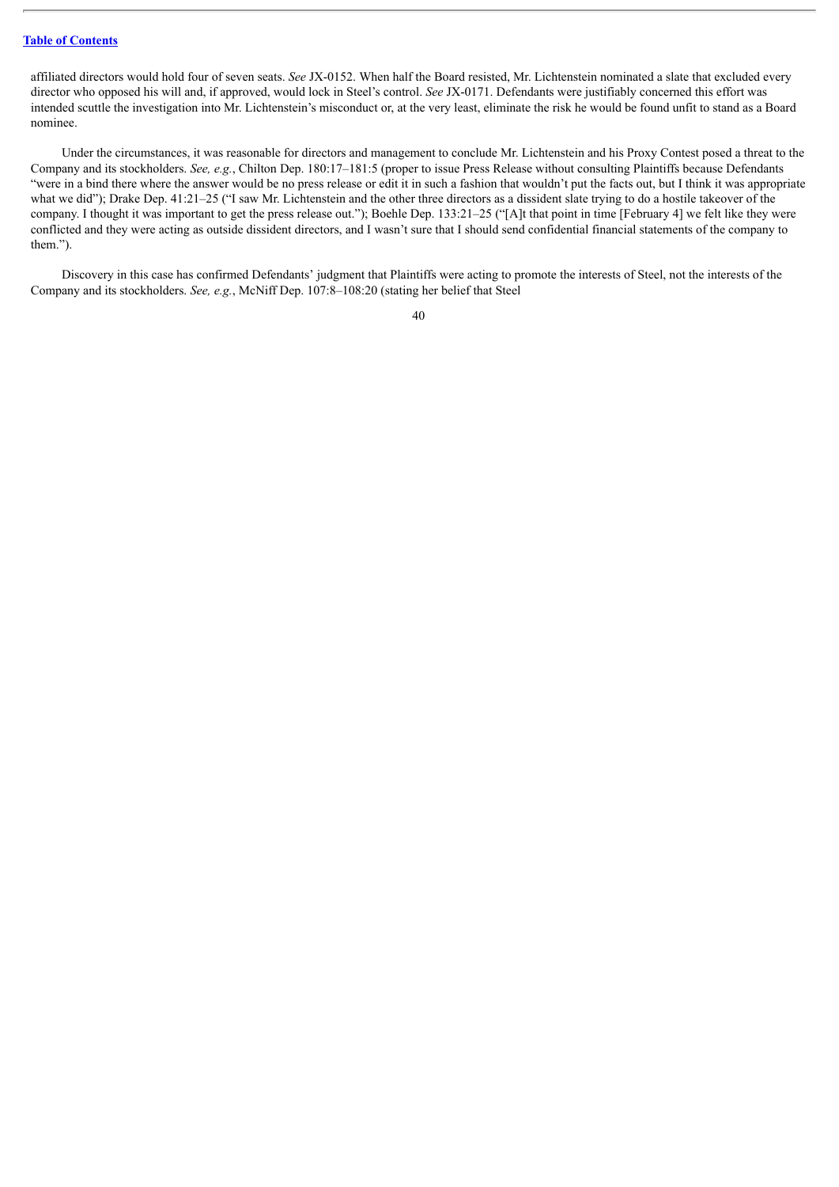affiliated directors would hold four of seven seats. *See* JX-0152. When half the Board resisted, Mr. Lichtenstein nominated a slate that excluded every director who opposed his will and, if approved, would lock in Steel's control. *See* JX-0171. Defendants were justifiably concerned this effort was intended scuttle the investigation into Mr. Lichtenstein's misconduct or, at the very least, eliminate the risk he would be found unfit to stand as a Board nominee.

Under the circumstances, it was reasonable for directors and management to conclude Mr. Lichtenstein and his Proxy Contest posed a threat to the Company and its stockholders. *See, e.g.*, Chilton Dep. 180:17–181:5 (proper to issue Press Release without consulting Plaintiffs because Defendants "were in a bind there where the answer would be no press release or edit it in such a fashion that wouldn't put the facts out, but I think it was appropriate what we did"); Drake Dep. 41:21–25 ("I saw Mr. Lichtenstein and the other three directors as a dissident slate trying to do a hostile takeover of the company. I thought it was important to get the press release out."); Boehle Dep. 133:21–25 ("[A]t that point in time [February 4] we felt like they were conflicted and they were acting as outside dissident directors, and I wasn't sure that I should send confidential financial statements of the company to them.").

Discovery in this case has confirmed Defendants' judgment that Plaintiffs were acting to promote the interests of Steel, not the interests of the Company and its stockholders. *See, e.g.*, McNiff Dep. 107:8–108:20 (stating her belief that Steel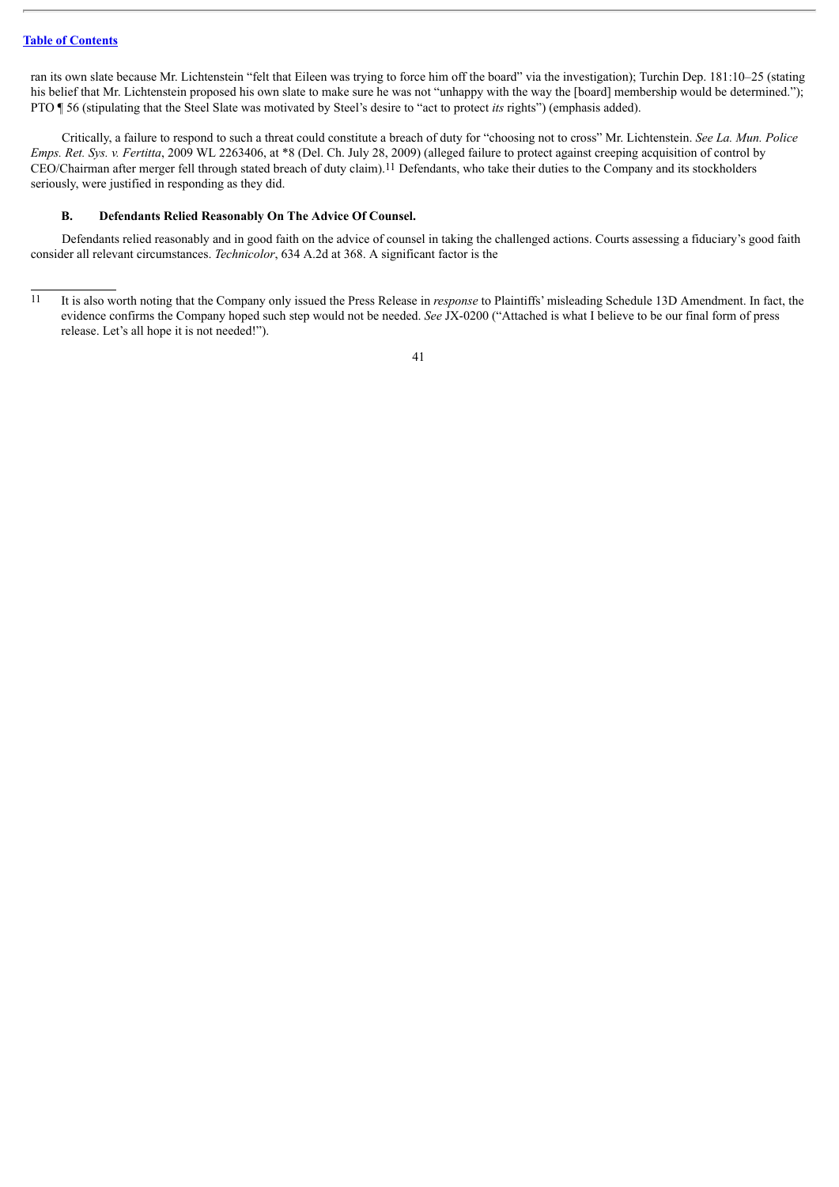ran its own slate because Mr. Lichtenstein "felt that Eileen was trying to force him off the board" via the investigation); Turchin Dep. 181:10–25 (stating his belief that Mr. Lichtenstein proposed his own slate to make sure he was not "unhappy with the way the [board] membership would be determined."); PTO ¶ 56 (stipulating that the Steel Slate was motivated by Steel's desire to "act to protect *its* rights") (emphasis added).

Critically, a failure to respond to such a threat could constitute a breach of duty for "choosing not to cross" Mr. Lichtenstein. *See La. Mun. Police Emps. Ret. Sys. v. Fertitta*, 2009 WL 2263406, at \*8 (Del. Ch. July 28, 2009) (alleged failure to protect against creeping acquisition of control by CEO/Chairman after merger fell through stated breach of duty claim).11 Defendants, who take their duties to the Company and its stockholders seriously, were justified in responding as they did.

#### **B. Defendants Relied Reasonably On The Advice Of Counsel.**

Defendants relied reasonably and in good faith on the advice of counsel in taking the challenged actions. Courts assessing a fiduciary's good faith consider all relevant circumstances. *Technicolor*, 634 A.2d at 368. A significant factor is the

<sup>11</sup> It is also worth noting that the Company only issued the Press Release in *response* to Plaintiffs' misleading Schedule 13D Amendment. In fact, the evidence confirms the Company hoped such step would not be needed. *See* JX-0200 ("Attached is what I believe to be our final form of press release. Let's all hope it is not needed!").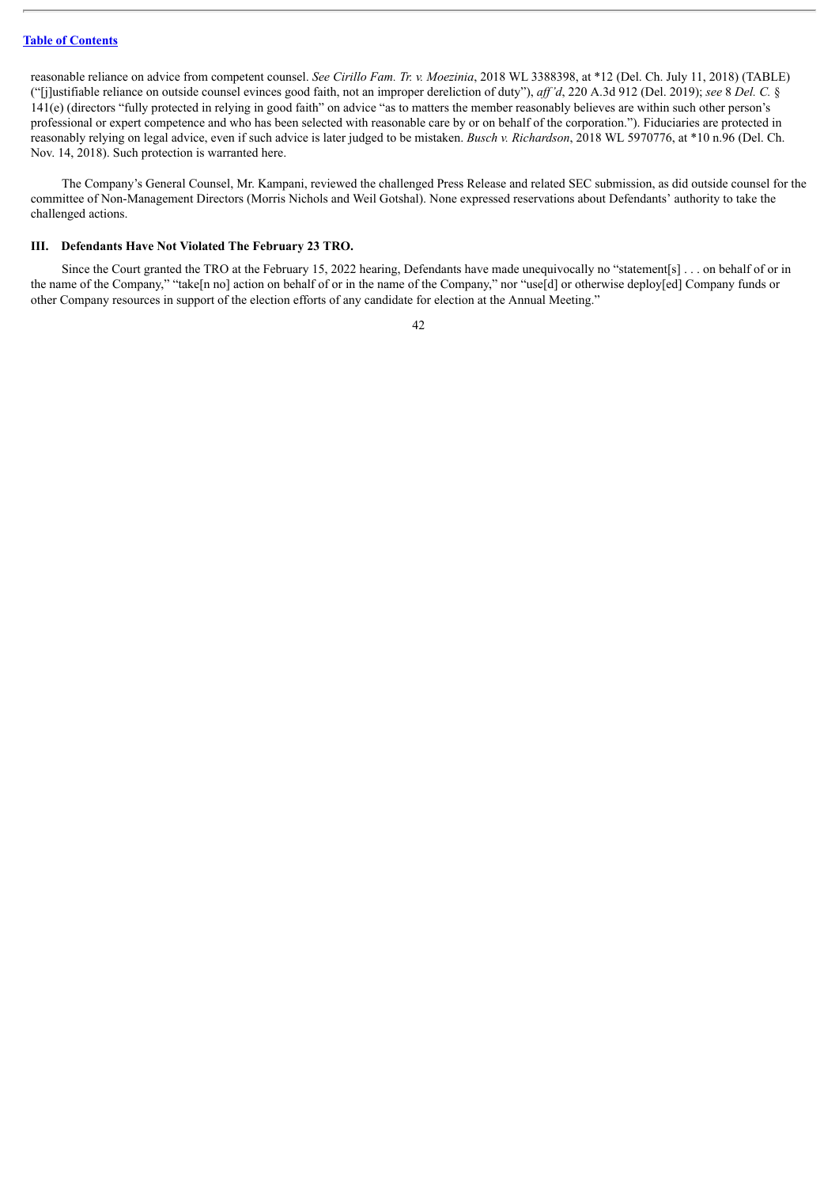reasonable reliance on advice from competent counsel. *See Cirillo Fam. Tr. v. Moezinia*, 2018 WL 3388398, at \*12 (Del. Ch. July 11, 2018) (TABLE) ("[j]ustifiable reliance on outside counsel evinces good faith, not an improper dereliction of duty"), *af 'd*, 220 A.3d 912 (Del. 2019); *see* 8 *Del. C.* § 141(e) (directors "fully protected in relying in good faith" on advice "as to matters the member reasonably believes are within such other person's professional or expert competence and who has been selected with reasonable care by or on behalf of the corporation."). Fiduciaries are protected in reasonably relying on legal advice, even if such advice is later judged to be mistaken. *Busch v. Richardson*, 2018 WL 5970776, at \*10 n.96 (Del. Ch. Nov. 14, 2018). Such protection is warranted here.

The Company's General Counsel, Mr. Kampani, reviewed the challenged Press Release and related SEC submission, as did outside counsel for the committee of Non-Management Directors (Morris Nichols and Weil Gotshal). None expressed reservations about Defendants' authority to take the challenged actions.

#### **III. Defendants Have Not Violated The February 23 TRO.**

Since the Court granted the TRO at the February 15, 2022 hearing, Defendants have made unequivocally no "statement[s] . . . on behalf of or in the name of the Company," "take[n no] action on behalf of or in the name of the Company," nor "use[d] or otherwise deploy[ed] Company funds or other Company resources in support of the election efforts of any candidate for election at the Annual Meeting."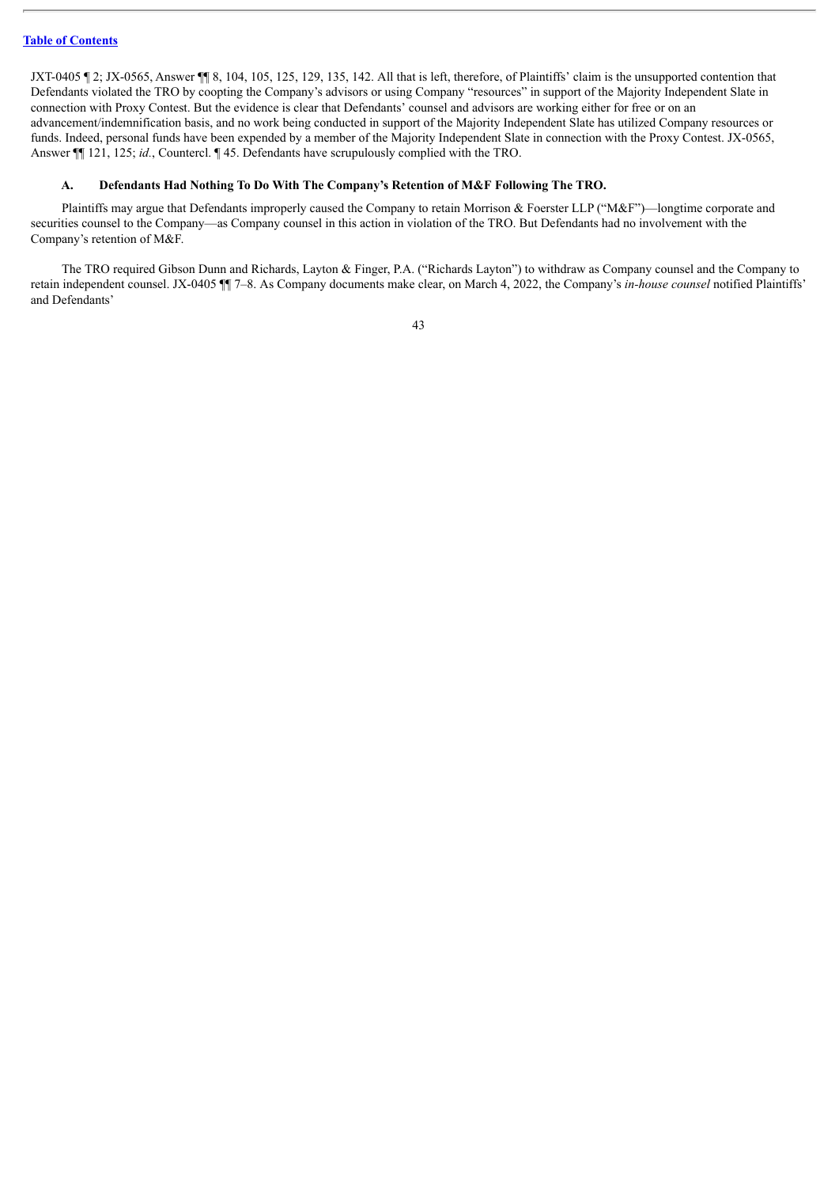JXT-0405  $\parallel$  2; JX-0565, Answer  $\parallel$  8, 104, 105, 125, 129, 135, 142. All that is left, therefore, of Plaintiffs' claim is the unsupported contention that Defendants violated the TRO by coopting the Company's advisors or using Company "resources" in support of the Majority Independent Slate in connection with Proxy Contest. But the evidence is clear that Defendants' counsel and advisors are working either for free or on an advancement/indemnification basis, and no work being conducted in support of the Majority Independent Slate has utilized Company resources or funds. Indeed, personal funds have been expended by a member of the Majority Independent Slate in connection with the Proxy Contest. JX-0565, Answer ¶¶ 121, 125; *id.*, Countercl. ¶ 45. Defendants have scrupulously complied with the TRO.

#### **A. Defendants Had Nothing To Do With The Company's Retention of M&F Following The TRO.**

Plaintiffs may argue that Defendants improperly caused the Company to retain Morrison & Foerster LLP ("M&F")—longtime corporate and securities counsel to the Company—as Company counsel in this action in violation of the TRO. But Defendants had no involvement with the Company's retention of M&F.

The TRO required Gibson Dunn and Richards, Layton & Finger, P.A. ("Richards Layton") to withdraw as Company counsel and the Company to retain independent counsel. JX-0405 ¶¶ 7–8. As Company documents make clear, on March 4, 2022, the Company's *in-house counsel* notified Plaintiffs' and Defendants'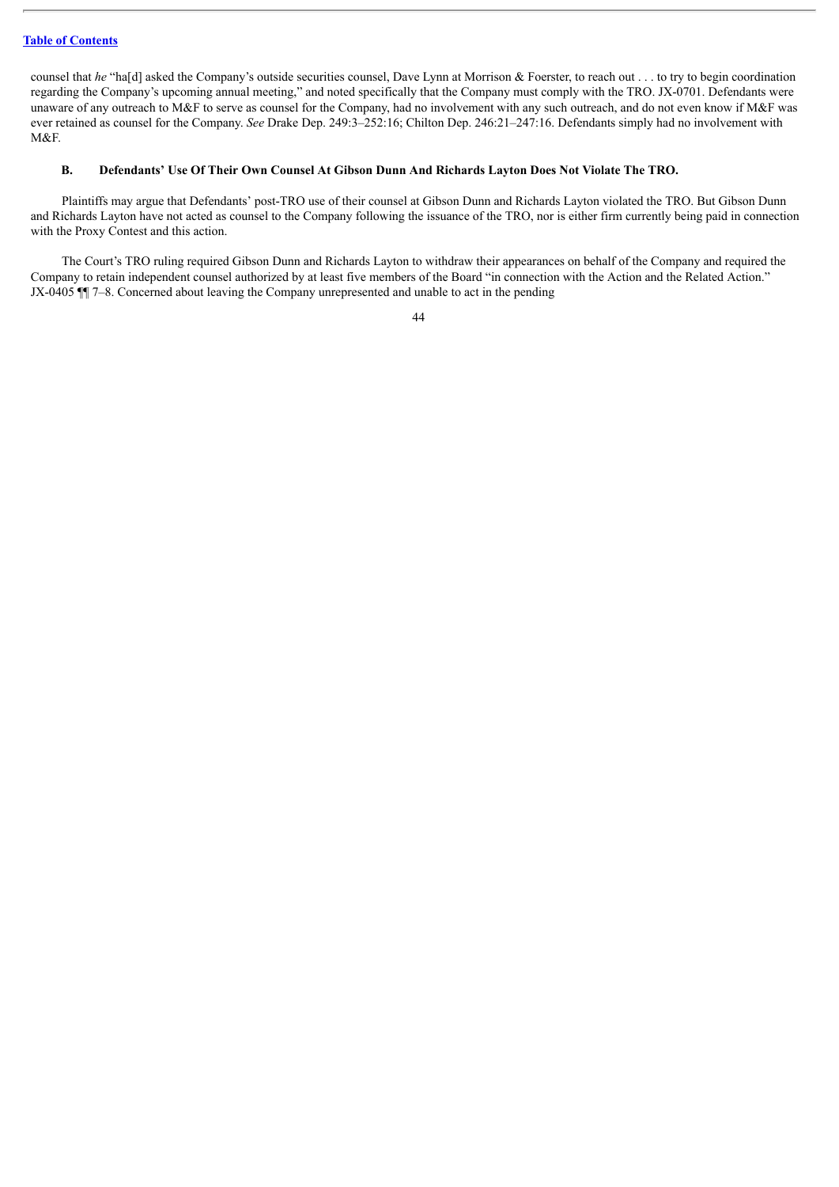counsel that *he* "ha[d] asked the Company's outside securities counsel, Dave Lynn at Morrison & Foerster, to reach out . . . to try to begin coordination regarding the Company's upcoming annual meeting," and noted specifically that the Company must comply with the TRO. JX-0701. Defendants were unaware of any outreach to M&F to serve as counsel for the Company, had no involvement with any such outreach, and do not even know if M&F was ever retained as counsel for the Company. *See* Drake Dep. 249:3–252:16; Chilton Dep. 246:21–247:16. Defendants simply had no involvement with M&F.

#### B. Defendants' Use Of Their Own Counsel At Gibson Dunn And Richards Layton Does Not Violate The TRO.

Plaintiffs may argue that Defendants' post-TRO use of their counsel at Gibson Dunn and Richards Layton violated the TRO. But Gibson Dunn and Richards Layton have not acted as counsel to the Company following the issuance of the TRO, nor is either firm currently being paid in connection with the Proxy Contest and this action.

The Court's TRO ruling required Gibson Dunn and Richards Layton to withdraw their appearances on behalf of the Company and required the Company to retain independent counsel authorized by at least five members of the Board "in connection with the Action and the Related Action." JX-0405 ¶¶ 7–8. Concerned about leaving the Company unrepresented and unable to act in the pending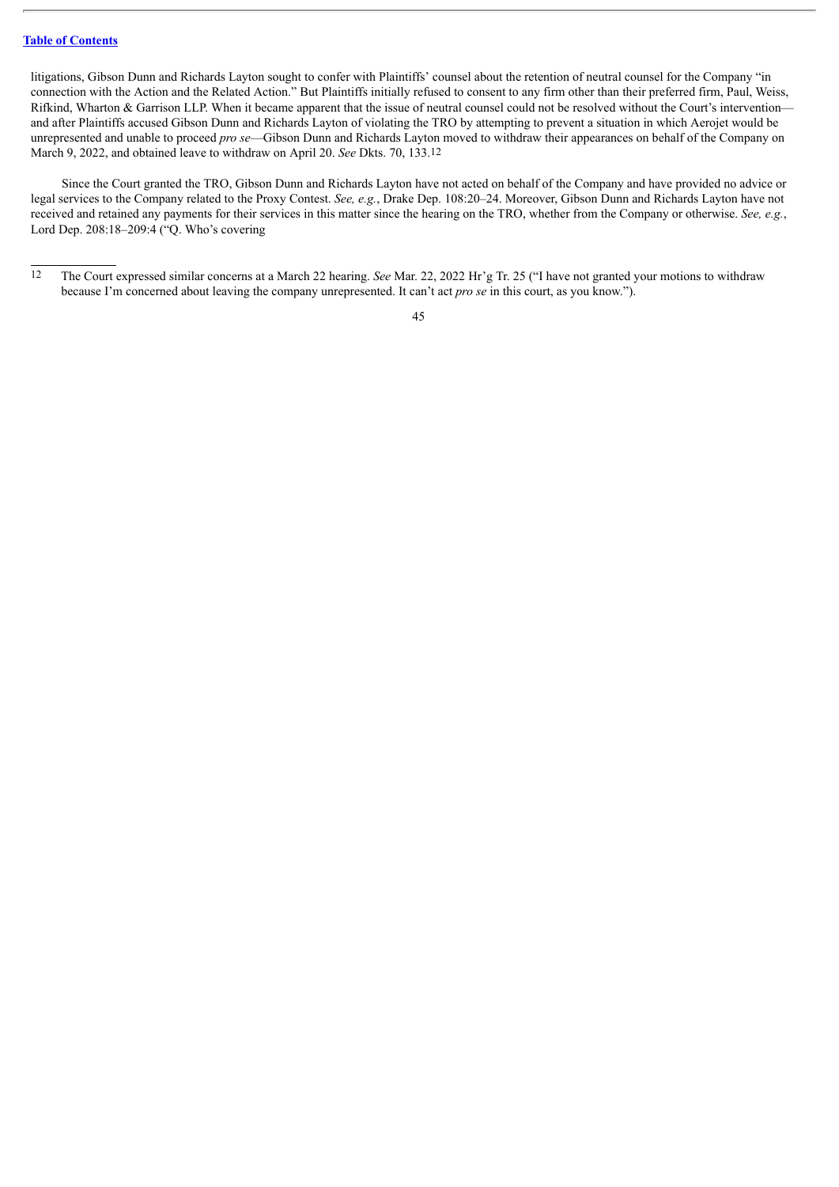litigations, Gibson Dunn and Richards Layton sought to confer with Plaintiffs' counsel about the retention of neutral counsel for the Company "in connection with the Action and the Related Action." But Plaintiffs initially refused to consent to any firm other than their preferred firm, Paul, Weiss, Rifkind, Wharton & Garrison LLP. When it became apparent that the issue of neutral counsel could not be resolved without the Court's intervention and after Plaintiffs accused Gibson Dunn and Richards Layton of violating the TRO by attempting to prevent a situation in which Aerojet would be unrepresented and unable to proceed *pro se*—Gibson Dunn and Richards Layton moved to withdraw their appearances on behalf of the Company on March 9, 2022, and obtained leave to withdraw on April 20. *See* Dkts. 70, 133.12

Since the Court granted the TRO, Gibson Dunn and Richards Layton have not acted on behalf of the Company and have provided no advice or legal services to the Company related to the Proxy Contest. *See, e.g.*, Drake Dep. 108:20–24. Moreover, Gibson Dunn and Richards Layton have not received and retained any payments for their services in this matter since the hearing on the TRO, whether from the Company or otherwise. *See, e.g.*, Lord Dep. 208:18–209:4 ("Q. Who's covering

<sup>12</sup> The Court expressed similar concerns at a March 22 hearing. *See* Mar. 22, 2022 Hr'g Tr. 25 ("I have not granted your motions to withdraw because I'm concerned about leaving the company unrepresented. It can't act *pro se* in this court, as you know.").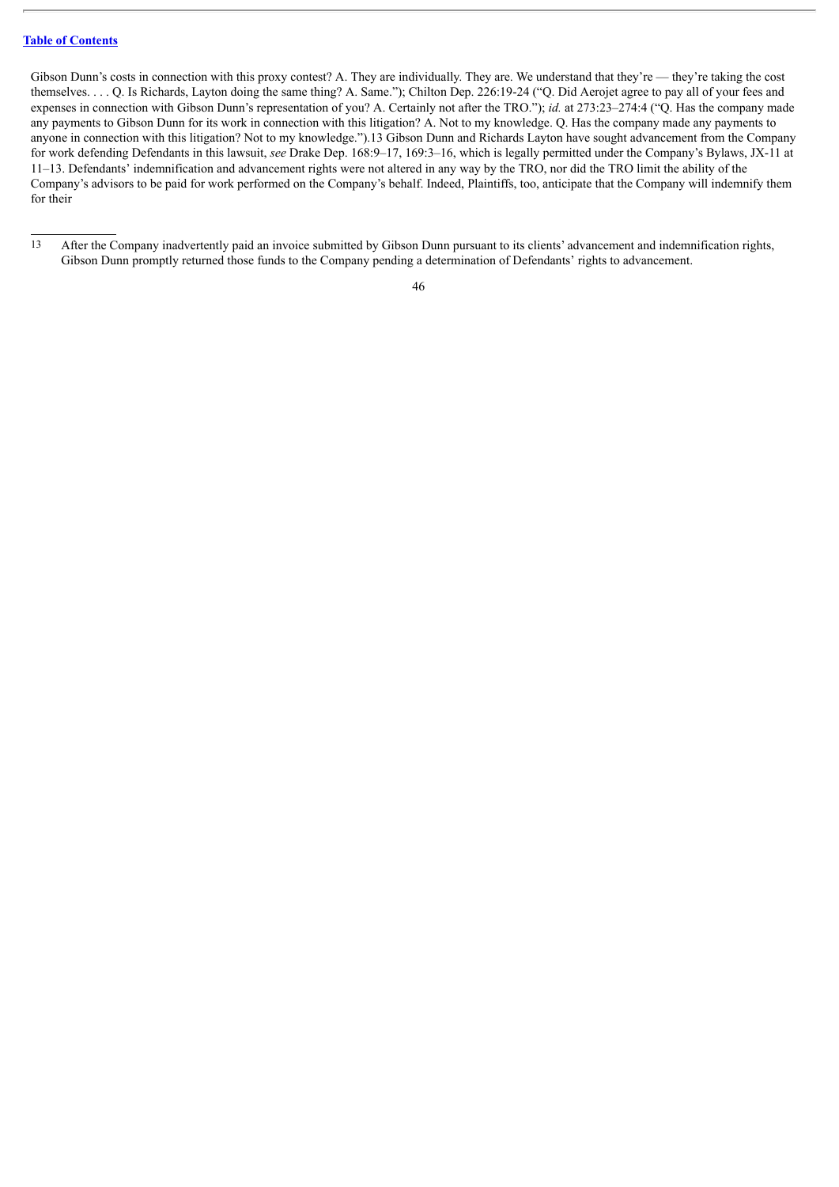Gibson Dunn's costs in connection with this proxy contest? A. They are individually. They are. We understand that they're — they're taking the cost themselves. . . . Q. Is Richards, Layton doing the same thing? A. Same."); Chilton Dep. 226:19-24 ("Q. Did Aerojet agree to pay all of your fees and expenses in connection with Gibson Dunn's representation of you? A. Certainly not after the TRO."); *id.* at 273:23–274:4 ("Q. Has the company made any payments to Gibson Dunn for its work in connection with this litigation? A. Not to my knowledge. Q. Has the company made any payments to anyone in connection with this litigation? Not to my knowledge.").13 Gibson Dunn and Richards Layton have sought advancement from the Company for work defending Defendants in this lawsuit, *see* Drake Dep. 168:9–17, 169:3–16, which is legally permitted under the Company's Bylaws, JX-11 at 11–13. Defendants' indemnification and advancement rights were not altered in any way by the TRO, nor did the TRO limit the ability of the Company's advisors to be paid for work performed on the Company's behalf. Indeed, Plaintiffs, too, anticipate that the Company will indemnify them for their

<sup>13</sup> After the Company inadvertently paid an invoice submitted by Gibson Dunn pursuant to its clients' advancement and indemnification rights, Gibson Dunn promptly returned those funds to the Company pending a determination of Defendants' rights to advancement.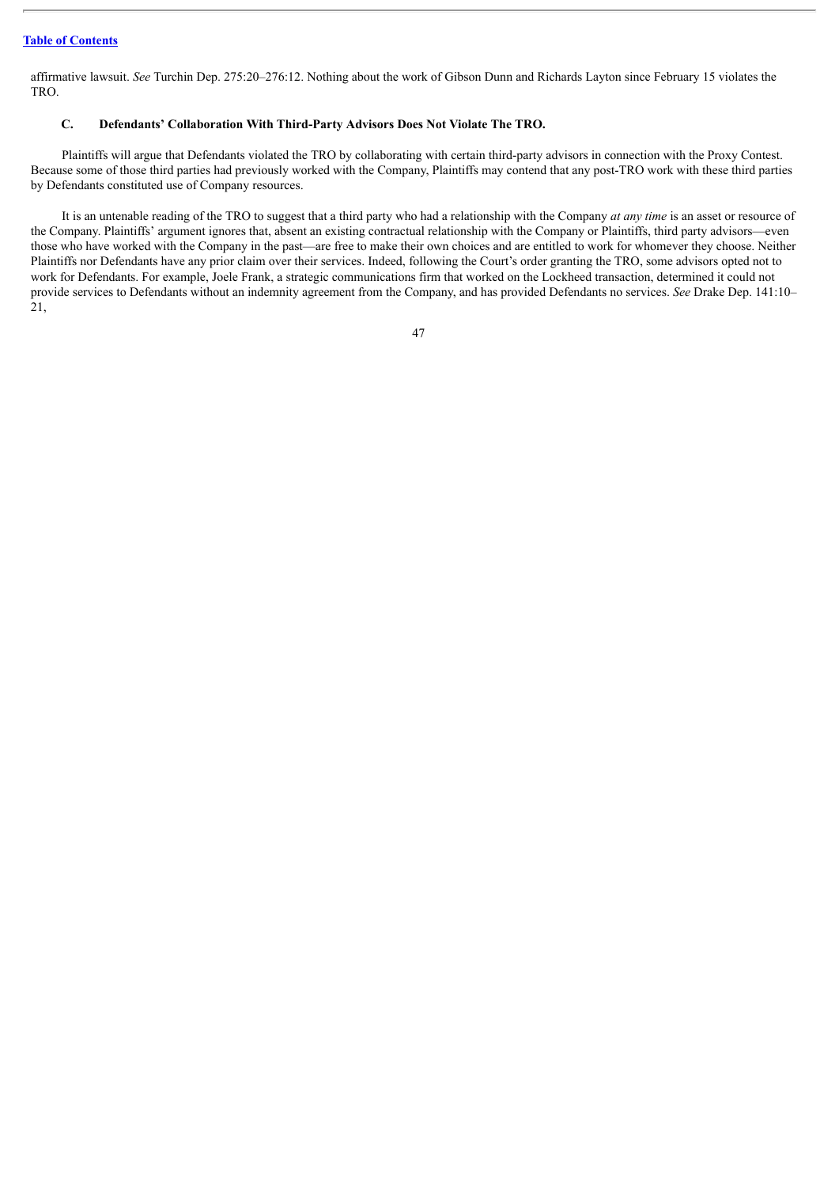affirmative lawsuit. *See* Turchin Dep. 275:20–276:12. Nothing about the work of Gibson Dunn and Richards Layton since February 15 violates the TRO.

## **C. Defendants' Collaboration With Third-Party Advisors Does Not Violate The TRO.**

Plaintiffs will argue that Defendants violated the TRO by collaborating with certain third-party advisors in connection with the Proxy Contest. Because some of those third parties had previously worked with the Company, Plaintiffs may contend that any post-TRO work with these third parties by Defendants constituted use of Company resources.

It is an untenable reading of the TRO to suggest that a third party who had a relationship with the Company *at any time* is an asset or resource of the Company. Plaintiffs' argument ignores that, absent an existing contractual relationship with the Company or Plaintiffs, third party advisors—even those who have worked with the Company in the past—are free to make their own choices and are entitled to work for whomever they choose. Neither Plaintiffs nor Defendants have any prior claim over their services. Indeed, following the Court's order granting the TRO, some advisors opted not to work for Defendants. For example, Joele Frank, a strategic communications firm that worked on the Lockheed transaction, determined it could not provide services to Defendants without an indemnity agreement from the Company, and has provided Defendants no services. *See* Drake Dep. 141:10– 21,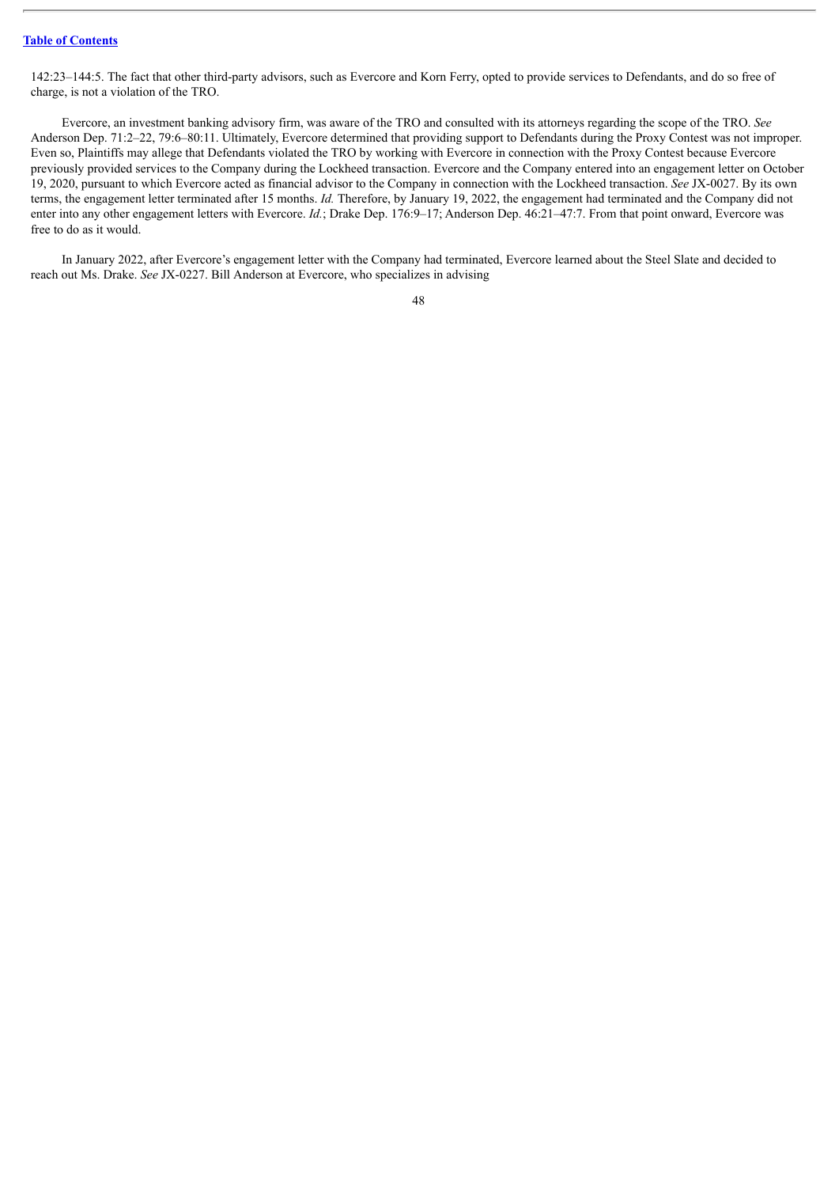142:23–144:5. The fact that other third-party advisors, such as Evercore and Korn Ferry, opted to provide services to Defendants, and do so free of charge, is not a violation of the TRO.

Evercore, an investment banking advisory firm, was aware of the TRO and consulted with its attorneys regarding the scope of the TRO. *See* Anderson Dep. 71:2–22, 79:6–80:11. Ultimately, Evercore determined that providing support to Defendants during the Proxy Contest was not improper. Even so, Plaintiffs may allege that Defendants violated the TRO by working with Evercore in connection with the Proxy Contest because Evercore previously provided services to the Company during the Lockheed transaction. Evercore and the Company entered into an engagement letter on October 19, 2020, pursuant to which Evercore acted as financial advisor to the Company in connection with the Lockheed transaction. *See* JX-0027. By its own terms, the engagement letter terminated after 15 months. *Id.* Therefore, by January 19, 2022, the engagement had terminated and the Company did not enter into any other engagement letters with Evercore. *Id.*; Drake Dep. 176:9–17; Anderson Dep. 46:21–47:7. From that point onward, Evercore was free to do as it would.

In January 2022, after Evercore's engagement letter with the Company had terminated, Evercore learned about the Steel Slate and decided to reach out Ms. Drake. *See* JX-0227. Bill Anderson at Evercore, who specializes in advising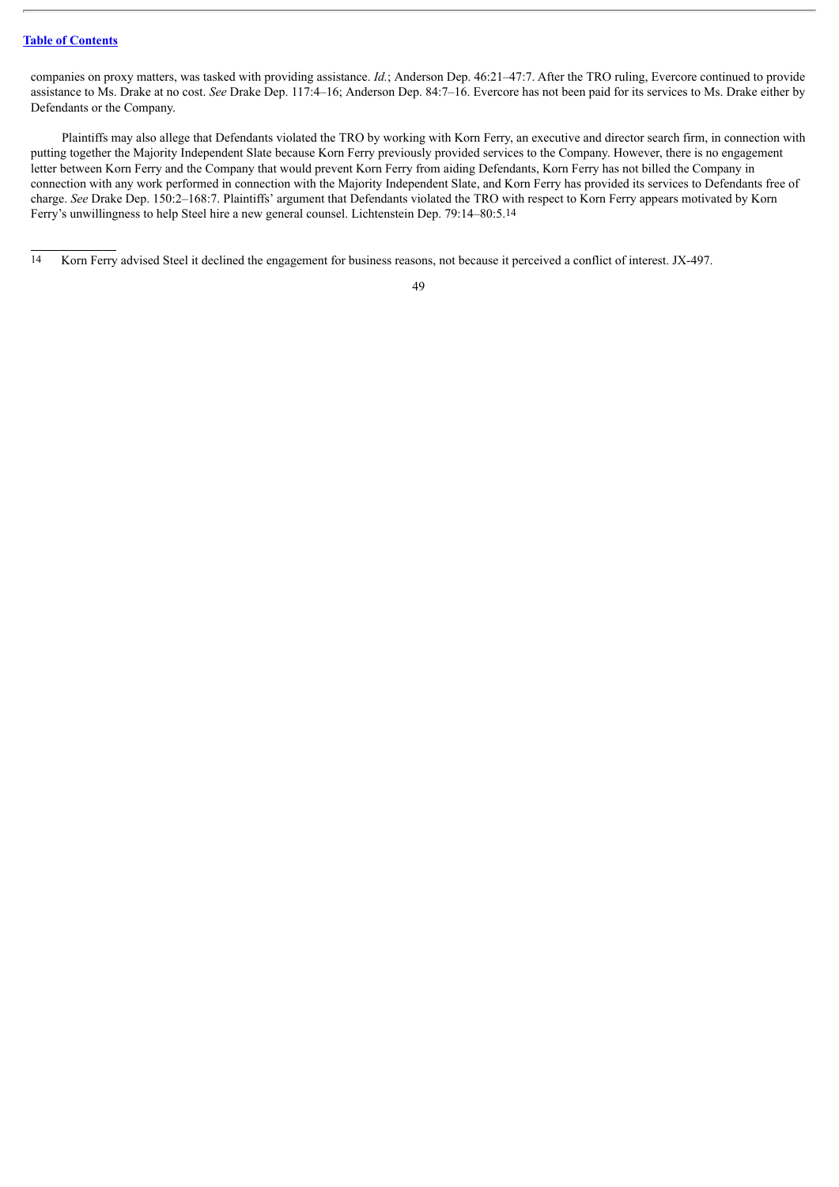companies on proxy matters, was tasked with providing assistance. *Id.*; Anderson Dep. 46:21–47:7. After the TRO ruling, Evercore continued to provide assistance to Ms. Drake at no cost. *See* Drake Dep. 117:4–16; Anderson Dep. 84:7–16. Evercore has not been paid for its services to Ms. Drake either by Defendants or the Company.

Plaintiffs may also allege that Defendants violated the TRO by working with Korn Ferry, an executive and director search firm, in connection with putting together the Majority Independent Slate because Korn Ferry previously provided services to the Company. However, there is no engagement letter between Korn Ferry and the Company that would prevent Korn Ferry from aiding Defendants, Korn Ferry has not billed the Company in connection with any work performed in connection with the Majority Independent Slate, and Korn Ferry has provided its services to Defendants free of charge. *See* Drake Dep. 150:2–168:7. Plaintiffs' argument that Defendants violated the TRO with respect to Korn Ferry appears motivated by Korn Ferry's unwillingness to help Steel hire a new general counsel. Lichtenstein Dep. 79:14–80:5.14

<sup>14</sup> Korn Ferry advised Steel it declined the engagement for business reasons, not because it perceived a conflict of interest. JX-497.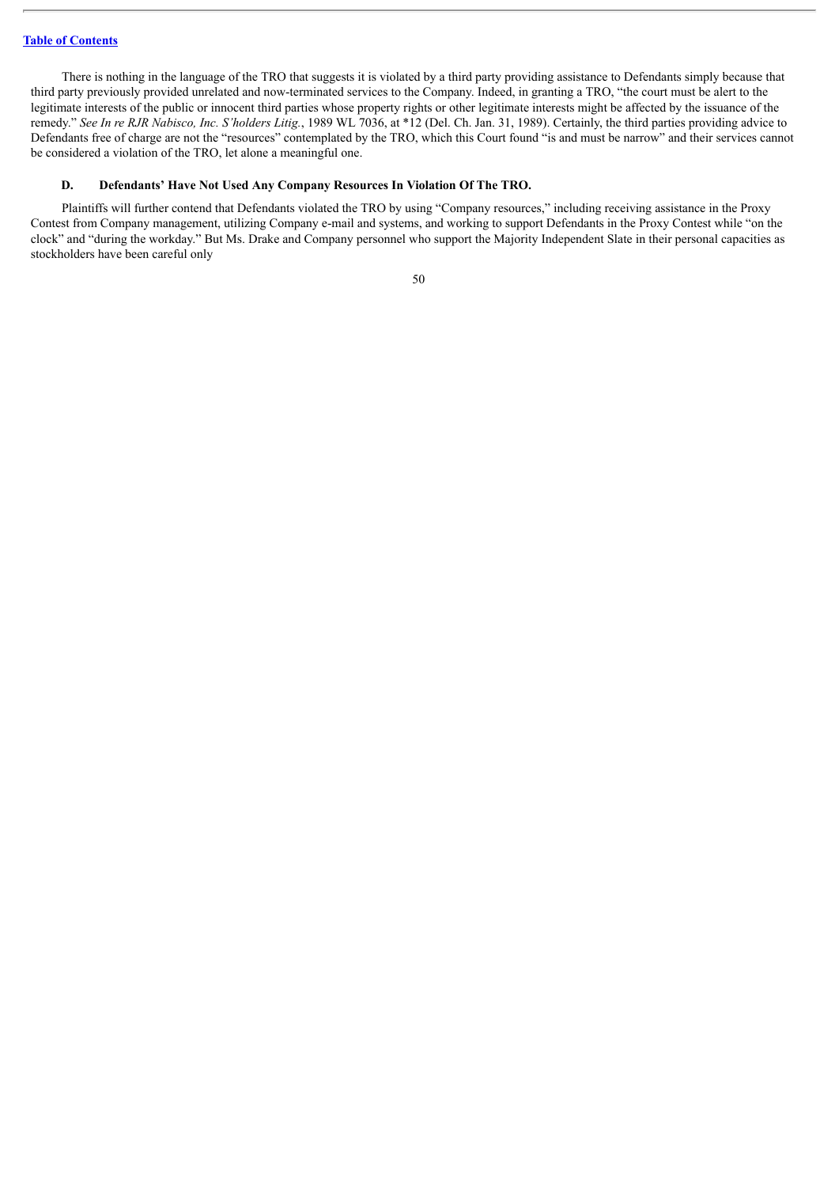There is nothing in the language of the TRO that suggests it is violated by a third party providing assistance to Defendants simply because that third party previously provided unrelated and now-terminated services to the Company. Indeed, in granting a TRO, "the court must be alert to the legitimate interests of the public or innocent third parties whose property rights or other legitimate interests might be affected by the issuance of the remedy." *See In re RJR Nabisco, Inc. S'holders Litig.*, 1989 WL 7036, at \*12 (Del. Ch. Jan. 31, 1989). Certainly, the third parties providing advice to Defendants free of charge are not the "resources" contemplated by the TRO, which this Court found "is and must be narrow" and their services cannot be considered a violation of the TRO, let alone a meaningful one.

#### **D. Defendants' Have Not Used Any Company Resources In Violation Of The TRO.**

Plaintiffs will further contend that Defendants violated the TRO by using "Company resources," including receiving assistance in the Proxy Contest from Company management, utilizing Company e-mail and systems, and working to support Defendants in the Proxy Contest while "on the clock" and "during the workday." But Ms. Drake and Company personnel who support the Majority Independent Slate in their personal capacities as stockholders have been careful only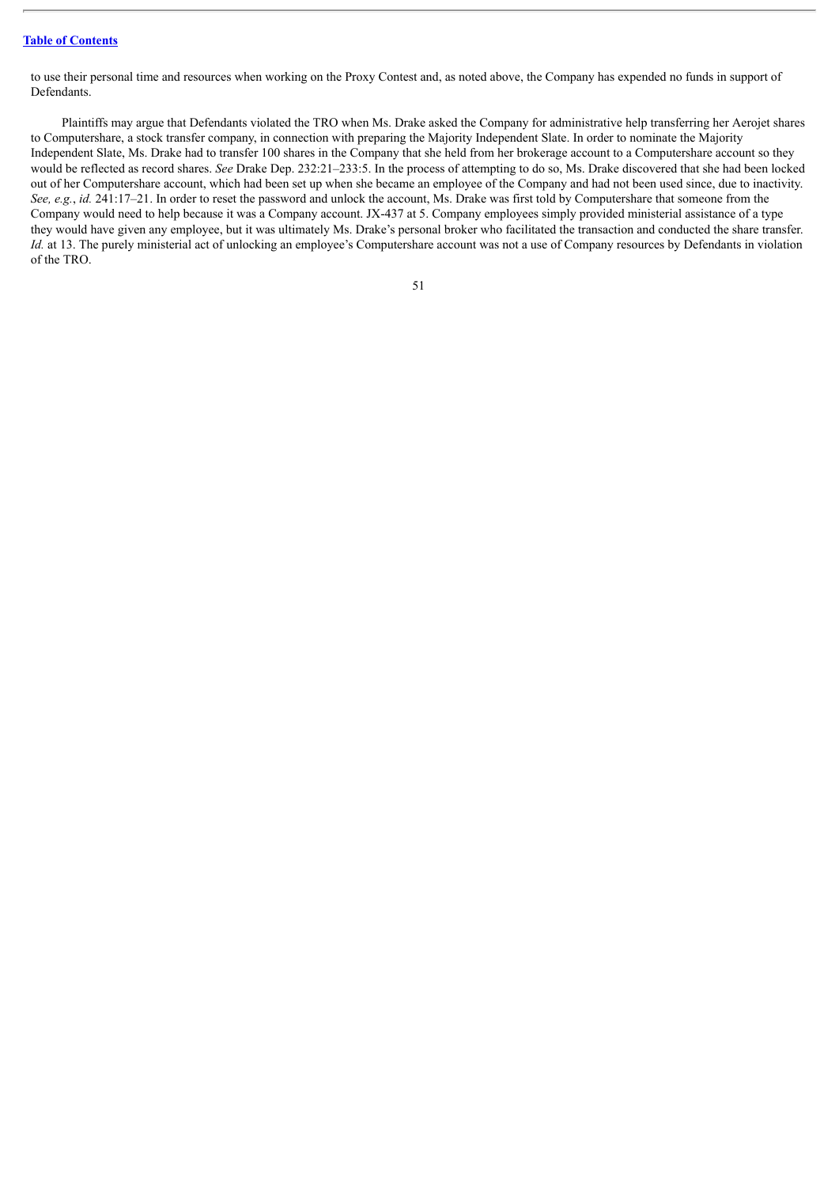to use their personal time and resources when working on the Proxy Contest and, as noted above, the Company has expended no funds in support of Defendants.

Plaintiffs may argue that Defendants violated the TRO when Ms. Drake asked the Company for administrative help transferring her Aerojet shares to Computershare, a stock transfer company, in connection with preparing the Majority Independent Slate. In order to nominate the Majority Independent Slate, Ms. Drake had to transfer 100 shares in the Company that she held from her brokerage account to a Computershare account so they would be reflected as record shares. *See* Drake Dep. 232:21–233:5. In the process of attempting to do so, Ms. Drake discovered that she had been locked out of her Computershare account, which had been set up when she became an employee of the Company and had not been used since, due to inactivity. *See, e.g.*, *id.* 241:17–21. In order to reset the password and unlock the account, Ms. Drake was first told by Computershare that someone from the Company would need to help because it was a Company account. JX-437 at 5. Company employees simply provided ministerial assistance of a type they would have given any employee, but it was ultimately Ms. Drake's personal broker who facilitated the transaction and conducted the share transfer. *Id.* at 13. The purely ministerial act of unlocking an employee's Computershare account was not a use of Company resources by Defendants in violation of the TRO.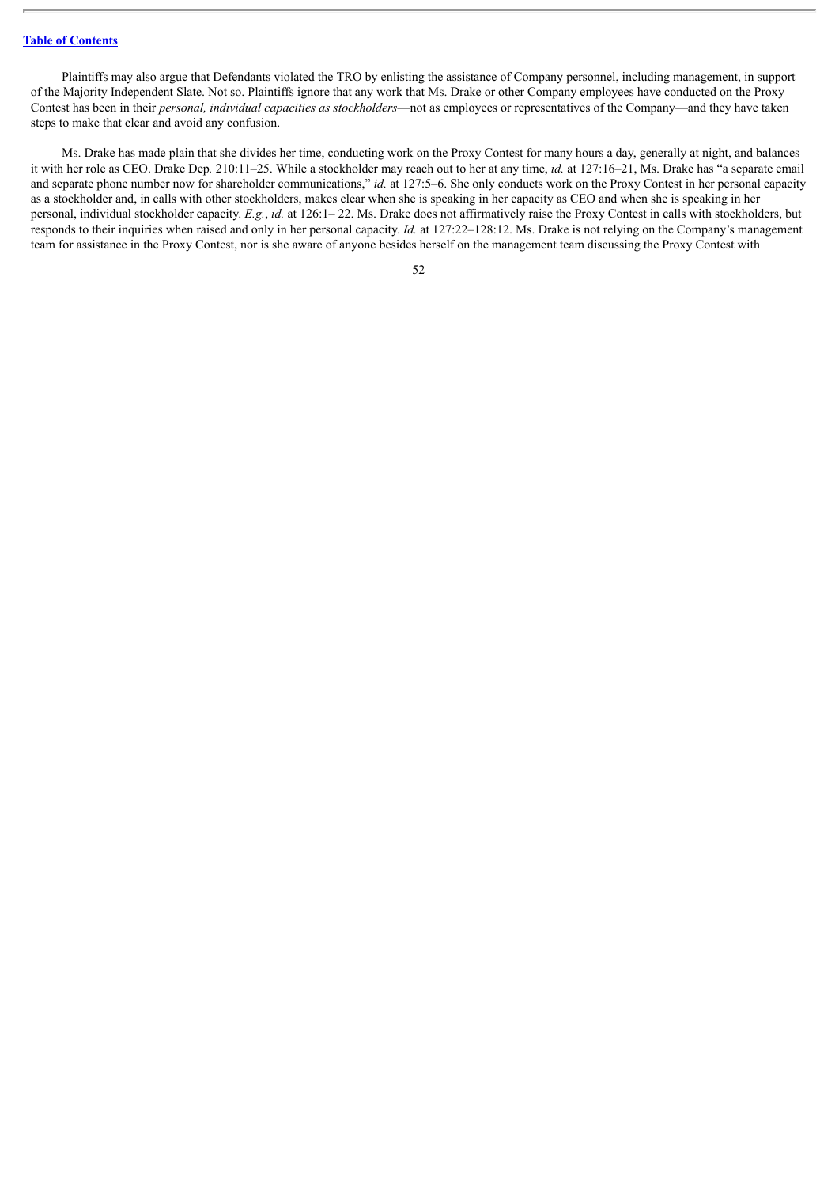Plaintiffs may also argue that Defendants violated the TRO by enlisting the assistance of Company personnel, including management, in support of the Majority Independent Slate. Not so. Plaintiffs ignore that any work that Ms. Drake or other Company employees have conducted on the Proxy Contest has been in their *personal, individual capacities as stockholders*—not as employees or representatives of the Company—and they have taken steps to make that clear and avoid any confusion.

Ms. Drake has made plain that she divides her time, conducting work on the Proxy Contest for many hours a day, generally at night, and balances it with her role as CEO. Drake Dep*.* 210:11–25. While a stockholder may reach out to her at any time, *id.* at 127:16–21, Ms. Drake has "a separate email and separate phone number now for shareholder communications," *id.* at 127:5–6. She only conducts work on the Proxy Contest in her personal capacity as a stockholder and, in calls with other stockholders, makes clear when she is speaking in her capacity as CEO and when she is speaking in her personal, individual stockholder capacity. *E.g.*, *id.* at 126:1– 22. Ms. Drake does not affirmatively raise the Proxy Contest in calls with stockholders, but responds to their inquiries when raised and only in her personal capacity. *Id.* at 127:22–128:12. Ms. Drake is not relying on the Company's management team for assistance in the Proxy Contest, nor is she aware of anyone besides herself on the management team discussing the Proxy Contest with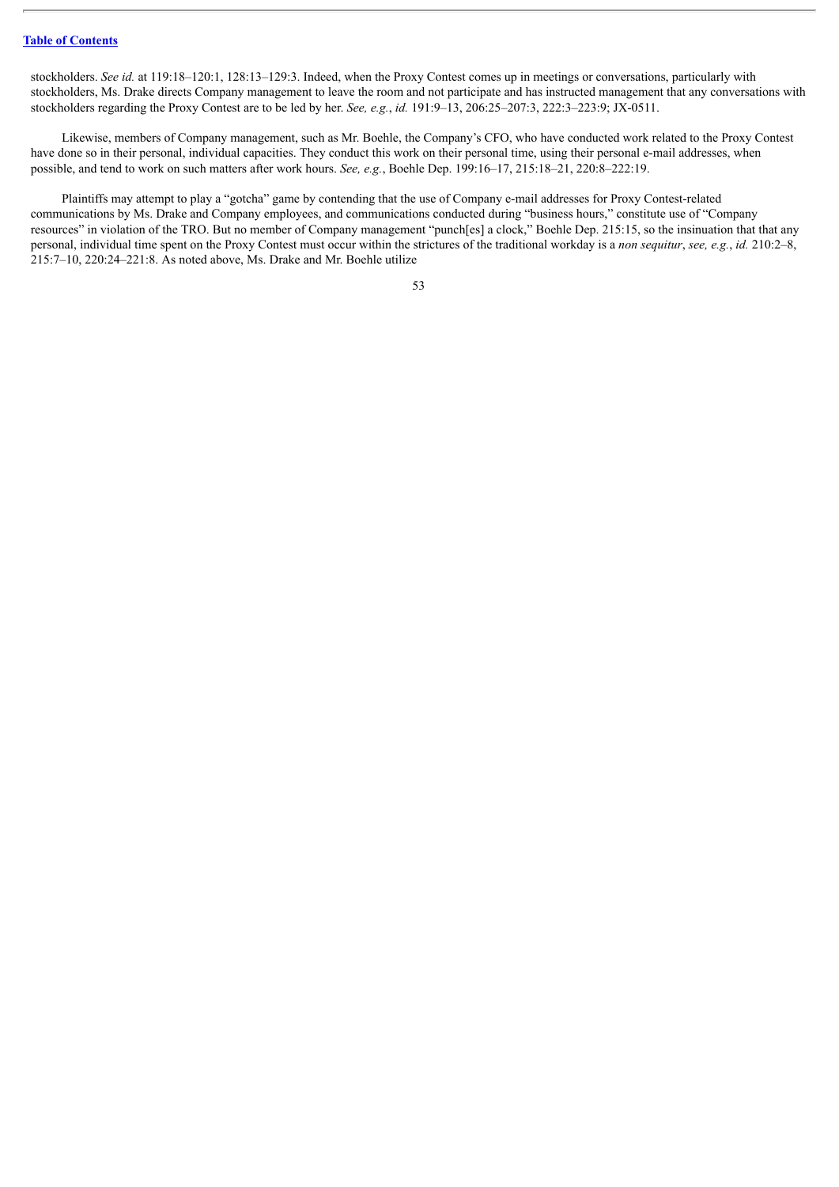stockholders. *See id.* at 119:18–120:1, 128:13–129:3. Indeed, when the Proxy Contest comes up in meetings or conversations, particularly with stockholders, Ms. Drake directs Company management to leave the room and not participate and has instructed management that any conversations with stockholders regarding the Proxy Contest are to be led by her. *See, e.g.*, *id.* 191:9–13, 206:25–207:3, 222:3–223:9; JX-0511.

Likewise, members of Company management, such as Mr. Boehle, the Company's CFO, who have conducted work related to the Proxy Contest have done so in their personal, individual capacities. They conduct this work on their personal time, using their personal e-mail addresses, when possible, and tend to work on such matters after work hours. *See, e.g.*, Boehle Dep. 199:16–17, 215:18–21, 220:8–222:19.

Plaintiffs may attempt to play a "gotcha" game by contending that the use of Company e-mail addresses for Proxy Contest-related communications by Ms. Drake and Company employees, and communications conducted during "business hours," constitute use of "Company resources" in violation of the TRO. But no member of Company management "punch[es] a clock," Boehle Dep. 215:15, so the insinuation that that any personal, individual time spent on the Proxy Contest must occur within the strictures of the traditional workday is a *non sequitur*, *see, e.g.*, *id.* 210:2–8, 215:7–10, 220:24–221:8. As noted above, Ms. Drake and Mr. Boehle utilize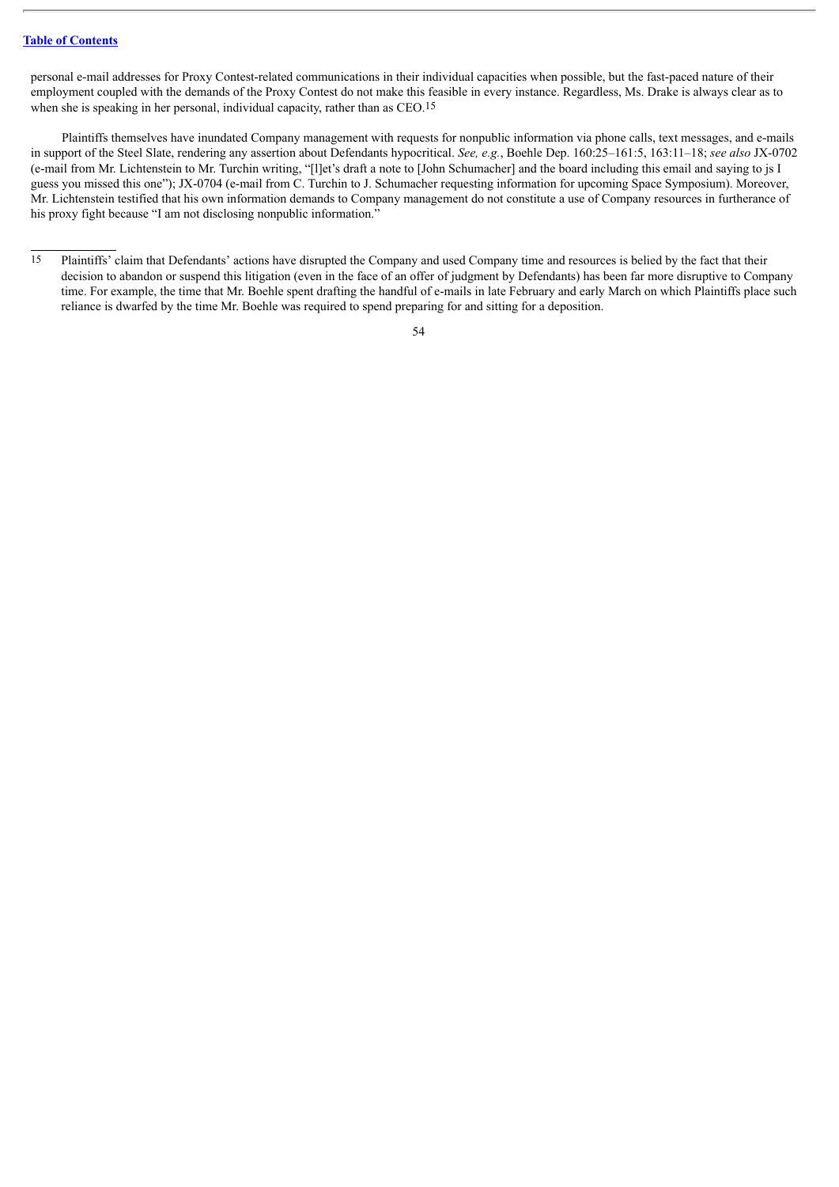personal e-mail addresses for Proxy Contest-related communications in their individual capacities when possible, but the fast-paced nature of their employment coupled with the demands of the Proxy Contest do not make this feasible in every instance. Regardless, Ms. Drake is always clear as to when she is speaking in her personal, individual capacity, rather than as CEO.15

Plaintiffs themselves have inundated Company management with requests for nonpublic information via phone calls, text messages, and e-mails in support of the Steel Slate, rendering any assertion about Defendants hypocritical. *See, e.g.*, Boehle Dep. 160:25–161:5, 163:11–18; *see also* JX-0702 (e-mail from Mr. Lichtenstein to Mr. Turchin writing, "[l]et's draft a note to [John Schumacher] and the board including this email and saying to js I guess you missed this one"); JX-0704 (e-mail from C. Turchin to J. Schumacher requesting information for upcoming Space Symposium). Moreover, Mr. Lichtenstein testified that his own information demands to Company management do not constitute a use of Company resources in furtherance of his proxy fight because "I am not disclosing nonpublic information."

<sup>15</sup> Plaintiffs' claim that Defendants' actions have disrupted the Company and used Company time and resources is belied by the fact that their decision to abandon or suspend this litigation (even in the face of an offer of judgment by Defendants) has been far more disruptive to Company time. For example, the time that Mr. Boehle spent drafting the handful of e-mails in late February and early March on which Plaintiffs place such reliance is dwarfed by the time Mr. Boehle was required to spend preparing for and sitting for a deposition.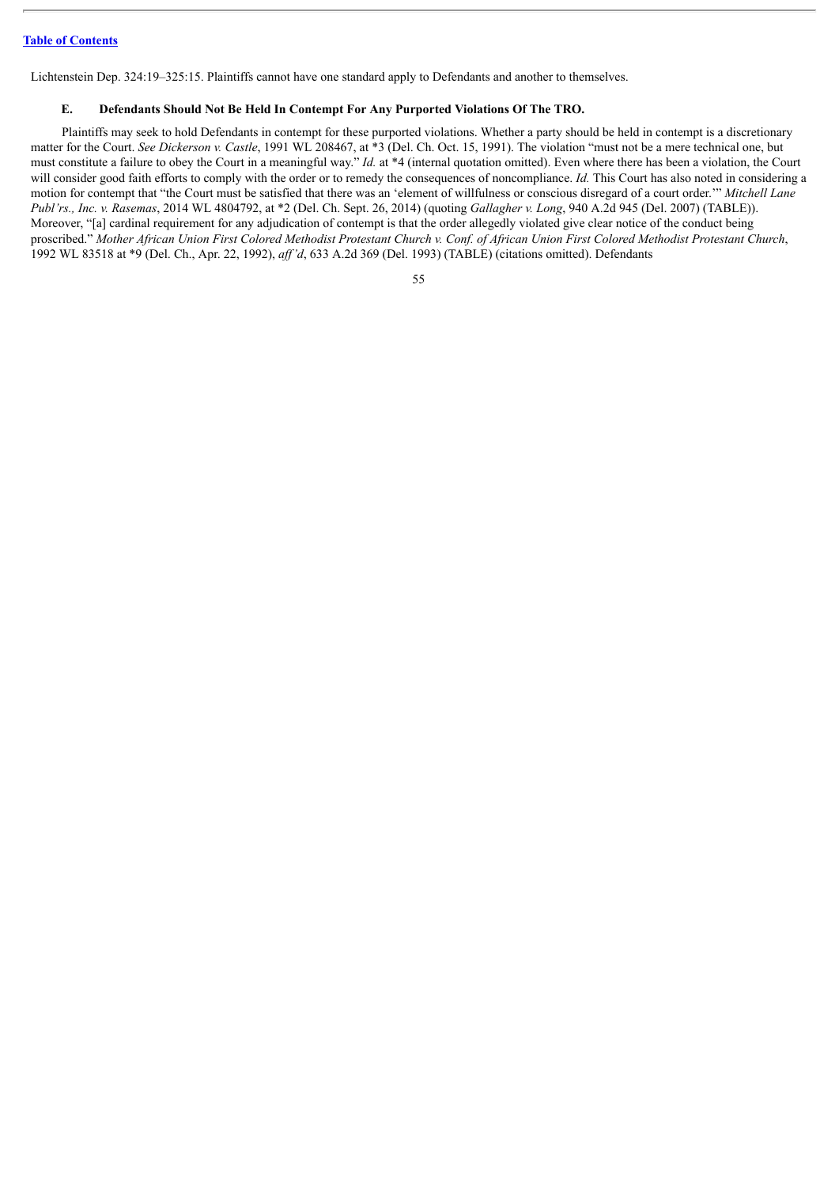Lichtenstein Dep. 324:19–325:15. Plaintiffs cannot have one standard apply to Defendants and another to themselves.

#### **E. Defendants Should Not Be Held In Contempt For Any Purported Violations Of The TRO.**

Plaintiffs may seek to hold Defendants in contempt for these purported violations. Whether a party should be held in contempt is a discretionary matter for the Court. *See Dickerson v. Castle*, 1991 WL 208467, at \*3 (Del. Ch. Oct. 15, 1991). The violation "must not be a mere technical one, but must constitute a failure to obey the Court in a meaningful way." *Id.* at \*4 (internal quotation omitted). Even where there has been a violation, the Court will consider good faith efforts to comply with the order or to remedy the consequences of noncompliance. *Id*. This Court has also noted in considering a motion for contempt that "the Court must be satisfied that there was an 'element of willfulness or conscious disregard of a court order.'" *Mitchell Lane Publ'rs., Inc. v. Rasemas*, 2014 WL 4804792, at \*2 (Del. Ch. Sept. 26, 2014) (quoting *Gallagher v. Long*, 940 A.2d 945 (Del. 2007) (TABLE)). Moreover, "[a] cardinal requirement for any adjudication of contempt is that the order allegedly violated give clear notice of the conduct being proscribed." Mother African Union First Colored Methodist Protestant Church v. Conf. of African Union First Colored Methodist Protestant Church, 1992 WL 83518 at \*9 (Del. Ch., Apr. 22, 1992), *af 'd*, 633 A.2d 369 (Del. 1993) (TABLE) (citations omitted). Defendants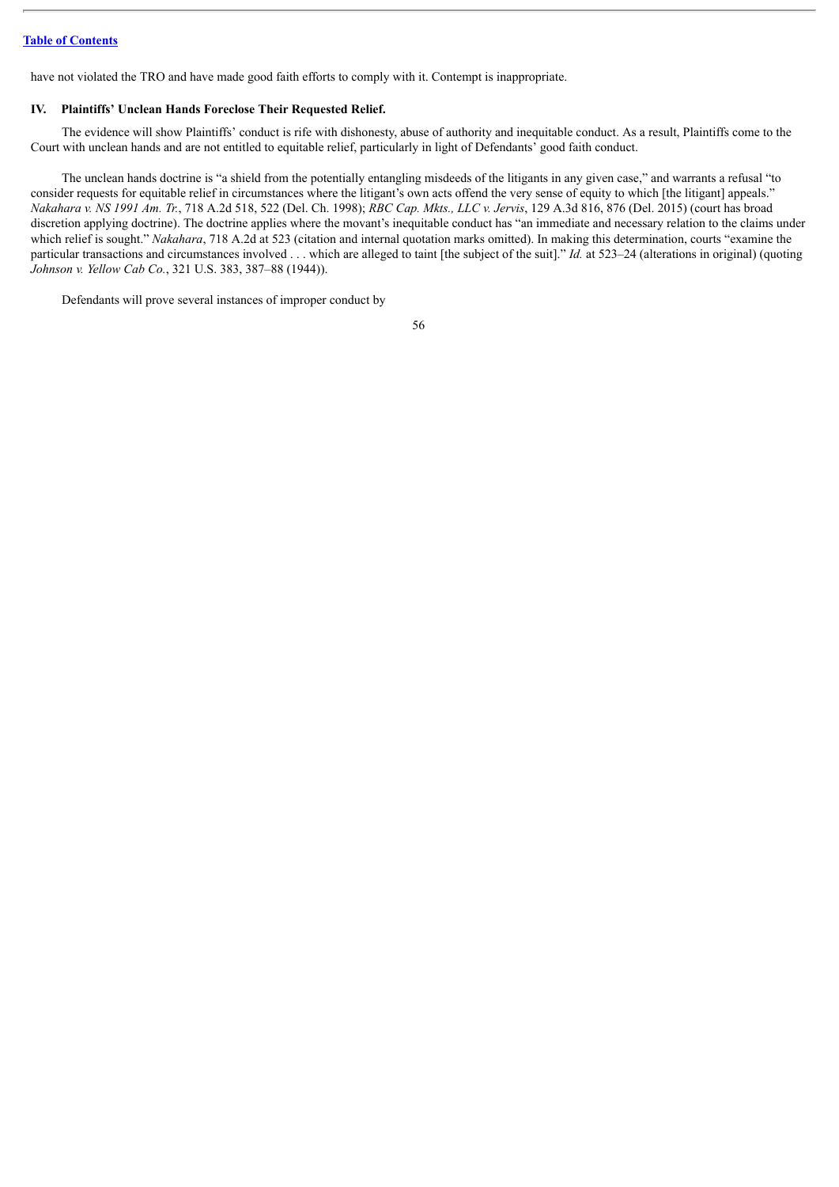have not violated the TRO and have made good faith efforts to comply with it. Contempt is inappropriate.

#### **IV. Plaintiffs' Unclean Hands Foreclose Their Requested Relief.**

The evidence will show Plaintiffs' conduct is rife with dishonesty, abuse of authority and inequitable conduct. As a result, Plaintiffs come to the Court with unclean hands and are not entitled to equitable relief, particularly in light of Defendants' good faith conduct.

The unclean hands doctrine is "a shield from the potentially entangling misdeeds of the litigants in any given case," and warrants a refusal "to consider requests for equitable relief in circumstances where the litigant's own acts offend the very sense of equity to which [the litigant] appeals." Nakahara v. NS 1991 Am. Tr., 718 A.2d 518, 522 (Del. Ch. 1998); RBC Cap. Mkts., LLC v. Jervis, 129 A.3d 816, 876 (Del. 2015) (court has broad discretion applying doctrine). The doctrine applies where the movant's inequitable conduct has "an immediate and necessary relation to the claims under which relief is sought." *Nakahara*, 718 A.2d at 523 (citation and internal quotation marks omitted). In making this determination, courts "examine the particular transactions and circumstances involved . . . which are alleged to taint [the subject of the suit]." *Id.* at 523–24 (alterations in original) (quoting *Johnson v. Yellow Cab Co.*, 321 U.S. 383, 387–88 (1944)).

Defendants will prove several instances of improper conduct by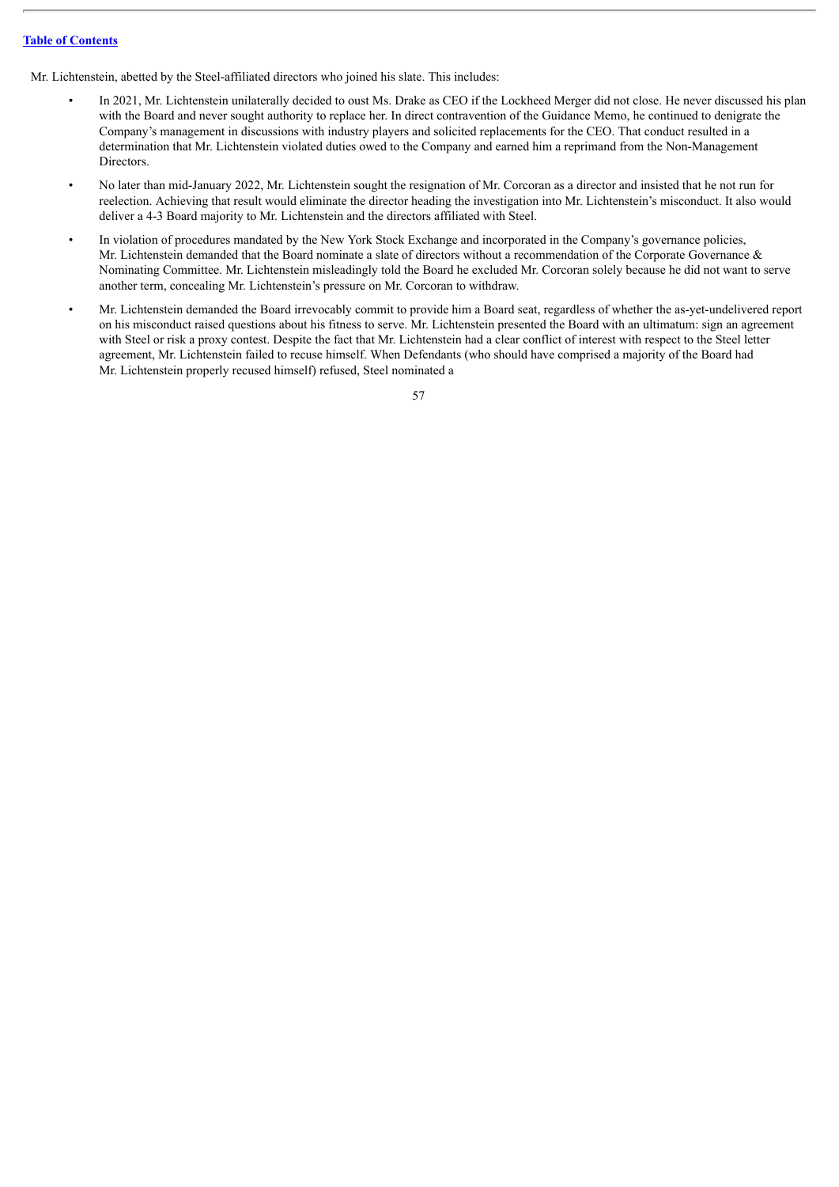Mr. Lichtenstein, abetted by the Steel-affiliated directors who joined his slate. This includes:

- In 2021, Mr. Lichtenstein unilaterally decided to oust Ms. Drake as CEO if the Lockheed Merger did not close. He never discussed his plan with the Board and never sought authority to replace her. In direct contravention of the Guidance Memo, he continued to denigrate the Company's management in discussions with industry players and solicited replacements for the CEO. That conduct resulted in a determination that Mr. Lichtenstein violated duties owed to the Company and earned him a reprimand from the Non-Management Directors.
- No later than mid-January 2022, Mr. Lichtenstein sought the resignation of Mr. Corcoran as a director and insisted that he not run for reelection. Achieving that result would eliminate the director heading the investigation into Mr. Lichtenstein's misconduct. It also would deliver a 4-3 Board majority to Mr. Lichtenstein and the directors affiliated with Steel.
- In violation of procedures mandated by the New York Stock Exchange and incorporated in the Company's governance policies, Mr. Lichtenstein demanded that the Board nominate a slate of directors without a recommendation of the Corporate Governance & Nominating Committee. Mr. Lichtenstein misleadingly told the Board he excluded Mr. Corcoran solely because he did not want to serve another term, concealing Mr. Lichtenstein's pressure on Mr. Corcoran to withdraw.
- Mr. Lichtenstein demanded the Board irrevocably commit to provide him a Board seat, regardless of whether the as-yet-undelivered report on his misconduct raised questions about his fitness to serve. Mr. Lichtenstein presented the Board with an ultimatum: sign an agreement with Steel or risk a proxy contest. Despite the fact that Mr. Lichtenstein had a clear conflict of interest with respect to the Steel letter agreement, Mr. Lichtenstein failed to recuse himself. When Defendants (who should have comprised a majority of the Board had Mr. Lichtenstein properly recused himself) refused, Steel nominated a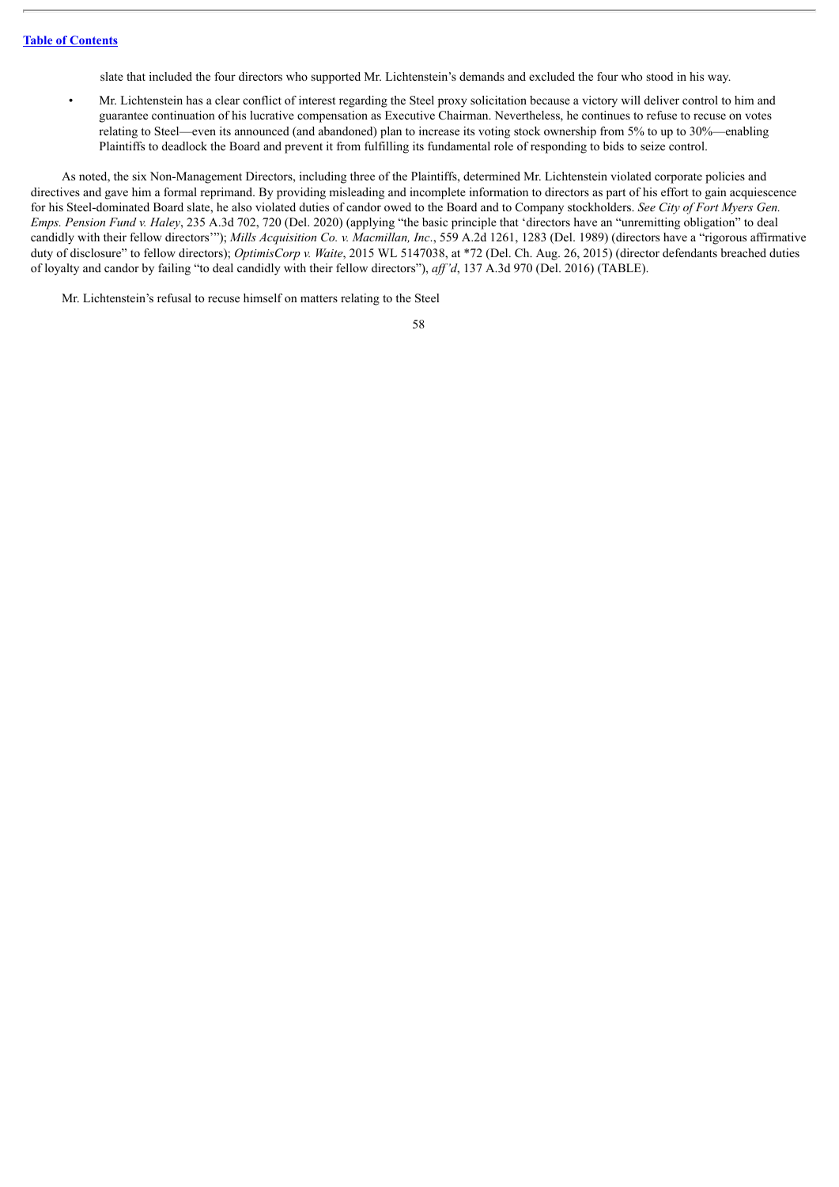slate that included the four directors who supported Mr. Lichtenstein's demands and excluded the four who stood in his way.

• Mr. Lichtenstein has a clear conflict of interest regarding the Steel proxy solicitation because a victory will deliver control to him and guarantee continuation of his lucrative compensation as Executive Chairman. Nevertheless, he continues to refuse to recuse on votes relating to Steel—even its announced (and abandoned) plan to increase its voting stock ownership from 5% to up to 30%—enabling Plaintiffs to deadlock the Board and prevent it from fulfilling its fundamental role of responding to bids to seize control.

As noted, the six Non-Management Directors, including three of the Plaintiffs, determined Mr. Lichtenstein violated corporate policies and directives and gave him a formal reprimand. By providing misleading and incomplete information to directors as part of his effort to gain acquiescence for his Steel-dominated Board slate, he also violated duties of candor owed to the Board and to Company stockholders. *See City of Fort Myers Gen. Emps. Pension Fund v. Haley*, 235 A.3d 702, 720 (Del. 2020) (applying "the basic principle that 'directors have an "unremitting obligation" to deal candidly with their fellow directors'"); *Mills Acquisition Co. v. Macmillan, Inc*., 559 A.2d 1261, 1283 (Del. 1989) (directors have a "rigorous affirmative duty of disclosure" to fellow directors); *OptimisCorp v. Waite*, 2015 WL 5147038, at \*72 (Del. Ch. Aug. 26, 2015) (director defendants breached duties of loyalty and candor by failing "to deal candidly with their fellow directors"), *af 'd*, 137 A.3d 970 (Del. 2016) (TABLE).

Mr. Lichtenstein's refusal to recuse himself on matters relating to the Steel

| I<br>I<br>×<br>۰, |
|-------------------|
|                   |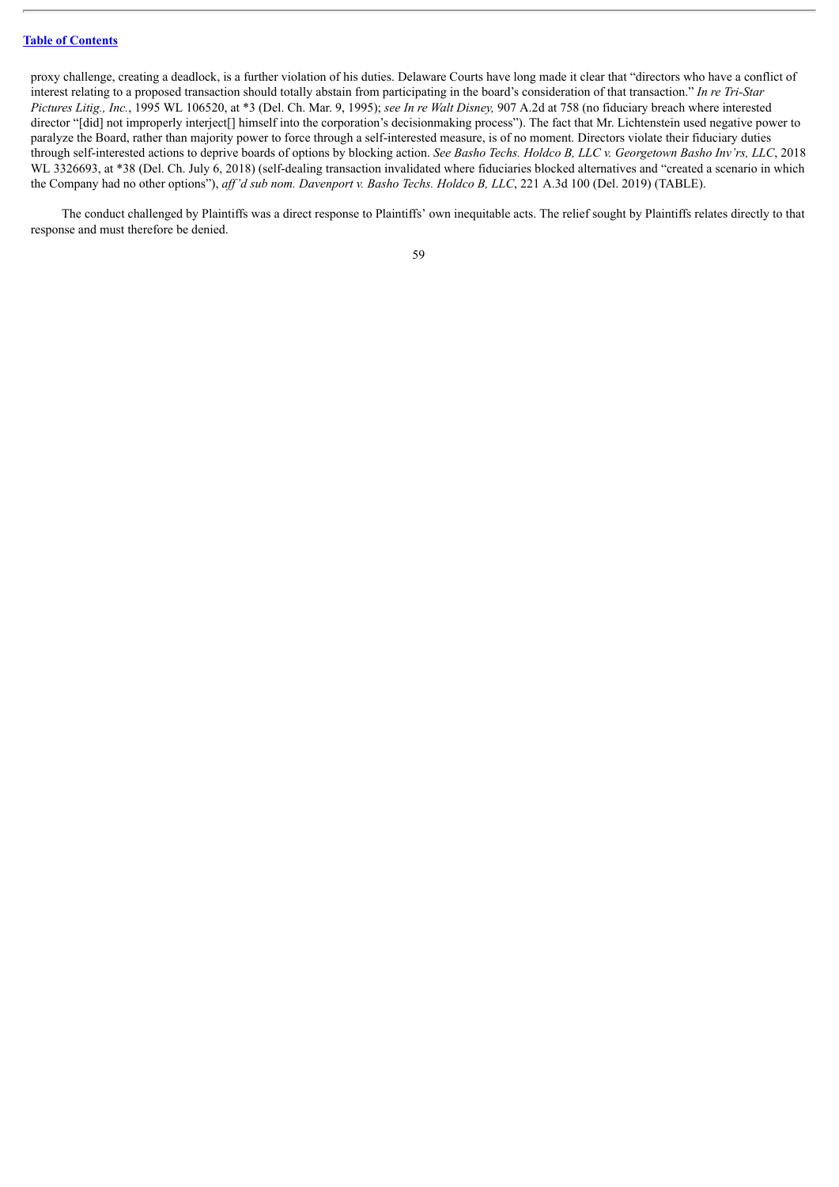proxy challenge, creating a deadlock, is a further violation of his duties. Delaware Courts have long made it clear that "directors who have a conflict of interest relating to a proposed transaction should totally abstain from participating in the board's consideration of that transaction." *In re Tri-Star Pictures Litig., Inc.*, 1995 WL 106520, at \*3 (Del. Ch. Mar. 9, 1995); *see In re Walt Disney,* 907 A.2d at 758 (no fiduciary breach where interested director "[did] not improperly interject[] himself into the corporation's decisionmaking process"). The fact that Mr. Lichtenstein used negative power to paralyze the Board, rather than majority power to force through a self-interested measure, is of no moment. Directors violate their fiduciary duties through self-interested actions to deprive boards of options by blocking action. See Basho Techs. Holdco B, LLC v. Georgetown Basho Inv'rs, LLC, 2018 WL 3326693, at \*38 (Del. Ch. July 6, 2018) (self-dealing transaction invalidated where fiduciaries blocked alternatives and "created a scenario in which the Company had no other options"), *af 'd sub nom. Davenport v. Basho Techs. Holdco B, LLC*, 221 A.3d 100 (Del. 2019) (TABLE).

The conduct challenged by Plaintiffs was a direct response to Plaintiffs' own inequitable acts. The relief sought by Plaintiffs relates directly to that response and must therefore be denied.